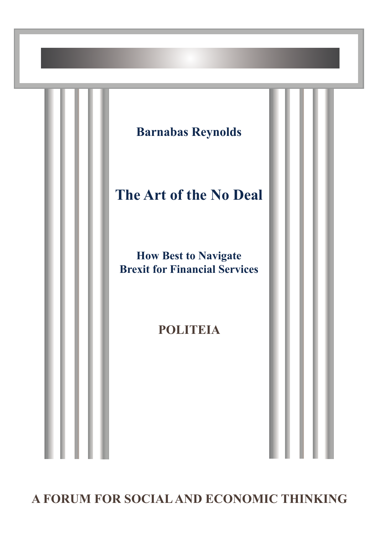

**A FORUM FOR SOCIAL AND ECONOMIC THINKING**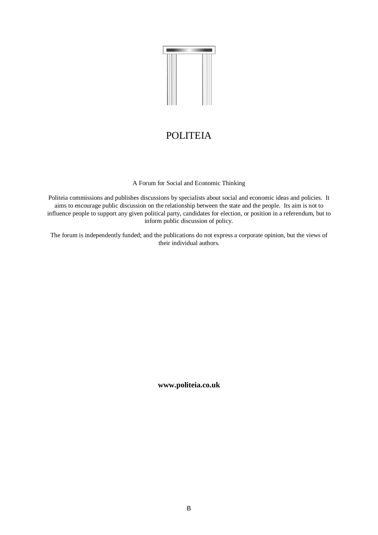

# **POLITEIA**

A Forum for Social and Economic Thinking

Politeia commissions and publishes discussions by specialists about social and economic ideas and policies. It aims to encourage public discussion on the relationship between the state and the people. Its aim is not to influence people to support any given political party, candidates for election, or position in a referendum, but to inform public discussion of policy.

The forum is independently funded; and the publications do not express a corporate opinion, but the views of their individual authors.

**www.politeia.co.uk**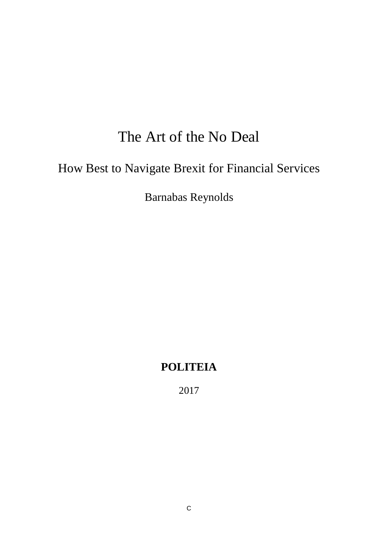# The Art of the No Deal

# How Best to Navigate Brexit for Financial Services

Barnabas Reynolds

# **POLITEIA**

2017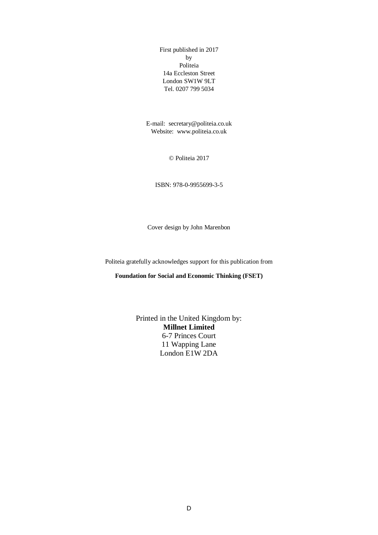First published in 2017 by Politeia 14a Eccleston Street London SW1W 9LT Tel. 0207 799 5034

E-mail: secretary@politeia.co.uk Website: www.politeia.co.uk

© Politeia 2017

ISBN: 978-0-9955699-3-5

Cover design by John Marenbon

Politeia gratefully acknowledges support for this publication from

**Foundation for Social and Economic Thinking (FSET)**

Printed in the United Kingdom by: **Millnet Limited** 6-7 Princes Court 11 Wapping Lane London E1W 2DA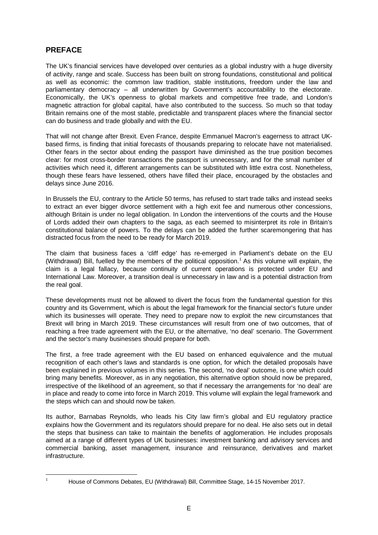## **PREFACE**

The UK's financial services have developed over centuries as a global industry with a huge diversity of activity, range and scale. Success has been built on strong foundations, constitutional and political as well as economic: the common law tradition, stable institutions, freedom under the law and parliamentary democracy – all underwritten by Government's accountability to the electorate. Economically, the UK's openness to global markets and competitive free trade, and London's magnetic attraction for global capital, have also contributed to the success. So much so that today Britain remains one of the most stable, predictable and transparent places where the financial sector can do business and trade globally and with the EU.

That will not change after Brexit. Even France, despite Emmanuel Macron's eagerness to attract UKbased firms, is finding that initial forecasts of thousands preparing to relocate have not materialised. Other fears in the sector about ending the passport have diminished as the true position becomes clear: for most cross-border transactions the passport is unnecessary, and for the small number of activities which need it, different arrangements can be substituted with little extra cost. Nonetheless, though these fears have lessened, others have filled their place, encouraged by the obstacles and delays since June 2016.

In Brussels the EU, contrary to the Article 50 terms, has refused to start trade talks and instead seeks to extract an ever bigger divorce settlement with a high exit fee and numerous other concessions, although Britain is under no legal obligation. In London the interventions of the courts and the House of Lords added their own chapters to the saga, as each seemed to misinterpret its role in Britain's constitutional balance of powers. To the delays can be added the further scaremongering that has distracted focus from the need to be ready for March 2019.

The claim that business faces a 'cliff edge' has re-emerged in Parliament's debate on the EU (Withdrawal) Bill, fuelled by the members of the political opposition.<sup>[1](#page-4-0)</sup> As this volume will explain, the claim is a legal fallacy, because continuity of current operations is protected under EU and International Law. Moreover, a transition deal is unnecessary in law and is a potential distraction from the real goal.

These developments must not be allowed to divert the focus from the fundamental question for this country and its Government, which is about the legal framework for the financial sector's future under which its businesses will operate. They need to prepare now to exploit the new circumstances that Brexit will bring in March 2019. These circumstances will result from one of two outcomes, that of reaching a free trade agreement with the EU, or the alternative, 'no deal' scenario. The Government and the sector's many businesses should prepare for both.

The first, a free trade agreement with the EU based on enhanced equivalence and the mutual recognition of each other's laws and standards is one option, for which the detailed proposals have been explained in previous volumes in this series. The second, 'no deal' outcome, is one which could bring many benefits. Moreover, as in any negotiation, this alternative option should now be prepared, irrespective of the likelihood of an agreement, so that if necessary the arrangements for 'no deal' are in place and ready to come into force in March 2019. This volume will explain the legal framework and the steps which can and should now be taken.

Its author, Barnabas Reynolds, who leads his City law firm's global and EU regulatory practice explains how the Government and its regulators should prepare for no deal. He also sets out in detail the steps that business can take to maintain the benefits of agglomeration. He includes proposals aimed at a range of different types of UK businesses: investment banking and advisory services and commercial banking, asset management, insurance and reinsurance, derivatives and market infrastructure.

<span id="page-4-0"></span>

<sup>&</sup>lt;sup>1</sup> House of Commons Debates, EU (Withdrawal) Bill, Committee Stage, 14-15 November 2017.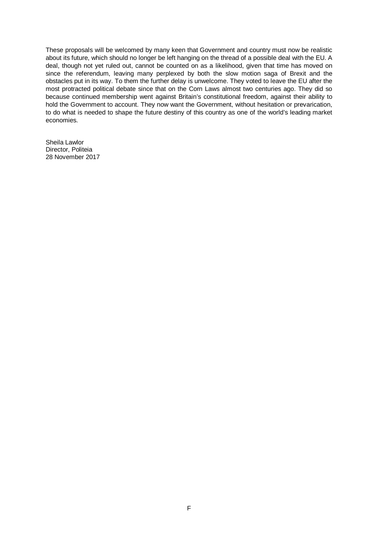These proposals will be welcomed by many keen that Government and country must now be realistic about its future, which should no longer be left hanging on the thread of a possible deal with the EU. A deal, though not yet ruled out, cannot be counted on as a likelihood, given that time has moved on since the referendum, leaving many perplexed by both the slow motion saga of Brexit and the obstacles put in its way. To them the further delay is unwelcome. They voted to leave the EU after the most protracted political debate since that on the Corn Laws almost two centuries ago. They did so because continued membership went against Britain's constitutional freedom, against their ability to hold the Government to account. They now want the Government, without hesitation or prevarication, to do what is needed to shape the future destiny of this country as one of the world's leading market economies.

Sheila Lawlor Director, Politeia 28 November 2017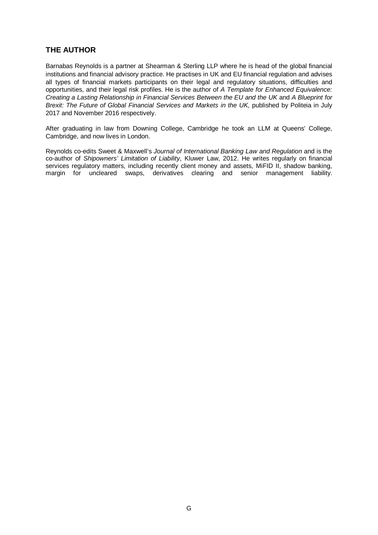### **THE AUTHOR**

Barnabas Reynolds is a partner at Shearman & Sterling LLP where he is head of the global financial institutions and financial advisory practice. He practises in UK and EU financial regulation and advises all types of financial markets participants on their legal and regulatory situations, difficulties and opportunities, and their legal risk profiles. He is the author of *A Template for Enhanced Equivalence: Creating a Lasting Relationship in Financial Services Between the EU and the UK* and *A Blueprint for Brexit: The Future of Global Financial Services and Markets in the UK*, published by Politeia in July 2017 and November 2016 respectively.

After graduating in law from Downing College, Cambridge he took an LLM at Queens' College, Cambridge, and now lives in London.

Reynolds co-edits Sweet & Maxwell's *Journal of International Banking Law and Regulation* and is the co-author of *Shipowners' Limitation of Liability*, Kluwer Law, 2012. He writes regularly on financial services regulatory matters, including recently client money and assets, MiFID II, shadow banking, margin for uncleared swaps, derivatives clearing and senior management liability.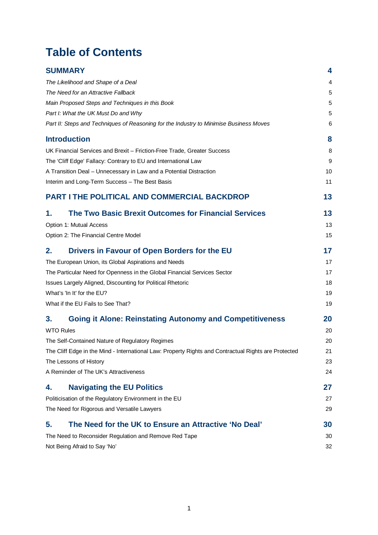# **Table of Contents**

|                                                                          | <b>SUMMARY</b>                                                                                       | 4  |
|--------------------------------------------------------------------------|------------------------------------------------------------------------------------------------------|----|
|                                                                          | The Likelihood and Shape of a Deal                                                                   | 4  |
|                                                                          | The Need for an Attractive Fallback                                                                  | 5  |
|                                                                          | Main Proposed Steps and Techniques in this Book                                                      | 5  |
|                                                                          | Part I: What the UK Must Do and Why                                                                  |    |
|                                                                          | Part II: Steps and Techniques of Reasoning for the Industry to Minimise Business Moves               | 6  |
|                                                                          | <b>Introduction</b>                                                                                  | 8  |
|                                                                          | UK Financial Services and Brexit - Friction-Free Trade, Greater Success                              |    |
|                                                                          | The 'Cliff Edge' Fallacy: Contrary to EU and International Law                                       | 9  |
|                                                                          | A Transition Deal - Unnecessary in Law and a Potential Distraction                                   |    |
|                                                                          | Interim and Long-Term Success - The Best Basis                                                       | 11 |
|                                                                          | <b>PART I THE POLITICAL AND COMMERCIAL BACKDROP</b>                                                  | 13 |
| 1.                                                                       | <b>The Two Basic Brexit Outcomes for Financial Services</b>                                          | 13 |
|                                                                          | Option 1: Mutual Access                                                                              | 13 |
|                                                                          | Option 2: The Financial Centre Model                                                                 | 15 |
| 2.                                                                       | Drivers in Favour of Open Borders for the EU                                                         | 17 |
| The European Union, its Global Aspirations and Needs                     |                                                                                                      | 17 |
| The Particular Need for Openness in the Global Financial Services Sector |                                                                                                      | 17 |
| Issues Largely Aligned, Discounting for Political Rhetoric               |                                                                                                      | 18 |
| What's 'In It' for the EU?                                               |                                                                                                      | 19 |
|                                                                          | What if the EU Fails to See That?                                                                    | 19 |
| 3.                                                                       | <b>Going it Alone: Reinstating Autonomy and Competitiveness</b>                                      | 20 |
|                                                                          | <b>WTO Rules</b>                                                                                     |    |
|                                                                          | The Self-Contained Nature of Regulatory Regimes                                                      |    |
|                                                                          | The Cliff Edge in the Mind - International Law: Property Rights and Contractual Rights are Protected |    |
|                                                                          | The Lessons of History                                                                               |    |
|                                                                          | A Reminder of The UK's Attractiveness                                                                | 24 |
| 4.                                                                       | <b>Navigating the EU Politics</b>                                                                    | 27 |
|                                                                          | Politicisation of the Regulatory Environment in the EU                                               | 27 |
|                                                                          | The Need for Rigorous and Versatile Lawyers                                                          | 29 |
| 5.                                                                       | The Need for the UK to Ensure an Attractive 'No Deal'                                                | 30 |
|                                                                          | The Need to Reconsider Regulation and Remove Red Tape                                                |    |
|                                                                          | Not Being Afraid to Say 'No'                                                                         |    |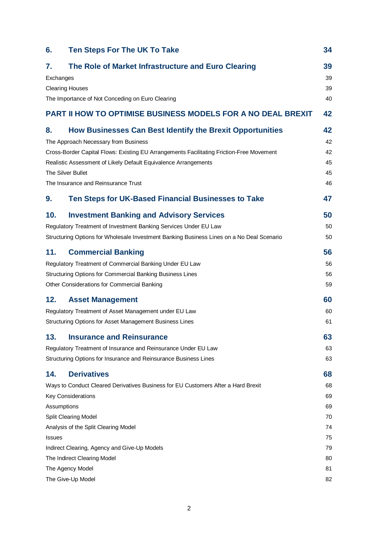| 6.                           | <b>Ten Steps For The UK To Take</b>                                                                                                                                                                                                                                                                                          | 34                               |
|------------------------------|------------------------------------------------------------------------------------------------------------------------------------------------------------------------------------------------------------------------------------------------------------------------------------------------------------------------------|----------------------------------|
| 7.<br>Exchanges              | The Role of Market Infrastructure and Euro Clearing<br><b>Clearing Houses</b><br>The Importance of Not Conceding on Euro Clearing                                                                                                                                                                                            | 39<br>39<br>39<br>40             |
|                              | <b>PART II HOW TO OPTIMISE BUSINESS MODELS FOR A NO DEAL BREXIT</b>                                                                                                                                                                                                                                                          | 42                               |
| 8.                           | How Businesses Can Best Identify the Brexit Opportunities<br>The Approach Necessary from Business<br>Cross-Border Capital Flows: Existing EU Arrangements Facilitating Friction-Free Movement<br>Realistic Assessment of Likely Default Equivalence Arrangements<br>The Silver Bullet<br>The Insurance and Reinsurance Trust | 42<br>42<br>42<br>45<br>45<br>46 |
| 9.                           | Ten Steps for UK-Based Financial Businesses to Take                                                                                                                                                                                                                                                                          | 47                               |
| 10.                          | <b>Investment Banking and Advisory Services</b><br>Regulatory Treatment of Investment Banking Services Under EU Law<br>Structuring Options for Wholesale Investment Banking Business Lines on a No Deal Scenario                                                                                                             | 50<br>50<br>50                   |
| 11.                          | <b>Commercial Banking</b><br>Regulatory Treatment of Commercial Banking Under EU Law<br>Structuring Options for Commercial Banking Business Lines<br>Other Considerations for Commercial Banking                                                                                                                             | 56<br>56<br>56<br>59             |
| 12.                          | <b>Asset Management</b><br>Regulatory Treatment of Asset Management under EU Law<br>Structuring Options for Asset Management Business Lines                                                                                                                                                                                  | 60<br>60<br>61                   |
| 13.                          | <b>Insurance and Reinsurance</b><br>Regulatory Treatment of Insurance and Reinsurance Under EU Law<br>Structuring Options for Insurance and Reinsurance Business Lines                                                                                                                                                       | 63<br>63<br>63                   |
| 14.                          | <b>Derivatives</b><br>Ways to Conduct Cleared Derivatives Business for EU Customers After a Hard Brexit<br><b>Key Considerations</b>                                                                                                                                                                                         | 68<br>68<br>69                   |
| Assumptions<br><b>Issues</b> | <b>Split Clearing Model</b><br>Analysis of the Split Clearing Model                                                                                                                                                                                                                                                          | 69<br>70<br>74<br>75             |
|                              | Indirect Clearing, Agency and Give-Up Models<br>The Indirect Clearing Model<br>The Agency Model<br>The Give-Up Model                                                                                                                                                                                                         | 79<br>80<br>81<br>82             |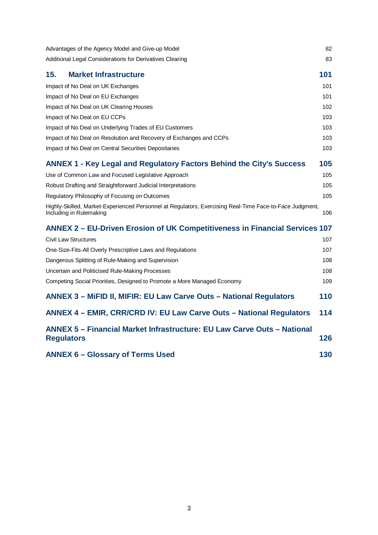| Advantages of the Agency Model and Give-up Model                                                                                   |     |
|------------------------------------------------------------------------------------------------------------------------------------|-----|
| Additional Legal Considerations for Derivatives Clearing                                                                           | 83  |
| <b>Market Infrastructure</b><br>15.                                                                                                | 101 |
| Impact of No Deal on UK Exchanges                                                                                                  | 101 |
| Impact of No Deal on EU Exchanges                                                                                                  | 101 |
| Impact of No Deal on UK Clearing Houses                                                                                            | 102 |
| Impact of No Deal on EU CCPs                                                                                                       | 103 |
| Impact of No Deal on Underlying Trades of EU Customers                                                                             | 103 |
| Impact of No Deal on Resolution and Recovery of Exchanges and CCPs                                                                 | 103 |
| Impact of No Deal on Central Securities Depositaries                                                                               | 103 |
| <b>ANNEX 1 - Key Legal and Regulatory Factors Behind the City's Success</b>                                                        | 105 |
| Use of Common Law and Focused Legislative Approach                                                                                 | 105 |
| Robust Drafting and Straightforward Judicial Interpretations                                                                       | 105 |
| Regulatory Philosophy of Focusing on Outcomes                                                                                      | 105 |
| Highly-Skilled, Market-Experienced Personnel at Regulators, Exercising Real-Time Face-to-Face Judgment,<br>Including in Rulemaking | 106 |
| ANNEX 2 – EU-Driven Erosion of UK Competitiveness in Financial Services 107                                                        |     |
| <b>Civil Law Structures</b>                                                                                                        | 107 |
| One-Size-Fits-All Overly Prescriptive Laws and Regulations                                                                         | 107 |
| Dangerous Splitting of Rule-Making and Supervision                                                                                 | 108 |
| Uncertain and Politicised Rule-Making Processes                                                                                    | 108 |
| Competing Social Priorities, Designed to Promote a More Managed Economy                                                            | 109 |
| <b>ANNEX 3 - MiFID II, MIFIR: EU Law Carve Outs - National Regulators</b>                                                          | 110 |
| ANNEX 4 - EMIR, CRR/CRD IV: EU Law Carve Outs - National Regulators                                                                | 114 |
| ANNEX 5 - Financial Market Infrastructure: EU Law Carve Outs - National<br><b>Regulators</b>                                       | 126 |
| <b>ANNEX 6 - Glossary of Terms Used</b>                                                                                            |     |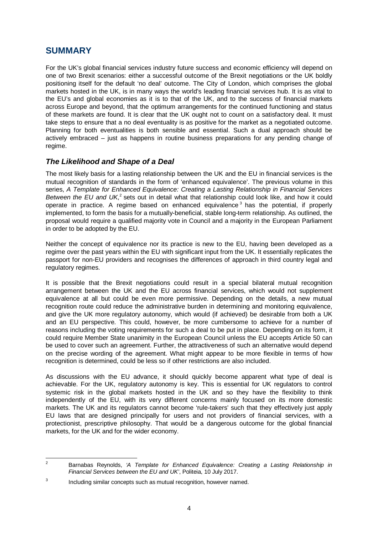## <span id="page-10-0"></span>**SUMMARY**

For the UK's global financial services industry future success and economic efficiency will depend on one of two Brexit scenarios: either a successful outcome of the Brexit negotiations or the UK boldly positioning itself for the default 'no deal' outcome. The City of London, which comprises the global markets hosted in the UK, is in many ways the world's leading financial services hub. It is as vital to the EU's and global economies as it is to that of the UK, and to the success of financial markets across Europe and beyond, that the optimum arrangements for the continued functioning and status of these markets are found. It is clear that the UK ought not to count on a satisfactory deal. It must take steps to ensure that a no deal eventuality is as positive for the market as a negotiated outcome. Planning for both eventualities is both sensible and essential. Such a dual approach should be actively embraced – just as happens in routine business preparations for any pending change of regime.

#### <span id="page-10-1"></span>*The Likelihood and Shape of a Deal*

The most likely basis for a lasting relationship between the UK and the EU in financial services is the mutual recognition of standards in the form of 'enhanced equivalence'. The previous volume in this series, *A Template for Enhanced Equivalence: Creating a Lasting Relationship in Financial Services*  Between the EU and UK,<sup>[2](#page-10-2)</sup> sets out in detail what that relationship could look like, and how it could operate in practice. A regime based on enhanced equivalence  $3$  has the potential, if properly implemented, to form the basis for a mutually-beneficial, stable long-term relationship. As outlined, the proposal would require a qualified majority vote in Council and a majority in the European Parliament in order to be adopted by the EU.

Neither the concept of equivalence nor its practice is new to the EU, having been developed as a regime over the past years within the EU with significant input from the UK. It essentially replicates the passport for non-EU providers and recognises the differences of approach in third country legal and regulatory regimes.

It is possible that the Brexit negotiations could result in a special bilateral mutual recognition arrangement between the UK and the EU across financial services, which would not supplement equivalence at all but could be even more permissive. Depending on the details, a new mutual recognition route could reduce the administrative burden in determining and monitoring equivalence, and give the UK more regulatory autonomy, which would (if achieved) be desirable from both a UK and an EU perspective. This could, however, be more cumbersome to achieve for a number of reasons including the voting requirements for such a deal to be put in place. Depending on its form, it could require Member State unanimity in the European Council unless the EU accepts Article 50 can be used to cover such an agreement. Further, the attractiveness of such an alternative would depend on the precise wording of the agreement. What might appear to be more flexible in terms of how recognition is determined, could be less so if other restrictions are also included.

As discussions with the EU advance, it should quickly become apparent what type of deal is achievable. For the UK, regulatory autonomy is key. This is essential for UK regulators to control systemic risk in the global markets hosted in the UK and so they have the flexibility to think independently of the EU, with its very different concerns mainly focused on its more domestic markets. The UK and its regulators cannot become 'rule-takers' such that they effectively just apply EU laws that are designed principally for users and not providers of financial services, with a protectionist, prescriptive philosophy. That would be a dangerous outcome for the global financial markets, for the UK and for the wider economy.

<span id="page-10-2"></span><sup>2</sup> Barnabas Reynolds, *'A Template for Enhanced Equivalence: Creating a Lasting Relationship in Financial Services between the EU and UK'*, Politeia, 10 July 2017.

<span id="page-10-3"></span><sup>&</sup>lt;sup>3</sup> Including similar concepts such as mutual recognition, however named.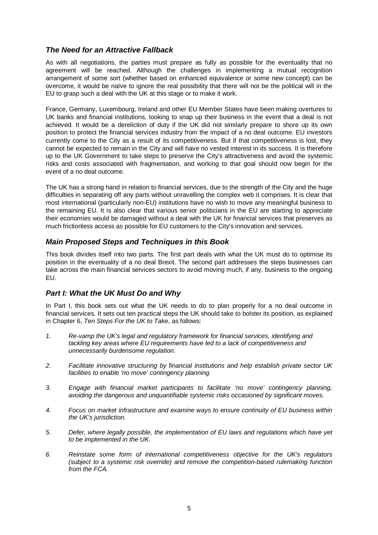## <span id="page-11-0"></span>*The Need for an Attractive Fallback*

As with all negotiations, the parties must prepare as fully as possible for the eventuality that no agreement will be reached. Although the challenges in implementing a mutual recognition arrangement of some sort (whether based on enhanced equivalence or some new concept) can be overcome, it would be naïve to ignore the real possibility that there will not be the political will in the EU to grasp such a deal with the UK at this stage or to make it work.

France, Germany, Luxembourg, Ireland and other EU Member States have been making overtures to UK banks and financial institutions, looking to snap up their business in the event that a deal is not achieved. It would be a dereliction of duty if the UK did not similarly prepare to shore up its own position to protect the financial services industry from the impact of a no deal outcome. EU investors currently come to the City as a result of its competitiveness. But if that competitiveness is lost, they cannot be expected to remain in the City and will have no vested interest in its success. It is therefore up to the UK Government to take steps to preserve the City's attractiveness and avoid the systemic risks and costs associated with fragmentation, and working to that goal should now begin for the event of a no deal outcome.

The UK has a strong hand in relation to financial services, due to the strength of the City and the huge difficulties in separating off any parts without unravelling the complex web it comprises. It is clear that most international (particularly non-EU) institutions have no wish to move any meaningful business to the remaining EU. It is also clear that various senior politicians in the EU are starting to appreciate their economies would be damaged without a deal with the UK for financial services that preserves as much frictionless access as possible for EU customers to the City's innovation and services.

### <span id="page-11-1"></span>*Main Proposed Steps and Techniques in this Book*

This book divides itself into two parts. The first part deals with what the UK must do to optimise its position in the eventuality of a no deal Brexit. The second part addresses the steps businesses can take across the main financial services sectors to avoid moving much, if any, business to the ongoing EU.

### <span id="page-11-2"></span>*Part I: What the UK Must Do and Why*

In Part I, this book sets out what the UK needs to do to plan properly for a no deal outcome in financial services. It sets out ten practical steps the UK should take to bolster its position, as explained in Chapter [6,](#page-40-0) *Ten Steps For the UK to Take*, as follows:

- *1. Re-vamp the UK's legal and regulatory framework for financial services, identifying and tackling key areas where EU requirements have led to a lack of competitiveness and unnecessarily burdensome regulation.*
- *2. Facilitate innovative structuring by financial institutions and help establish private sector UK facilities to enable 'no move' contingency planning.*
- *3. Engage with financial market participants to facilitate 'no move' contingency planning, avoiding the dangerous and unquantifiable systemic risks occasioned by significant moves.*
- *4. Focus on market infrastructure and examine ways to ensure continuity of EU business within the UK's jurisdiction.*
- *5. Defer, where legally possible, the implementation of EU laws and regulations which have yet to be implemented in the UK.*
- *6. Reinstate some form of international competitiveness objective for the UK's regulators (subject to a systemic risk override) and remove the competition-based rulemaking function from the FCA.*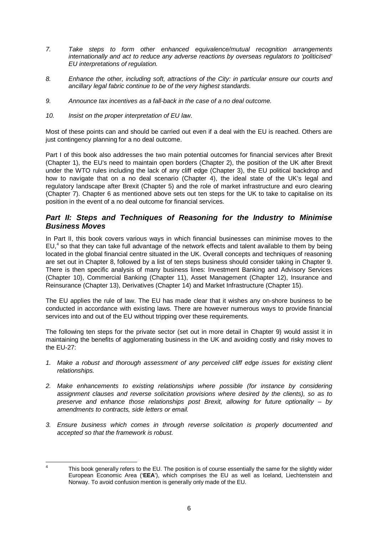- *7. Take steps to form other enhanced equivalence/mutual recognition arrangements internationally and act to reduce any adverse reactions by overseas regulators to 'politicised' EU interpretations of regulation.*
- *8. Enhance the other, including soft, attractions of the City: in particular ensure our courts and ancillary legal fabric continue to be of the very highest standards.*
- *9. Announce tax incentives as a fall-back in the case of a no deal outcome.*
- *10. Insist on the proper interpretation of EU law.*

Most of these points can and should be carried out even if a deal with the EU is reached. Others are just contingency planning for a no deal outcome.

Part I of this book also addresses the two main potential outcomes for financial services after Brexit (Chapter [1\)](#page-19-1), the EU's need to maintain open borders (Chapter [2\)](#page-23-0), the position of the UK after Brexit under the WTO rules including the lack of any cliff edge (Chapter [3\)](#page-26-0), the EU political backdrop and how to navigate that on a no deal scenario (Chapter [4\)](#page-33-0), the ideal state of the UK's legal and regulatory landscape after Brexit (Chapter [5\)](#page-36-0) and the role of market infrastructure and euro clearing (Chapter [7\)](#page-45-0). Chapter [6](#page-40-0) as mentioned above sets out ten steps for the UK to take to capitalise on its position in the event of a no deal outcome for financial services.

#### <span id="page-12-0"></span>*Part II: Steps and Techniques of Reasoning for the Industry to Minimise Business Moves*

In Part II, this book covers various ways in which financial businesses can minimise moves to the EU,<sup>[4](#page-12-1)</sup> so that they can take full advantage of the network effects and talent available to them by being located in the global financial centre situated in the UK. Overall concepts and techniques of reasoning are set out in Chapter [8,](#page-48-1) followed by a list of ten steps business should consider taking in Chapter [9.](#page-53-0) There is then specific analysis of many business lines: Investment Banking and Advisory Services (Chapter [10\)](#page-56-0), Commercial Banking (Chapter [11\)](#page-62-0), Asset Management (Chapter [12\)](#page-66-0), Insurance and Reinsurance (Chapter [13\)](#page-69-0), Derivatives (Chapter 14) and Market Infrastructure (Chapter [15\)](#page-107-0).

The EU applies the rule of law. The EU has made clear that it wishes any on-shore business to be conducted in accordance with existing laws. There are however numerous ways to provide financial services into and out of the EU without tripping over these requirements.

The following ten steps for the private sector (set out in more detail in Chapter [9\)](#page-43-0) would assist it in maintaining the benefits of agglomerating business in the UK and avoiding costly and risky moves to the EU-27:

- *1. Make a robust and thorough assessment of any perceived cliff edge issues for existing client relationships.*
- *2. Make enhancements to existing relationships where possible (for instance by considering assignment clauses and reverse solicitation provisions where desired by the clients), so as to preserve and enhance those relationships post Brexit, allowing for future optionality – by amendments to contracts, side letters or email.*
- *3. Ensure business which comes in through reverse solicitation is properly documented and accepted so that the framework is robust.*

<span id="page-12-1"></span><sup>&</sup>lt;sup>4</sup> This book generally refers to the EU. The position is of course essentially the same for the slightly wider European Economic Area ('**EEA**'), which comprises the EU as well as Iceland, Liechtenstein and Norway. To avoid confusion mention is generally only made of the EU.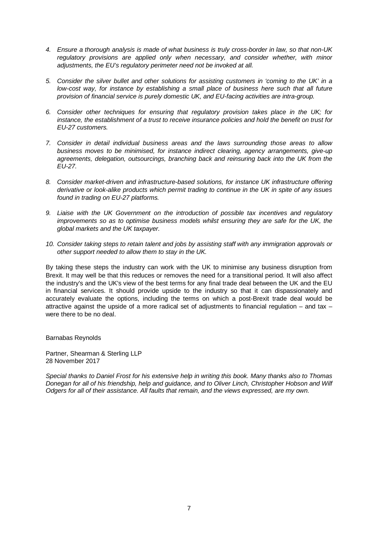- *4. Ensure a thorough analysis is made of what business is truly cross-border in law, so that non-UK regulatory provisions are applied only when necessary, and consider whether, with minor adjustments, the EU's regulatory perimeter need not be invoked at all.*
- *5. Consider the silver bullet and other solutions for assisting customers in 'coming to the UK' in a low-cost way, for instance by establishing a small place of business here such that all future provision of financial service is purely domestic UK, and EU-facing activities are intra-group.*
- *6. Consider other techniques for ensuring that regulatory provision takes place in the UK; for instance, the establishment of a trust to receive insurance policies and hold the benefit on trust for EU-27 customers.*
- *7. Consider in detail individual business areas and the laws surrounding those areas to allow business moves to be minimised, for instance indirect clearing, agency arrangements, give-up*  agreements, delegation, outsourcings, branching back and reinsuring back into the UK from the *EU-27.*
- *8. Consider market-driven and infrastructure-based solutions, for instance UK infrastructure offering derivative or look-alike products which permit trading to continue in the UK in spite of any issues found in trading on EU-27 platforms.*
- *9. Liaise with the UK Government on the introduction of possible tax incentives and regulatory improvements so as to optimise business models whilst ensuring they are safe for the UK, the global markets and the UK taxpayer.*
- *10. Consider taking steps to retain talent and jobs by assisting staff with any immigration approvals or other support needed to allow them to stay in the UK.*

By taking these steps the industry can work with the UK to minimise any business disruption from Brexit. It may well be that this reduces or removes the need for a transitional period. It will also affect the industry's and the UK's view of the best terms for any final trade deal between the UK and the EU in financial services. It should provide upside to the industry so that it can dispassionately and accurately evaluate the options, including the terms on which a post-Brexit trade deal would be attractive against the upside of a more radical set of adjustments to financial regulation – and tax – were there to be no deal.

Barnabas Reynolds

Partner, Shearman & Sterling LLP 28 November 2017

*Special thanks to Daniel Frost for his extensive help in writing this book. Many thanks also to Thomas Donegan for all of his friendship, help and guidance, and to Oliver Linch, Christopher Hobson and Wilf Odgers for all of their assistance. All faults that remain, and the views expressed, are my own.*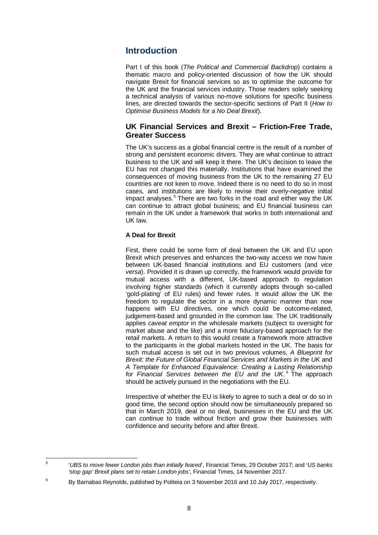## <span id="page-14-0"></span>**Introduction**

Part I of this book (*The Political and Commercial Backdrop*) contains a thematic macro and policy-oriented discussion of how the UK should navigate Brexit for financial services so as to optimise the outcome for the UK and the financial services industry. Those readers solely seeking a technical analysis of various no-move solutions for specific business lines, are directed towards the sector-specific sections of Part II (*How to Optimise Business Models for a No Deal Brexit*).

#### <span id="page-14-1"></span>**UK Financial Services and Brexit – Friction-Free Trade, Greater Success**

The UK's success as a global financial centre is the result of a number of strong and persistent economic drivers. They are what continue to attract business to the UK and will keep it there. The UK's decision to leave the EU has not changed this materially. Institutions that have examined the consequences of moving business from the UK to the remaining 27 EU countries are not keen to move. Indeed there is no need to do so in most cases, and institutions are likely to revise their overly-negative initial impact analyses.<sup>[5](#page-14-2)</sup> There are two forks in the road and either way the UK can continue to attract global business; and EU financial business can remain in the UK under a framework that works in both international and UK law.

#### **A Deal for Brexit**

First, there could be some form of deal between the UK and EU upon Brexit which preserves and enhances the two-way access we now have between UK-based financial institutions and EU customers (and *vice versa*). Provided it is drawn up correctly, the framework would provide for mutual access with a different, UK-based approach to regulation involving higher standards (which it currently adopts through so-called 'gold-plating' of EU rules) and fewer rules. It would allow the UK the freedom to regulate the sector in a more dynamic manner than now happens with EU directives, one which could be outcome-related, judgement-based and grounded in the common law. The UK traditionally applies *caveat emptor* in the wholesale markets (subject to oversight for market abuse and the like) and a more fiduciary-based approach for the retail markets. A return to this would create a framework more attractive to the participants in the global markets hosted in the UK. The basis for such mutual access is set out in two previous volumes, *A Blueprint for Brexit: the Future of Global Financial Services and Markets in the UK* and *A Template for Enhanced Equivalence: Creating a Lasting Relationship*  for Financial Services between the EU and the UK.<sup>[6](#page-14-3)</sup> The approach should be actively pursued in the negotiations with the EU.

Irrespective of whether the EU is likely to agree to such a deal or do so in good time, the second option should now be simultaneously prepared so that in March 2019, deal or no deal, businesses in the EU and the UK can continue to trade without friction and grow their businesses with confidence and security before and after Brexit.

<span id="page-14-2"></span>

<sup>5</sup> '*UBS to move fewer London jobs than initially feared*', Financial Times, 29 October 2017; and '*US banks 'stop gap' Brexit plans set to retain London jobs'*, Financial Times, 14 November 2017.

<span id="page-14-3"></span> $6$  By Barnabas Reynolds, published by Politeia on 3 November 2016 and 10 July 2017, respectively.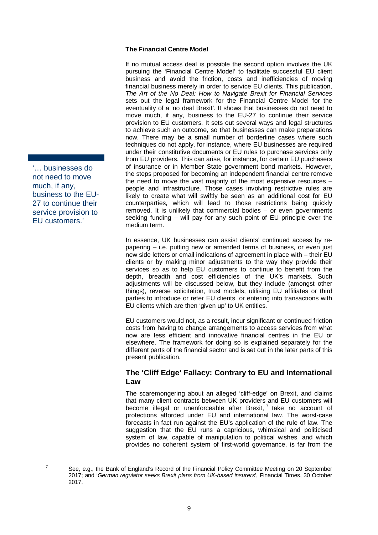#### **The Financial Centre Model**

If no mutual access deal is possible the second option involves the UK pursuing the 'Financial Centre Model' to facilitate successful EU client business and avoid the friction, costs and inefficiencies of moving financial business merely in order to service EU clients. This publication, *The Art of the No Deal: How to Navigate Brexit for Financial Services*  sets out the legal framework for the Financial Centre Model for the eventuality of a 'no deal Brexit'. It shows that businesses do not need to move much, if any, business to the EU-27 to continue their service provision to EU customers. It sets out several ways and legal structures to achieve such an outcome, so that businesses can make preparations now. There may be a small number of borderline cases where such techniques do not apply, for instance, where EU businesses are required under their constitutive documents or EU rules to purchase services only from EU providers. This can arise, for instance, for certain EU purchasers of insurance or in Member State government bond markets. However, the steps proposed for becoming an independent financial centre remove the need to move the vast majority of the most expensive resources – people and infrastructure. Those cases involving restrictive rules are likely to create what will swiftly be seen as an additional cost for EU counterparties, which will lead to those restrictions being quickly removed. It is unlikely that commercial bodies – or even governments seeking funding – will pay for any such point of EU principle over the medium term.

In essence, UK businesses can assist clients' continued access by repapering – i.e. putting new or amended terms of business, or even just new side letters or email indications of agreement in place with – their EU clients or by making minor adjustments to the way they provide their services so as to help EU customers to continue to benefit from the depth, breadth and cost efficiencies of the UK's markets. Such adjustments will be discussed below, but they include (amongst other things), reverse solicitation, trust models, utilising EU affiliates or third parties to introduce or refer EU clients, or entering into transactions with EU clients which are then 'given up' to UK entities.

EU customers would not, as a result, incur significant or continued friction costs from having to change arrangements to access services from what now are less efficient and innovative financial centres in the EU or elsewhere. The framework for doing so is explained separately for the different parts of the financial sector and is set out in the later parts of this present publication.

#### <span id="page-15-0"></span>**The 'Cliff Edge' Fallacy: Contrary to EU and International Law**

The scaremongering about an alleged 'cliff-edge' on Brexit, and claims that many client contracts between UK providers and EU customers will become illegal or unenforceable after Brexit,<sup>[7](#page-15-1)</sup> take no account of protections afforded under EU and international law. The worst-case forecasts in fact run against the EU's application of the rule of law. The suggestion that the EU runs a capricious, whimsical and politicised system of law, capable of manipulation to political wishes, and which provides no coherent system of first-world governance, is far from the

'… businesses do not need to move much, if any, business to the EU-27 to continue their service provision to EU customers.'

<span id="page-15-1"></span> $7$  See, e.g., the Bank of England's Record of the Financial Policy Committee Meeting on 20 September 2017; and '*German regulator seeks Brexit plans from UK-based insurers*', Financial Times, 30 October 2017.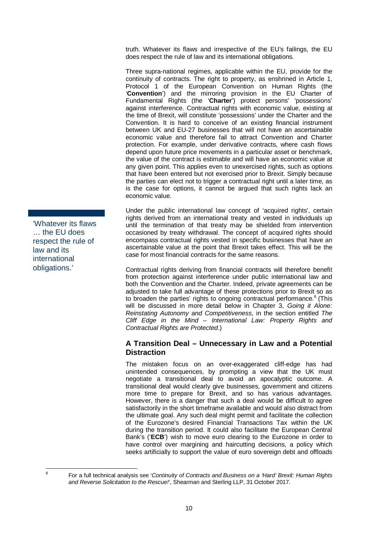truth. Whatever its flaws and irrespective of the EU's failings, the EU does respect the rule of law and its international obligations.

Three supra-national regimes, applicable within the EU, provide for the continuity of contracts. The right to property, as enshrined in Article 1, Protocol 1 of the European Convention on Human Rights (the '**Convention**') and the mirroring provision in the EU Charter of Fundamental Rights (the '**Charter**') protect persons' 'possessions' against interference. Contractual rights with economic value, existing at the time of Brexit, will constitute 'possessions' under the Charter and the Convention. It is hard to conceive of an existing financial instrument between UK and EU-27 businesses that will not have an ascertainable economic value and therefore fail to attract Convention and Charter protection. For example, under derivative contracts, where cash flows depend upon future price movements in a particular asset or benchmark, the value of the contract is estimable and will have an economic value at any given point. This applies even to unexercised rights, such as options that have been entered but not exercised prior to Brexit. Simply because the parties can elect not to trigger a contractual right until a later time, as is the case for options, it cannot be argued that such rights lack an economic value.

Under the public international law concept of 'acquired rights', certain rights derived from an international treaty and vested in individuals up until the termination of that treaty may be shielded from intervention occasioned by treaty withdrawal. The concept of acquired rights should encompass contractual rights vested in specific businesses that have an ascertainable value at the point that Brexit takes effect. This will be the case for most financial contracts for the same reasons.

Contractual rights deriving from financial contracts will therefore benefit from protection against interference under public international law and both the Convention and the Charter. Indeed, private agreements can be adjusted to take full advantage of these protections prior to Brexit so as to broaden the parties' rights to ongoing contractual performance.<sup>[8](#page-16-1)</sup> (This will be discussed in more detail below in Chapter [3,](#page-26-0) *Going it Alone: Reinstating Autonomy and Competitiveness*, in the section entitled *The Cliff Edge in the Mind – International Law: Property Rights and Contractual Rights are Protected*.)

#### <span id="page-16-0"></span>**A Transition Deal – Unnecessary in Law and a Potential Distraction**

The mistaken focus on an over-exaggerated cliff-edge has had unintended consequences, by prompting a view that the UK must negotiate a transitional deal to avoid an apocalyptic outcome. A transitional deal would clearly give businesses, government and citizens more time to prepare for Brexit, and so has various advantages. However, there is a danger that such a deal would be difficult to agree satisfactorily in the short timeframe available and would also distract from the ultimate goal. Any such deal might permit and facilitate the collection of the Eurozone's desired Financial Transactions Tax within the UK during the transition period. It could also facilitate the European Central Bank's ('**ECB**') wish to move euro clearing to the Eurozone in order to have control over margining and haircutting decisions, a policy which seeks artificially to support the value of euro sovereign debt and offloads

'Whatever its flaws … the EU does respect the rule of law and its international obligations.'

<span id="page-16-1"></span><sup>8</sup> For a full technical analysis see '*Continuity of Contracts and Business on a 'Hard' Brexit: Human Rights and Reverse Solicitation to the Rescue!*', Shearman and Sterling LLP, 31 October 2017.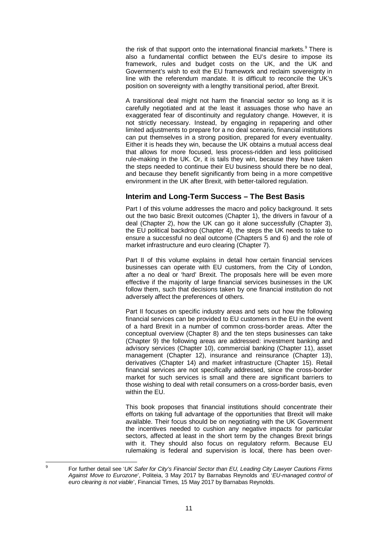the risk of that support onto the international financial markets.<sup>[9](#page-17-1)</sup> There is also a fundamental conflict between the EU's desire to impose its framework, rules and budget costs on the UK, and the UK and Government's wish to exit the EU framework and reclaim sovereignty in line with the referendum mandate. It is difficult to reconcile the UK's position on sovereignty with a lengthy transitional period, after Brexit.

A transitional deal might not harm the financial sector so long as it is carefully negotiated and at the least it assuages those who have an exaggerated fear of discontinuity and regulatory change. However, it is not strictly necessary. Instead, by engaging in repapering and other limited adjustments to prepare for a no deal scenario, financial institutions can put themselves in a strong position, prepared for every eventuality. Either it is heads they win, because the UK obtains a mutual access deal that allows for more focused, less process-ridden and less politicised rule-making in the UK. Or, it is tails they win, because they have taken the steps needed to continue their EU business should there be no deal, and because they benefit significantly from being in a more competitive environment in the UK after Brexit, with better-tailored regulation.

### <span id="page-17-0"></span>**Interim and Long-Term Success – The Best Basis**

Part I of this volume addresses the macro and policy background. It sets out the two basic Brexit outcomes (Chapter [1\)](#page-19-1), the drivers in favour of a deal (Chapter [2\)](#page-23-0), how the UK can go it alone successfully (Chapter [3\)](#page-26-0), the EU political backdrop (Chapter [4\)](#page-33-0), the steps the UK needs to take to ensure a successful no deal outcome (Chapters [5](#page-36-0) and [6\)](#page-40-0) and the role of market infrastructure and euro clearing (Chapter [7\)](#page-45-0).

Part II of this volume explains in detail how certain financial services businesses can operate with EU customers, from the City of London, after a no deal or 'hard' Brexit. The proposals here will be even more effective if the majority of large financial services businesses in the UK follow them, such that decisions taken by one financial institution do not adversely affect the preferences of others.

Part II focuses on specific industry areas and sets out how the following financial services can be provided to EU customers in the EU in the event of a hard Brexit in a number of common cross-border areas. After the conceptual overview (Chapter [8\)](#page-48-1) and the ten steps businesses can take (Chapter 9) the following areas are addressed: investment banking and advisory services (Chapter [10\)](#page-56-0), commercial banking (Chapter [11\)](#page-62-0), asset management (Chapter [12\)](#page-66-0), insurance and reinsurance (Chapter [13\)](#page-69-0), derivatives (Chapter 14) and market infrastructure (Chapter [15\)](#page-107-0). Retail financial services are not specifically addressed, since the cross-border market for such services is small and there are significant barriers to those wishing to deal with retail consumers on a cross-border basis, even within the EU.

This book proposes that financial institutions should concentrate their efforts on taking full advantage of the opportunities that Brexit will make available. Their focus should be on negotiating with the UK Government the incentives needed to cushion any negative impacts for particular sectors, affected at least in the short term by the changes Brexit brings with it. They should also focus on regulatory reform. Because EU rulemaking is federal and supervision is local, there has been over-

<span id="page-17-1"></span><sup>9</sup> For further detail see '*UK Safer for City's Financial Sector than EU, Leading City Lawyer Cautions Firms Against Move to Eurozone*', Politeia, 3 May 2017 by Barnabas Reynolds and '*EU-managed control of euro clearing is not viable*', Financial Times, 15 May 2017 by Barnabas Reynolds.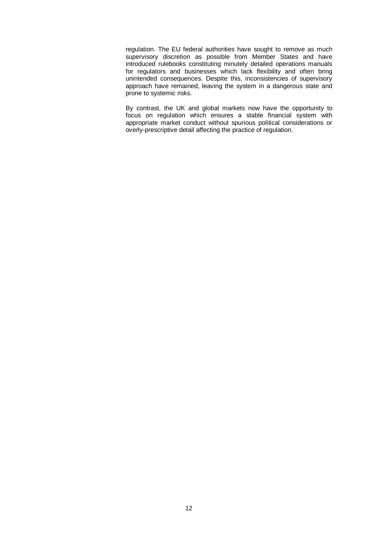regulation. The EU federal authorities have sought to remove as much supervisory discretion as possible from Member States and have introduced rulebooks constituting minutely detailed operations manuals for regulators and businesses which lack flexibility and often bring unintended consequences. Despite this, inconsistencies of supervisory approach have remained, leaving the system in a dangerous state and prone to systemic risks.

By contrast, the UK and global markets now have the opportunity to focus on regulation which ensures a stable financial system with appropriate market conduct without spurious political considerations or overly-prescriptive detail affecting the practice of regulation.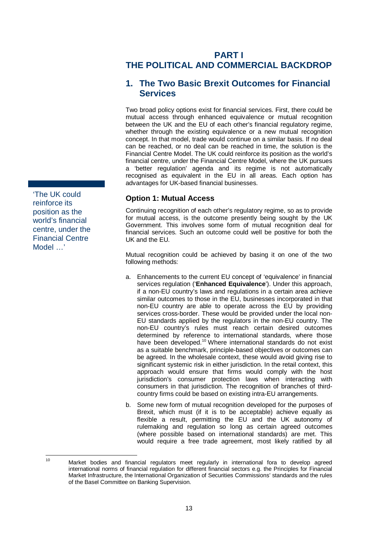# **PART I**

# <span id="page-19-0"></span>**THE POLITICAL AND COMMERCIAL BACKDROP**

## <span id="page-19-1"></span>**1. The Two Basic Brexit Outcomes for Financial Services**

Two broad policy options exist for financial services. First, there could be mutual access through enhanced equivalence or mutual recognition between the UK and the EU of each other's financial regulatory regime, whether through the existing equivalence or a new mutual recognition concept. In that model, trade would continue on a similar basis. If no deal can be reached, or no deal can be reached in time, the solution is the Financial Centre Model. The UK could reinforce its position as the world's financial centre, under the Financial Centre Model, where the UK pursues a 'better regulation' agenda and its regime is not automatically recognised as equivalent in the EU in all areas. Each option has advantages for UK-based financial businesses.

### **Option 1: Mutual Access**

Continuing recognition of each other's regulatory regime, so as to provide for mutual access, is the outcome presently being sought by the UK Government. This involves some form of mutual recognition deal for financial services. Such an outcome could well be positive for both the UK and the EU.

Mutual recognition could be achieved by basing it on one of the two following methods:

- a. Enhancements to the current EU concept of 'equivalence' in financial services regulation ('**Enhanced Equivalence**'). Under this approach, if a non-EU country's laws and regulations in a certain area achieve similar outcomes to those in the EU, businesses incorporated in that non-EU country are able to operate across the EU by providing services cross-border. These would be provided under the local non-EU standards applied by the regulators in the non-EU country. The non-EU country's rules must reach certain desired outcomes determined by reference to international standards, where those have been developed.<sup>[10](#page-19-3)</sup> Where international standards do not exist as a suitable benchmark, principle-based objectives or outcomes can be agreed. In the wholesale context, these would avoid giving rise to significant systemic risk in either jurisdiction. In the retail context, this approach would ensure that firms would comply with the host jurisdiction's consumer protection laws when interacting with consumers in that jurisdiction. The recognition of branches of thirdcountry firms could be based on existing intra-EU arrangements.
- b. Some new form of mutual recognition developed for the purposes of Brexit, which must (if it is to be acceptable) achieve equally as flexible a result, permitting the EU and the UK autonomy of rulemaking and regulation so long as certain agreed outcomes (where possible based on international standards) are met. This would require a free trade agreement, most likely ratified by all

<span id="page-19-2"></span>'The UK could reinforce its position as the world's financial centre, under the Financial Centre Model …'

<span id="page-19-3"></span><sup>&</sup>lt;sup>10</sup> Market bodies and financial regulators meet regularly in international fora to develop agreed international norms of financial regulation for different financial sectors e.g. the Principles for Financial Market Infrastructure, the International Organization of Securities Commissions' standards and the rules of the Basel Committee on Banking Supervision.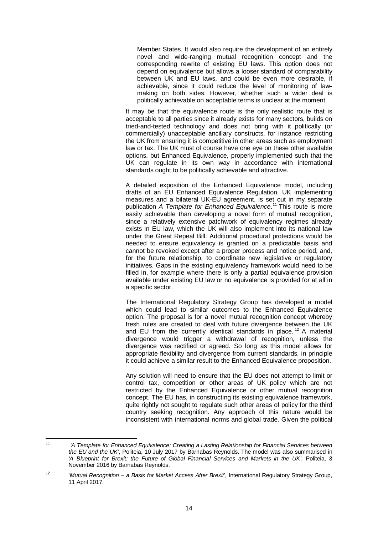Member States. It would also require the development of an entirely novel and wide-ranging mutual recognition concept and the corresponding rewrite of existing EU laws. This option does not depend on equivalence but allows a looser standard of comparability between UK and EU laws, and could be even more desirable, if achievable, since it could reduce the level of monitoring of lawmaking on both sides. However, whether such a wider deal is politically achievable on acceptable terms is unclear at the moment.

It may be that the equivalence route is the only realistic route that is acceptable to all parties since it already exists for many sectors, builds on tried-and-tested technology and does not bring with it politically (or commercially) unacceptable ancillary constructs, for instance restricting the UK from ensuring it is competitive in other areas such as employment law or tax. The UK must of course have one eye on these other available options, but Enhanced Equivalence, properly implemented such that the UK can regulate in its own way in accordance with international standards ought to be politically achievable and attractive.

A detailed exposition of the Enhanced Equivalence model, including drafts of an EU Enhanced Equivalence Regulation, UK implementing measures and a bilateral UK-EU agreement, is set out in my separate publication *A Template for Enhanced Equivalence*. [11](#page-20-0) This route is more easily achievable than developing a novel form of mutual recognition, since a relatively extensive patchwork of equivalency regimes already exists in EU law, which the UK will also implement into its national law under the Great Repeal Bill. Additional procedural protections would be needed to ensure equivalency is granted on a predictable basis and cannot be revoked except after a proper process and notice period, and, for the future relationship, to coordinate new legislative or regulatory initiatives. Gaps in the existing equivalency framework would need to be filled in, for example where there is only a partial equivalence provision available under existing EU law or no equivalence is provided for at all in a specific sector.

The International Regulatory Strategy Group has developed a model which could lead to similar outcomes to the Enhanced Equivalence option. The proposal is for a novel mutual recognition concept whereby fresh rules are created to deal with future divergence between the UK and EU from the currently identical standards in place.<sup>[12](#page-20-1)</sup> A material divergence would trigger a withdrawal of recognition, unless the divergence was rectified or agreed. So long as this model allows for appropriate flexibility and divergence from current standards, in principle it could achieve a similar result to the Enhanced Equivalence proposition.

Any solution will need to ensure that the EU does not attempt to limit or control tax, competition or other areas of UK policy which are not restricted by the Enhanced Equivalence or other mutual recognition concept. The EU has, in constructing its existing equivalence framework, quite rightly not sought to regulate such other areas of policy for the third country seeking recognition. Any approach of this nature would be inconsistent with international norms and global trade. Given the political

<span id="page-20-0"></span><sup>11</sup> *'A Template for Enhanced Equivalence: Creating a Lasting Relationship for Financial Services between the EU and the UK'*, Politeia, 10 July 2017 by Barnabas Reynolds. The model was also summarised in *'A Blueprint for Brexit: the Future of Global Financial Services and Markets in the UK',* Politeia, 3 November 2016 by Barnabas Reynolds.

<span id="page-20-1"></span><sup>12</sup> '*Mutual Recognition – a Basis for Market Access After Brexit*', International Regulatory Strategy Group, 11 April 2017.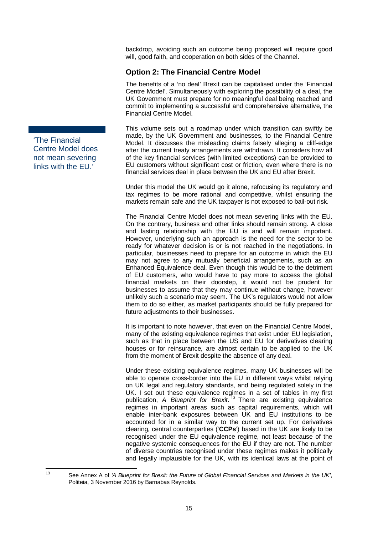backdrop, avoiding such an outcome being proposed will require good will, good faith, and cooperation on both sides of the Channel.

## **Option 2: The Financial Centre Model**

The benefits of a 'no deal' Brexit can be capitalised under the 'Financial Centre Model'. Simultaneously with exploring the possibility of a deal, the UK Government must prepare for no meaningful deal being reached and commit to implementing a successful and comprehensive alternative, the Financial Centre Model.

This volume sets out a roadmap under which transition can swiftly be made, by the UK Government and businesses, to the Financial Centre Model. It discusses the misleading claims falsely alleging a cliff-edge after the current treaty arrangements are withdrawn. It considers how all of the key financial services (with limited exceptions) can be provided to EU customers without significant cost or friction, even where there is no financial services deal in place between the UK and EU after Brexit.

Under this model the UK would go it alone, refocusing its regulatory and tax regimes to be more rational and competitive, whilst ensuring the markets remain safe and the UK taxpayer is not exposed to bail-out risk.

The Financial Centre Model does not mean severing links with the EU. On the contrary, business and other links should remain strong. A close and lasting relationship with the EU is and will remain important. However, underlying such an approach is the need for the sector to be ready for whatever decision is or is not reached in the negotiations. In particular, businesses need to prepare for an outcome in which the EU may not agree to any mutually beneficial arrangements, such as an Enhanced Equivalence deal. Even though this would be to the detriment of EU customers, who would have to pay more to access the global financial markets on their doorstep, it would not be prudent for businesses to assume that they may continue without change, however unlikely such a scenario may seem. The UK's regulators would not allow them to do so either, as market participants should be fully prepared for future adjustments to their businesses.

It is important to note however, that even on the Financial Centre Model, many of the existing equivalence regimes that exist under EU legislation, such as that in place between the US and EU for derivatives clearing houses or for reinsurance*,* are almost certain to be applied to the UK from the moment of Brexit despite the absence of any deal.

Under these existing equivalence regimes, many UK businesses will be able to operate cross-border into the EU in different ways whilst relying on UK legal and regulatory standards, and being regulated solely in the UK. I set out these equivalence regimes in a set of tables in my first publication, *A Blueprint for Brexit*. [13](#page-21-1) There are existing equivalence regimes in important areas such as capital requirements, which will enable inter-bank exposures between UK and EU institutions to be accounted for in a similar way to the current set up. For derivatives clearing, central counterparties ('**CCPs**') based in the UK are likely to be recognised under the EU equivalence regime, not least because of the negative systemic consequences for the EU if they are not. The number of diverse countries recognised under these regimes makes it politically and legally implausible for the UK, with its identical laws at the point of

<span id="page-21-0"></span>'The Financial Centre Model does not mean severing links with the EU.'

<span id="page-21-1"></span><sup>13</sup> See Annex A of *'A Blueprint for Brexit: the Future of Global Financial Services and Markets in the UK'*, Politeia, 3 November 2016 by Barnabas Reynolds.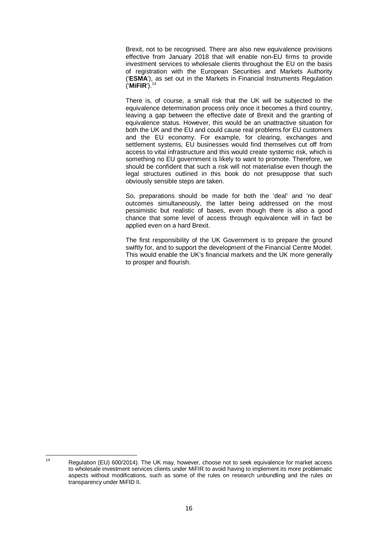Brexit, not to be recognised. There are also new equivalence provisions effective from January 2018 that will enable non-EU firms to provide investment services to wholesale clients throughout the EU on the basis of registration with the European Securities and Markets Authority ('**ESMA**'), as set out in the Markets in Financial Instruments Regulation ('**MiFIR**'). [14](#page-22-0)

There is, of course, a small risk that the UK will be subjected to the equivalence determination process only once it becomes a third country, leaving a gap between the effective date of Brexit and the granting of equivalence status. However, this would be an unattractive situation for both the UK and the EU and could cause real problems for EU customers and the EU economy. For example, for clearing, exchanges and settlement systems, EU businesses would find themselves cut off from access to vital infrastructure and this would create systemic risk, which is something no EU government is likely to want to promote. Therefore, we should be confident that such a risk will not materialise even though the legal structures outlined in this book do not presuppose that such obviously sensible steps are taken.

So, preparations should be made for both the 'deal' and 'no deal' outcomes simultaneously, the latter being addressed on the most pessimistic but realistic of bases, even though there is also a good chance that some level of access through equivalence will in fact be applied even on a hard Brexit.

The first responsibility of the UK Government is to prepare the ground swiftly for, and to support the development of the Financial Centre Model. This would enable the UK's financial markets and the UK more generally to prosper and flourish.

<span id="page-22-0"></span><sup>&</sup>lt;sup>14</sup> Regulation (EU) 600/2014). The UK may, however, choose not to seek equivalence for market access to wholesale investment services clients under MiFIR to avoid having to implement its more problematic aspects without modifications, such as some of the rules on research unbundling and the rules on transparency under MiFID II.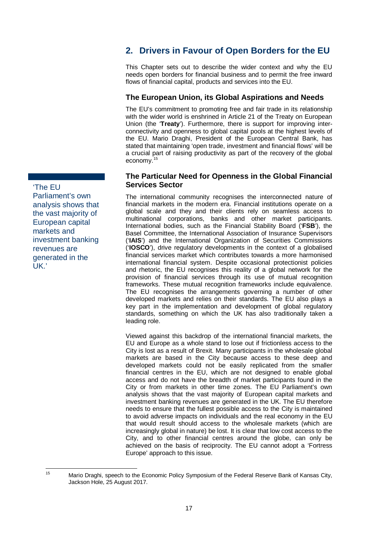<span id="page-23-2"></span>'The EU Parliament's own analysis shows that the vast majority of European capital markets and investment banking revenues are generated in the UK.'

# <span id="page-23-0"></span>**2. Drivers in Favour of Open Borders for the EU**

This Chapter sets out to describe the wider context and why the EU needs open borders for financial business and to permit the free inward flows of financial capital, products and services into the EU.

## <span id="page-23-1"></span>**The European Union, its Global Aspirations and Needs**

The EU's commitment to promoting free and fair trade in its relationship with the wider world is enshrined in Article 21 of the Treaty on European Union (the '**Treaty**'). Furthermore, there is support for improving interconnectivity and openness to global capital pools at the highest levels of the EU. Mario Draghi, President of the European Central Bank, has stated that maintaining 'open trade, investment and financial flows' will be a crucial part of raising productivity as part of the recovery of the global economy.<sup>[15](#page-23-3)</sup>

#### **The Particular Need for Openness in the Global Financial Services Sector**

The international community recognises the interconnected nature of financial markets in the modern era. Financial institutions operate on a global scale and they and their clients rely on seamless access to multinational corporations, banks and other market participants. International bodies, such as the Financial Stability Board ('**FSB**'), the Basel Committee, the International Association of Insurance Supervisors ('**IAIS**') and the International Organization of Securities Commissions ('**IOSCO**'), drive regulatory developments in the context of a globalised financial services market which contributes towards a more harmonised international financial system. Despite occasional protectionist policies and rhetoric, the EU recognises this reality of a global network for the provision of financial services through its use of mutual recognition frameworks. These mutual recognition frameworks include equivalence. The EU recognises the arrangements governing a number of other developed markets and relies on their standards. The EU also plays a key part in the implementation and development of global regulatory standards, something on which the UK has also traditionally taken a leading role.

Viewed against this backdrop of the international financial markets, the EU and Europe as a whole stand to lose out if frictionless access to the City is lost as a result of Brexit. Many participants in the wholesale global markets are based in the City because access to these deep and developed markets could not be easily replicated from the smaller financial centres in the EU, which are not designed to enable global access and do not have the breadth of market participants found in the City or from markets in other time zones. The EU Parliament's own analysis shows that the vast majority of European capital markets and investment banking revenues are generated in the UK. The EU therefore needs to ensure that the fullest possible access to the City is maintained to avoid adverse impacts on individuals and the real economy in the EU that would result should access to the wholesale markets (which are increasingly global in nature) be lost. It is clear that low cost access to the City, and to other financial centres around the globe, can only be achieved on the basis of reciprocity. The EU cannot adopt a 'Fortress Europe' approach to this issue.

<span id="page-23-3"></span><sup>&</sup>lt;sup>15</sup> Mario Draghi, speech to the Economic Policy Symposium of the Federal Reserve Bank of Kansas City, Jackson Hole, 25 August 2017.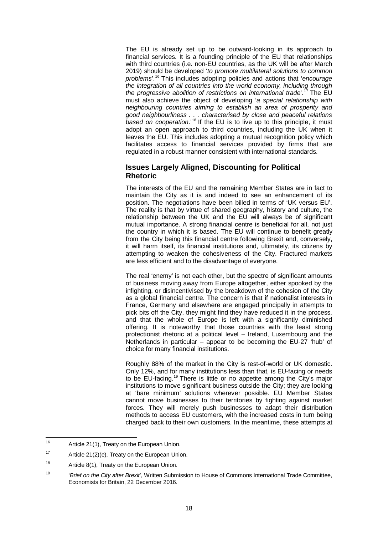The EU is already set up to be outward-looking in its approach to financial services. It is a founding principle of the EU that relationships with third countries (i.e. non-EU countries, as the UK will be after March 2019) should be developed '*to promote multilateral solutions to common problems*'. [16](#page-24-1) This includes adopting policies and actions that '*encourage the integration of all countries into the world economy, including through the progressive abolition of restrictions on international trade*'. The EU must also achieve the object of developing '*a special relationship with neighbouring countries aiming to establish an area of prosperity and good neighbourliness . . . characterised by close and peaceful relations based on cooperation*.'[18](#page-24-3) If the EU is to live up to this principle, it must adopt an open approach to third countries, including the UK when it leaves the EU. This includes adopting a mutual recognition policy which facilitates access to financial services provided by firms that are regulated in a robust manner consistent with international standards.

#### <span id="page-24-0"></span>**Issues Largely Aligned, Discounting for Political Rhetoric**

The interests of the EU and the remaining Member States are in fact to maintain the City as it is and indeed to see an enhancement of its position. The negotiations have been billed in terms of 'UK versus EU'. The reality is that by virtue of shared geography, history and culture, the relationship between the UK and the EU will always be of significant mutual importance. A strong financial centre is beneficial for all, not just the country in which it is based. The EU will continue to benefit greatly from the City being this financial centre following Brexit and, conversely, it will harm itself, its financial institutions and, ultimately, its citizens by attempting to weaken the cohesiveness of the City. Fractured markets are less efficient and to the disadvantage of everyone.

The real 'enemy' is not each other, but the spectre of significant amounts of business moving away from Europe altogether, either spooked by the infighting, or disincentivised by the breakdown of the cohesion of the City as a global financial centre. The concern is that if nationalist interests in France, Germany and elsewhere are engaged principally in attempts to pick bits off the City, they might find they have reduced it in the process, and that the whole of Europe is left with a significantly diminished offering. It is noteworthy that those countries with the least strong protectionist rhetoric at a political level – Ireland, Luxembourg and the Netherlands in particular – appear to be becoming the EU-27 'hub' of choice for many financial institutions.

Roughly 88% of the market in the City is rest-of-world or UK domestic. Only 12%, and for many institutions less than that, is EU-facing or needs to be EU-facing.<sup>[19](#page-24-4)</sup> There is little or no appetite among the City's major institutions to move significant business outside the City; they are looking at 'bare minimum' solutions wherever possible. EU Member States cannot move businesses to their territories by fighting against market forces. They will merely push businesses to adapt their distribution methods to access EU customers, with the increased costs in turn being charged back to their own customers. In the meantime, these attempts at

<span id="page-24-1"></span><sup>16</sup> Article 21(1), Treaty on the European Union.

<span id="page-24-2"></span><sup>&</sup>lt;sup>17</sup> Article 21(2)(e), Treaty on the European Union.

<span id="page-24-3"></span> $18$  Article 8(1), Treaty on the European Union.

<span id="page-24-4"></span><sup>19</sup> '*Brief on the City after Brexit*', Written Submission to House of Commons International Trade Committee, Economists for Britain, 22 December 2016.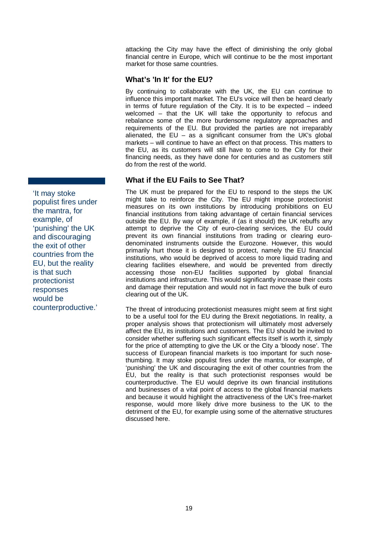attacking the City may have the effect of diminishing the only global financial centre in Europe, which will continue to be the most important market for those same countries.

#### <span id="page-25-0"></span>**What's 'In It' for the EU?**

By continuing to collaborate with the UK, the EU can continue to influence this important market. The EU's voice will then be heard clearly in terms of future regulation of the City. It is to be expected – indeed welcomed – that the UK will take the opportunity to refocus and rebalance some of the more burdensome regulatory approaches and requirements of the EU. But provided the parties are not irreparably alienated, the  $EU - as a significant consumer from the UK's global$ markets – will continue to have an effect on that process. This matters to the EU, as its customers will still have to come to the City for their financing needs, as they have done for centuries and as customers still do from the rest of the world.

### **What if the EU Fails to See That?**

The UK must be prepared for the EU to respond to the steps the UK might take to reinforce the City. The EU might impose protectionist measures on its own institutions by introducing prohibitions on EU financial institutions from taking advantage of certain financial services outside the EU. By way of example, if (as it should) the UK rebuffs any attempt to deprive the City of euro-clearing services, the EU could prevent its own financial institutions from trading or clearing eurodenominated instruments outside the Eurozone. However, this would primarily hurt those it is designed to protect, namely the EU financial institutions, who would be deprived of access to more liquid trading and clearing facilities elsewhere, and would be prevented from directly accessing those non-EU facilities supported by global financial institutions and infrastructure. This would significantly increase their costs and damage their reputation and would not in fact move the bulk of euro clearing out of the UK.

The threat of introducing protectionist measures might seem at first sight to be a useful tool for the EU during the Brexit negotiations. In reality, a proper analysis shows that protectionism will ultimately most adversely affect the EU, its institutions and customers. The EU should be invited to consider whether suffering such significant effects itself is worth it, simply for the price of attempting to give the UK or the City a 'bloody nose'. The success of European financial markets is too important for such nosethumbing. It may stoke populist fires under the mantra, for example, of 'punishing' the UK and discouraging the exit of other countries from the EU, but the reality is that such protectionist responses would be counterproductive. The EU would deprive its own financial institutions and businesses of a vital point of access to the global financial markets and because it would highlight the attractiveness of the UK's free-market response, would more likely drive more business to the UK to the detriment of the EU, for example using some of the alternative structures discussed here.

<span id="page-25-1"></span>'It may stoke populist fires under the mantra, for example, of 'punishing' the UK and discouraging the exit of other countries from the EU, but the reality is that such protectionist responses would be counterproductive.'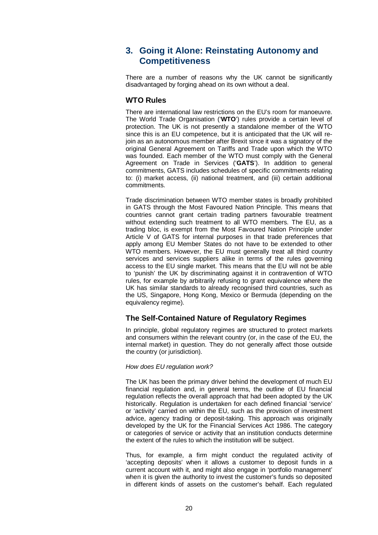## <span id="page-26-0"></span>**3. Going it Alone: Reinstating Autonomy and Competitiveness**

There are a number of reasons why the UK cannot be significantly disadvantaged by forging ahead on its own without a deal.

#### <span id="page-26-1"></span>**WTO Rules**

There are international law restrictions on the EU's room for manoeuvre. The World Trade Organisation ('**WTO**') rules provide a certain level of protection. The UK is not presently a standalone member of the WTO since this is an EU competence, but it is anticipated that the UK will rejoin as an autonomous member after Brexit since it was a signatory of the original General Agreement on Tariffs and Trade upon which the WTO was founded. Each member of the WTO must comply with the General Agreement on Trade in Services ('**GATS**'). In addition to general commitments, GATS includes schedules of specific commitments relating to: (i) market access, (ii) national treatment, and (iii) certain additional commitments.

Trade discrimination between WTO member states is broadly prohibited in GATS through the Most Favoured Nation Principle. This means that countries cannot grant certain trading partners favourable treatment without extending such treatment to all WTO members. The EU, as a trading bloc, is exempt from the Most Favoured Nation Principle under Article V of GATS for internal purposes in that trade preferences that apply among EU Member States do not have to be extended to other WTO members. However, the EU must generally treat all third country services and services suppliers alike in terms of the rules governing access to the EU single market. This means that the EU will not be able to 'punish' the UK by discriminating against it in contravention of WTO rules, for example by arbitrarily refusing to grant equivalence where the UK has similar standards to already recognised third countries, such as the US, Singapore, Hong Kong, Mexico or Bermuda (depending on the equivalency regime).

#### <span id="page-26-2"></span>**The Self-Contained Nature of Regulatory Regimes**

In principle, global regulatory regimes are structured to protect markets and consumers within the relevant country (or, in the case of the EU, the internal market) in question. They do not generally affect those outside the country (or jurisdiction).

#### *How does EU regulation work?*

The UK has been the primary driver behind the development of much EU financial regulation and, in general terms, the outline of EU financial regulation reflects the overall approach that had been adopted by the UK historically. Regulation is undertaken for each defined financial 'service' or 'activity' carried on within the EU, such as the provision of investment advice, agency trading or deposit-taking. This approach was originally developed by the UK for the Financial Services Act 1986. The category or categories of service or activity that an institution conducts determine the extent of the rules to which the institution will be subject.

Thus, for example, a firm might conduct the regulated activity of 'accepting deposits' when it allows a customer to deposit funds in a current account with it, and might also engage in 'portfolio management' when it is given the authority to invest the customer's funds so deposited in different kinds of assets on the customer's behalf. Each regulated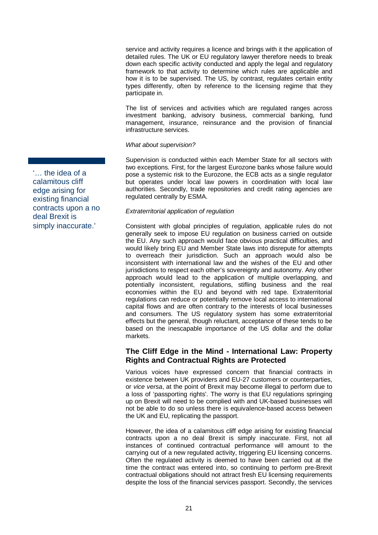service and activity requires a licence and brings with it the application of detailed rules. The UK or EU regulatory lawyer therefore needs to break down each specific activity conducted and apply the legal and regulatory framework to that activity to determine which rules are applicable and how it is to be supervised. The US, by contrast, regulates certain entity types differently, often by reference to the licensing regime that they participate in.

The list of services and activities which are regulated ranges across investment banking, advisory business, commercial banking, fund management, insurance, reinsurance and the provision of financial infrastructure services.

#### *What about supervision?*

Supervision is conducted within each Member State for all sectors with two exceptions. First, for the largest Eurozone banks whose failure would pose a systemic risk to the Eurozone, the ECB acts as a single regulator but operates under local law powers in coordination with local law authorities. Secondly, trade repositories and credit rating agencies are regulated centrally by ESMA.

#### *Extraterritorial application of regulation*

Consistent with global principles of regulation, applicable rules do not generally seek to impose EU regulation on business carried on outside the EU. Any such approach would face obvious practical difficulties, and would likely bring EU and Member State laws into disrepute for attempts to overreach their jurisdiction. Such an approach would also be inconsistent with international law and the wishes of the EU and other jurisdictions to respect each other's sovereignty and autonomy. Any other approach would lead to the application of multiple overlapping, and potentially inconsistent, regulations, stifling business and the real economies within the EU and beyond with red tape. Extraterritorial regulations can reduce or potentially remove local access to international capital flows and are often contrary to the interests of local businesses and consumers. The US regulatory system has some extraterritorial effects but the general, though reluctant, acceptance of these tends to be based on the inescapable importance of the US dollar and the dollar markets.

#### <span id="page-27-0"></span>**The Cliff Edge in the Mind - International Law: Property Rights and Contractual Rights are Protected**

Various voices have expressed concern that financial contracts in existence between UK providers and EU-27 customers or counterparties, or *vice versa*, at the point of Brexit may become illegal to perform due to a loss of 'passporting rights'. The worry is that EU regulations springing up on Brexit will need to be complied with and UK-based businesses will not be able to do so unless there is equivalence-based access between the UK and EU, replicating the passport.

However, the idea of a calamitous cliff edge arising for existing financial contracts upon a no deal Brexit is simply inaccurate. First, not all instances of continued contractual performance will amount to the carrying out of a new regulated activity, triggering EU licensing concerns. Often the regulated activity is deemed to have been carried out at the time the contract was entered into, so continuing to perform pre-Brexit contractual obligations should not attract fresh EU licensing requirements despite the loss of the financial services passport. Secondly, the services

'… the idea of a calamitous cliff edge arising for existing financial contracts upon a no deal Brexit is simply inaccurate.'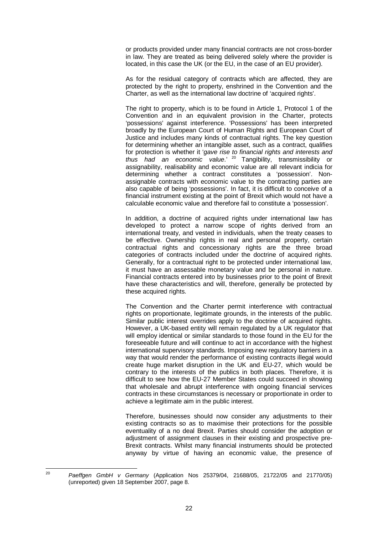or products provided under many financial contracts are not cross-border in law. They are treated as being delivered solely where the provider is located, in this case the UK (or the EU, in the case of an EU provider).

As for the residual category of contracts which are affected, they are protected by the right to property, enshrined in the Convention and the Charter, as well as the international law doctrine of 'acquired rights'.

The right to property, which is to be found in Article 1, Protocol 1 of the Convention and in an equivalent provision in the Charter, protects 'possessions' against interference. 'Possessions' has been interpreted broadly by the European Court of Human Rights and European Court of Justice and includes many kinds of contractual rights. The key question for determining whether an intangible asset, such as a contract, qualifies for protection is whether it '*gave rise to financial rights and interests and thus had an economic value*.' [20](#page-28-0) Tangibility, transmissibility or assignability, realisability and economic value are all relevant indicia for determining whether a contract constitutes a 'possession'. Nonassignable contracts with economic value to the contracting parties are also capable of being 'possessions'. In fact, it is difficult to conceive of a financial instrument existing at the point of Brexit which would not have a calculable economic value and therefore fail to constitute a 'possession'.

In addition, a doctrine of acquired rights under international law has developed to protect a narrow scope of rights derived from an international treaty, and vested in individuals, when the treaty ceases to be effective. Ownership rights in real and personal property, certain contractual rights and concessionary rights are the three broad categories of contracts included under the doctrine of acquired rights. Generally, for a contractual right to be protected under international law, it must have an assessable monetary value and be personal in nature. Financial contracts entered into by businesses prior to the point of Brexit have these characteristics and will, therefore, generally be protected by these acquired rights.

The Convention and the Charter permit interference with contractual rights on proportionate, legitimate grounds, in the interests of the public. Similar public interest overrides apply to the doctrine of acquired rights. However, a UK-based entity will remain regulated by a UK regulator that will employ identical or similar standards to those found in the EU for the foreseeable future and will continue to act in accordance with the highest international supervisory standards. Imposing new regulatory barriers in a way that would render the performance of existing contracts illegal would create huge market disruption in the UK and EU-27, which would be contrary to the interests of the publics in both places. Therefore, it is difficult to see how the EU-27 Member States could succeed in showing that wholesale and abrupt interference with ongoing financial services contracts in these circumstances is necessary or proportionate in order to achieve a legitimate aim in the public interest.

Therefore, businesses should now consider any adjustments to their existing contracts so as to maximise their protections for the possible eventuality of a no deal Brexit. Parties should consider the adoption or adjustment of assignment clauses in their existing and prospective pre-Brexit contracts. Whilst many financial instruments should be protected anyway by virtue of having an economic value, the presence of

<span id="page-28-0"></span><sup>20</sup> *Paeffgen GmbH v Germany* (Application Nos 25379/04, 21688/05, 21722/05 and 21770/05) (unreported) given 18 September 2007, page 8.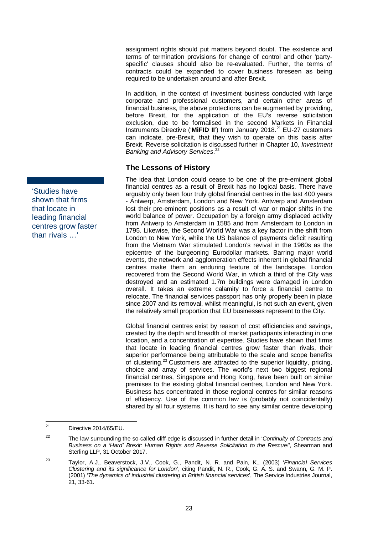assignment rights should put matters beyond doubt. The existence and terms of termination provisions for change of control and other 'partyspecific' clauses should also be re-evaluated. Further, the terms of contracts could be expanded to cover business foreseen as being required to be undertaken around and after Brexit.

In addition, in the context of investment business conducted with large corporate and professional customers, and certain other areas of financial business, the above protections can be augmented by providing, before Brexit, for the application of the EU's reverse solicitation exclusion, due to be formalised in the second Markets in Financial Instruments Directive ('MiFID II') from January 2018.<sup>[21](#page-29-1)</sup> EU-27 customers can indicate, pre-Brexit, that they wish to operate on this basis after Brexit. Reverse solicitation is discussed further in Chapter [10,](#page-56-0) *Investment Banking and Advisory Services*. [22](#page-29-2)

#### **The Lessons of History**

The idea that London could cease to be one of the pre-eminent global financial centres as a result of Brexit has no logical basis. There have arguably only been four truly global financial centres in the last 400 years - Antwerp, Amsterdam, London and New York. Antwerp and Amsterdam lost their pre-eminent positions as a result of war or major shifts in the world balance of power. Occupation by a foreign army displaced activity from Antwerp to Amsterdam in 1585 and from Amsterdam to London in 1795. Likewise, the Second World War was a key factor in the shift from London to New York, while the US balance of payments deficit resulting from the Vietnam War stimulated London's revival in the 1960s as the epicentre of the burgeoning Eurodollar markets. Barring major world events, the network and agglomeration effects inherent in global financial centres make them an enduring feature of the landscape. London recovered from the Second World War, in which a third of the City was destroyed and an estimated 1.7m buildings were damaged in London overall. It takes an extreme calamity to force a financial centre to relocate. The financial services passport has only properly been in place since 2007 and its removal, whilst meaningful, is not such an event, given the relatively small proportion that EU businesses represent to the City.

Global financial centres exist by reason of cost efficiencies and savings, created by the depth and breadth of market participants interacting in one location, and a concentration of expertise. Studies have shown that firms that locate in leading financial centres grow faster than rivals, their superior performance being attributable to the scale and scope benefits of clustering.[23](#page-29-3) Customers are attracted to the superior liquidity, pricing, choice and array of services. The world's next two biggest regional financial centres, Singapore and Hong Kong, have been built on similar premises to the existing global financial centres, London and New York. Business has concentrated in those regional centres for similar reasons of efficiency. Use of the common law is (probably not coincidentally) shared by all four systems. It is hard to see any similar centre developing

<span id="page-29-0"></span>'Studies have shown that firms that locate in leading financial centres grow faster than rivals …'

<span id="page-29-1"></span> $21$  Directive 2014/65/EU.

<span id="page-29-2"></span><sup>22</sup> The law surrounding the so-called cliff-edge is discussed in further detail in '*Continuity of Contracts and Business on a 'Hard' Brexit: Human Rights and Reverse Solicitation to the Rescue!*', Shearman and Sterling LLP, 31 October 2017.

<span id="page-29-3"></span><sup>23</sup> Taylor, A.J., Beaverstock, J.V., Cook, G., Pandit, N. R. and Pain, K., (2003) '*Financial Services Clustering and its significance for London*', citing Pandit, N. R., Cook, G. A. S. and Swann, G. M. P. (2001) '*The dynamics of industrial clustering in British financial services*', The Service Industries Journal, 21, 33-61.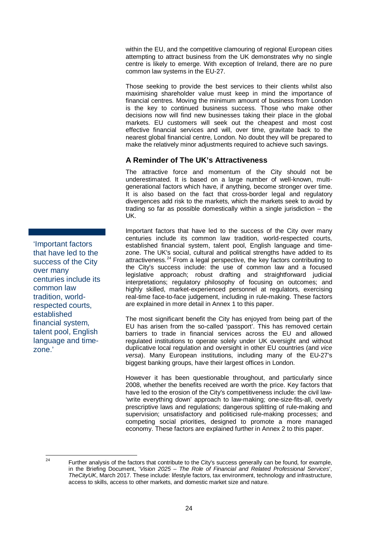within the EU, and the competitive clamouring of regional European cities attempting to attract business from the UK demonstrates why no single centre is likely to emerge. With exception of Ireland, there are no pure common law systems in the EU-27.

Those seeking to provide the best services to their clients whilst also maximising shareholder value must keep in mind the importance of financial centres. Moving the minimum amount of business from London is the key to continued business success. Those who make other decisions now will find new businesses taking their place in the global markets. EU customers will seek out the cheapest and most cost effective financial services and will, over time, gravitate back to the nearest global financial centre, London. No doubt they will be prepared to make the relatively minor adjustments required to achieve such savings.

### <span id="page-30-0"></span>**A Reminder of The UK's Attractiveness**

The attractive force and momentum of the City should not be underestimated. It is based on a large number of well-known, multigenerational factors which have, if anything, become stronger over time. It is also based on the fact that cross-border legal and regulatory divergences add risk to the markets, which the markets seek to avoid by trading so far as possible domestically within a single jurisdiction – the UK.

Important factors that have led to the success of the City over many centuries include its common law tradition, world-respected courts, established financial system, talent pool, English language and timezone. The UK's social, cultural and political strengths have added to its attractiveness. $24$  From a legal perspective, the key factors contributing to the City's success include: the use of common law and a focused legislative approach; robust drafting and straightforward judicial interpretations; regulatory philosophy of focusing on outcomes; and highly skilled, market-experienced personnel at regulators, exercising real-time face-to-face judgement, including in rule-making. These factors are explained in more detail in Annex 1 to this paper.

The most significant benefit the City has enjoyed from being part of the EU has arisen from the so-called 'passport'. This has removed certain barriers to trade in financial services across the EU and allowed regulated institutions to operate solely under UK oversight and without duplicative local regulation and oversight in other EU countries (and *vice versa*). Many European institutions, including many of the EU-27's biggest banking groups, have their largest offices in London.

However it has been questionable throughout, and particularly since 2008, whether the benefits received are worth the price. Key factors that have led to the erosion of the City's competitiveness include: the civil law- 'write everything down' approach to law-making; one-size-fits-all, overly prescriptive laws and regulations; dangerous splitting of rule-making and supervision: unsatisfactory and politicised rule-making processes; and competing social priorities, designed to promote a more managed economy. These factors are explained further in Annex 2 to this paper.

<span id="page-30-1"></span>

'Important factors that have led to the success of the City over many centuries include its common law tradition, worldrespected courts, established financial system, talent pool, English language and timezone.'

<sup>&</sup>lt;sup>24</sup> Further analysis of the factors that contribute to the City's success generally can be found, for example, in the Briefing Document, '*Vision 2025 – The Role of Financial and Related Professional Services*', *TheCityUK*, March 2017. These include: lifestyle factors, tax environment, technology and infrastructure, access to skills, access to other markets, and domestic market size and nature.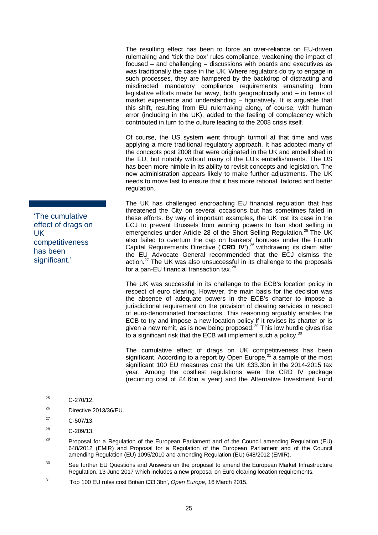The resulting effect has been to force an over-reliance on EU-driven rulemaking and 'tick the box' rules compliance, weakening the impact of focused – and challenging – discussions with boards and executives as was traditionally the case in the UK. Where regulators do try to engage in such processes, they are hampered by the backdrop of distracting and misdirected mandatory compliance requirements emanating from legislative efforts made far away, both geographically and – in terms of market experience and understanding – figuratively. It is arguable that this shift, resulting from EU rulemaking along, of course, with human error (including in the UK), added to the feeling of complacency which contributed in turn to the culture leading to the 2008 crisis itself.

Of course, the US system went through turmoil at that time and was applying a more traditional regulatory approach. It has adopted many of the concepts post 2008 that were originated in the UK and embellished in the EU, but notably without many of the EU's embellishments. The US has been more nimble in its ability to revisit concepts and legislation. The new administration appears likely to make further adjustments. The UK needs to move fast to ensure that it has more rational, tailored and better regulation.

The UK has challenged encroaching EU financial regulation that has threatened the City on several occasions but has sometimes failed in these efforts. By way of important examples, the UK lost its case in the ECJ to prevent Brussels from winning powers to ban short selling in emergencies under Article 28 of the Short Selling Regulation.<sup>[25](#page-31-0)</sup> The UK also failed to overturn the cap on bankers' bonuses under the Fourth Capital Requirements Directive ('**CRD IV**'), [26](#page-31-1) withdrawing its claim after the EU Advocate General recommended that the ECJ dismiss the action.<sup>[27](#page-31-2)</sup> The UK was also unsuccessful in its challenge to the proposals for a pan-EU financial transaction tax.<sup>[28](#page-31-3)</sup>

The UK was successful in its challenge to the ECB's location policy in respect of euro clearing. However, the main basis for the decision was the absence of adequate powers in the ECB's charter to impose a jurisdictional requirement on the provision of clearing services in respect of euro-denominated transactions. This reasoning arguably enables the ECB to try and impose a new location policy if it revises its charter or is given a new remit, as is now being proposed.<sup>[29](#page-31-4)</sup> This low hurdle gives rise to a significant risk that the ECB will implement such a policy.<sup>[30](#page-31-5)</sup>

The cumulative effect of drags on UK competitiveness has been significant. According to a report by Open Europe,  $31$  a sample of the most significant 100 EU measures cost the UK £33.3bn in the 2014-2015 tax year. Among the costliest regulations were the CRD IV package (recurring cost of £4.6bn a year) and the Alternative Investment Fund

<span id="page-31-5"></span> $30$  See further EU Questions and Answers on the proposal to amend the European Market Infrastructure Regulation, 13 June 2017 which includes a new proposal on Euro clearing location requirements.

<span id="page-31-6"></span><sup>31</sup> 'Top 100 EU rules cost Britain £33.3bn', *Open Europe*, 16 March 2015.

'The cumulative effect of drags on UK competitiveness has been significant.'

<span id="page-31-0"></span> $25$  C-270/12.

<span id="page-31-1"></span> $26$  Directive 2013/36/EU.

<span id="page-31-2"></span> $^{27}$  C-507/13.

<span id="page-31-3"></span><sup>28</sup> C-209/13.

<span id="page-31-4"></span> $29$  Proposal for a Regulation of the European Parliament and of the Council amending Regulation (EU) 648/2012 (EMIR) and Proposal for a Regulation of the European Parliament and of the Council amending Regulation (EU) 1095/2010 and amending Regulation (EU) 648/2012 (EMIR).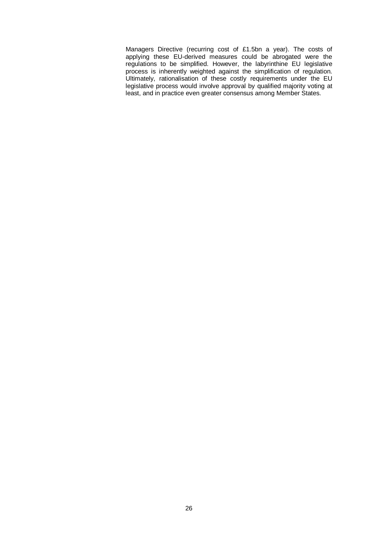Managers Directive (recurring cost of £1.5bn a year). The costs of applying these EU-derived measures could be abrogated were the regulations to be simplified. However, the labyrinthine EU legislative process is inherently weighted against the simplification of regulation. Ultimately, rationalisation of these costly requirements under the EU legislative process would involve approval by qualified majority voting at least, and in practice even greater consensus among Member States.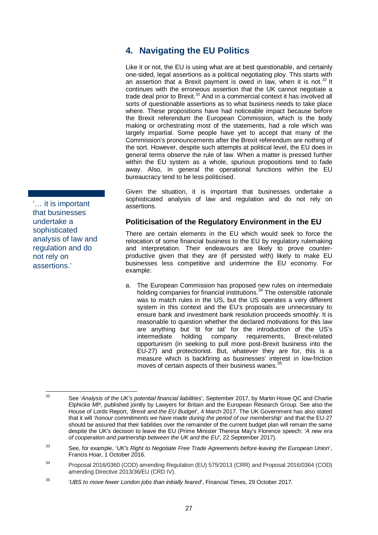## <span id="page-33-0"></span>**4. Navigating the EU Politics**

Like it or not, the EU is using what are at best questionable, and certainly one-sided, legal assertions as a political negotiating ploy. This starts with an assertion that a Brexit payment is owed in law, when it is not. $32$  It continues with the erroneous assertion that the UK cannot negotiate a trade deal prior to Brexit.<sup>[33](#page-33-3)</sup> And in a commercial context it has involved all sorts of questionable assertions as to what business needs to take place where. These propositions have had noticeable impact because before the Brexit referendum the European Commission, which is the body making or orchestrating most of the statements, had a role which was largely impartial. Some people have yet to accept that many of the Commission's pronouncements after the Brexit referendum are nothing of the sort. However, despite such attempts at political level, the EU does in general terms observe the rule of law. When a matter is pressed further within the EU system as a whole, spurious propositions tend to fade away. Also, in general the operational functions within the EU bureaucracy tend to be less politicised.

Given the situation, it is important that businesses undertake a sophisticated analysis of law and regulation and do not rely on assertions.

### **Politicisation of the Regulatory Environment in the EU**

There are certain elements in the EU which would seek to force the relocation of some financial business to the EU by regulatory rulemaking and interpretation. Their endeavours are likely to prove counterproductive given that they are (if persisted with) likely to make EU businesses less competitive and undermine the EU economy. For example:

a. The European Commission has proposed new rules on intermediate holding companies for financial institutions.<sup>[34](#page-33-4)</sup> The ostensible rationale was to match rules in the US, but the US operates a very different system in this context and the EU's proposals are unnecessary to ensure bank and investment bank resolution proceeds smoothly. It is reasonable to question whether the declared motivations for this law are anything but 'tit for tat' for the introduction of the US's intermediate holding company requirements, Brexit-related opportunism (in seeking to pull more post-Brexit business into the EU-27) and protectionist. But, whatever they are for, this is a measure which is backfiring as businesses' interest in low-friction moves of certain aspects of their business wanes.<sup>[35](#page-33-5)</sup>

<span id="page-33-1"></span>'… it is important that businesses undertake a sophisticated analysis of law and regulation and do not rely on assertions.'

<span id="page-33-2"></span><sup>32</sup> See '*Analysis of the UK's potential financial liabilities*', September 2017, by Martin Howe QC and Charlie Elphicke MP, published jointly by Lawyers for Britain and the European Research Group. See also the House of Lords Report, '*Brexit and the EU Budget*', 4 March 2017. The UK Government has also stated that it will '*honour commitments we have made during the period of our membership*' and that the EU-27 should be assured that their liabilities over the remainder of the current budget plan will remain the same despite the UK's decision to leave the EU (Prime Minister Theresa May's Florence speech: '*A new era of cooperation and partnership between the UK and the EU*', 22 September 2017).

<span id="page-33-3"></span><sup>33</sup> See, for example, '*UK's Right to Negotiate Free Trade Agreements before leaving the European Union*', Francis Hoar, 1 October 2016.

<span id="page-33-4"></span><sup>34</sup> Proposal 2016/0360 (COD) amending Regulation (EU) 575/2013 (CRR) and Proposal 2016/0364 (COD) amending Directive 2013/36/EU (CRD IV).

<span id="page-33-5"></span><sup>35</sup> '*UBS to move fewer London jobs than initially feared*', Financial Times, 29 October 2017.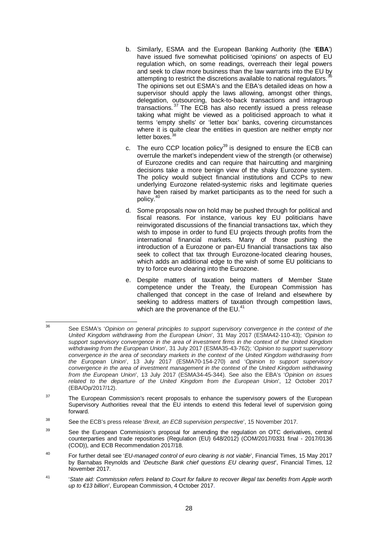- b. Similarly, ESMA and the European Banking Authority (the '**EBA**') have issued five somewhat politicised 'opinions' on aspects of EU regulation which, on some readings, overreach their legal powers and seek to claw more business than the law warrants into the EU by attempting to restrict the discretions available to national regulators.<sup>3</sup> The opinions set out ESMA's and the EBA's detailed ideas on how a supervisor should apply the laws allowing, amongst other things, delegation, outsourcing, back-to-back transactions and intragroup transactions.  $37$  The ECB has also recently issued a press release taking what might be viewed as a politicised approach to what it terms 'empty shells' or 'letter box' banks, covering circumstances where it is quite clear the entities in question are neither empty nor letter boxes.<sup>[38](#page-34-2)</sup>
- c. The euro CCP location policy<sup>[39](#page-34-3)</sup> is designed to ensure the ECB can overrule the market's independent view of the strength (or otherwise) of Eurozone credits and can require that haircutting and margining decisions take a more benign view of the shaky Eurozone system. The policy would subject financial institutions and CCPs to new underlying Eurozone related-systemic risks and legitimate queries have been raised by market participants as to the need for such a policy.[40](#page-34-4)
- d. Some proposals now on hold may be pushed through for political and fiscal reasons. For instance, various key EU politicians have reinvigorated discussions of the financial transactions tax, which they wish to impose in order to fund EU projects through profits from the international financial markets. Many of those pushing the introduction of a Eurozone or pan-EU financial transactions tax also seek to collect that tax through Eurozone-located clearing houses, which adds an additional edge to the wish of some EU politicians to try to force euro clearing into the Eurozone.
- e. Despite matters of taxation being matters of Member State competence under the Treaty, the European Commission has challenged that concept in the case of Ireland and elsewhere by seeking to address matters of taxation through competition laws, which are the provenance of the EU.<sup>[41](#page-34-5)</sup>

- <span id="page-34-3"></span><sup>39</sup> See the European Commission's proposal for amending the regulation on OTC derivatives, central counterparties and trade repositories (Regulation (EU) 648/2012) (COM/2017/0331 final - 2017/0136 (COD)), and ECB Recommendation 2017/18.
- <span id="page-34-4"></span><sup>40</sup> For further detail see '*EU-managed control of euro clearing is not viable*', Financial Times, 15 May 2017 by Barnabas Reynolds and '*Deutsche Bank chief questions EU clearing quest*', Financial Times, 12 November 2017.
- <span id="page-34-5"></span><sup>41</sup> '*State aid: Commission refers Ireland to Court for failure to recover illegal tax benefits from Apple worth up to €13 billion*', European Commission, 4 October 2017.

<span id="page-34-0"></span><sup>36</sup> See ESMA's '*Opinion on general principles to support supervisory convergence in the context of the United Kingdom withdrawing from the European Union*', 31 May 2017 (ESMA42-110-43); '*Opinion to support supervisory convergence in the area of investment firms in the context of the United Kingdom withdrawing from the European Union*', 31 July 2017 (ESMA35-43-762); '*Opinion to support supervisory convergence in the area of secondary markets in the context of the United Kingdom withdrawing from the European Union*', 13 July 2017 (ESMA70-154-270) and '*Opinion to support supervisory convergence in the area of investment management in the context of the United Kingdom withdrawing from the European Union*', 13 July 2017 (ESMA34-45-344). See also the EBA's '*Opinion on issues related to the departure of the United Kingdom from the European Union*', 12 October 2017 (EBA/Op/2017/12).

<span id="page-34-1"></span> $37$  The European Commission's recent proposals to enhance the supervisory powers of the European Supervisory Authorities reveal that the EU intends to extend this federal level of supervision going forward.

<span id="page-34-2"></span><sup>38</sup> See the ECB's press release '*Brexit, an ECB supervision perspective*', 15 November 2017.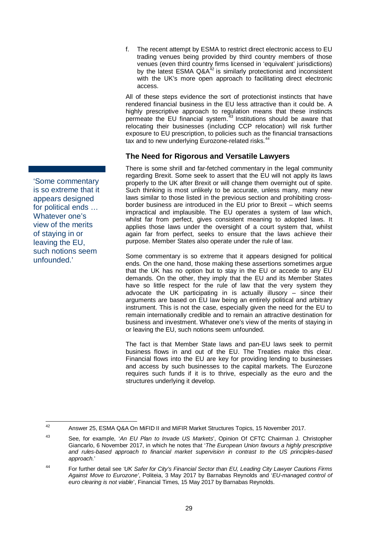<span id="page-35-0"></span>'Some commentary is so extreme that it appears designed for political ends … Whatever one's view of the merits of staying in or leaving the EU, such notions seem unfounded.'

f. The recent attempt by ESMA to restrict direct electronic access to EU trading venues being provided by third country members of those venues (even third country firms licensed in 'equivalent' jurisdictions) by the latest ESMA  $QA^{42}$  $QA^{42}$  $QA^{42}$  is similarly protectionist and inconsistent with the UK's more open approach to facilitating direct electronic access.

All of these steps evidence the sort of protectionist instincts that have rendered financial business in the EU less attractive than it could be. A highly prescriptive approach to regulation means that these instincts permeate the EU financial system. $43$  Institutions should be aware that relocating their businesses (including CCP relocation) will risk further exposure to EU prescription, to policies such as the financial transactions tax and to new underlying Eurozone-related risks.<sup>[44](#page-35-3)</sup>

### **The Need for Rigorous and Versatile Lawyers**

There is some shrill and far-fetched commentary in the legal community regarding Brexit. Some seek to assert that the EU will not apply its laws properly to the UK after Brexit or will change them overnight out of spite. Such thinking is most unlikely to be accurate, unless many, many new laws similar to those listed in the previous section and prohibiting crossborder business are introduced in the EU prior to Brexit – which seems impractical and implausible. The EU operates a system of law which, whilst far from perfect, gives consistent meaning to adopted laws. It applies those laws under the oversight of a court system that, whilst again far from perfect, seeks to ensure that the laws achieve their purpose. Member States also operate under the rule of law.

Some commentary is so extreme that it appears designed for political ends. On the one hand, those making these assertions sometimes argue that the UK has no option but to stay in the EU or accede to any EU demands. On the other, they imply that the EU and its Member States have so little respect for the rule of law that the very system they advocate the UK participating in is actually illusory – since their arguments are based on EU law being an entirely political and arbitrary instrument. This is not the case, especially given the need for the EU to remain internationally credible and to remain an attractive destination for business and investment. Whatever one's view of the merits of staying in or leaving the EU, such notions seem unfounded.

The fact is that Member State laws and pan-EU laws seek to permit business flows in and out of the EU. The Treaties make this clear. Financial flows into the EU are key for providing lending to businesses and access by such businesses to the capital markets. The Eurozone requires such funds if it is to thrive, especially as the euro and the structures underlying it develop.

<span id="page-35-1"></span><sup>42</sup> Answer 25, ESMA Q&A On MiFID II and MiFIR Market Structures Topics, 15 November 2017.

<span id="page-35-2"></span><sup>43</sup> See, for example, '*An EU Plan to Invade US Markets*', Opinion Of CFTC Chairman J. Christopher Giancarlo, 6 November 2017, in which he notes that '*The European Union favours a highly prescriptive and rules-based approach to financial market supervision in contrast to the US principles-based approach.*'

<span id="page-35-3"></span><sup>44</sup> For further detail see *'UK Safer for City's Financial Sector than EU, Leading City Lawyer Cautions Firms Against Move to Eurozone'*, Politeia, 3 May 2017 by Barnabas Reynolds and '*EU-managed control of euro clearing is not viable*', Financial Times, 15 May 2017 by Barnabas Reynolds.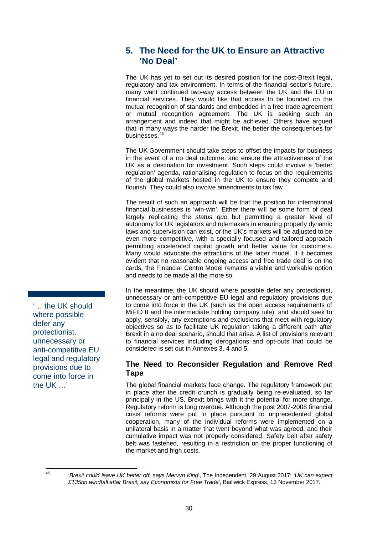# **5. The Need for the UK to Ensure an Attractive 'No Deal'**

The UK has yet to set out its desired position for the post-Brexit legal, regulatory and tax environment. In terms of the financial sector's future, many want continued two-way access between the UK and the EU in financial services. They would like that access to be founded on the mutual recognition of standards and embedded in a free trade agreement or mutual recognition agreement. The UK is seeking such an arrangement and indeed that might be achieved. Others have argued that in many ways the harder the Brexit, the better the consequences for businesses.<sup>[45](#page-36-0)</sup>

The UK Government should take steps to offset the impacts for business in the event of a no deal outcome, and ensure the attractiveness of the UK as a destination for investment. Such steps could involve a 'better regulation' agenda, rationalising regulation to focus on the requirements of the global markets hosted in the UK to ensure they compete and flourish. They could also involve amendments to tax law.

The result of such an approach will be that the position for international financial businesses is 'win-win'. Either there will be some form of deal largely replicating the *status quo* but permitting a greater level of autonomy for UK legislators and rulemakers in ensuring properly dynamic laws and supervision can exist, or the UK's markets will be adjusted to be even more competitive, with a specially focused and tailored approach permitting accelerated capital growth and better value for customers. Many would advocate the attractions of the latter model. If it becomes evident that no reasonable ongoing access and free trade deal is on the cards, the Financial Centre Model remains a viable and workable option and needs to be made all the more so.

In the meantime, the UK should where possible defer any protectionist, unnecessary or anti-competitive EU legal and regulatory provisions due to come into force in the UK (such as the open access requirements of MiFID II and the intermediate holding company rule), and should seek to apply, sensibly, any exemptions and exclusions that meet with regulatory objectives so as to facilitate UK regulation taking a different path after Brexit in a no deal scenario, should that arise. A list of provisions relevant to financial services including derogations and opt-outs that could be considered is set out in Annexes 3, 4 and 5.

## **The Need to Reconsider Regulation and Remove Red Tape**

The global financial markets face change. The regulatory framework put in place after the credit crunch is gradually being re-evaluated, so far principally in the US. Brexit brings with it the potential for more change. Regulatory reform is long overdue. Although the post 2007-2008 financial crisis reforms were put in place pursuant to unprecedented global cooperation, many of the individual reforms were implemented on a unilateral basis in a matter that went beyond what was agreed, and their cumulative impact was not properly considered. Safety belt after safety belt was fastened, resulting in a restriction on the proper functioning of the market and high costs.

'… the UK should where possible defer any protectionist, unnecessary or anti-competitive EU legal and regulatory provisions due to come into force in the UK …'

<span id="page-36-0"></span>

<sup>45</sup> '*Brexit could leave UK better off, says Mervyn King*', The Independent, 29 August 2017; '*UK can expect £135bn windfall after Brexit, say Economists for Free Trade*', Bailiwick Express, 13 November 2017.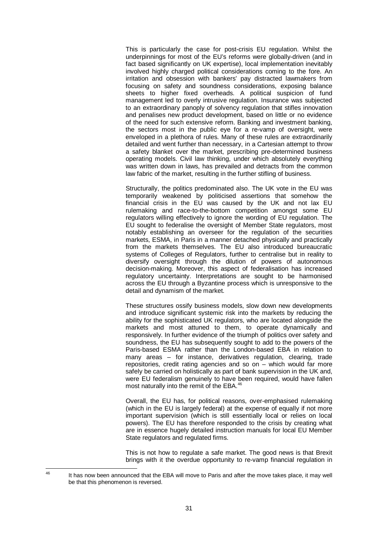This is particularly the case for post-crisis EU regulation. Whilst the underpinnings for most of the EU's reforms were globally-driven (and in fact based significantly on UK expertise), local implementation inevitably involved highly charged political considerations coming to the fore. An irritation and obsession with bankers' pay distracted lawmakers from focusing on safety and soundness considerations, exposing balance sheets to higher fixed overheads. A political suspicion of fund management led to overly intrusive regulation. Insurance was subjected to an extraordinary panoply of solvency regulation that stifles innovation and penalises new product development, based on little or no evidence of the need for such extensive reform. Banking and investment banking, the sectors most in the public eye for a re-vamp of oversight, were enveloped in a plethora of rules. Many of these rules are extraordinarily detailed and went further than necessary, in a Cartesian attempt to throw a safety blanket over the market, prescribing pre-determined business operating models. Civil law thinking, under which absolutely everything was written down in laws, has prevailed and detracts from the common law fabric of the market, resulting in the further stifling of business.

Structurally, the politics predominated also. The UK vote in the EU was temporarily weakened by politicised assertions that somehow the financial crisis in the EU was caused by the UK and not lax EU rulemaking and race-to-the-bottom competition amongst some EU regulators willing effectively to ignore the wording of EU regulation. The EU sought to federalise the oversight of Member State regulators, most notably establishing an overseer for the regulation of the securities markets, ESMA, in Paris in a manner detached physically and practically from the markets themselves. The EU also introduced bureaucratic systems of Colleges of Regulators, further to centralise but in reality to diversify oversight through the dilution of powers of autonomous decision-making. Moreover, this aspect of federalisation has increased regulatory uncertainty. Interpretations are sought to be harmonised across the EU through a Byzantine process which is unresponsive to the detail and dynamism of the market.

These structures ossify business models, slow down new developments and introduce significant systemic risk into the markets by reducing the ability for the sophisticated UK regulators, who are located alongside the markets and most attuned to them, to operate dynamically and responsively. In further evidence of the triumph of politics over safety and soundness, the EU has subsequently sought to add to the powers of the Paris-based ESMA rather than the London-based EBA in relation to many areas – for instance, derivatives regulation, clearing, trade repositories, credit rating agencies and so on – which would far more safely be carried on holistically as part of bank supervision in the UK and, were EU federalism genuinely to have been required, would have fallen most naturally into the remit of the EBA. [46](#page-37-0)

Overall, the EU has, for political reasons, over-emphasised rulemaking (which in the EU is largely federal) at the expense of equally if not more important supervision (which is still essentially local or relies on local powers). The EU has therefore responded to the crisis by creating what are in essence hugely detailed instruction manuals for local EU Member State regulators and regulated firms.

This is not how to regulate a safe market. The good news is that Brexit brings with it the overdue opportunity to re-vamp financial regulation in

<span id="page-37-0"></span><sup>&</sup>lt;sup>46</sup> It has now been announced that the EBA will move to Paris and after the move takes place, it may well be that this phenomenon is reversed.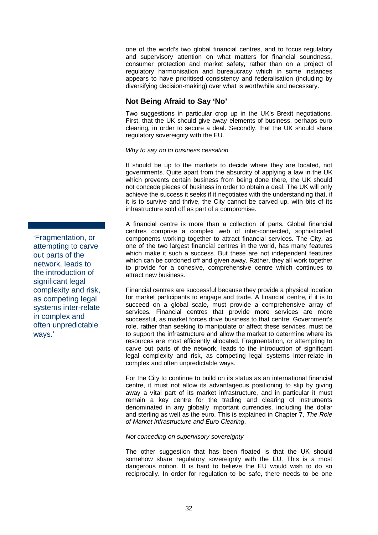one of the world's two global financial centres, and to focus regulatory and supervisory attention on what matters for financial soundness, consumer protection and market safety, rather than on a project of regulatory harmonisation and bureaucracy which in some instances appears to have prioritised consistency and federalisation (including by diversifying decision-making) over what is worthwhile and necessary.

## **Not Being Afraid to Say 'No'**

Two suggestions in particular crop up in the UK's Brexit negotiations. First, that the UK should give away elements of business, perhaps euro clearing, in order to secure a deal. Secondly, that the UK should share regulatory sovereignty with the EU.

#### *Why to say no to business cessation*

It should be up to the markets to decide where they are located, not governments. Quite apart from the absurdity of applying a law in the UK which prevents certain business from being done there, the UK should not concede pieces of business in order to obtain a deal. The UK will only achieve the success it seeks if it negotiates with the understanding that, if it is to survive and thrive, the City cannot be carved up, with bits of its infrastructure sold off as part of a compromise.

A financial centre is more than a collection of parts. Global financial centres comprise a complex web of inter-connected, sophisticated components working together to attract financial services. The City, as one of the two largest financial centres in the world, has many features which make it such a success. But these are not independent features which can be cordoned off and given away. Rather, they all work together to provide for a cohesive, comprehensive centre which continues to attract new business.

Financial centres are successful because they provide a physical location for market participants to engage and trade. A financial centre, if it is to succeed on a global scale, must provide a comprehensive array of services. Financial centres that provide more services are more successful, as market forces drive business to that centre. Government's role, rather than seeking to manipulate or affect these services, must be to support the infrastructure and allow the market to determine where its resources are most efficiently allocated. Fragmentation, or attempting to carve out parts of the network, leads to the introduction of significant legal complexity and risk, as competing legal systems inter-relate in complex and often unpredictable ways.

For the City to continue to build on its status as an international financial centre, it must not allow its advantageous positioning to slip by giving away a vital part of its market infrastructure, and in particular it must remain a key centre for the trading and clearing of instruments denominated in any globally important currencies, including the dollar and sterling as well as the euro. This is explained in Chapter [7,](#page-45-0) *The Role of Market Infrastructure and Euro Clearing*.

### *Not conceding on supervisory sovereignty*

The other suggestion that has been floated is that the UK should somehow share regulatory sovereignty with the EU. This is a most dangerous notion. It is hard to believe the EU would wish to do so reciprocally. In order for regulation to be safe, there needs to be one

'Fragmentation, or attempting to carve out parts of the network, leads to the introduction of significant legal complexity and risk, as competing legal systems inter-relate in complex and often unpredictable ways.'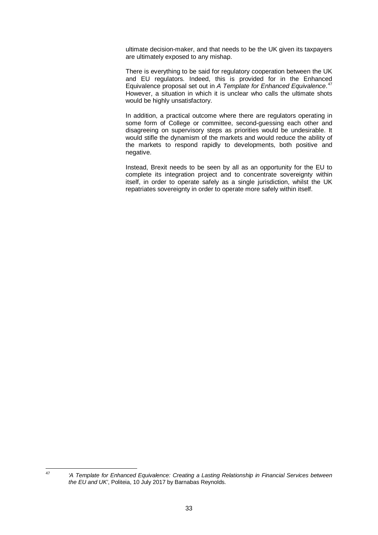ultimate decision-maker, and that needs to be the UK given its taxpayers are ultimately exposed to any mishap.

There is everything to be said for regulatory cooperation between the UK and EU regulators. Indeed, this is provided for in the Enhanced Equivalence proposal set out in *A Template for Enhanced Equivalence*. [47](#page-39-0) However, a situation in which it is unclear who calls the ultimate shots would be highly unsatisfactory.

In addition, a practical outcome where there are regulators operating in some form of College or committee, second-guessing each other and disagreeing on supervisory steps as priorities would be undesirable. It would stifle the dynamism of the markets and would reduce the ability of the markets to respond rapidly to developments, both positive and negative.

Instead, Brexit needs to be seen by all as an opportunity for the EU to complete its integration project and to concentrate sovereignty within itself, in order to operate safely as a single jurisdiction, whilst the UK repatriates sovereignty in order to operate more safely within itself.

<span id="page-39-0"></span><sup>47</sup> *'A Template for Enhanced Equivalence: Creating a Lasting Relationship in Financial Services between the EU and UK'*, Politeia, 10 July 2017 by Barnabas Reynolds.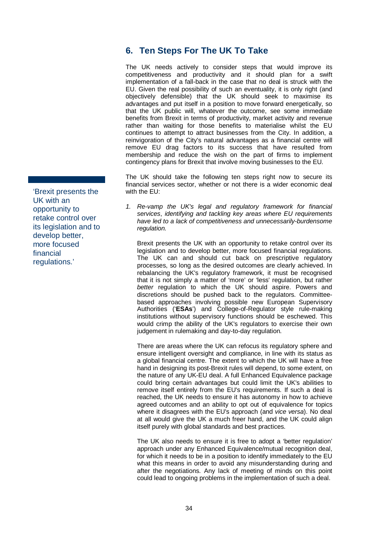# <span id="page-40-0"></span>**6. Ten Steps For The UK To Take**

The UK needs actively to consider steps that would improve its competitiveness and productivity and it should plan for a swift implementation of a fall-back in the case that no deal is struck with the EU. Given the real possibility of such an eventuality, it is only right (and objectively defensible) that the UK should seek to maximise its advantages and put itself in a position to move forward energetically, so that the UK public will, whatever the outcome, see some immediate benefits from Brexit in terms of productivity, market activity and revenue rather than waiting for those benefits to materialise whilst the EU continues to attempt to attract businesses from the City. In addition, a reinvigoration of the City's natural advantages as a financial centre will remove EU drag factors to its success that have resulted from membership and reduce the wish on the part of firms to implement contingency plans for Brexit that involve moving businesses to the EU.

The UK should take the following ten steps right now to secure its financial services sector, whether or not there is a wider economic deal with the EU:

*1. Re-vamp the UK's legal and regulatory framework for financial services*, *identifying and tackling key areas where EU requirements have led to a lack of competitiveness and unnecessarily-burdensome regulation.*

Brexit presents the UK with an opportunity to retake control over its legislation and to develop better, more focused financial regulations. The UK can and should cut back on prescriptive regulatory processes, so long as the desired outcomes are clearly achieved. In rebalancing the UK's regulatory framework, it must be recognised that it is not simply a matter of 'more' or 'less' regulation, but rather *better* regulation to which the UK should aspire. Powers and discretions should be pushed back to the regulators. Committeebased approaches involving possible new European Supervisory Authorities ('**ESAs**') and College-of-Regulator style rule-making institutions without supervisory functions should be eschewed. This would crimp the ability of the UK's regulators to exercise their own judgement in rulemaking and day-to-day regulation.

There are areas where the UK can refocus its regulatory sphere and ensure intelligent oversight and compliance, in line with its status as a global financial centre. The extent to which the UK will have a free hand in designing its post-Brexit rules will depend, to some extent, on the nature of any UK-EU deal. A full Enhanced Equivalence package could bring certain advantages but could limit the UK's abilities to remove itself entirely from the EU's requirements. If such a deal is reached, the UK needs to ensure it has autonomy in how to achieve agreed outcomes and an ability to opt out of equivalence for topics where it disagrees with the EU's approach (and *vice versa*). No deal at all would give the UK a much freer hand, and the UK could align itself purely with global standards and best practices.

The UK also needs to ensure it is free to adopt a 'better regulation' approach under any Enhanced Equivalence/mutual recognition deal, for which it needs to be in a position to identify immediately to the EU what this means in order to avoid any misunderstanding during and after the negotiations. Any lack of meeting of minds on this point could lead to ongoing problems in the implementation of such a deal.

'Brexit presents the UK with an opportunity to retake control over its legislation and to develop better, more focused financial regulations.'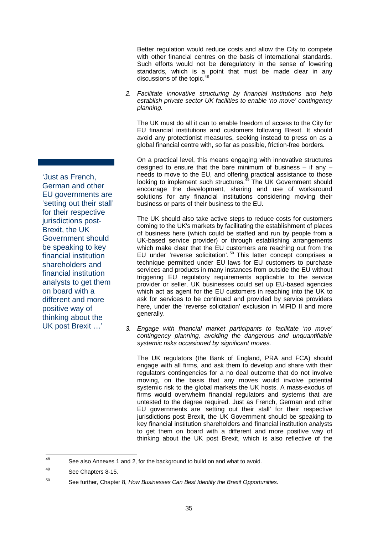Better regulation would reduce costs and allow the City to compete with other financial centres on the basis of international standards. Such efforts would not be deregulatory in the sense of lowering standards, which is a point that must be made clear in any discussions of the topic.<sup>[48](#page-41-0)</sup>

*2. Facilitate innovative structuring by financial institutions and help establish private sector UK facilities to enable 'no move' contingency planning.*

The UK must do all it can to enable freedom of access to the City for EU financial institutions and customers following Brexit. It should avoid any protectionist measures, seeking instead to press on as a global financial centre with, so far as possible, friction-free borders.

On a practical level, this means engaging with innovative structures designed to ensure that the bare minimum of business  $-$  if any  $$ needs to move to the EU, and offering practical assistance to those looking to implement such structures.<sup>[49](#page-41-1)</sup> The UK Government should encourage the development, sharing and use of workaround solutions for any financial institutions considering moving their business or parts of their business to the EU.

The UK should also take active steps to reduce costs for customers coming to the UK's markets by facilitating the establishment of places of business here (which could be staffed and run by people from a UK-based service provider) or through establishing arrangements which make clear that the EU customers are reaching out from the EU under 'reverse solicitation'.<sup>[50](#page-41-2)</sup> This latter concept comprises a technique permitted under EU laws for EU customers to purchase services and products in many instances from outside the EU without triggering EU regulatory requirements applicable to the service provider or seller. UK businesses could set up EU-based agencies which act as agent for the EU customers in reaching into the UK to ask for services to be continued and provided by service providers here, under the 'reverse solicitation' exclusion in MiFID II and more generally.

*3. Engage with financial market participants to facilitate 'no move' contingency planning, avoiding the dangerous and unquantifiable systemic risks occasioned by significant moves.*

The UK regulators (the Bank of England, PRA and FCA) should engage with all firms, and ask them to develop and share with their regulators contingencies for a no deal outcome that do not involve moving, on the basis that any moves would involve potential systemic risk to the global markets the UK hosts. A mass-exodus of firms would overwhelm financial regulators and systems that are untested to the degree required. Just as French, German and other EU governments are 'setting out their stall' for their respective jurisdictions post Brexit, the UK Government should be speaking to key financial institution shareholders and financial institution analysts to get them on board with a different and more positive way of thinking about the UK post Brexit, which is also reflective of the

'Just as French, German and other EU governments are 'setting out their stall' for their respective jurisdictions post-Brexit, the UK Government should be speaking to key financial institution shareholders and financial institution analysts to get them on board with a different and more positive way of thinking about the UK post Brexit …'

<span id="page-41-0"></span><sup>48</sup> See also Annexes 1 and 2, for the background to build on and what to avoid.

<span id="page-41-1"></span><sup>49</sup> See Chapters 8-15.

<span id="page-41-2"></span><sup>50</sup> See further, Chapter 8, *How Businesses Can Best Identify the Brexit Opportunities*.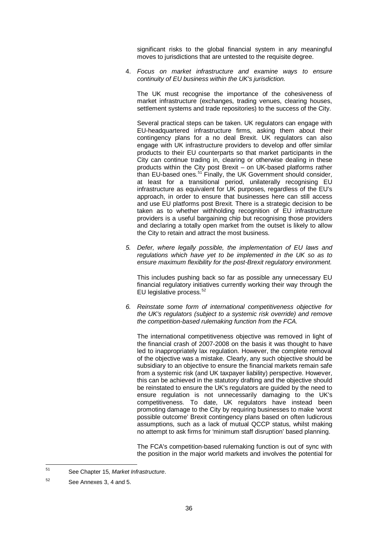significant risks to the global financial system in any meaningful moves to jurisdictions that are untested to the requisite degree.

4. *Focus on market infrastructure and examine ways to ensure continuity of EU business within the UK's jurisdiction.*

The UK must recognise the importance of the cohesiveness of market infrastructure (exchanges, trading venues, clearing houses, settlement systems and trade repositories) to the success of the City.

Several practical steps can be taken. UK regulators can engage with EU-headquartered infrastructure firms, asking them about their contingency plans for a no deal Brexit. UK regulators can also engage with UK infrastructure providers to develop and offer similar products to their EU counterparts so that market participants in the City can continue trading in, clearing or otherwise dealing in these products within the City post Brexit – on UK-based platforms rather than EU-based ones.<sup>[51](#page-42-0)</sup> Finally, the UK Government should consider, at least for a transitional period, unilaterally recognising EU infrastructure as equivalent for UK purposes, regardless of the EU's approach, in order to ensure that businesses here can still access and use EU platforms post Brexit. There is a strategic decision to be taken as to whether withholding recognition of EU infrastructure providers is a useful bargaining chip but recognising those providers and declaring a totally open market from the outset is likely to allow the City to retain and attract the most business.

*5. Defer, where legally possible, the implementation of EU laws and regulations which have yet to be implemented in the UK so as to ensure maximum flexibility for the post-Brexit regulatory environment.*

This includes pushing back so far as possible any unnecessary EU financial regulatory initiatives currently working their way through the EU legislative process. [52](#page-42-1)

*6. Reinstate some form of international competitiveness objective for the UK's regulators (subject to a systemic risk override) and remove the competition-based rulemaking function from the FCA.*

The international competitiveness objective was removed in light of the financial crash of 2007-2008 on the basis it was thought to have led to inappropriately lax regulation. However, the complete removal of the objective was a mistake. Clearly, any such objective should be subsidiary to an objective to ensure the financial markets remain safe from a systemic risk (and UK taxpayer liability) perspective. However, this can be achieved in the statutory drafting and the objective should be reinstated to ensure the UK's regulators are guided by the need to ensure regulation is not unnecessarily damaging to the UK's competitiveness. To date, UK regulators have instead been promoting damage to the City by requiring businesses to make 'worst possible outcome' Brexit contingency plans based on often ludicrous assumptions, such as a lack of mutual QCCP status, whilst making no attempt to ask firms for 'minimum staff disruption' based planning.

The FCA's competition-based rulemaking function is out of sync with the position in the major world markets and involves the potential for

<span id="page-42-0"></span><sup>51</sup> See Chapter 15, *Market Infrastructure*.

<span id="page-42-1"></span><sup>52</sup> See Annexes 3, 4 and 5.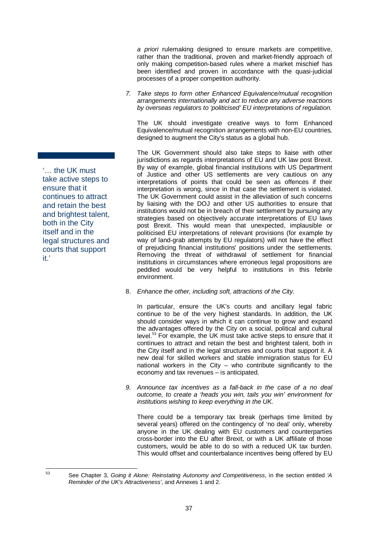*a priori* rulemaking designed to ensure markets are competitive, rather than the traditional, proven and market-friendly approach of only making competition-based rules where a market mischief has been identified and proven in accordance with the quasi-judicial processes of a proper competition authority.

*7. Take steps to form other Enhanced Equivalence/mutual recognition arrangements internationally and act to reduce any adverse reactions by overseas regulators to 'politicised' EU interpretations of regulation.*

The UK should investigate creative ways to form Enhanced Equivalence/mutual recognition arrangements with non-EU countries*,*  designed to augment the City's status as a global hub.

The UK Government should also take steps to liaise with other jurisdictions as regards interpretations of EU and UK law post Brexit. By way of example, global financial institutions with US Department of Justice and other US settlements are very cautious on any interpretations of points that could be seen as offences if their interpretation is wrong, since in that case the settlement is violated. The UK Government could assist in the alleviation of such concerns by liaising with the DOJ and other US authorities to ensure that institutions would not be in breach of their settlement by pursuing any strategies based on objectively accurate interpretations of EU laws post Brexit. This would mean that unexpected, implausible or politicised EU interpretations of relevant provisions (for example by way of land-grab attempts by EU regulators) will not have the effect of prejudicing financial institutions' positions under the settlements. Removing the threat of withdrawal of settlement for financial institutions in circumstances where erroneous legal propositions are peddled would be very helpful to institutions in this febrile environment.

8. *Enhance the other, including soft, attractions of the City.*

In particular, ensure the UK's courts and ancillary legal fabric continue to be of the very highest standards. In addition, the UK should consider ways in which it can continue to grow and expand the advantages offered by the City on a social, political and cultural level.<sup>[53](#page-43-0)</sup> For example, the UK must take active steps to ensure that it continues to attract and retain the best and brightest talent, both in the City itself and in the legal structures and courts that support it. A new deal for skilled workers and stable immigration status for EU national workers in the City – who contribute significantly to the economy and tax revenues – is anticipated.

*9. Announce tax incentives as a fall-back in the case of a no deal outcome, to create a 'heads you win, tails you win' environment for institutions wishing to keep everything in the UK.* 

There could be a temporary tax break (perhaps time limited by several years) offered on the contingency of 'no deal' only, whereby anyone in the UK dealing with EU customers and counterparties cross-border into the EU after Brexit, or with a UK affiliate of those customers, would be able to do so with a reduced UK tax burden. This would offset and counterbalance incentives being offered by EU

'… the UK must take active steps to ensure that it continues to attract and retain the best and brightest talent, both in the City itself and in the legal structures and courts that support it.'

<span id="page-43-0"></span><sup>53</sup> See Chapter [3,](#page-26-0) *Going it Alone: Reinstating Autonomy and Competitiveness*, in the section entitled *'A Reminder of the UK's Attractiveness'*, and Annexes 1 and 2.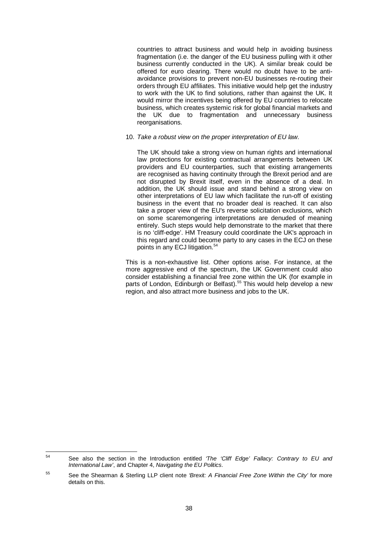countries to attract business and would help in avoiding business fragmentation (i.e. the danger of the EU business pulling with it other business currently conducted in the UK). A similar break could be offered for euro clearing. There would no doubt have to be antiavoidance provisions to prevent non-EU businesses re-routing their orders through EU affiliates. This initiative would help get the industry to work with the UK to find solutions, rather than against the UK. It would mirror the incentives being offered by EU countries to relocate business, which creates systemic risk for global financial markets and the UK due to fragmentation and unnecessary business reorganisations.

#### 10. *Take a robust view on the proper interpretation of EU law.*

The UK should take a strong view on human rights and international law protections for existing contractual arrangements between UK providers and EU counterparties, such that existing arrangements are recognised as having continuity through the Brexit period and are not disrupted by Brexit itself, even in the absence of a deal. In addition, the UK should issue and stand behind a strong view on other interpretations of EU law which facilitate the run-off of existing business in the event that no broader deal is reached. It can also take a proper view of the EU's reverse solicitation exclusions, which on some scaremongering interpretations are denuded of meaning entirely. Such steps would help demonstrate to the market that there is no 'cliff-edge'. HM Treasury could coordinate the UK's approach in this regard and could become party to any cases in the ECJ on these points in any ECJ litigation.<sup>[54](#page-44-0)</sup>

This is a non-exhaustive list. Other options arise. For instance, at the more aggressive end of the spectrum, the UK Government could also consider establishing a financial free zone within the UK (for example in parts of London, Edinburgh or Belfast).<sup>[55](#page-44-1)</sup> This would help develop a new region, and also attract more business and jobs to the UK.

<span id="page-44-0"></span><sup>54</sup> See also the section in the Introduction entitled *'The 'Cliff Edge' Fallacy: Contrary to EU and International Law'*, and Chapte[r 4,](#page-33-0) *Navigating the EU Politics*.

<span id="page-44-1"></span><sup>55</sup> See the Shearman & Sterling LLP client note *'Brexit: A Financial Free Zone Within the City'* for more details on this.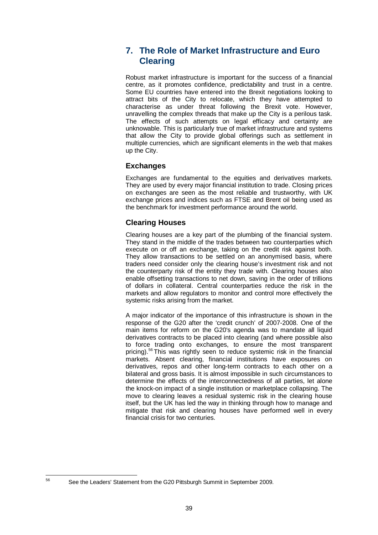# <span id="page-45-0"></span>**7. The Role of Market Infrastructure and Euro Clearing**

Robust market infrastructure is important for the success of a financial centre, as it promotes confidence, predictability and trust in a centre. Some EU countries have entered into the Brexit negotiations looking to attract bits of the City to relocate, which they have attempted to characterise as under threat following the Brexit vote. However, unravelling the complex threads that make up the City is a perilous task. The effects of such attempts on legal efficacy and certainty are unknowable. This is particularly true of market infrastructure and systems that allow the City to provide global offerings such as settlement in multiple currencies, which are significant elements in the web that makes up the City.

## **Exchanges**

Exchanges are fundamental to the equities and derivatives markets. They are used by every major financial institution to trade. Closing prices on exchanges are seen as the most reliable and trustworthy, with UK exchange prices and indices such as FTSE and Brent oil being used as the benchmark for investment performance around the world.

## **Clearing Houses**

Clearing houses are a key part of the plumbing of the financial system. They stand in the middle of the trades between two counterparties which execute on or off an exchange, taking on the credit risk against both. They allow transactions to be settled on an anonymised basis, where traders need consider only the clearing house's investment risk and not the counterparty risk of the entity they trade with. Clearing houses also enable offsetting transactions to net down, saving in the order of trillions of dollars in collateral. Central counterparties reduce the risk in the markets and allow regulators to monitor and control more effectively the systemic risks arising from the market.

A major indicator of the importance of this infrastructure is shown in the response of the G20 after the 'credit crunch' of 2007-2008. One of the main items for reform on the G20's agenda was to mandate all liquid derivatives contracts to be placed into clearing (and where possible also to force trading onto exchanges, to ensure the most transparent pricing).<sup>[56](#page-45-1)</sup> This was rightly seen to reduce systemic risk in the financial markets. Absent clearing, financial institutions have exposures on derivatives, repos and other long-term contracts to each other on a bilateral and gross basis. It is almost impossible in such circumstances to determine the effects of the interconnectedness of all parties, let alone the knock-on impact of a single institution or marketplace collapsing. The move to clearing leaves a residual systemic risk in the clearing house itself, but the UK has led the way in thinking through how to manage and mitigate that risk and clearing houses have performed well in every financial crisis for two centuries.

<span id="page-45-1"></span>

<sup>56</sup> See the Leaders' Statement from the G20 Pittsburgh Summit in September 2009.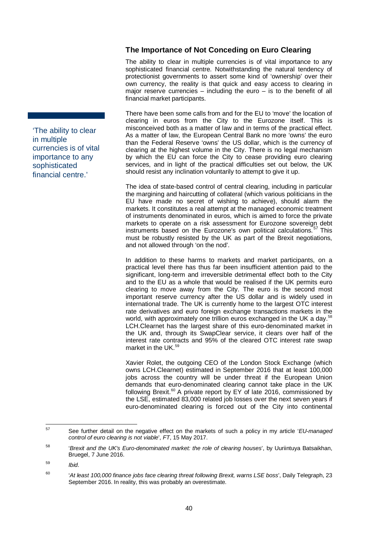## **The Importance of Not Conceding on Euro Clearing**

The ability to clear in multiple currencies is of vital importance to any sophisticated financial centre. Notwithstanding the natural tendency of protectionist governments to assert some kind of 'ownership' over their own currency, the reality is that quick and easy access to clearing in major reserve currencies  $-$  including the euro  $-$  is to the benefit of all financial market participants.

There have been some calls from and for the EU to 'move' the location of clearing in euros from the City to the Eurozone itself. This is misconceived both as a matter of law and in terms of the practical effect. As a matter of law, the European Central Bank no more 'owns' the euro than the Federal Reserve 'owns' the US dollar, which is the currency of clearing at the highest volume in the City. There is no legal mechanism by which the EU can force the City to cease providing euro clearing services, and in light of the practical difficulties set out below, the UK should resist any inclination voluntarily to attempt to give it up.

The idea of state-based control of central clearing, including in particular the margining and haircutting of collateral (which various politicians in the EU have made no secret of wishing to achieve), should alarm the markets. It constitutes a real attempt at the managed economic treatment of instruments denominated in euros, which is aimed to force the private markets to operate on a risk assessment for Eurozone sovereign debt instruments based on the Eurozone's own political calculations.<sup>[57](#page-46-0)</sup> This must be robustly resisted by the UK as part of the Brexit negotiations, and not allowed through 'on the nod'.

In addition to these harms to markets and market participants, on a practical level there has thus far been insufficient attention paid to the significant, long-term and irreversible detrimental effect both to the City and to the EU as a whole that would be realised if the UK permits euro clearing to move away from the City. The euro is the second most important reserve currency after the US dollar and is widely used in international trade. The UK is currently home to the largest OTC interest rate derivatives and euro foreign exchange transactions markets in the world, with approximately one trillion euros exchanged in the UK a day.<sup>[58](#page-46-1)</sup> LCH.Clearnet has the largest share of this euro-denominated market in the UK and, through its SwapClear service, it clears over half of the interest rate contracts and 95% of the cleared OTC interest rate swap market in the UK.<sup>[59](#page-46-2)</sup>

Xavier Rolet, the outgoing CEO of the London Stock Exchange (which owns LCH.Clearnet) estimated in September 2016 that at least 100,000 jobs across the country will be under threat if the European Union demands that euro-denominated clearing cannot take place in the UK following Brexit.<sup>[60](#page-46-3)</sup> A private report by EY of late 2016, commissioned by the LSE, estimated 83,000 related job losses over the next seven years if euro-denominated clearing is forced out of the City into continental

'The ability to clear in multiple currencies is of vital importance to any sophisticated financial centre.'

<span id="page-46-0"></span><sup>57</sup> See further detail on the negative effect on the markets of such a policy in my article '*EU-managed control of euro clearing is not viable*', *FT*, 15 May 2017.

<span id="page-46-1"></span><sup>58</sup> '*Brexit and the UK's Euro-denominated market: the role of clearing houses*', by Uuriintuya Batsaikhan, Bruegel, 7 June 2016.

<span id="page-46-2"></span><sup>59</sup> *Ibid*.

<span id="page-46-3"></span><sup>60</sup> '*At least 100,000 finance jobs face clearing threat following Brexit, warns LSE boss*', Daily Telegraph, 23 September 2016. In reality, this was probably an overestimate.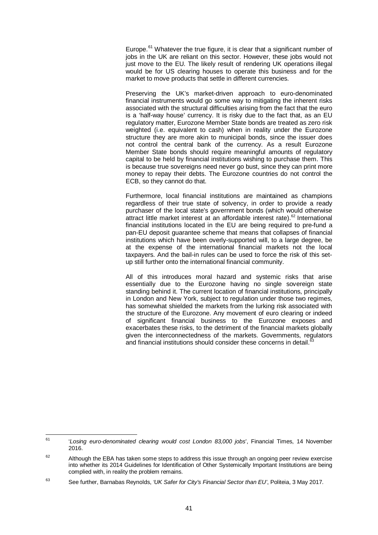Europe.<sup>[61](#page-47-0)</sup> Whatever the true figure, it is clear that a significant number of jobs in the UK are reliant on this sector. However, these jobs would not just move to the EU. The likely result of rendering UK operations illegal would be for US clearing houses to operate this business and for the market to move products that settle in different currencies.

Preserving the UK's market-driven approach to euro-denominated financial instruments would go some way to mitigating the inherent risks associated with the structural difficulties arising from the fact that the euro is a 'half-way house' currency. It is risky due to the fact that, as an EU regulatory matter, Eurozone Member State bonds are treated as zero risk weighted (i.e. equivalent to cash) when in reality under the Eurozone structure they are more akin to municipal bonds, since the issuer does not control the central bank of the currency. As a result Eurozone Member State bonds should require meaningful amounts of regulatory capital to be held by financial institutions wishing to purchase them. This is because true sovereigns need never go bust, since they can print more money to repay their debts. The Eurozone countries do not control the ECB, so they cannot do that.

Furthermore, local financial institutions are maintained as champions regardless of their true state of solvency, in order to provide a ready purchaser of the local state's government bonds (which would otherwise attract little market interest at an affordable interest rate).<sup>[62](#page-47-1)</sup> International financial institutions located in the EU are being required to pre-fund a pan-EU deposit guarantee scheme that means that collapses of financial institutions which have been overly-supported will, to a large degree, be at the expense of the international financial markets not the local taxpayers. And the bail-in rules can be used to force the risk of this setup still further onto the international financial community.

All of this introduces moral hazard and systemic risks that arise essentially due to the Eurozone having no single sovereign state standing behind it. The current location of financial institutions, principally in London and New York, subject to regulation under those two regimes, has somewhat shielded the markets from the lurking risk associated with the structure of the Eurozone. Any movement of euro clearing or indeed of significant financial business to the Eurozone exposes and exacerbates these risks, to the detriment of the financial markets globally given the interconnectedness of the markets. Governments, regulators and financial institutions should consider these concerns in detail.<sup>[63](#page-47-2)</sup>

<span id="page-47-0"></span><sup>61</sup> '*Losing euro-denominated clearing would cost London 83,000 jobs*', Financial Times, 14 November 2016.

<span id="page-47-1"></span> $62$  Although the EBA has taken some steps to address this issue through an ongoing peer review exercise into whether its 2014 Guidelines for Identification of Other Systemically Important Institutions are being complied with, in reality the problem remains.

<span id="page-47-2"></span><sup>63</sup> See further, Barnabas Reynolds, *'UK Safer for City's Financial Sector than EU'*, Politeia, 3 May 2017.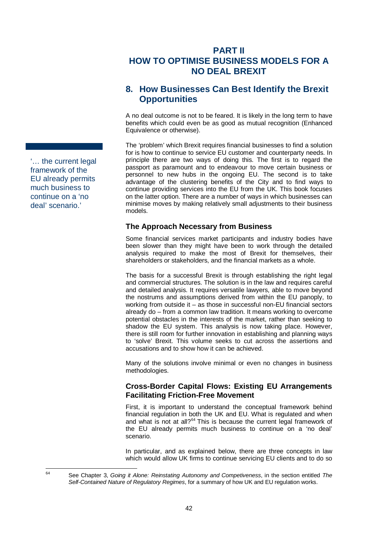# **PART II HOW TO OPTIMISE BUSINESS MODELS FOR A NO DEAL BREXIT**

# **8. How Businesses Can Best Identify the Brexit Opportunities**

A no deal outcome is not to be feared. It is likely in the long term to have benefits which could even be as good as mutual recognition (Enhanced Equivalence or otherwise).

The 'problem' which Brexit requires financial businesses to find a solution for is how to continue to service EU customer and counterparty needs. In principle there are two ways of doing this. The first is to regard the passport as paramount and to endeavour to move certain business or personnel to new hubs in the ongoing EU. The second is to take advantage of the clustering benefits of the City and to find ways to continue providing services into the EU from the UK. This book focuses on the latter option. There are a number of ways in which businesses can minimise moves by making relatively small adjustments to their business models.

## **The Approach Necessary from Business**

Some financial services market participants and industry bodies have been slower than they might have been to work through the detailed analysis required to make the most of Brexit for themselves, their shareholders or stakeholders, and the financial markets as a whole.

The basis for a successful Brexit is through establishing the right legal and commercial structures. The solution is in the law and requires careful and detailed analysis. It requires versatile lawyers, able to move beyond the nostrums and assumptions derived from within the EU panoply, to working from outside it – as those in successful non-EU financial sectors already do – from a common law tradition. It means working to overcome potential obstacles in the interests of the market, rather than seeking to shadow the EU system. This analysis is now taking place. However, there is still room for further innovation in establishing and planning ways to 'solve' Brexit. This volume seeks to cut across the assertions and accusations and to show how it can be achieved.

Many of the solutions involve minimal or even no changes in business methodologies.

## **Cross-Border Capital Flows: Existing EU Arrangements Facilitating Friction-Free Movement**

First, it is important to understand the conceptual framework behind financial regulation in both the UK and EU. What is regulated and when and what is not at all?<sup>[64](#page-48-0)</sup> This is because the current legal framework of the EU already permits much business to continue on a 'no deal' scenario.

In particular, and as explained below, there are three concepts in law which would allow UK firms to continue servicing EU clients and to do so

<span id="page-48-0"></span> <sup>64</sup> See Chapter [3,](#page-26-0) *Going it Alone: Reinstating Autonomy and Competiveness*, in the section entitled *The Self-Contained Nature of Regulatory Regimes*, for a summary of how UK and EU regulation works.

<span id="page-48-1"></span>'… the current legal framework of the EU already permits much business to continue on a 'no deal' scenario.'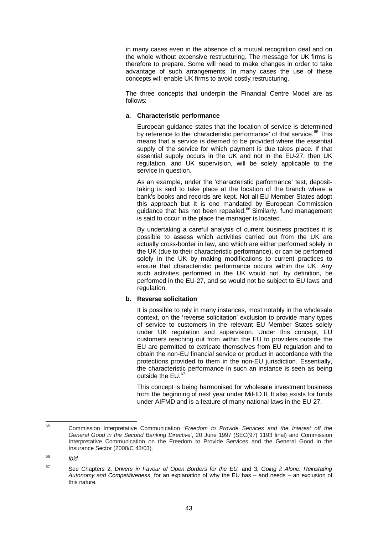in many cases even in the absence of a mutual recognition deal and on the whole without expensive restructuring. The message for UK firms is therefore to prepare. Some will need to make changes in order to take advantage of such arrangements. In many cases the use of these concepts will enable UK firms to avoid costly restructuring.

The three concepts that underpin the Financial Centre Model are as follows:

#### **a. Characteristic performance**

European guidance states that the location of service is determined by reference to the 'characteristic performance' of that service.<sup>[65](#page-49-0)</sup> This means that a service is deemed to be provided where the essential supply of the service for which payment is due takes place. If that essential supply occurs in the UK and not in the EU-27, then UK regulation, and UK supervision, will be solely applicable to the service in question.

As an example, under the 'characteristic performance' test, deposittaking is said to take place at the location of the branch where a bank's books and records are kept. Not all EU Member States adopt this approach but it is one mandated by European Commission guidance that has not been repealed.<sup>[66](#page-49-1)</sup> Similarly, fund management is said to occur in the place the manager is located.

By undertaking a careful analysis of current business practices it is possible to assess which activities carried out from the UK are actually cross-border in law, and which are either performed solely in the UK (due to their characteristic performance), or can be performed solely in the UK by making modifications to current practices to ensure that characteristic performance occurs within the UK. Any such activities performed in the UK would not, by definition, be performed in the EU-27, and so would not be subject to EU laws and regulation.

### **b. Reverse solicitation**

It is possible to rely in many instances, most notably in the wholesale context, on the 'reverse solicitation' exclusion to provide many types of service to customers in the relevant EU Member States solely under UK regulation and supervision. Under this concept, EU customers reaching out from within the EU to providers outside the EU are permitted to extricate themselves from EU regulation and to obtain the non-EU financial service or product in accordance with the protections provided to them in the non-EU jurisdiction. Essentially, the characteristic performance in such an instance is seen as being outside the EU.<sup>[67](#page-49-2)</sup>

This concept is being harmonised for wholesale investment business from the beginning of next year under MiFID II. It also exists for funds under AIFMD and is a feature of many national laws in the EU-27.

<span id="page-49-0"></span><sup>65</sup> Commission Interpretative Communication '*Freedom to Provide Services and the Interest off the General Good in the Second Banking Directive*', 20 June 1997 (SEC(97) 1193 final) and Commission Interpretative Communication on the Freedom to Provide Services and the General Good in the Insurance Sector (2000/C 43/03).

<span id="page-49-1"></span><sup>66</sup> *Ibid.*

<span id="page-49-2"></span><sup>67</sup> See Chapters [2,](#page-23-0) *Drivers in Favour of Open Borders for the EU,* and [3,](#page-26-0) *Going it Alone: Reinstating Autonomy and Competitiveness*, for an explanation of why the EU has – and needs – an exclusion of this nature.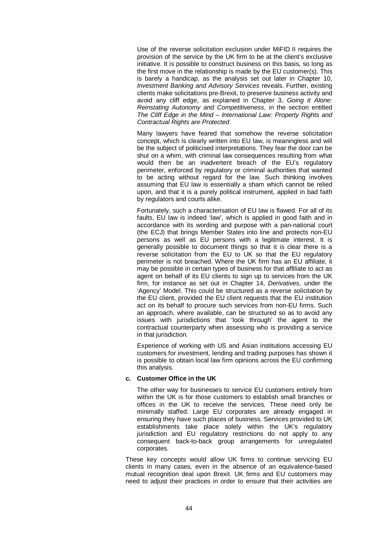Use of the reverse solicitation exclusion under MiFID II requires the provision of the service by the UK firm to be at the client's exclusive initiative. It is possible to construct business on this basis, so long as the first move in the relationship is made by the EU customer(s). This is barely a handicap, as the analysis set out later in Chapter [10,](#page-56-0) *Investment Banking and Advisory Services* reveals. Further, existing clients make solicitations pre-Brexit, to preserve business activity and avoid any cliff edge, as explained in Chapter [3,](#page-26-0) *Going it Alone: Reinstating Autonomy and Competitiveness*, in the section entitled *The Cliff Edge in the Mind – International Law: Property Rights and Contractual Rights are Protected*.

Many lawyers have feared that somehow the reverse solicitation concept, which is clearly written into EU law, is meaningless and will be the subject of politicised interpretations. They fear the door can be shut on a whim, with criminal law consequences resulting from what would then be an inadvertent breach of the EU's regulatory perimeter, enforced by regulatory or criminal authorities that wanted to be acting without regard for the law. Such thinking involves assuming that EU law is essentially a sham which cannot be relied upon, and that it is a purely political instrument, applied in bad faith by regulators and courts alike.

Fortunately, such a characterisation of EU law is flawed. For all of its faults, EU law is indeed 'law', which is applied in good faith and in accordance with its wording and purpose with a pan-national court (the ECJ) that brings Member States into line and protects non-EU persons as well as EU persons with a legitimate interest. It is generally possible to document things so that it is clear there is a reverse solicitation from the EU to UK so that the EU regulatory perimeter is not breached. Where the UK firm has an EU affiliate, it may be possible in certain types of business for that affiliate to act as agent on behalf of its EU clients to sign up to services from the UK firm, for instance as set out in Chapter 14, *Derivatives*, under the 'Agency' Model. This could be structured as a reverse solicitation by the EU client, provided the EU client requests that the EU institution act on its behalf to procure such services from non-EU firms. Such an approach, where available, can be structured so as to avoid any issues with jurisdictions that 'look through' the agent to the contractual counterparty when assessing who is providing a service in that jurisdiction.

Experience of working with US and Asian institutions accessing EU customers for investment, lending and trading purposes has shown it is possible to obtain local law firm opinions across the EU confirming this analysis.

#### **c. Customer Office in the UK**

The other way for businesses to service EU customers entirely from within the UK is for those customers to establish small branches or offices in the UK to receive the services. These need only be minimally staffed. Large EU corporates are already engaged in ensuring they have such places of business. Services provided to UK establishments take place solely within the UK's regulatory jurisdiction and EU regulatory restrictions do not apply to any consequent back-to-back group arrangements for unregulated corporates.

These key concepts would allow UK firms to continue servicing EU clients in many cases, even in the absence of an equivalence-based mutual recognition deal upon Brexit. UK firms and EU customers may need to adjust their practices in order to ensure that their activities are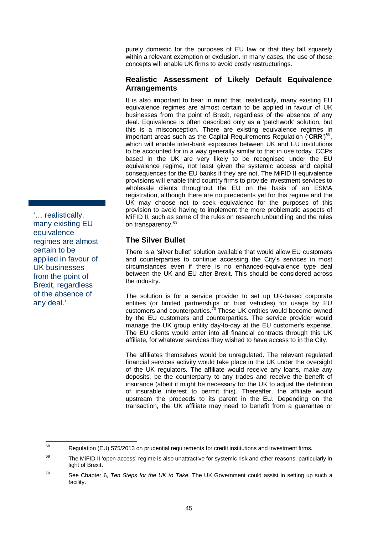purely domestic for the purposes of EU law or that they fall squarely within a relevant exemption or exclusion. In many cases, the use of these concepts will enable UK firms to avoid costly restructurings.

## **Realistic Assessment of Likely Default Equivalence Arrangements**

It is also important to bear in mind that, realistically, many existing EU equivalence regimes are almost certain to be applied in favour of UK businesses from the point of Brexit, regardless of the absence of any deal. Equivalence is often described only as a 'patchwork' solution, but this is a misconception. There are existing equivalence regimes in important areas such as the Capital Requirements Regulation ('CRR')<sup>68</sup>, which will enable inter-bank exposures between UK and EU institutions to be accounted for in a way generally similar to that in use today. CCPs based in the UK are very likely to be recognised under the EU equivalence regime, not least given the systemic access and capital consequences for the EU banks if they are not. The MiFID II equivalence provisions will enable third country firms to provide investment services to wholesale clients throughout the EU on the basis of an ESMA registration, although there are no precedents yet for this regime and the UK may choose not to seek equivalence for the purposes of this provision to avoid having to implement the more problematic aspects of MiFID II, such as some of the rules on research unbundling and the rules on transparency.<sup>[69](#page-51-1)</sup>

## **The Silver Bullet**

There is a 'silver bullet' solution available that would allow EU customers and counterparties to continue accessing the City's services in most circumstances even if there is no enhanced-equivalence type deal between the UK and EU after Brexit. This should be considered across the industry.

The solution is for a service provider to set up UK-based corporate entities (or limited partnerships or trust vehicles) for usage by EU customers and counterparties.<sup>[70](#page-51-2)</sup> These UK entities would become owned by the EU customers and counterparties. The service provider would manage the UK group entity day-to-day at the EU customer's expense. The EU clients would enter into all financial contracts through this UK affiliate, for whatever services they wished to have access to in the City.

The affiliates themselves would be unregulated. The relevant regulated financial services activity would take place in the UK under the oversight of the UK regulators. The affiliate would receive any loans, make any deposits, be the counterparty to any trades and receive the benefit of insurance (albeit it might be necessary for the UK to adjust the definition of insurable interest to permit this). Thereafter, the affiliate would upstream the proceeds to its parent in the EU. Depending on the transaction, the UK affiliate may need to benefit from a guarantee or

'… realistically, many existing EU equivalence regimes are almost certain to be applied in favour of UK businesses from the point of Brexit, regardless of the absence of any deal.'

<span id="page-51-0"></span><sup>&</sup>lt;sup>68</sup> Regulation (EU) 575/2013 on prudential requirements for credit institutions and investment firms.

<span id="page-51-1"></span> $69$  The MiFID II 'open access' regime is also unattractive for systemic risk and other reasons, particularly in light of Brexit.

<span id="page-51-2"></span><sup>70</sup> See Chapter [6,](#page-40-0) *Ten Steps for the UK to Take*. The UK Government could assist in setting up such a facility.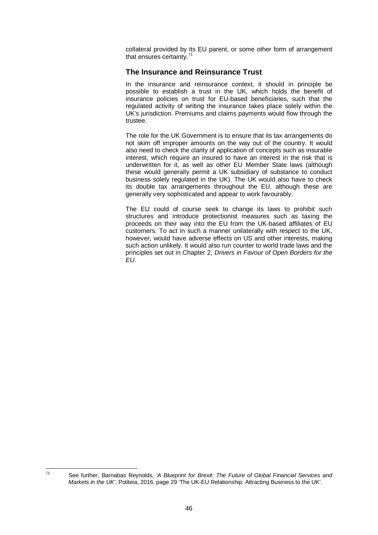collateral provided by its EU parent, or some other form of arrangement that ensures certainty.<sup>[71](#page-52-0)</sup>

## **The Insurance and Reinsurance Trust**

In the insurance and reinsurance context, it should in principle be possible to establish a trust in the UK, which holds the benefit of insurance policies on trust for EU-based beneficiaries, such that the regulated activity of writing the insurance takes place solely within the UK's jurisdiction. Premiums and claims payments would flow through the trustee.

The role for the UK Government is to ensure that its tax arrangements do not skim off improper amounts on the way out of the country. It would also need to check the clarity of application of concepts such as insurable interest, which require an insured to have an interest in the risk that is underwritten for it, as well as other EU Member State laws (although these would generally permit a UK subsidiary of substance to conduct business solely regulated in the UK). The UK would also have to check its double tax arrangements throughout the EU, although these are generally very sophisticated and appear to work favourably.

The EU could of course seek to change its laws to prohibit such structures and introduce protectionist measures such as taxing the proceeds on their way into the EU from the UK-based affiliates of EU customers. To act in such a manner unilaterally with respect to the UK, however, would have adverse effects on US and other interests, making such action unlikely. It would also run counter to world trade laws and the principles set out in Chapter [2,](#page-23-0) *Drivers in Favour of Open Borders for the EU*.

<span id="page-52-0"></span><sup>71</sup> See further, Barnabas Reynolds, *'A Blueprint for Brexit: The Future of Global Financial Services and Markets in the UK'*, Politeia, 2016, page 29 'The UK-EU Relationship: Attracting Business to the UK'.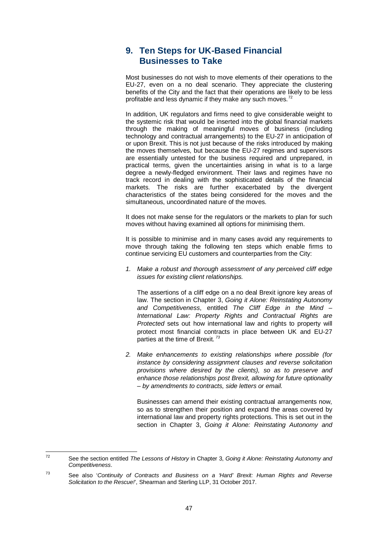# **9. Ten Steps for UK-Based Financial Businesses to Take**

Most businesses do not wish to move elements of their operations to the EU-27, even on a no deal scenario. They appreciate the clustering benefits of the City and the fact that their operations are likely to be less profitable and less dynamic if they make any such moves.<sup>[72](#page-53-0)</sup>

In addition, UK regulators and firms need to give considerable weight to the systemic risk that would be inserted into the global financial markets through the making of meaningful moves of business (including technology and contractual arrangements) to the EU-27 in anticipation of or upon Brexit. This is not just because of the risks introduced by making the moves themselves, but because the EU-27 regimes and supervisors are essentially untested for the business required and unprepared, in practical terms, given the uncertainties arising in what is to a large degree a newly-fledged environment. Their laws and regimes have no track record in dealing with the sophisticated details of the financial markets. The risks are further exacerbated by the divergent characteristics of the states being considered for the moves and the simultaneous, uncoordinated nature of the moves.

It does not make sense for the regulators or the markets to plan for such moves without having examined all options for minimising them.

It is possible to minimise and in many cases avoid any requirements to move through taking the following ten steps which enable firms to continue servicing EU customers and counterparties from the City:

*1. Make a robust and thorough assessment of any perceived cliff edge issues for existing client relationships.*

The assertions of a cliff edge on a no deal Brexit ignore key areas of law. The section in Chapter [3,](#page-26-0) *Going it Alone: Reinstating Autonomy and Competitiveness*, entitled *The Cliff Edge in the Mind – International Law: Property Rights and Contractual Rights are Protected* sets out how international law and rights to property will protect most financial contracts in place between UK and EU-27 parties at the time of Brexit. *[73](#page-53-1)*

*2. Make enhancements to existing relationships where possible (for instance by considering assignment clauses and reverse solicitation provisions where desired by the clients), so as to preserve and enhance those relationships post Brexit, allowing for future optionality – by amendments to contracts, side letters or email.*

Businesses can amend their existing contractual arrangements now, so as to strengthen their position and expand the areas covered by international law and property rights protections. This is set out in the section in Chapter 3, *Going it Alone: Reinstating Autonomy and* 

<span id="page-53-0"></span><sup>72</sup> See the section entitled *The Lessons of History* in Chapter [3,](#page-26-0) *Going it Alone: Reinstating Autonomy and Competitiveness*.

<span id="page-53-1"></span><sup>73</sup> See also '*Continuity of Contracts and Business on a 'Hard' Brexit: Human Rights and Reverse Solicitation to the Rescue!*', Shearman and Sterling LLP, 31 October 2017.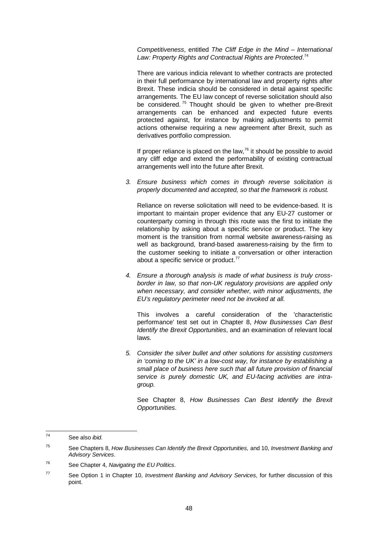*Competitiveness*, entitled *The Cliff Edge in the Mind – International*  Law: Property Rights and Contractual Rights are Protected.<sup>[74](#page-54-0)</sup>

There are various indicia relevant to whether contracts are protected in their full performance by international law and property rights after Brexit. These indicia should be considered in detail against specific arrangements. The EU law concept of reverse solicitation should also be considered.<sup>[75](#page-54-1)</sup> Thought should be given to whether pre-Brexit arrangements can be enhanced and expected future events protected against, for instance by making adjustments to permit actions otherwise requiring a new agreement after Brexit, such as derivatives portfolio compression.

If proper reliance is placed on the law, $^{76}$  $^{76}$  $^{76}$  it should be possible to avoid any cliff edge and extend the performability of existing contractual arrangements well into the future after Brexit.

*3. Ensure business which comes in through reverse solicitation is properly documented and accepted, so that the framework is robust.*

Reliance on reverse solicitation will need to be evidence-based. It is important to maintain proper evidence that any EU-27 customer or counterparty coming in through this route was the first to initiate the relationship by asking about a specific service or product. The key moment is the transition from normal website awareness-raising as well as background, brand-based awareness-raising by the firm to the customer seeking to initiate a conversation or other interaction about a specific service or product.<sup>[77](#page-54-3)</sup>

*4. Ensure a thorough analysis is made of what business is truly crossborder in law, so that non-UK regulatory provisions are applied only when necessary, and consider whether, with minor adjustments, the EU's regulatory perimeter need not be invoked at all.*

This involves a careful consideration of the 'characteristic performance' test set out in Chapter 8, *How Businesses Can Best Identify the Brexit Opportunities*, and an examination of relevant local laws.

*5. Consider the silver bullet and other solutions for assisting customers in 'coming to the UK' in a low-cost way, for instance by establishing a small place of business here such that all future provision of financial service is purely domestic UK, and EU-facing activities are intragroup.*

See Chapter 8, *How Businesses Can Best Identify the Brexit Opportunities*.

<span id="page-54-0"></span><sup>74</sup> See also *ibid.*

<span id="page-54-1"></span><sup>75</sup> See Chapter[s 8,](#page-48-1) *How Businesses Can Identify the Brexit Opportunities,* and [10,](#page-56-0) *Investment Banking and Advisory Services*.

<span id="page-54-2"></span><sup>76</sup> See Chapter [4,](#page-33-0) *Navigating the EU Politics*.

<span id="page-54-3"></span><sup>77</sup> See Option 1 in Chapter [10,](#page-56-0) *Investment Banking and Advisory Services*, for further discussion of this point.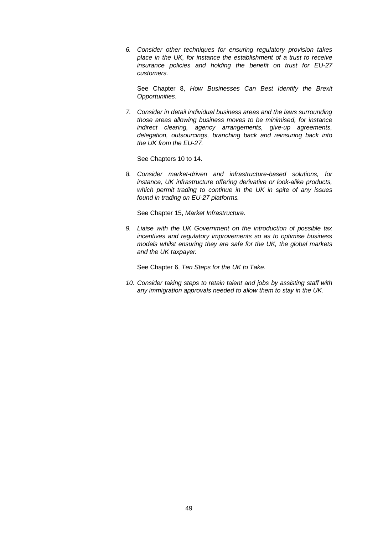*6. Consider other techniques for ensuring regulatory provision takes place in the UK, for instance the establishment of a trust to receive insurance policies and holding the benefit on trust for EU-27 customers.*

See Chapter 8, *How Businesses Can Best Identify the Brexit Opportunities*.

*7. Consider in detail individual business areas and the laws surrounding those areas allowing business moves to be minimised, for instance indirect clearing, agency arrangements, give-up agreements, delegation, outsourcings, branching back and reinsuring back into the UK from the EU-27.*

See Chapters 10 to 14.

*8. Consider market-driven and infrastructure-based solutions, for instance, UK infrastructure offering derivative or look-alike products, which permit trading to continue in the UK in spite of any issues found in trading on EU-27 platforms.*

See Chapter 15, *Market Infrastructure*.

*9. Liaise with the UK Government on the introduction of possible tax incentives and regulatory improvements so as to optimise business models whilst ensuring they are safe for the UK, the global markets and the UK taxpayer.*

See Chapter 6, *Ten Steps for the UK to Take*.

*10. Consider taking steps to retain talent and jobs by assisting staff with any immigration approvals needed to allow them to stay in the UK.*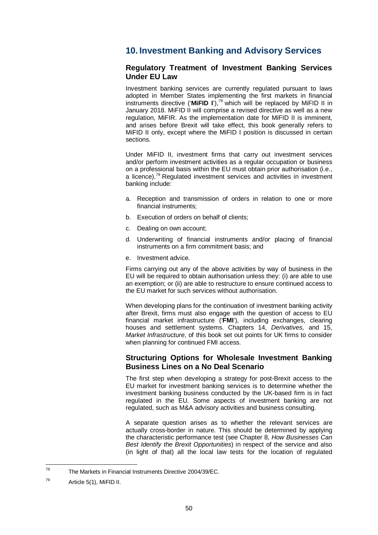# <span id="page-56-0"></span>**10. Investment Banking and Advisory Services**

### **Regulatory Treatment of Investment Banking Services Under EU Law**

Investment banking services are currently regulated pursuant to laws adopted in Member States implementing the first markets in financial instruments directive ('**MiFID I**'), [78](#page-56-1) which will be replaced by MiFID II in January 2018. MiFID II will comprise a revised directive as well as a new regulation, MiFIR. As the implementation date for MiFID II is imminent, and arises before Brexit will take effect, this book generally refers to MiFID II only, except where the MiFID I position is discussed in certain sections.

Under MiFID II, investment firms that carry out investment services and/or perform investment activities as a regular occupation or business on a professional basis within the EU must obtain prior authorisation (i.e., a licence).<sup>[79](#page-56-2)</sup> Regulated investment services and activities in investment banking include:

- a. Reception and transmission of orders in relation to one or more financial instruments;
- b. Execution of orders on behalf of clients;
- c. Dealing on own account;
- d. Underwriting of financial instruments and/or placing of financial instruments on a firm commitment basis; and
- e. Investment advice.

Firms carrying out any of the above activities by way of business in the EU will be required to obtain authorisation unless they: (i) are able to use an exemption; or (ii) are able to restructure to ensure continued access to the EU market for such services without authorisation.

When developing plans for the continuation of investment banking activity after Brexit, firms must also engage with the question of access to EU financial market infrastructure ('**FMI**'), including exchanges, clearing houses and settlement systems. Chapters 14, *Derivatives,* and [15,](#page-107-0) *Market Infrastructure*, of this book set out points for UK firms to consider when planning for continued FMI access.

## **Structuring Options for Wholesale Investment Banking Business Lines on a No Deal Scenario**

The first step when developing a strategy for post-Brexit access to the EU market for investment banking services is to determine whether the investment banking business conducted by the UK-based firm is in fact regulated in the EU. Some aspects of investment banking are not regulated, such as M&A advisory activities and business consulting.

A separate question arises as to whether the relevant services are actually cross-border in nature. This should be determined by applying the characteristic performance test (see Chapter [8,](#page-48-1) *How Businesses Can Best Identify the Brexit Opportunities*) in respect of the service and also (in light of that) all the local law tests for the location of regulated

<span id="page-56-1"></span><sup>78</sup> The Markets in Financial Instruments Directive 2004/39/EC.

<span id="page-56-2"></span> $^{79}$  Article 5(1), MiFID II.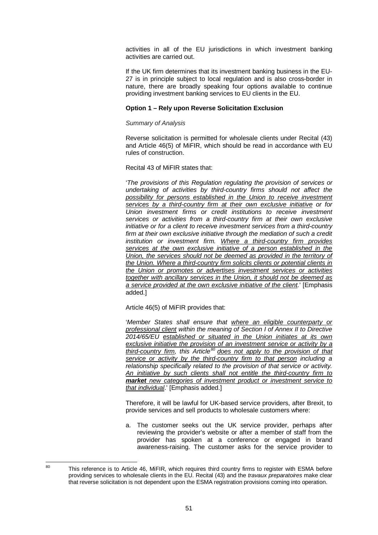activities in all of the EU jurisdictions in which investment banking activities are carried out.

If the UK firm determines that its investment banking business in the EU-27 is in principle subject to local regulation and is also cross-border in nature, there are broadly speaking four options available to continue providing investment banking services to EU clients in the EU.

#### **Option 1 – Rely upon Reverse Solicitation Exclusion**

#### *Summary of Analysis*

Reverse solicitation is permitted for wholesale clients under Recital (43) and Article 46(5) of MiFIR, which should be read in accordance with EU rules of construction.

Recital 43 of MiFIR states that:

'*The provisions of this Regulation regulating the provision of services or undertaking of activities by third-country firms should not affect the possibility for persons established in the Union to receive investment services by a third-country firm at their own exclusive initiative or for Union investment firms or credit institutions to receive investment services or activities from a third-country firm at their own exclusive initiative or for a client to receive investment services from a third-country*  firm at their own exclusive initiative through the mediation of such a credit *institution or investment firm. Where a third-country firm provides services at the own exclusive initiative of a person established in the Union, the services should not be deemed as provided in the territory of the Union. Where a third-country firm solicits clients or potential clients in the Union or promotes or advertises investment services or activities together with ancillary services in the Union, it should not be deemed as a service provided at the own exclusive initiative of the client.*' [Emphasis added.]

Article 46(5) of MiFIR provides that:

'*Member States shall ensure that where an eligible counterparty or professional client within the meaning of Section I of Annex II to Directive 2014/65/EU established or situated in the Union initiates at its own exclusive initiative the provision of an investment service or activity by a third-country firm, this Article[80](#page-57-0) does not apply to the provision of that service or activity by the third-country firm to that person including a relationship specifically related to the provision of that service or activity. An initiative by such clients shall not entitle the third-country firm to market new categories of investment product or investment service to that individual*.' [Emphasis added.]

Therefore, it will be lawful for UK-based service providers, after Brexit, to provide services and sell products to wholesale customers where:

a. The customer seeks out the UK service provider, perhaps after reviewing the provider's website or after a member of staff from the provider has spoken at a conference or engaged in brand awareness-raising. The customer asks for the service provider to

<span id="page-57-0"></span><sup>&</sup>lt;sup>80</sup> This reference is to Article 46, MiFIR, which requires third country firms to register with ESMA before providing services to wholesale clients in the EU. Recital (43) and the *travaux preparatoires* make clear that reverse solicitation is not dependent upon the ESMA registration provisions coming into operation.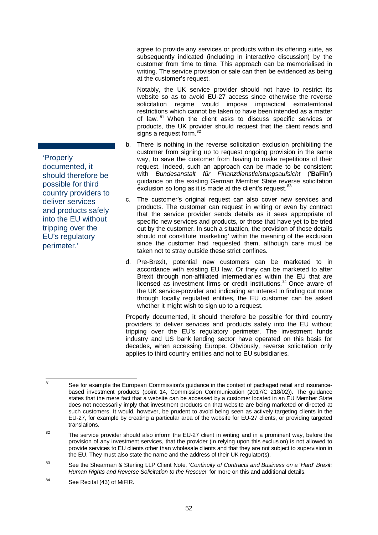agree to provide any services or products within its offering suite, as subsequently indicated (including in interactive discussion) by the customer from time to time. This approach can be memorialised in writing. The service provision or sale can then be evidenced as being at the customer's request.

Notably, the UK service provider should not have to restrict its website so as to avoid EU-27 access since otherwise the reverse<br>solicitation regime would impose impractical extraterritorial impractical extraterritorial restrictions which cannot be taken to have been intended as a matter of law. <sup>[81](#page-58-0)</sup> When the client asks to discuss specific services or products, the UK provider should request that the client reads and signs a request form. $82$ 

- b. There is nothing in the reverse solicitation exclusion prohibiting the customer from signing up to request ongoing provision in the same way, to save the customer from having to make repetitions of their request. Indeed, such an approach can be made to be consistent with *Bundesanstalt für Finanzdienstleistungsaufsicht* ('**BaFin**') guidance on the existing German Member State reverse solicitation exclusion so long as it is made at the client's request.<sup>[83](#page-58-2)</sup>
- c. The customer's original request can also cover new services and products. The customer can request in writing or even by contract that the service provider sends details as it sees appropriate of specific new services and products, or those that have yet to be tried out by the customer. In such a situation, the provision of those details should not constitute 'marketing' within the meaning of the exclusion since the customer had requested them, although care must be taken not to stray outside these strict confines.
- d. Pre-Brexit, potential new customers can be marketed to in accordance with existing EU law. Or they can be marketed to after Brexit through non-affiliated intermediaries within the EU that are licensed as investment firms or credit institutions. [84](#page-58-3) Once aware of the UK service-provider and indicating an interest in finding out more through locally regulated entities, the EU customer can be asked whether it might wish to sign up to a request.

Properly documented, it should therefore be possible for third country providers to deliver services and products safely into the EU without tripping over the EU's regulatory perimeter. The investment funds industry and US bank lending sector have operated on this basis for decades, when accessing Europe. Obviously, reverse solicitation only applies to third country entities and not to EU subsidiaries.

'Properly documented, it should therefore be possible for third country providers to deliver services and products safely into the EU without tripping over the EU's regulatory perimeter.'

<span id="page-58-0"></span><sup>&</sup>lt;sup>81</sup> See for example the European Commission's guidance in the context of packaged retail and insurancebased investment products (point 14, Commission Communication (2017/C 218/02)). The guidance states that the mere fact that a website can be accessed by a customer located in an EU Member State does not necessarily imply that investment products on that website are being marketed or directed at such customers. It would, however, be prudent to avoid being seen as actively targeting clients in the EU-27, for example by creating a particular area of the website for EU-27 clients, or providing targeted translations.

<span id="page-58-1"></span><sup>&</sup>lt;sup>82</sup> The service provider should also inform the EU-27 client in writing and in a prominent way, before the provision of any investment services, that the provider (in relying upon this exclusion) is not allowed to provide services to EU clients other than wholesale clients and that they are not subject to supervision in the EU. They must also state the name and the address of their UK regulator(s).

<span id="page-58-2"></span><sup>83</sup> See the Shearman & Sterling LLP Client Note, '*Continuity of Contracts and Business on a* '*Hard*' *Brexit: Human Rights and Reverse Solicitation to the Rescue!*' for more on this and additional details.

<span id="page-58-3"></span><sup>84</sup> See Recital (43) of MiFIR.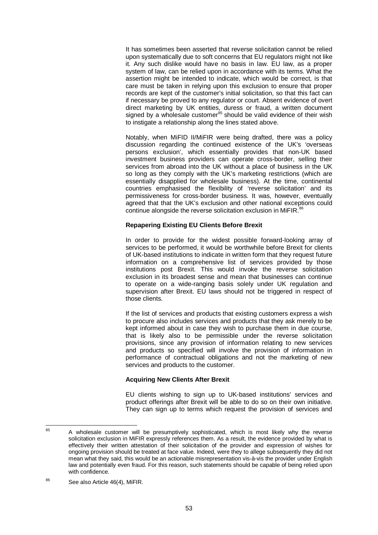It has sometimes been asserted that reverse solicitation cannot be relied upon systematically due to soft concerns that EU regulators might not like it. Any such dislike would have no basis in law. EU law, as a proper system of law, can be relied upon in accordance with its terms. What the assertion might be intended to indicate, which would be correct, is that care must be taken in relying upon this exclusion to ensure that proper records are kept of the customer's initial solicitation, so that this fact can if necessary be proved to any regulator or court. Absent evidence of overt direct marketing by UK entities, duress or fraud, a written document signed by a wholesale customer $^{85}$  $^{85}$  $^{85}$  should be valid evidence of their wish to instigate a relationship along the lines stated above.

Notably, when MiFID II/MiFIR were being drafted, there was a policy discussion regarding the continued existence of the UK's 'overseas persons exclusion', which essentially provides that non-UK based investment business providers can operate cross-border, selling their services from abroad into the UK without a place of business in the UK so long as they comply with the UK's marketing restrictions (which are essentially disapplied for wholesale business). At the time, continental countries emphasised the flexibility of 'reverse solicitation' and its permissiveness for cross-border business. It was, however, eventually agreed that that the UK's exclusion and other national exceptions could continue alongside the reverse solicitation exclusion in MiFIR.<sup>[86](#page-59-1)</sup>

### **Repapering Existing EU Clients Before Brexit**

In order to provide for the widest possible forward-looking array of services to be performed, it would be worthwhile before Brexit for clients of UK-based institutions to indicate in written form that they request future information on a comprehensive list of services provided by those institutions post Brexit. This would invoke the reverse solicitation exclusion in its broadest sense and mean that businesses can continue to operate on a wide-ranging basis solely under UK regulation and supervision after Brexit. EU laws should not be triggered in respect of those clients.

If the list of services and products that existing customers express a wish to procure also includes services and products that they ask merely to be kept informed about in case they wish to purchase them in due course, that is likely also to be permissible under the reverse solicitation provisions, since any provision of information relating to new services and products so specified will involve the provision of information in performance of contractual obligations and not the marketing of new services and products to the customer.

#### **Acquiring New Clients After Brexit**

EU clients wishing to sign up to UK-based institutions' services and product offerings after Brexit will be able to do so on their own initiative. They can sign up to terms which request the provision of services and

<span id="page-59-0"></span><sup>&</sup>lt;sup>85</sup> A wholesale customer will be presumptively sophisticated, which is most likely why the reverse solicitation exclusion in MiFIR expressly references them. As a result, the evidence provided by what is effectively their written attestation of their solicitation of the provider and expression of wishes for ongoing provision should be treated at face value. Indeed, were they to allege subsequently they did not mean what they said, this would be an actionable misrepresentation vis-à-vis the provider under English law and potentially even fraud. For this reason, such statements should be capable of being relied upon with confidence.

<span id="page-59-1"></span><sup>86</sup> See also Article 46(4), MiFIR.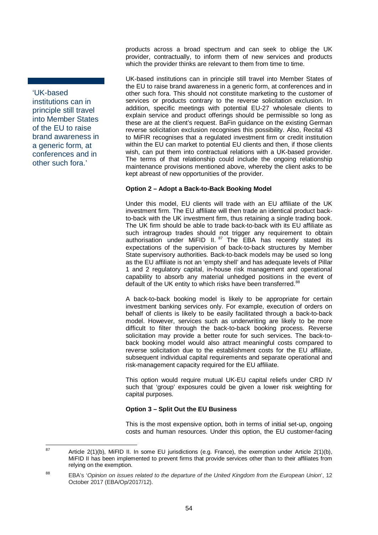'UK-based institutions can in principle still travel into Member States of the EU to raise brand awareness in a generic form, at conferences and in other such fora.'

products across a broad spectrum and can seek to oblige the UK provider, contractually, to inform them of new services and products which the provider thinks are relevant to them from time to time.

UK-based institutions can in principle still travel into Member States of the EU to raise brand awareness in a generic form, at conferences and in other such fora. This should not constitute marketing to the customer of services or products contrary to the reverse solicitation exclusion. In addition, specific meetings with potential EU-27 wholesale clients to explain service and product offerings should be permissible so long as these are at the client's request. BaFin guidance on the existing German reverse solicitation exclusion recognises this possibility. Also, Recital 43 to MiFIR recognises that a regulated investment firm or credit institution within the EU can market to potential EU clients and then, if those clients wish, can put them into contractual relations with a UK-based provider. The terms of that relationship could include the ongoing relationship maintenance provisions mentioned above, whereby the client asks to be kept abreast of new opportunities of the provider.

### **Option 2 – Adopt a Back-to-Back Booking Model**

Under this model, EU clients will trade with an EU affiliate of the UK investment firm. The EU affiliate will then trade an identical product backto-back with the UK investment firm, thus retaining a single trading book. The UK firm should be able to trade back-to-back with its EU affiliate as such intragroup trades should not trigger any requirement to obtain authorisation under MiFID II. <sup>[87](#page-60-0)</sup> The EBA has recently stated its expectations of the supervision of back-to-back structures by Member State supervisory authorities. Back-to-back models may be used so long as the EU affiliate is not an 'empty shell' and has adequate levels of Pillar 1 and 2 regulatory capital, in-house risk management and operational capability to absorb any material unhedged positions in the event of default of the UK entity to which risks have been transferred.<sup>[88](#page-60-1)</sup>

A back-to-back booking model is likely to be appropriate for certain investment banking services only. For example, execution of orders on behalf of clients is likely to be easily facilitated through a back-to-back model. However, services such as underwriting are likely to be more difficult to filter through the back-to-back booking process. Reverse solicitation may provide a better route for such services. The back-toback booking model would also attract meaningful costs compared to reverse solicitation due to the establishment costs for the EU affiliate, subsequent individual capital requirements and separate operational and risk-management capacity required for the EU affiliate.

This option would require mutual UK-EU capital reliefs under CRD IV such that 'group' exposures could be given a lower risk weighting for capital purposes.

#### **Option 3 – Split Out the EU Business**

This is the most expensive option, both in terms of initial set-up, ongoing costs and human resources. Under this option, the EU customer-facing

<span id="page-60-0"></span><sup>&</sup>lt;sup>87</sup> Article 2(1)(b), MiFID II. In some EU jurisdictions (e.g. France), the exemption under Article 2(1)(b), MiFID II has been implemented to prevent firms that provide services other than to their affiliates from relying on the exemption.

<span id="page-60-1"></span><sup>88</sup> EBA's '*Opinion on issues related to the departure of the United Kingdom from the European Union*', 12 October 2017 (EBA/Op/2017/12).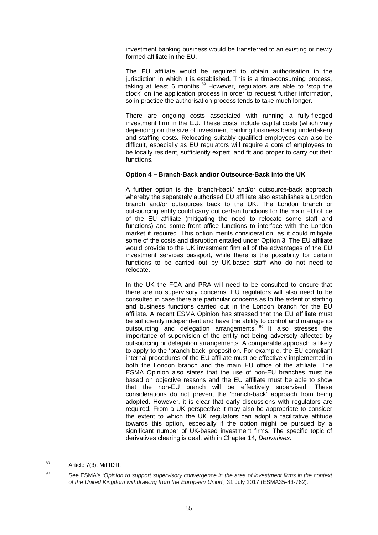investment banking business would be transferred to an existing or newly formed affiliate in the EU.

The EU affiliate would be required to obtain authorisation in the jurisdiction in which it is established. This is a time-consuming process, taking at least 6 months.<sup>[89](#page-61-0)</sup> However, regulators are able to 'stop the clock' on the application process in order to request further information, so in practice the authorisation process tends to take much longer.

There are ongoing costs associated with running a fully-fledged investment firm in the EU. These costs include capital costs (which vary depending on the size of investment banking business being undertaken) and staffing costs. Relocating suitably qualified employees can also be difficult, especially as EU regulators will require a core of employees to be locally resident, sufficiently expert, and fit and proper to carry out their functions.

#### **Option 4 – Branch-Back and/or Outsource-Back into the UK**

A further option is the 'branch-back' and/or outsource-back approach whereby the separately authorised EU affiliate also establishes a London branch and/or outsources back to the UK. The London branch or outsourcing entity could carry out certain functions for the main EU office of the EU affiliate (mitigating the need to relocate some staff and functions) and some front office functions to interface with the London market if required. This option merits consideration, as it could mitigate some of the costs and disruption entailed under Option 3. The EU affiliate would provide to the UK investment firm all of the advantages of the EU investment services passport, while there is the possibility for certain functions to be carried out by UK-based staff who do not need to relocate.

In the UK the FCA and PRA will need to be consulted to ensure that there are no supervisory concerns. EU regulators will also need to be consulted in case there are particular concerns as to the extent of staffing and business functions carried out in the London branch for the EU affiliate. A recent ESMA Opinion has stressed that the EU affiliate must be sufficiently independent and have the ability to control and manage its outsourcing and delegation arrangements.<sup>[90](#page-61-1)</sup> It also stresses the importance of supervision of the entity not being adversely affected by outsourcing or delegation arrangements. A comparable approach is likely to apply to the 'branch-back' proposition. For example, the EU-compliant internal procedures of the EU affiliate must be effectively implemented in both the London branch and the main EU office of the affiliate. The ESMA Opinion also states that the use of non-EU branches must be based on objective reasons and the EU affiliate must be able to show that the non-EU branch will be effectively supervised. These considerations do not prevent the 'branch-back' approach from being adopted. However, it is clear that early discussions with regulators are required. From a UK perspective it may also be appropriate to consider the extent to which the UK regulators can adopt a facilitative attitude towards this option, especially if the option might be pursued by a significant number of UK-based investment firms. The specific topic of derivatives clearing is dealt with in Chapter 14, *Derivatives*.

<sup>89</sup> Article 7(3), MiFID II.

<span id="page-61-1"></span><span id="page-61-0"></span>

<sup>90</sup> See ESMA's '*Opinion to support supervisory convergence in the area of investment firms in the context of the United Kingdom withdrawing from the European Union*'*,* 31 July 2017 (ESMA35-43-762).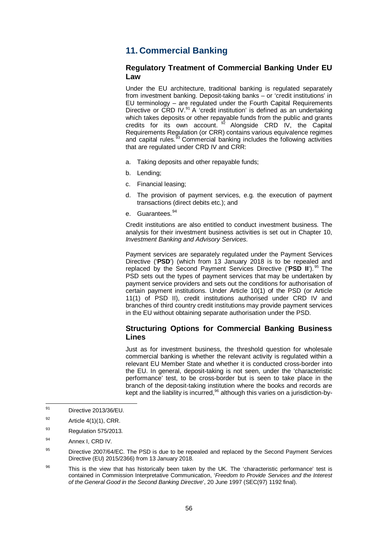# **11. Commercial Banking**

### **Regulatory Treatment of Commercial Banking Under EU Law**

Under the EU architecture, traditional banking is regulated separately from investment banking. Deposit-taking banks – or 'credit institutions' in EU terminology – are regulated under the Fourth Capital Requirements Directive or CRD IV.<sup>[91](#page-62-0)</sup> A 'credit institution' is defined as an undertaking which takes deposits or other repayable funds from the public and grants credits for its own account. <sup>[92](#page-62-1)</sup> Alongside CRD IV, the Capital Requirements Regulation (or CRR) contains various equivalence regimes and capital rules.<sup>[93](#page-62-2)</sup> Commercial banking includes the following activities that are regulated under CRD IV and CRR:

- a. Taking deposits and other repayable funds;
- b. Lending;
- c. Financial leasing;
- d. The provision of payment services, e.g. the execution of payment transactions (direct debits etc.); and
- e. Guarantees. [94](#page-62-3)

Credit institutions are also entitled to conduct investment business. The analysis for their investment business activities is set out in Chapter [10,](#page-56-0) *Investment Banking and Advisory Services*.

Payment services are separately regulated under the Payment Services Directive ('**PSD**') (which from 13 January 2018 is to be repealed and replaced by the Second Payment Services Directive ('**PSD II**'). [95](#page-62-4) The PSD sets out the types of payment services that may be undertaken by payment service providers and sets out the conditions for authorisation of certain payment institutions. Under Article 10(1) of the PSD (or Article 11(1) of PSD II), credit institutions authorised under CRD IV and branches of third country credit institutions may provide payment services in the EU without obtaining separate authorisation under the PSD.

## **Structuring Options for Commercial Banking Business Lines**

Just as for investment business, the threshold question for wholesale commercial banking is whether the relevant activity is regulated within a relevant EU Member State and whether it is conducted cross-border into the EU. In general, deposit-taking is not seen, under the 'characteristic performance' test, to be cross-border but is seen to take place in the branch of the deposit-taking institution where the books and records are kept and the liability is incurred,<sup>[96](#page-62-5)</sup> although this varies on a jurisdiction-by-

<span id="page-62-2"></span> $93$  Regulation 575/2013.

<span id="page-62-0"></span><sup>91</sup> Directive 2013/36/EU.

<span id="page-62-1"></span> $^{92}$  Article 4(1)(1), CRR.

<span id="page-62-3"></span><sup>94</sup> Annex I, CRD IV.

<span id="page-62-4"></span><sup>&</sup>lt;sup>95</sup> Directive 2007/64/EC. The PSD is due to be repealed and replaced by the Second Payment Services Directive (EU) 2015/2366) from 13 January 2018.

<span id="page-62-5"></span><sup>&</sup>lt;sup>96</sup> This is the view that has historically been taken by the UK. The 'characteristic performance' test is contained in Commission Interpretative Communication, '*Freedom to Provide Services and the Interest of the General Good in the Second Banking Directive*', 20 June 1997 (SEC(97) 1192 final).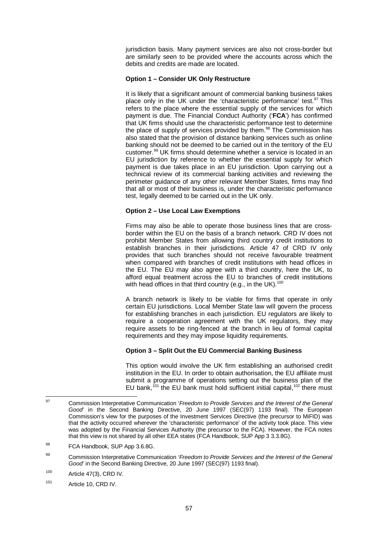jurisdiction basis. Many payment services are also not cross-border but are similarly seen to be provided where the accounts across which the debits and credits are made are located.

#### **Option 1 – Consider UK Only Restructure**

It is likely that a significant amount of commercial banking business takes place only in the UK under the 'characteristic performance' test. $97$  This refers to the place where the essential supply of the services for which payment is due. The Financial Conduct Authority ('**FCA**') has confirmed that UK firms should use the characteristic performance test to determine the place of supply of services provided by them. $98$  The Commission has also stated that the provision of distance banking services such as online banking should not be deemed to be carried out in the territory of the EU customer.[99](#page-63-2) UK firms should determine whether a service is located in an EU jurisdiction by reference to whether the essential supply for which payment is due takes place in an EU jurisdiction. Upon carrying out a technical review of its commercial banking activities and reviewing the perimeter guidance of any other relevant Member States, firms may find that all or most of their business is, under the characteristic performance test, legally deemed to be carried out in the UK only.

#### **Option 2 – Use Local Law Exemptions**

Firms may also be able to operate those business lines that are crossborder within the EU on the basis of a branch network. CRD IV does not prohibit Member States from allowing third country credit institutions to establish branches in their jurisdictions. Article 47 of CRD IV only provides that such branches should not receive favourable treatment when compared with branches of credit institutions with head offices in the EU. The EU may also agree with a third country, here the UK, to afford equal treatment across the EU to branches of credit institutions with head offices in that third country (e.g., in the UK).<sup>[100](#page-63-3)</sup>

A branch network is likely to be viable for firms that operate in only certain EU jurisdictions. Local Member State law will govern the process for establishing branches in each jurisdiction. EU regulators are likely to require a cooperation agreement with the UK regulators, they may require assets to be ring-fenced at the branch in lieu of formal capital requirements and they may impose liquidity requirements.

### **Option 3 – Split Out the EU Commercial Banking Business**

This option would involve the UK firm establishing an authorised credit institution in the EU. In order to obtain authorisation, the EU affiliate must submit a programme of operations setting out the business plan of the EU bank,<sup>[101](#page-63-4)</sup> the EU bank must hold sufficient initial capital,<sup>[102](#page-63-5)</sup> there must

<span id="page-63-5"></span><span id="page-63-0"></span><sup>97</sup> Commission Interpretative Communication '*Freedom to Provide Services and the Interest of the General Good*' in the Second Banking Directive, 20 June 1997 (SEC(97) 1193 final). The European Commission's view for the purposes of the Investment Services Directive (the precursor to MiFID) was that the activity occurred wherever the 'characteristic performance' of the activity took place. This view was adopted by the Financial Services Authority (the precursor to the FCA). However, the FCA notes that this view is not shared by all other EEA states (FCA Handbook, SUP App 3 3.3.8G).

<span id="page-63-1"></span><sup>98</sup> FCA Handbook, SUP App 3.6.8G.

<span id="page-63-2"></span><sup>99</sup> Commission Interpretative Communication '*Freedom to Provide Services and the Interest of the General Good*' in the Second Banking Directive, 20 June 1997 (SEC(97) 1193 final).

<span id="page-63-3"></span> $100$  Article 47(3), CRD IV.

<span id="page-63-4"></span><sup>101</sup> Article 10, CRD IV.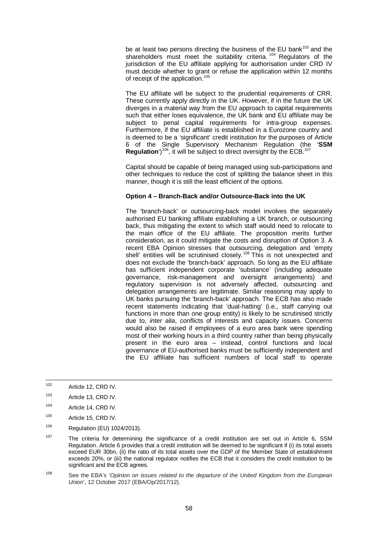be at least two persons directing the business of the EU bank<sup>[103](#page-64-0)</sup> and the shareholders must meet the suitability criteria.<sup>[104](#page-64-1)</sup> Regulators of the jurisdiction of the EU affiliate applying for authorisation under CRD IV must decide whether to grant or refuse the application within 12 months of receipt of the application.<sup>[105](#page-64-2)</sup>

The EU affiliate will be subject to the prudential requirements of CRR. These currently apply directly in the UK. However, if in the future the UK diverges in a material way from the EU approach to capital requirements such that either loses equivalence, the UK bank and EU affiliate may be subject to penal capital requirements for intra-group expenses. Furthermore, if the EU affiliate is established in a Eurozone country and is deemed to be a 'significant' credit institution for the purposes of Article 6 of the Single Supervisory Mechanism Regulation (the '**SSM Requiation**')<sup>106</sup>, it will be subject to direct oversight by the ECB.<sup>[107](#page-64-4)</sup>

Capital should be capable of being managed using sub-participations and other techniques to reduce the cost of splitting the balance sheet in this manner, though it is still the least efficient of the options.

#### **Option 4 – Branch-Back and/or Outsource-Back into the UK**

The 'branch-back' or outsourcing-back model involves the separately authorised EU banking affiliate establishing a UK branch, or outsourcing back, thus mitigating the extent to which staff would need to relocate to the main office of the EU affiliate. The proposition merits further consideration, as it could mitigate the costs and disruption of Option 3. A recent EBA Opinion stresses that outsourcing, delegation and 'empty shell' entities will be scrutinised closely.<sup>[108](#page-64-5)</sup> This is not unexpected and does not exclude the 'branch-back' approach. So long as the EU affiliate has sufficient independent corporate 'substance' (including adequate governance, risk-management and oversight arrangements) and regulatory supervision is not adversely affected, outsourcing and delegation arrangements are legitimate. Similar reasoning may apply to UK banks pursuing the 'branch-back' approach. The ECB has also made recent statements indicating that 'dual-hatting' (i.e., staff carrying out functions in more than one group entity) is likely to be scrutinised strictly due to, *inter alia*, conflicts of interests and capacity issues. Concerns would also be raised if employees of a euro area bank were spending most of their working hours in a third country rather than being physically present in the euro area – instead, control functions and local governance of EU-authorised banks must be sufficiently independent and the EU affiliate has sufficient numbers of local staff to operate

- <span id="page-64-1"></span><sup>104</sup> Article 14, CRD IV.
- <span id="page-64-2"></span><sup>105</sup> Article 15, CRD IV.
- <span id="page-64-3"></span><sup>106</sup> Regulation (EU) 1024/2013).
- <span id="page-64-4"></span><sup>107</sup> The criteria for determining the significance of a credit institution are set out in Article 6, SSM Regulation. Article 6 provides that a credit institution will be deemed to be significant if (i) its total assets exceed EUR 30bn, (ii) the ratio of its total assets over the GDP of the Member State of establishment exceeds 20%, or (iii) the national regulator notifies the ECB that it considers the credit institution to be significant and the ECB agrees.
- <span id="page-64-5"></span><sup>108</sup> See the EBA's '*Opinion on issues related to the departure of the United Kingdom from the European Union*', 12 October 2017 (EBA/Op/2017/12).

<sup>102</sup> Article 12, CRD IV.

<span id="page-64-0"></span><sup>103</sup> Article 13, CRD IV.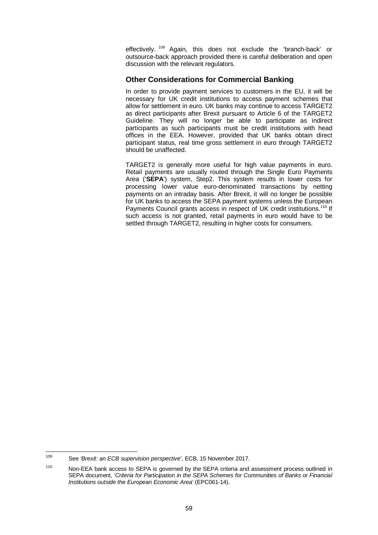effectively. <sup>[109](#page-65-0)</sup> Again, this does not exclude the 'branch-back' or outsource-back approach provided there is careful deliberation and open discussion with the relevant regulators.

## **Other Considerations for Commercial Banking**

In order to provide payment services to customers in the EU, it will be necessary for UK credit institutions to access payment schemes that allow for settlement in euro. UK banks may continue to access TARGET2 as direct participants after Brexit pursuant to Article 6 of the TARGET2 Guideline. They will no longer be able to participate as indirect participants as such participants must be credit institutions with head offices in the EEA. However, provided that UK banks obtain direct participant status, real time gross settlement in euro through TARGET2 should be unaffected.

TARGET2 is generally more useful for high value payments in euro. Retail payments are usually routed through the Single Euro Payments Area ('**SEPA**') system, Step2. This system results in lower costs for processing lower value euro-denominated transactions by netting payments on an intraday basis. After Brexit, it will no longer be possible for UK banks to access the SEPA payment systems unless the European Payments Council grants access in respect of UK credit institutions.<sup>[110](#page-65-1)</sup> If such access is not granted, retail payments in euro would have to be settled through TARGET2, resulting in higher costs for consumers.

<span id="page-65-0"></span><sup>109</sup> See *'Brexit: an ECB supervision perspective*', ECB, 15 November 2017.

<span id="page-65-1"></span><sup>110</sup> Non-EEA bank access to SEPA is governed by the SEPA criteria and assessment process outlined in SEPA document, '*Criteria for Participation in the SEPA Schemes for Communities of Banks or Financial Institutions outside the European Economic Area*' (EPC061-14).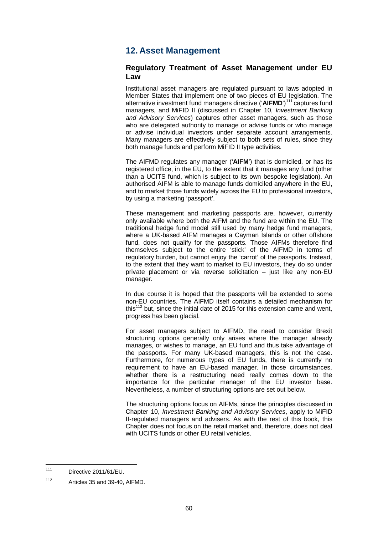# **12. Asset Management**

### **Regulatory Treatment of Asset Management under EU Law**

Institutional asset managers are regulated pursuant to laws adopted in Member States that implement one of two pieces of EU legislation. The alternative investment fund managers directive ('AIFMD')<sup>[111](#page-66-0)</sup> captures fund managers, and MiFID II (discussed in Chapter [10,](#page-56-0) *Investment Banking and Advisory Services*) captures other asset managers, such as those who are delegated authority to manage or advise funds or who manage or advise individual investors under separate account arrangements. Many managers are effectively subject to both sets of rules, since they both manage funds and perform MiFID II type activities.

The AIFMD regulates any manager ('**AIFM**') that is domiciled, or has its registered office, in the EU, to the extent that it manages any fund (other than a UCITS fund, which is subject to its own bespoke legislation). An authorised AIFM is able to manage funds domiciled anywhere in the EU, and to market those funds widely across the EU to professional investors, by using a marketing 'passport'.

These management and marketing passports are, however, currently only available where both the AIFM and the fund are within the EU. The traditional hedge fund model still used by many hedge fund managers, where a UK-based AIFM manages a Cayman Islands or other offshore fund, does not qualify for the passports. Those AIFMs therefore find themselves subject to the entire 'stick' of the AIFMD in terms of regulatory burden, but cannot enjoy the 'carrot' of the passports. Instead, to the extent that they want to market to EU investors, they do so under private placement or via reverse solicitation – just like any non-EU manager.

In due course it is hoped that the passports will be extended to some non-EU countries. The AIFMD itself contains a detailed mechanism for this<sup>[112](#page-66-1)</sup> but, since the initial date of 2015 for this extension came and went, progress has been glacial.

For asset managers subject to AIFMD, the need to consider Brexit structuring options generally only arises where the manager already manages, or wishes to manage, an EU fund and thus take advantage of the passports. For many UK-based managers, this is not the case. Furthermore, for numerous types of EU funds, there is currently no requirement to have an EU-based manager. In those circumstances, whether there is a restructuring need really comes down to the importance for the particular manager of the EU investor base. Nevertheless, a number of structuring options are set out below.

The structuring options focus on AIFMs, since the principles discussed in Chapter [10,](#page-56-0) *Investment Banking and Advisory Services*, apply to MiFID II-regulated managers and advisers. As with the rest of this book, this Chapter does not focus on the retail market and, therefore, does not deal with UCITS funds or other EU retail vehicles.

<span id="page-66-0"></span><sup>111</sup> Directive 2011/61/EU.

<span id="page-66-1"></span><sup>112</sup> Articles 35 and 39-40, AIFMD.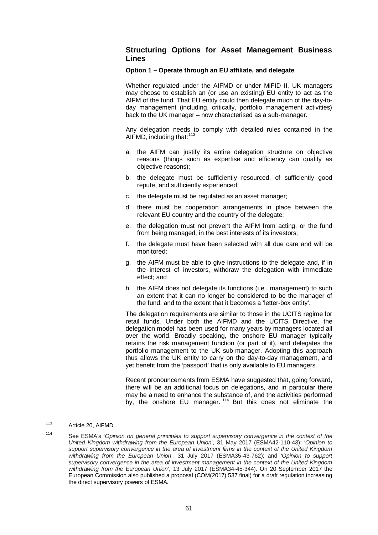## **Structuring Options for Asset Management Business Lines**

#### **Option 1 – Operate through an EU affiliate, and delegate**

Whether regulated under the AIFMD or under MiFID II, UK managers may choose to establish an (or use an existing) EU entity to act as the AIFM of the fund. That EU entity could then delegate much of the day-today management (including, critically, portfolio management activities) back to the UK manager – now characterised as a sub-manager.

Any delegation needs to comply with detailed rules contained in the AIFMD, including that: [113](#page-67-0)

- a. the AIFM can justify its entire delegation structure on objective reasons (things such as expertise and efficiency can qualify as objective reasons);
- b. the delegate must be sufficiently resourced, of sufficiently good repute, and sufficiently experienced;
- c. the delegate must be regulated as an asset manager;
- d. there must be cooperation arrangements in place between the relevant EU country and the country of the delegate;
- e. the delegation must not prevent the AIFM from acting, or the fund from being managed, in the best interests of its investors;
- f. the delegate must have been selected with all due care and will be monitored;
- g. the AIFM must be able to give instructions to the delegate and, if in the interest of investors, withdraw the delegation with immediate effect; and
- h. the AIFM does not delegate its functions (i.e., management) to such an extent that it can no longer be considered to be the manager of the fund, and to the extent that it becomes a 'letter-box entity'.

The delegation requirements are similar to those in the UCITS regime for retail funds. Under both the AIFMD and the UCITS Directive, the delegation model has been used for many years by managers located all over the world. Broadly speaking, the onshore EU manager typically retains the risk management function (or part of it), and delegates the portfolio management to the UK sub-manager. Adopting this approach thus allows the UK entity to carry on the day-to-day management, and yet benefit from the 'passport' that is only available to EU managers.

Recent pronouncements from ESMA have suggested that, going forward, there will be an additional focus on delegations, and in particular there may be a need to enhance the substance of, and the activities performed by, the onshore EU manager.<sup>[114](#page-67-1)</sup> But this does not eliminate the

<span id="page-67-0"></span><sup>113</sup> Article 20, AIFMD.

<span id="page-67-1"></span><sup>114</sup> See ESMA's '*Opinion on general principles to support supervisory convergence in the context of the United Kingdom withdrawing from the European Union*', 31 May 2017 (ESMA42-110-43); '*Opinion to support supervisory convergence in the area of investment firms in the context of the United Kingdom withdrawing from the European Union*'*,* 31 July 2017 (ESMA35-43-762); and '*Opinion to support supervisory convergence in the area of investment management in the context of the United Kingdom withdrawing from the European Union*', 13 July 2017 (ESMA34-45-344). On 20 September 2017 the European Commission also published a proposal (COM(2017) 537 final) for a draft regulation increasing the direct supervisory powers of ESMA.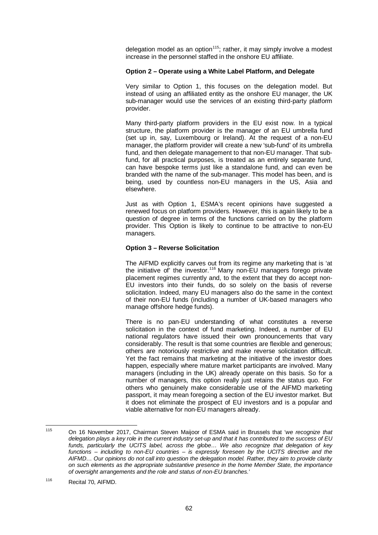delegation model as an option $115$ ; rather, it may simply involve a modest increase in the personnel staffed in the onshore EU affiliate.

#### **Option 2 – Operate using a White Label Platform, and Delegate**

Very similar to Option 1, this focuses on the delegation model. But instead of using an affiliated entity as the onshore EU manager, the UK sub-manager would use the services of an existing third-party platform provider.

Many third-party platform providers in the EU exist now. In a typical structure, the platform provider is the manager of an EU umbrella fund (set up in, say, Luxembourg or Ireland). At the request of a non-EU manager, the platform provider will create a new 'sub-fund' of its umbrella fund, and then delegate management to that non-EU manager. That subfund, for all practical purposes, is treated as an entirely separate fund, can have bespoke terms just like a standalone fund, and can even be branded with the name of the sub-manager. This model has been, and is being, used by countless non-EU managers in the US, Asia and elsewhere.

Just as with Option 1, ESMA's recent opinions have suggested a renewed focus on platform providers. However, this is again likely to be a question of degree in terms of the functions carried on by the platform provider. This Option is likely to continue to be attractive to non-EU managers.

#### **Option 3 – Reverse Solicitation**

The AIFMD explicitly carves out from its regime any marketing that is 'at the initiative of' the investor.<sup>[116](#page-68-1)</sup> Many non-EU managers forego private placement regimes currently and, to the extent that they do accept non-EU investors into their funds, do so solely on the basis of reverse solicitation. Indeed, many EU managers also do the same in the context of their non-EU funds (including a number of UK-based managers who manage offshore hedge funds).

There is no pan-EU understanding of what constitutes a reverse solicitation in the context of fund marketing. Indeed, a number of EU national regulators have issued their own pronouncements that vary considerably. The result is that some countries are flexible and generous; others are notoriously restrictive and make reverse solicitation difficult. Yet the fact remains that marketing at the initiative of the investor does happen, especially where mature market participants are involved. Many managers (including in the UK) already operate on this basis. So for a number of managers, this option really just retains the status quo. For others who genuinely make considerable use of the AIFMD marketing passport, it may mean foregoing a section of the EU investor market. But it does not eliminate the prospect of EU investors and is a popular and viable alternative for non-EU managers already.

<span id="page-68-0"></span><sup>115</sup> On 16 November 2017, Chairman Steven Maijoor of ESMA said in Brussels that '*we recognize that delegation plays a key role in the current industry set-up and that it has contributed to the success of EU funds, particularly the UCITS label, across the globe… We also recognize that delegation of key functions – including to non-EU countries – is expressly foreseen by the UCITS directive and the AIFMD… Our opinions do not call into question the delegation model. Rather, they aim to provide clarity on such elements as the appropriate substantive presence in the home Member State, the importance of oversight arrangements and the role and status of non-EU branches.*'

<span id="page-68-1"></span><sup>116</sup> Recital 70, AIFMD.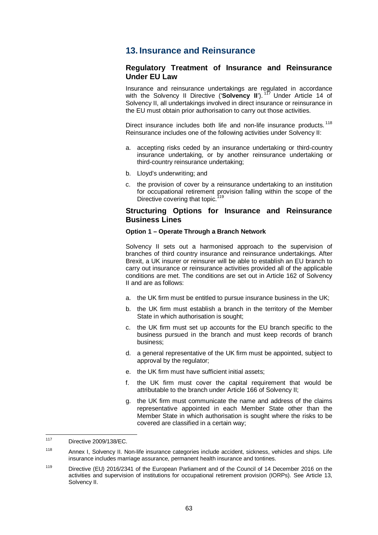## **13. Insurance and Reinsurance**

### **Regulatory Treatment of Insurance and Reinsurance Under EU Law**

Insurance and reinsurance undertakings are regulated in accordance with the Solvency II Directive ('Solvency II').<sup>[117](#page-69-0)</sup> Under Article 14 of Solvency II, all undertakings involved in direct insurance or reinsurance in the EU must obtain prior authorisation to carry out those activities.

Direct insurance includes both life and non-life insurance products.<sup>[118](#page-69-1)</sup> Reinsurance includes one of the following activities under Solvency II:

- a. accepting risks ceded by an insurance undertaking or third-country insurance undertaking, or by another reinsurance undertaking or third-country reinsurance undertaking;
- b. Lloyd's underwriting; and
- c. the provision of cover by a reinsurance undertaking to an institution for occupational retirement provision falling within the scope of the Directive covering that topic.<sup>[119](#page-69-2)</sup>

#### **Structuring Options for Insurance and Reinsurance Business Lines**

#### **Option 1 – Operate Through a Branch Network**

Solvency II sets out a harmonised approach to the supervision of branches of third country insurance and reinsurance undertakings. After Brexit, a UK insurer or reinsurer will be able to establish an EU branch to carry out insurance or reinsurance activities provided all of the applicable conditions are met. The conditions are set out in Article 162 of Solvency II and are as follows:

- a. the UK firm must be entitled to pursue insurance business in the UK;
- b. the UK firm must establish a branch in the territory of the Member State in which authorisation is sought;
- c. the UK firm must set up accounts for the EU branch specific to the business pursued in the branch and must keep records of branch business;
- d. a general representative of the UK firm must be appointed, subject to approval by the regulator;
- e. the UK firm must have sufficient initial assets;
- f. the UK firm must cover the capital requirement that would be attributable to the branch under Article 166 of Solvency II;
- g. the UK firm must communicate the name and address of the claims representative appointed in each Member State other than the Member State in which authorisation is sought where the risks to be covered are classified in a certain way;

<span id="page-69-0"></span><sup>117</sup> Directive 2009/138/EC.

<span id="page-69-1"></span><sup>118</sup> Annex I, Solvency II. Non-life insurance categories include accident, sickness, vehicles and ships. Life insurance includes marriage assurance, permanent health insurance and tontines.

<span id="page-69-2"></span><sup>&</sup>lt;sup>119</sup> Directive (EU) 2016/2341 of the European Parliament and of the Council of 14 December 2016 on the activities and supervision of institutions for occupational retirement provision (IORPs). See Article 13, Solvency II.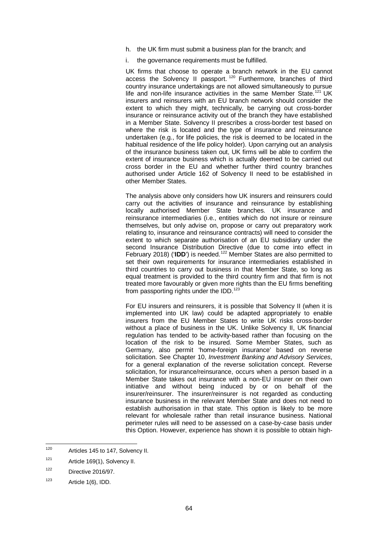- h. the UK firm must submit a business plan for the branch; and
- i. the governance requirements must be fulfilled.

UK firms that choose to operate a branch network in the EU cannot access the Solvency II passport.<sup>[120](#page-70-0)</sup> Furthermore, branches of third country insurance undertakings are not allowed simultaneously to pursue life and non-life insurance activities in the same Member State.<sup>[121](#page-70-1)</sup> UK insurers and reinsurers with an EU branch network should consider the extent to which they might, technically, be carrying out cross-border insurance or reinsurance activity out of the branch they have established in a Member State. Solvency II prescribes a cross-border test based on where the risk is located and the type of insurance and reinsurance undertaken (e.g., for life policies, the risk is deemed to be located in the habitual residence of the life policy holder). Upon carrying out an analysis of the insurance business taken out, UK firms will be able to confirm the extent of insurance business which is actually deemed to be carried out cross border in the EU and whether further third country branches authorised under Article 162 of Solvency II need to be established in other Member States.

The analysis above only considers how UK insurers and reinsurers could carry out the activities of insurance and reinsurance by establishing locally authorised Member State branches. UK insurance and reinsurance intermediaries (i.e., entities which do not insure or reinsure themselves, but only advise on, propose or carry out preparatory work relating to, insurance and reinsurance contracts) will need to consider the extent to which separate authorisation of an EU subsidiary under the second Insurance Distribution Directive (due to come into effect in February 2018) ('**IDD**') is needed. [122](#page-70-2) Member States are also permitted to set their own requirements for insurance intermediaries established in third countries to carry out business in that Member State, so long as equal treatment is provided to the third country firm and that firm is not treated more favourably or given more rights than the EU firms benefiting from passporting rights under the IDD.<sup>[123](#page-70-3)</sup>

For EU insurers and reinsurers, it is possible that Solvency II (when it is implemented into UK law) could be adapted appropriately to enable insurers from the EU Member States to write UK risks cross-border without a place of business in the UK. Unlike Solvency II, UK financial regulation has tended to be activity-based rather than focusing on the location of the risk to be insured. Some Member States, such as Germany, also permit 'home-foreign insurance' based on reverse solicitation. See Chapter [10,](#page-56-0) *Investment Banking and Advisory Services*, for a general explanation of the reverse solicitation concept. Reverse solicitation, for insurance/reinsurance, occurs when a person based in a Member State takes out insurance with a non-EU insurer on their own initiative and without being induced by or on behalf of the insurer/reinsurer. The insurer/reinsurer is not regarded as conducting insurance business in the relevant Member State and does not need to establish authorisation in that state. This option is likely to be more relevant for wholesale rather than retail insurance business. National perimeter rules will need to be assessed on a case-by-case basis under this Option. However, experience has shown it is possible to obtain high-

<span id="page-70-0"></span><sup>120</sup> Articles 145 to 147, Solvency II.

<span id="page-70-1"></span><sup>121</sup> Article 169(1), Solvency II.

<span id="page-70-2"></span><sup>122</sup> Directive 2016/97.

<span id="page-70-3"></span> $123$  Article 1(6), IDD.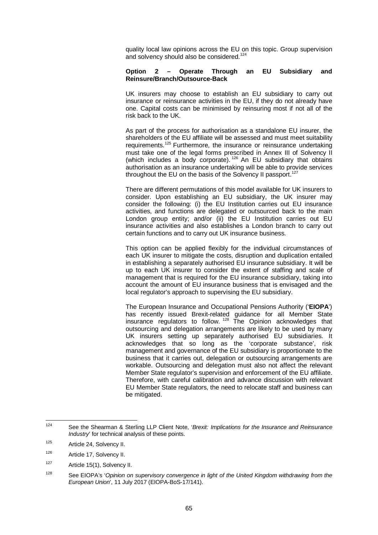quality local law opinions across the EU on this topic. Group supervision and solvency should also be considered.<sup>[124](#page-71-0)</sup>

#### **Option 2 – Operate Through an EU Subsidiary and Reinsure/Branch/Outsource-Back**

UK insurers may choose to establish an EU subsidiary to carry out insurance or reinsurance activities in the EU, if they do not already have one. Capital costs can be minimised by reinsuring most if not all of the risk back to the UK.

As part of the process for authorisation as a standalone EU insurer, the shareholders of the EU affiliate will be assessed and must meet suitability requirements.<sup>[125](#page-71-1)</sup> Furthermore, the insurance or reinsurance undertaking must take one of the legal forms prescribed in Annex III of Solvency II (which includes a body corporate).<sup>[126](#page-71-2)</sup> An EU subsidiary that obtains authorisation as an insurance undertaking will be able to provide services throughout the EU on the basis of the Solvency II passport.<sup>[127](#page-71-3)</sup>

There are different permutations of this model available for UK insurers to consider. Upon establishing an EU subsidiary, the UK insurer may consider the following: (i) the EU Institution carries out EU insurance activities, and functions are delegated or outsourced back to the main London group entity; and/or (ii) the EU Institution carries out EU insurance activities and also establishes a London branch to carry out certain functions and to carry out UK insurance business.

This option can be applied flexibly for the individual circumstances of each UK insurer to mitigate the costs, disruption and duplication entailed in establishing a separately authorised EU insurance subsidiary. It will be up to each UK insurer to consider the extent of staffing and scale of management that is required for the EU insurance subsidiary, taking into account the amount of EU insurance business that is envisaged and the local regulator's approach to supervising the EU subsidiary.

The European Insurance and Occupational Pensions Authority ('**EIOPA**') has recently issued Brexit-related guidance for all Member State insurance regulators to follow.<sup>[128](#page-71-4)</sup> The Opinion acknowledges that outsourcing and delegation arrangements are likely to be used by many UK insurers setting up separately authorised EU subsidiaries. It acknowledges that so long as the 'corporate substance', risk management and governance of the EU subsidiary is proportionate to the business that it carries out, delegation or outsourcing arrangements are workable. Outsourcing and delegation must also not affect the relevant Member State regulator's supervision and enforcement of the EU affiliate. Therefore, with careful calibration and advance discussion with relevant EU Member State regulators, the need to relocate staff and business can be mitigated.

<span id="page-71-0"></span><sup>124</sup> See the Shearman & Sterling LLP Client Note, '*Brexit: Implications for the Insurance and Reinsurance Industry*' for technical analysis of these points.

<span id="page-71-1"></span><sup>125</sup> Article 24, Solvency II.

<span id="page-71-2"></span><sup>126</sup> Article 17, Solvency II.

<span id="page-71-3"></span><sup>127</sup> Article 15(1), Solvency II.

<span id="page-71-4"></span><sup>&</sup>lt;sup>128</sup> See EIOPA's '*Opinion on supervisory convergence in light of the United Kingdom withdrawing from the European Union*', 11 July 2017 (EIOPA-BoS-17/141).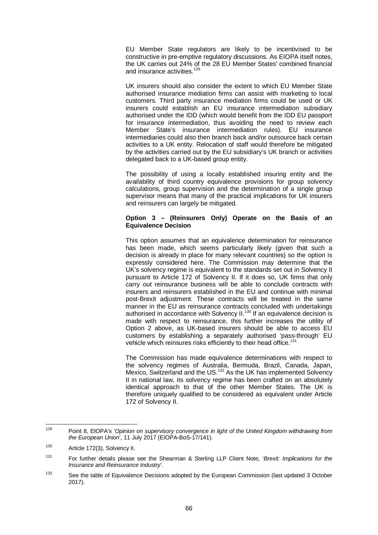EU Member State regulators are likely to be incentivised to be constructive in pre-emptive regulatory discussions. As EIOPA itself notes, the UK carries out 24% of the 28 EU Member States' combined financial and insurance activities.<sup>[129](#page-72-0)</sup>

UK insurers should also consider the extent to which EU Member State authorised insurance mediation firms can assist with marketing to local customers. Third party insurance mediation firms could be used or UK insurers could establish an EU insurance intermediation subsidiary authorised under the IDD (which would benefit from the IDD EU passport for insurance intermediation, thus avoiding the need to review each Member State's insurance intermediation rules). EU insurance intermediaries could also then branch back and/or outsource back certain activities to a UK entity. Relocation of staff would therefore be mitigated by the activities carried out by the EU subsidiary's UK branch or activities delegated back to a UK-based group entity.

The possibility of using a locally established insuring entity and the availability of third country equivalence provisions for group solvency calculations, group supervision and the determination of a single group supervisor means that many of the practical implications for UK insurers and reinsurers can largely be mitigated.

#### **Option 3 – (Reinsurers Only) Operate on the Basis of an Equivalence Decision**

This option assumes that an equivalence determination for reinsurance has been made, which seems particularly likely (given that such a decision is already in place for many relevant countries) so the option is expressly considered here. The Commission may determine that the UK's solvency regime is equivalent to the standards set out in Solvency II pursuant to Article 172 of Solvency II. If it does so, UK firms that only carry out reinsurance business will be able to conclude contracts with insurers and reinsurers established in the EU and continue with minimal post-Brexit adjustment. These contracts will be treated in the same manner in the EU as reinsurance contracts concluded with undertakings authorised in accordance with Solvency II.<sup>[130](#page-72-1)</sup> If an equivalence decision is made with respect to reinsurance, this further increases the utility of Option 2 above, as UK-based insurers should be able to access EU customers by establishing a separately authorised 'pass-through' EU vehicle which reinsures risks efficiently to their head office.<sup>[131](#page-72-2)</sup>

The Commission has made equivalence determinations with respect to the solvency regimes of Australia, Bermuda, Brazil, Canada, Japan, Mexico, Switzerland and the US.<sup>[132](#page-72-3)</sup> As the UK has implemented Solvency II in national law, its solvency regime has been crafted on an absolutely identical approach to that of the other Member States. The UK is therefore uniquely qualified to be considered as equivalent under Article 172 of Solvency II.

<span id="page-72-0"></span><sup>129</sup> Point 8, EIOPA's '*Opinion on supervisory convergence in light of the United Kingdom withdrawing from the European Union*', 11 July 2017 (EIOPA-BoS-17/141).

<span id="page-72-1"></span><sup>130</sup> Article 172(3), Solvency II.

<span id="page-72-2"></span><sup>131</sup> For further details please see the Shearman & Sterling LLP Client Note, '*Brexit: Implications for the Insurance and Reinsurance Industry*'.

<span id="page-72-3"></span><sup>&</sup>lt;sup>132</sup> See the table of Equivalence Decisions adopted by the European Commission (last updated 3 October 2017).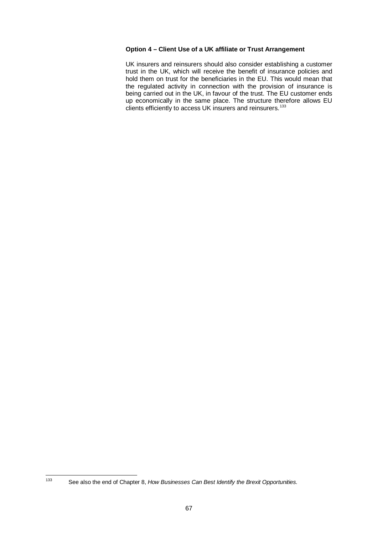## **Option 4 – Client Use of a UK affiliate or Trust Arrangement**

UK insurers and reinsurers should also consider establishing a customer trust in the UK, which will receive the benefit of insurance policies and hold them on trust for the beneficiaries in the EU. This would mean that the regulated activity in connection with the provision of insurance is being carried out in the UK, in favour of the trust. The EU customer ends up economically in the same place. The structure therefore allows EU clients efficiently to access UK insurers and reinsurers.<sup>[133](#page-73-0)</sup>

<span id="page-73-0"></span><sup>133</sup> See also the end of Chapte[r 8,](#page-48-0) *How Businesses Can Best Identify the Brexit Opportunities.*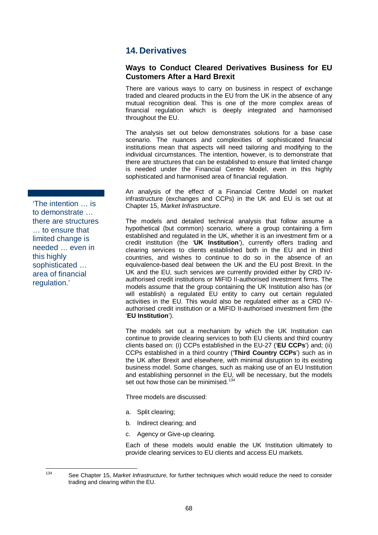# <span id="page-74-1"></span>**14. Derivatives**

## **Ways to Conduct Cleared Derivatives Business for EU Customers After a Hard Brexit**

There are various ways to carry on business in respect of exchange traded and cleared products in the EU from the UK in the absence of any mutual recognition deal. This is one of the more complex areas of financial regulation which is deeply integrated and harmonised throughout the EU.

The analysis set out below demonstrates solutions for a base case scenario. The nuances and complexities of sophisticated financial institutions mean that aspects will need tailoring and modifying to the individual circumstances. The intention, however, is to demonstrate that there are structures that can be established to ensure that limited change is needed under the Financial Centre Model, even in this highly sophisticated and harmonised area of financial regulation.

An analysis of the effect of a Financial Centre Model on market infrastructure (exchanges and CCPs) in the UK and EU is set out at Chapter [15,](#page-107-0) *Market Infrastructure*.

The models and detailed technical analysis that follow assume a hypothetical (but common) scenario, where a group containing a firm established and regulated in the UK, whether it is an investment firm or a credit institution (the '**UK Institution**'), currently offers trading and clearing services to clients established both in the EU and in third countries, and wishes to continue to do so in the absence of an equivalence-based deal between the UK and the EU post Brexit. In the UK and the EU, such services are currently provided either by CRD IVauthorised credit institutions or MiFID II-authorised investment firms. The models assume that the group containing the UK Institution also has (or will establish) a regulated EU entity to carry out certain regulated activities in the EU. This would also be regulated either as a CRD IVauthorised credit institution or a MiFID II-authorised investment firm (the '**EU Institution**').

The models set out a mechanism by which the UK Institution can continue to provide clearing services to both EU clients and third country clients based on: (i) CCPs established in the EU-27 ('**EU CCPs**') and; (ii) CCPs established in a third country ('**Third Country CCPs**') such as in the UK after Brexit and elsewhere, with minimal disruption to its existing business model. Some changes, such as making use of an EU Institution and establishing personnel in the EU, will be necessary, but the models set out how those can be minimised.<sup>[134](#page-74-0)</sup>

Three models are discussed:

- a. Split clearing;
- b. Indirect clearing; and
- c. Agency or Give-up clearing.

Each of these models would enable the UK Institution ultimately to provide clearing services to EU clients and access EU markets.

'The intention … is to demonstrate … there are structures … to ensure that limited change is needed … even in this highly sophisticated … area of financial regulation.'

<span id="page-74-0"></span><sup>134</sup> See Chapter [15,](#page-107-0) *Market Infrastructure*, for further techniques which would reduce the need to consider trading and clearing within the EU.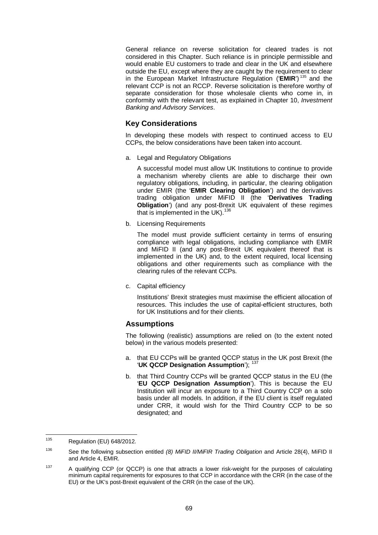General reliance on reverse solicitation for cleared trades is not considered in this Chapter. Such reliance is in principle permissible and would enable EU customers to trade and clear in the UK and elsewhere outside the EU, except where they are caught by the requirement to clear in the European Market Infrastructure Regulation ('**EMIR**') [135](#page-75-0) and the relevant CCP is not an RCCP. Reverse solicitation is therefore worthy of separate consideration for those wholesale clients who come in, in conformity with the relevant test, as explained in Chapter 10, *Investment Banking and Advisory Services*.

## **Key Considerations**

In developing these models with respect to continued access to EU CCPs, the below considerations have been taken into account.

a. Legal and Regulatory Obligations

A successful model must allow UK Institutions to continue to provide a mechanism whereby clients are able to discharge their own regulatory obligations, including, in particular, the clearing obligation under EMIR (the '**EMIR Clearing Obligation**') and the derivatives trading obligation under MiFID II (the '**Derivatives Trading Obligation**') (and any post-Brexit UK equivalent of these regimes that is implemented in the UK).<sup>[136](#page-75-1)</sup>

b. Licensing Requirements

The model must provide sufficient certainty in terms of ensuring compliance with legal obligations, including compliance with EMIR and MiFID II (and any post-Brexit UK equivalent thereof that is implemented in the UK) and, to the extent required, local licensing obligations and other requirements such as compliance with the clearing rules of the relevant CCPs.

c. Capital efficiency

Institutions' Brexit strategies must maximise the efficient allocation of resources. This includes the use of capital-efficient structures, both for UK Institutions and for their clients.

## **Assumptions**

The following (realistic) assumptions are relied on (to the extent noted below) in the various models presented:

- a. that EU CCPs will be granted QCCP status in the UK post Brexit (the '**UK QCCP Designation Assumption'**); <sup>1</sup>
- b. that Third Country CCPs will be granted QCCP status in the EU (the '**EU QCCP Designation Assumption**'). This is because the EU Institution will incur an exposure to a Third Country CCP on a solo basis under all models. In addition, if the EU client is itself regulated under CRR, it would wish for the Third Country CCP to be so designated; and

<span id="page-75-0"></span> $135$  Regulation (EU) 648/2012.

<span id="page-75-1"></span><sup>136</sup> See the following subsection entitled *(8) MiFID II/MiFIR Trading Obligation* and Article 28(4), MiFID II and Article 4, EMIR.

<span id="page-75-2"></span><sup>&</sup>lt;sup>137</sup> A qualifying CCP (or QCCP) is one that attracts a lower risk-weight for the purposes of calculating minimum capital requirements for exposures to that CCP in accordance with the CRR (in the case of the EU) or the UK's post-Brexit equivalent of the CRR (in the case of the UK).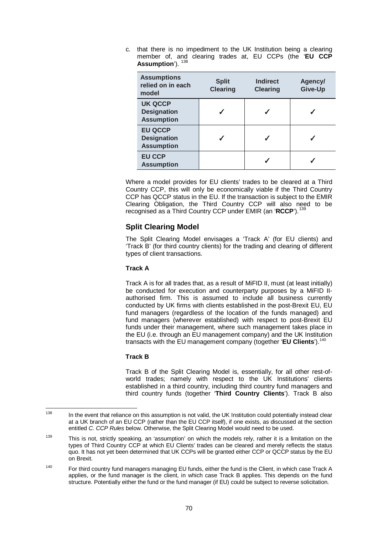c. that there is no impediment to the UK Institution being a clearing member of, and clearing trades at, EU CCPs (the '**EU CCP**  Assumption'). <sup>[138](#page-76-0)</sup>

| <b>Assumptions</b><br>relied on in each<br>model          | <b>Split</b><br><b>Clearing</b> | <b>Indirect</b><br><b>Clearing</b> | Agency/<br>Give-Up |
|-----------------------------------------------------------|---------------------------------|------------------------------------|--------------------|
| <b>UK QCCP</b><br><b>Designation</b><br><b>Assumption</b> |                                 |                                    |                    |
| <b>EU QCCP</b><br><b>Designation</b><br><b>Assumption</b> |                                 |                                    |                    |
| <b>EU CCP</b><br><b>Assumption</b>                        |                                 |                                    |                    |

Where a model provides for EU clients' trades to be cleared at a Third Country CCP, this will only be economically viable if the Third Country CCP has QCCP status in the EU. If the transaction is subject to the EMIR Clearing Obligation, the Third Country CCP will also need to be recognised as a Third Country CCP under EMIR (an 'RCCP').

## **Split Clearing Model**

The Split Clearing Model envisages a 'Track A' (for EU clients) and 'Track B' (for third country clients) for the trading and clearing of different types of client transactions.

## **Track A**

Track A is for all trades that, as a result of MiFID II, must (at least initially) be conducted for execution and counterparty purposes by a MiFID IIauthorised firm. This is assumed to include all business currently conducted by UK firms with clients established in the post-Brexit EU, EU fund managers (regardless of the location of the funds managed) and fund managers (wherever established) with respect to post-Brexit EU funds under their management, where such management takes place in the EU (i.e. through an EU management company) and the UK Institution transacts with the EU management company (together '**EU Clients**').[140](#page-76-2)

## <span id="page-76-3"></span>**Track B**

Track B of the Split Clearing Model is, essentially, for all other rest-ofworld trades; namely with respect to the UK Institutions' clients established in a third country, including third country fund managers and third country funds (together '**Third Country Clients**'). Track B also

<span id="page-76-0"></span><sup>&</sup>lt;sup>138</sup> In the event that reliance on this assumption is not valid, the UK Institution could potentially instead clear at a UK branch of an EU CCP (rather than the EU CCP itself), if one exists, as discussed at the section entitled *C. CCP Rules* below. Otherwise, the Split Clearing Model would need to be used.

<span id="page-76-1"></span><sup>&</sup>lt;sup>139</sup> This is not, strictly speaking, an 'assumption' on which the models rely, rather it is a limitation on the types of Third Country CCP at which EU Clients' trades can be cleared and merely reflects the status quo. It has not yet been determined that UK CCPs will be granted either CCP or QCCP status by the EU on Brexit.

<span id="page-76-2"></span><sup>&</sup>lt;sup>140</sup> For third country fund managers managing EU funds, either the fund is the Client, in which case Track A applies, or the fund manager is the client, in which case Track B applies. This depends on the fund structure. Potentially either the fund or the fund manager (if EU) could be subject to reverse solicitation.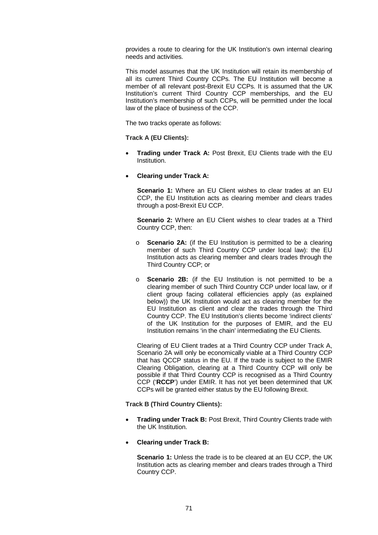provides a route to clearing for the UK Institution's own internal clearing needs and activities.

This model assumes that the UK Institution will retain its membership of all its current Third Country CCPs. The EU Institution will become a member of all relevant post-Brexit EU CCPs. It is assumed that the UK Institution's current Third Country CCP memberships, and the EU Institution's membership of such CCPs, will be permitted under the local law of the place of business of the CCP.

The two tracks operate as follows:

**Track A (EU Clients):**

- **Trading under Track A:** Post Brexit, EU Clients trade with the EU Institution.
- **Clearing under Track A:**

**Scenario 1:** Where an EU Client wishes to clear trades at an EU CCP, the EU Institution acts as clearing member and clears trades through a post-Brexit EU CCP.

**Scenario 2:** Where an EU Client wishes to clear trades at a Third Country CCP, then:

- o **Scenario 2A:** (if the EU Institution is permitted to be a clearing member of such Third Country CCP under local law): the EU Institution acts as clearing member and clears trades through the Third Country CCP; or
- o **Scenario 2B:** (if the EU Institution is not permitted to be a clearing member of such Third Country CCP under local law, or if client group facing collateral efficiencies apply (as explained below)) the UK Institution would act as clearing member for the EU Institution as client and clear the trades through the Third Country CCP. The EU Institution's clients become 'indirect clients' of the UK Institution for the purposes of EMIR, and the EU Institution remains 'in the chain' intermediating the EU Clients.

Clearing of EU Client trades at a Third Country CCP under Track A, Scenario 2A will only be economically viable at a Third Country CCP that has QCCP status in the EU. If the trade is subject to the EMIR Clearing Obligation, clearing at a Third Country CCP will only be possible if that Third Country CCP is recognised as a Third Country CCP ('**RCCP**') under EMIR. It has not yet been determined that UK CCPs will be granted either status by the EU following Brexit.

**Track B (Third Country Clients):**

- **Trading under Track B:** Post Brexit, Third Country Clients trade with the UK Institution.
- **Clearing under Track B:**

**Scenario 1:** Unless the trade is to be cleared at an EU CCP, the UK Institution acts as clearing member and clears trades through a Third Country CCP.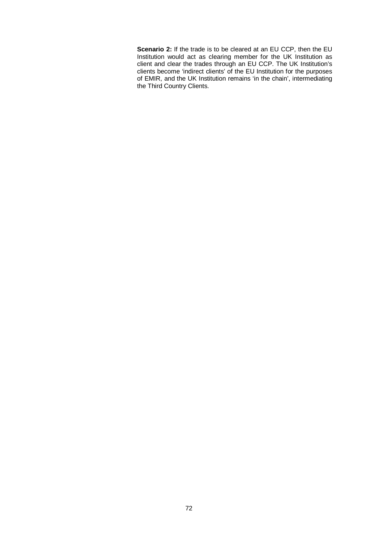**Scenario 2:** If the trade is to be cleared at an EU CCP, then the EU Institution would act as clearing member for the UK Institution as client and clear the trades through an EU CCP. The UK Institution's clients become 'indirect clients' of the EU Institution for the purposes of EMIR, and the UK Institution remains 'in the chain', intermediating the Third Country Clients.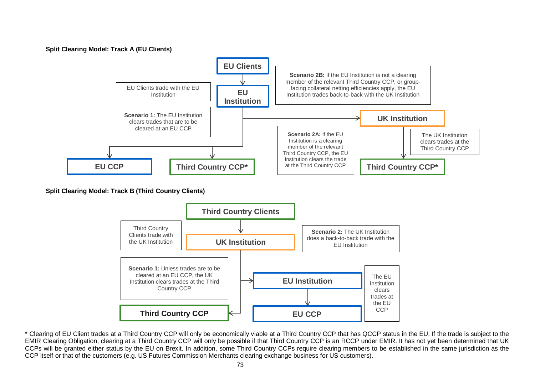#### **Split Clearing Model: Track A (EU Clients)**



**Split Clearing Model: Track B (Third Country Clients)**



\* Clearing of EU Client trades at a Third Country CCP will only be economically viable at a Third Country CCP that has QCCP status in the EU. If the trade is subject to the EMIR Clearing Obligation, clearing at a Third Country CCP will only be possible if that Third Country CCP is an RCCP under EMIR. It has not yet been determined that UK CCPs will be granted either status by the EU on Brexit. In addition, some Third Country CCPs require clearing members to be established in the same jurisdiction as the CCP itself or that of the customers (e.g. US Futures Commission Merchants clearing exchange business for US customers).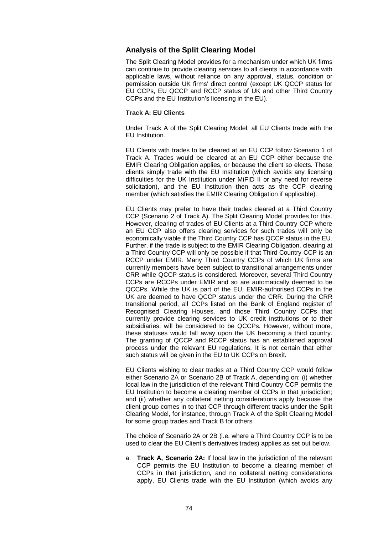## **Analysis of the Split Clearing Model**

The Split Clearing Model provides for a mechanism under which UK firms can continue to provide clearing services to all clients in accordance with applicable laws, without reliance on any approval, status, condition or permission outside UK firms' direct control (except UK QCCP status for EU CCPs, EU QCCP and RCCP status of UK and other Third Country CCPs and the EU Institution's licensing in the EU).

#### **Track A: EU Clients**

Under Track A of the Split Clearing Model, all EU Clients trade with the EU Institution.

EU Clients with trades to be cleared at an EU CCP follow Scenario 1 of Track A. Trades would be cleared at an EU CCP either because the EMIR Clearing Obligation applies, or because the client so elects. These clients simply trade with the EU Institution (which avoids any licensing difficulties for the UK Institution under MiFID II or any need for reverse solicitation), and the EU Institution then acts as the CCP clearing member (which satisfies the EMIR Clearing Obligation if applicable).

EU Clients may prefer to have their trades cleared at a Third Country CCP (Scenario 2 of Track A). The Split Clearing Model provides for this. However, clearing of trades of EU Clients at a Third Country CCP where an EU CCP also offers clearing services for such trades will only be economically viable if the Third Country CCP has QCCP status in the EU. Further, if the trade is subject to the EMIR Clearing Obligation, clearing at a Third Country CCP will only be possible if that Third Country CCP is an RCCP under EMIR. Many Third Country CCPs of which UK firms are currently members have been subject to transitional arrangements under CRR while QCCP status is considered. Moreover, several Third Country CCPs are RCCPs under EMIR and so are automatically deemed to be QCCPs. While the UK is part of the EU, EMIR-authorised CCPs in the UK are deemed to have QCCP status under the CRR. During the CRR transitional period, all CCPs listed on the Bank of England register of Recognised Clearing Houses, and those Third Country CCPs that currently provide clearing services to UK credit institutions or to their subsidiaries, will be considered to be QCCPs. However, without more, these statuses would fall away upon the UK becoming a third country. The granting of QCCP and RCCP status has an established approval process under the relevant EU regulations. It is not certain that either such status will be given in the EU to UK CCPs on Brexit.

EU Clients wishing to clear trades at a Third Country CCP would follow either Scenario 2A or Scenario 2B of Track A, depending on: (i) whether local law in the jurisdiction of the relevant Third Country CCP permits the EU Institution to become a clearing member of CCPs in that jurisdiction; and (ii) whether any collateral netting considerations apply because the client group comes in to that CCP through different tracks under the Split Clearing Model, for instance, through Track A of the Split Clearing Model for some group trades and Track B for others.

The choice of Scenario 2A or 2B (i.e. where a Third Country CCP is to be used to clear the EU Client's derivatives trades) applies as set out below.

a. **Track A, Scenario 2A:** If local law in the jurisdiction of the relevant CCP permits the EU Institution to become a clearing member of CCPs in that jurisdiction, and no collateral netting considerations apply, EU Clients trade with the EU Institution (which avoids any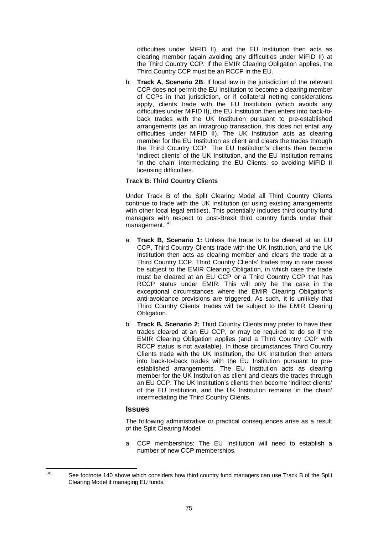difficulties under MiFID II), and the EU Institution then acts as clearing member (again avoiding any difficulties under MiFID II) at the Third Country CCP. If the EMIR Clearing Obligation applies, the Third Country CCP must be an RCCP in the EU.

b. **Track A, Scenario 2B**: If local law in the jurisdiction of the relevant CCP does not permit the EU Institution to become a clearing member of CCPs in that jurisdiction, or if collateral netting considerations apply, clients trade with the EU Institution (which avoids any difficulties under MiFID II), the EU Institution then enters into back-toback trades with the UK Institution pursuant to pre-established arrangements (as an intragroup transaction, this does not entail any difficulties under MiFID II). The UK Institution acts as clearing member for the EU Institution as client and clears the trades through the Third Country CCP. The EU Institution's clients then become 'indirect clients' of the UK Institution, and the EU Institution remains 'in the chain' intermediating the EU Clients, so avoiding MiFID II licensing difficulties.

#### **Track B: Third Country Clients**

Under Track B of the Split Clearing Model all Third Country Clients continue to trade with the UK Institution (or using existing arrangements with other local legal entities). This potentially includes third country fund managers with respect to post-Brexit third country funds under their management.<sup>[141](#page-81-0)</sup>

- a. **Track B, Scenario 1:** Unless the trade is to be cleared at an EU CCP, Third Country Clients trade with the UK Institution, and the UK Institution then acts as clearing member and clears the trade at a Third Country CCP. Third Country Clients' trades may in rare cases be subject to the EMIR Clearing Obligation, in which case the trade must be cleared at an EU CCP or a Third Country CCP that has RCCP status under EMIR. This will only be the case in the exceptional circumstances where the EMIR Clearing Obligation's anti-avoidance provisions are triggered. As such, it is unlikely that Third Country Clients' trades will be subject to the EMIR Clearing Obligation.
- b. **Track B, Scenario 2:** Third Country Clients may prefer to have their trades cleared at an EU CCP, or may be required to do so if the EMIR Clearing Obligation applies (and a Third Country CCP with RCCP status is not available). In those circumstances Third Country Clients trade with the UK Institution, the UK Institution then enters into back-to-back trades with the EU Institution pursuant to preestablished arrangements. The EU Institution acts as clearing member for the UK Institution as client and clears the trades through an EU CCP. The UK Institution's clients then become 'indirect clients' of the EU Institution, and the UK Institution remains 'in the chain' intermediating the Third Country Clients.

## **Issues**

The following administrative or practical consequences arise as a result of the Split Clearing Model:

a. CCP memberships: The EU Institution will need to establish a number of new CCP memberships.

<span id="page-81-0"></span>

<sup>&</sup>lt;sup>141</sup> See footnote [140](#page-76-3) above which considers how third country fund managers can use Track B of the Split Clearing Model if managing EU funds.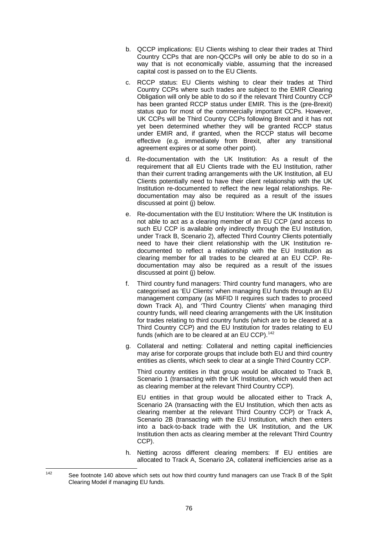- b. QCCP implications: EU Clients wishing to clear their trades at Third Country CCPs that are non-QCCPs will only be able to do so in a way that is not economically viable, assuming that the increased capital cost is passed on to the EU Clients.
- c. RCCP status: EU Clients wishing to clear their trades at Third Country CCPs where such trades are subject to the EMIR Clearing Obligation will only be able to do so if the relevant Third Country CCP has been granted RCCP status under EMIR. This is the (pre-Brexit) status quo for most of the commercially important CCPs. However, UK CCPs will be Third Country CCPs following Brexit and it has not yet been determined whether they will be granted RCCP status under EMIR and, if granted, when the RCCP status will become effective (e.g. immediately from Brexit, after any transitional agreement expires or at some other point).
- d. Re-documentation with the UK Institution: As a result of the requirement that all EU Clients trade with the EU Institution, rather than their current trading arrangements with the UK Institution, all EU Clients potentially need to have their client relationship with the UK Institution re-documented to reflect the new legal relationships. Redocumentation may also be required as a result of the issues discussed at point (j) below.
- e. Re-documentation with the EU Institution: Where the UK Institution is not able to act as a clearing member of an EU CCP (and access to such EU CCP is available only indirectly through the EU Institution, under Track B, Scenario 2), affected Third Country Clients potentially need to have their client relationship with the UK Institution redocumented to reflect a relationship with the EU Institution as clearing member for all trades to be cleared at an EU CCP. Redocumentation may also be required as a result of the issues discussed at point (j) below.
- f. Third country fund managers: Third country fund managers, who are categorised as 'EU Clients' when managing EU funds through an EU management company (as MiFID II requires such trades to proceed down Track A), and 'Third Country Clients' when managing third country funds, will need clearing arrangements with the UK Institution for trades relating to third country funds (which are to be cleared at a Third Country CCP) and the EU Institution for trades relating to EU funds (which are to be cleared at an EU CCP).<sup>[142](#page-82-0)</sup>
- g. Collateral and netting: Collateral and netting capital inefficiencies may arise for corporate groups that include both EU and third country entities as clients, which seek to clear at a single Third Country CCP.

Third country entities in that group would be allocated to Track B, Scenario 1 (transacting with the UK Institution, which would then act as clearing member at the relevant Third Country CCP).

EU entities in that group would be allocated either to Track A, Scenario 2A (transacting with the EU Institution, which then acts as clearing member at the relevant Third Country CCP) or Track A, Scenario 2B (transacting with the EU Institution, which then enters into a back-to-back trade with the UK Institution, and the UK Institution then acts as clearing member at the relevant Third Country CCP).

h. Netting across different clearing members: If EU entities are allocated to Track A, Scenario 2A, collateral inefficiencies arise as a

<span id="page-82-0"></span><sup>&</sup>lt;sup>142</sup> See footnote [140](#page-76-3) above which sets out how third country fund managers can use Track B of the Split Clearing Model if managing EU funds.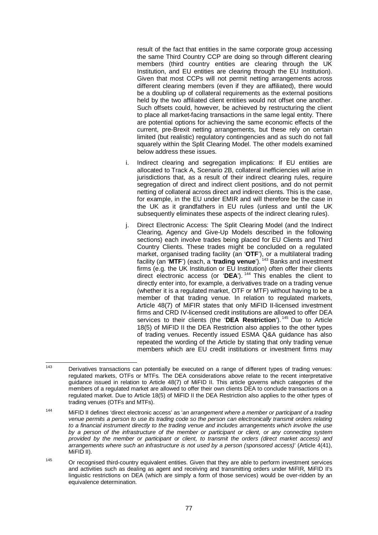result of the fact that entities in the same corporate group accessing the same Third Country CCP are doing so through different clearing members (third country entities are clearing through the UK Institution, and EU entities are clearing through the EU Institution). Given that most CCPs will not permit netting arrangements across different clearing members (even if they are affiliated), there would be a doubling up of collateral requirements as the external positions held by the two affiliated client entities would not offset one another. Such offsets could, however, be achieved by restructuring the client to place all market-facing transactions in the same legal entity. There are potential options for achieving the same economic effects of the current, pre-Brexit netting arrangements, but these rely on certain limited (but realistic) regulatory contingencies and as such do not fall squarely within the Split Clearing Model. The other models examined below address these issues.

- i. Indirect clearing and segregation implications: If EU entities are allocated to Track A, Scenario 2B, collateral inefficiencies will arise in jurisdictions that, as a result of their indirect clearing rules, require segregation of direct and indirect client positions, and do not permit netting of collateral across direct and indirect clients. This is the case, for example, in the EU under EMIR and will therefore be the case in the UK as it grandfathers in EU rules (unless and until the UK subsequently eliminates these aspects of the indirect clearing rules).
- j. Direct Electronic Access: The Split Clearing Model (and the Indirect Clearing, Agency and Give-Up Models described in the following sections) each involve trades being placed for EU Clients and Third Country Clients. These trades might be concluded on a regulated market, organised trading facility (an '**OTF**'), or a multilateral trading facility (an '**MTF**') (each, a '**trading venue**'). [143](#page-83-0) Banks and investment firms (e.g. the UK Institution or EU Institution) often offer their clients direct electronic access (or '**DEA**'). [144](#page-83-1) This enables the client to directly enter into, for example, a derivatives trade on a trading venue (whether it is a regulated market, OTF or MTF) without having to be a member of that trading venue. In relation to regulated markets, Article 48(7) of MiFIR states that only MiFID II-licensed investment firms and CRD IV-licensed credit institutions are allowed to offer DEA services to their clients (the '**DEA Restriction**'). [145](#page-83-2) Due to Article 18(5) of MiFID II the DEA Restriction also applies to the other types of trading venues. Recently issued ESMA Q&A guidance has also repeated the wording of the Article by stating that only trading venue members which are EU credit institutions or investment firms may

<span id="page-83-0"></span> $143$  Derivatives transactions can potentially be executed on a range of different types of trading venues: regulated markets, OTFs or MTFs. The DEA considerations above relate to the recent interpretative guidance issued in relation to Article 48(7) of MiFID II. This article governs which categories of the members of a regulated market are allowed to offer their own clients DEA to conclude transactions on a regulated market. Due to Article 18(5) of MiFID II the DEA Restriction also applies to the other types of trading venues (OTFs and MTFs).

<span id="page-83-1"></span><sup>144</sup> MiFID II defines 'direct electronic access' as '*an arrangement where a member or participant of a trading venue permits a person to use its trading code so the person can electronically transmit orders relating to a financial instrument directly to the trading venue and includes arrangements which involve the use by a person of the infrastructure of the member or participant or client, or any connecting system provided by the member or participant or client, to transmit the orders (direct market access) and arrangements where such an infrastructure is not used by a person (sponsored access)*' (Article 4(41), MiFID II).

<span id="page-83-2"></span><sup>&</sup>lt;sup>145</sup> Or recognised third-country equivalent entities. Given that they are able to perform investment services and activities such as dealing as agent and receiving and transmitting orders under MiFIR, MiFID II's linguistic restrictions on DEA (which are simply a form of those services) would be over-ridden by an equivalence determination.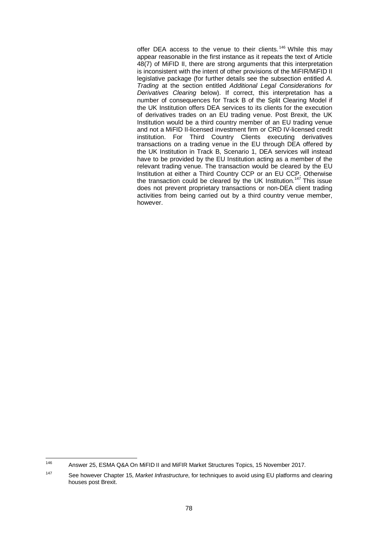offer DEA access to the venue to their clients.<sup>[146](#page-84-0)</sup> While this may appear reasonable in the first instance as it repeats the text of Article 48(7) of MiFID II, there are strong arguments that this interpretation is inconsistent with the intent of other provisions of the MiFIR/MiFID II legislative package (for further details see the subsection entitled *A. Trading* at the section entitled *Additional Legal Considerations for Derivatives Clearing* below). If correct, this interpretation has a number of consequences for Track B of the Split Clearing Model if the UK Institution offers DEA services to its clients for the execution of derivatives trades on an EU trading venue. Post Brexit, the UK Institution would be a third country member of an EU trading venue and not a MiFID II-licensed investment firm or CRD IV-licensed credit institution. For Third Country Clients executing derivatives transactions on a trading venue in the EU through DEA offered by the UK Institution in Track B, Scenario 1, DEA services will instead have to be provided by the EU Institution acting as a member of the relevant trading venue. The transaction would be cleared by the EU Institution at either a Third Country CCP or an EU CCP. Otherwise the transaction could be cleared by the UK Institution. [147](#page-84-1) This issue does not prevent proprietary transactions or non-DEA client trading activities from being carried out by a third country venue member, however.

<span id="page-84-0"></span><sup>146</sup> Answer 25, ESMA Q&A On MiFID II and MiFIR Market Structures Topics, 15 November 2017.

<span id="page-84-1"></span><sup>147</sup> See however Chapter [15,](#page-107-0) *Market Infrastructure*, for techniques to avoid using EU platforms and clearing houses post Brexit.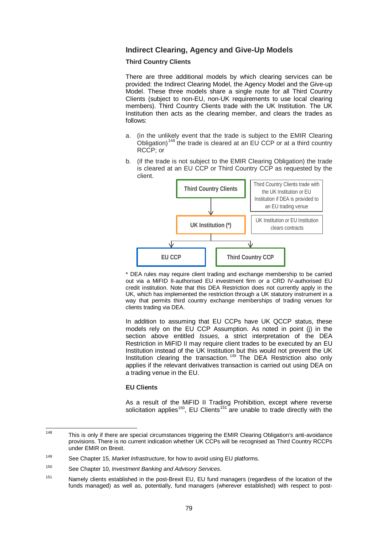## **Indirect Clearing, Agency and Give-Up Models**

#### **Third Country Clients**

There are three additional models by which clearing services can be provided: the Indirect Clearing Model, the Agency Model and the Give-up Model. These three models share a single route for all Third Country Clients (subject to non-EU, non-UK requirements to use local clearing members). Third Country Clients trade with the UK Institution. The UK Institution then acts as the clearing member, and clears the trades as follows:

- a. (in the unlikely event that the trade is subject to the EMIR Clearing Obligation)<sup>[148](#page-85-0)</sup> the trade is cleared at an EU CCP or at a third country RCCP; or
- b. (if the trade is not subject to the EMIR Clearing Obligation) the trade is cleared at an EU CCP or Third Country CCP as requested by the client.



\* DEA rules may require client trading and exchange membership to be carried out via a MiFID II-authorised EU investment firm or a CRD IV-authorised EU credit institution. Note that this DEA Restriction does not currently apply in the UK, which has implemented the restriction through a UK statutory instrument in a way that permits third country exchange memberships of trading venues for clients trading via DEA.

In addition to assuming that EU CCPs have UK QCCP status, these models rely on the EU CCP Assumption. As noted in point (j) in the section above entitled *Issues*, a strict interpretation of the DEA Restriction in MiFID II may require client trades to be executed by an EU Institution instead of the UK Institution but this would not prevent the UK Institution clearing the transaction. [149](#page-85-1) The DEA Restriction also only applies if the relevant derivatives transaction is carried out using DEA on a trading venue in the EU.

#### **EU Clients**

As a result of the MiFID II Trading Prohibition, except where reverse solicitation applies<sup>150</sup>, EU Clients<sup>[151](#page-85-3)</sup> are unable to trade directly with the

<span id="page-85-0"></span><sup>&</sup>lt;sup>148</sup> This is only if there are special circumstances triggering the EMIR Clearing Obligation's anti-avoidance provisions. There is no current indication whether UK CCPs will be recognised as Third Country RCCPs under EMIR on Brexit.

<span id="page-85-1"></span><sup>149</sup> See Chapter [15,](#page-107-0) *Market Infrastructure*, for how to avoid using EU platforms.

<span id="page-85-2"></span><sup>150</sup> See Chapter [10,](#page-56-0) *Investment Banking and Advisory Services*.

<span id="page-85-3"></span><sup>&</sup>lt;sup>151</sup> Namely clients established in the post-Brexit EU, EU fund managers (regardless of the location of the funds managed) as well as, potentially, fund managers (wherever established) with respect to post-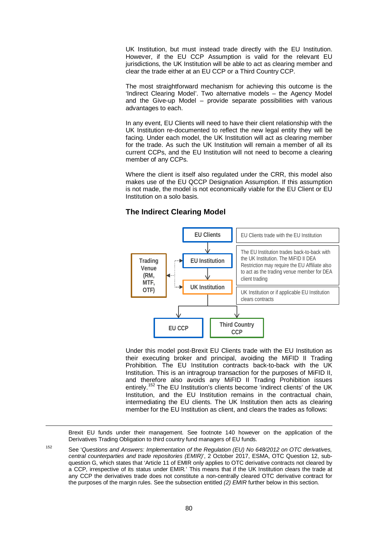UK Institution, but must instead trade directly with the EU Institution. However, if the EU CCP Assumption is valid for the relevant EU jurisdictions, the UK Institution will be able to act as clearing member and clear the trade either at an EU CCP or a Third Country CCP.

The most straightforward mechanism for achieving this outcome is the 'Indirect Clearing Model'. Two alternative models – the Agency Model and the Give-up Model – provide separate possibilities with various advantages to each.

In any event, EU Clients will need to have their client relationship with the UK Institution re-documented to reflect the new legal entity they will be facing. Under each model, the UK Institution will act as clearing member for the trade. As such the UK Institution will remain a member of all its current CCPs, and the EU Institution will not need to become a clearing member of any CCPs.

Where the client is itself also regulated under the CRR, this model also makes use of the EU QCCP Designation Assumption. If this assumption is not made, the model is not economically viable for the EU Client or EU Institution on a solo basis.

## **The Indirect Clearing Model**



Under this model post-Brexit EU Clients trade with the EU Institution as their executing broker and principal, avoiding the MiFID II Trading Prohibition. The EU Institution contracts back-to-back with the UK Institution. This is an intragroup transaction for the purposes of MiFID II, and therefore also avoids any MiFID II Trading Prohibition issues entirely.<sup>[152](#page-86-0)</sup> The EU Institution's clients become 'indirect clients' of the UK Institution, and the EU Institution remains in the contractual chain, intermediating the EU clients. The UK Institution then acts as clearing member for the EU Institution as client, and clears the trades as follows:

Brexit EU funds under their management. See footnote [140](#page-76-3) however on the application of the Derivatives Trading Obligation to third country fund managers of EU funds.

<span id="page-86-0"></span><sup>152</sup> See '*Questions and Answers: Implementation of the Regulation (EU) No 648/2012 on OTC derivatives, central counterparties and trade repositories (EMIR)*', 2 October 2017, ESMA, OTC Question 12, subquestion G, which states that 'Article 11 of EMIR only applies to OTC derivative contracts not cleared by a CCP, irrespective of its status under EMIR*.*' This means that if the UK Institution clears the trade at any CCP the derivatives trade does not constitute a non-centrally cleared OTC derivative contract for the purposes of the margin rules. See the subsection entitled *[\(2\)](#page-93-0) EMIR* further below in this section.

<u>.</u>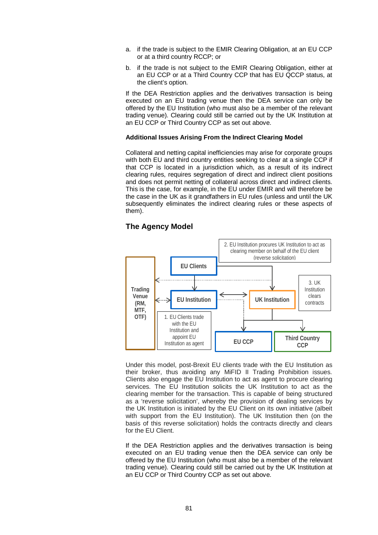- a. if the trade is subject to the EMIR Clearing Obligation, at an EU CCP or at a third country RCCP; or
- b. if the trade is not subject to the EMIR Clearing Obligation, either at an EU CCP or at a Third Country CCP that has EU QCCP status, at the client's option.

If the DEA Restriction applies and the derivatives transaction is being executed on an EU trading venue then the DEA service can only be offered by the EU Institution (who must also be a member of the relevant trading venue). Clearing could still be carried out by the UK Institution at an EU CCP or Third Country CCP as set out above.

#### **Additional Issues Arising From the Indirect Clearing Model**

Collateral and netting capital inefficiencies may arise for corporate groups with both EU and third country entities seeking to clear at a single CCP if that CCP is located in a jurisdiction which, as a result of its indirect clearing rules, requires segregation of direct and indirect client positions and does not permit netting of collateral across direct and indirect clients. This is the case, for example, in the EU under EMIR and will therefore be the case in the UK as it grandfathers in EU rules (unless and until the UK subsequently eliminates the indirect clearing rules or these aspects of them).

#### **The Agency Model**



Under this model, post-Brexit EU clients trade with the EU Institution as their broker, thus avoiding any MiFID II Trading Prohibition issues. Clients also engage the EU Institution to act as agent to procure clearing services. The EU Institution solicits the UK Institution to act as the clearing member for the transaction. This is capable of being structured as a 'reverse solicitation', whereby the provision of dealing services by the UK Institution is initiated by the EU Client on its own initiative (albeit with support from the EU Institution). The UK Institution then (on the basis of this reverse solicitation) holds the contracts directly and clears for the EU Client.

If the DEA Restriction applies and the derivatives transaction is being executed on an EU trading venue then the DEA service can only be offered by the EU Institution (who must also be a member of the relevant trading venue). Clearing could still be carried out by the UK Institution at an EU CCP or Third Country CCP as set out above.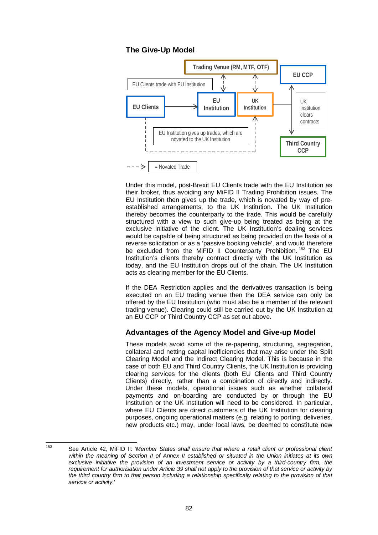## **The Give-Up Model**



Under this model, post-Brexit EU Clients trade with the EU Institution as their broker, thus avoiding any MiFID II Trading Prohibition issues. The EU Institution then gives up the trade, which is novated by way of preestablished arrangements, to the UK Institution. The UK Institution thereby becomes the counterparty to the trade. This would be carefully structured with a view to such give-up being treated as being at the exclusive initiative of the client. The UK Institution's dealing services would be capable of being structured as being provided on the basis of a reverse solicitation or as a 'passive booking vehicle', and would therefore be excluded from the MiFID II Counterparty Prohibition.<sup>[153](#page-88-0)</sup> The EU Institution's clients thereby contract directly with the UK Institution as today, and the EU Institution drops out of the chain. The UK Institution acts as clearing member for the EU Clients.

If the DEA Restriction applies and the derivatives transaction is being executed on an EU trading venue then the DEA service can only be offered by the EU Institution (who must also be a member of the relevant trading venue). Clearing could still be carried out by the UK Institution at an EU CCP or Third Country CCP as set out above.

## **Advantages of the Agency Model and Give-up Model**

These models avoid some of the re-papering, structuring, segregation, collateral and netting capital inefficiencies that may arise under the Split Clearing Model and the Indirect Clearing Model. This is because in the case of both EU and Third Country Clients, the UK Institution is providing clearing services for the clients (both EU Clients and Third Country Clients) directly, rather than a combination of directly and indirectly. Under these models, operational issues such as whether collateral payments and on-boarding are conducted by or through the EU Institution or the UK Institution will need to be considered. In particular, where EU Clients are direct customers of the UK Institution for clearing purposes, ongoing operational matters (e.g. relating to porting, deliveries, new products etc.) may, under local laws, be deemed to constitute new

<span id="page-88-0"></span><sup>153</sup> See Article 42, MiFID II: '*Member States shall ensure that where a retail client or professional client within the meaning of Section II of Annex II established or situated in the Union initiates at its own exclusive initiative the provision of an investment service or activity by a third-country firm, the requirement for authorisation under Article 39 shall not apply to the provision of that service or activity by*  the third country firm to that person including a relationship specifically relating to the provision of that *service or activity*.'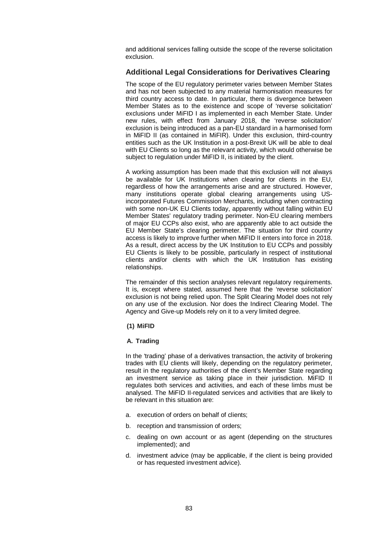and additional services falling outside the scope of the reverse solicitation exclusion.

## **Additional Legal Considerations for Derivatives Clearing**

The scope of the EU regulatory perimeter varies between Member States and has not been subjected to any material harmonisation measures for third country access to date. In particular, there is divergence between Member States as to the existence and scope of 'reverse solicitation' exclusions under MiFID I as implemented in each Member State. Under new rules, with effect from January 2018, the 'reverse solicitation' exclusion is being introduced as a pan-EU standard in a harmonised form in MiFID II (as contained in MiFIR). Under this exclusion, third-country entities such as the UK Institution in a post-Brexit UK will be able to deal with EU Clients so long as the relevant activity, which would otherwise be subject to regulation under MiFID II, is initiated by the client.

A working assumption has been made that this exclusion will not always be available for UK Institutions when clearing for clients in the EU, regardless of how the arrangements arise and are structured. However, many institutions operate global clearing arrangements using USincorporated Futures Commission Merchants, including when contracting with some non-UK EU Clients today, apparently without falling within EU Member States' regulatory trading perimeter. Non-EU clearing members of major EU CCPs also exist, who are apparently able to act outside the EU Member State's clearing perimeter. The situation for third country access is likely to improve further when MiFID II enters into force in 2018. As a result, direct access by the UK Institution to EU CCPs and possibly EU Clients is likely to be possible, particularly in respect of institutional clients and/or clients with which the UK Institution has existing relationships.

The remainder of this section analyses relevant regulatory requirements. It is, except where stated, assumed here that the 'reverse solicitation' exclusion is not being relied upon. The Split Clearing Model does not rely on any use of the exclusion. Nor does the Indirect Clearing Model. The Agency and Give-up Models rely on it to a very limited degree.

## <span id="page-89-0"></span>**(1) MiFID**

## **A. Trading**

In the 'trading' phase of a derivatives transaction, the activity of brokering trades with EU clients will likely, depending on the regulatory perimeter, result in the regulatory authorities of the client's Member State regarding an investment service as taking place in their jurisdiction. MiFID II regulates both services and activities, and each of these limbs must be analysed. The MiFID II-regulated services and activities that are likely to be relevant in this situation are:

- a. execution of orders on behalf of clients;
- b. reception and transmission of orders;
- c. dealing on own account or as agent (depending on the structures implemented); and
- d. investment advice (may be applicable, if the client is being provided or has requested investment advice).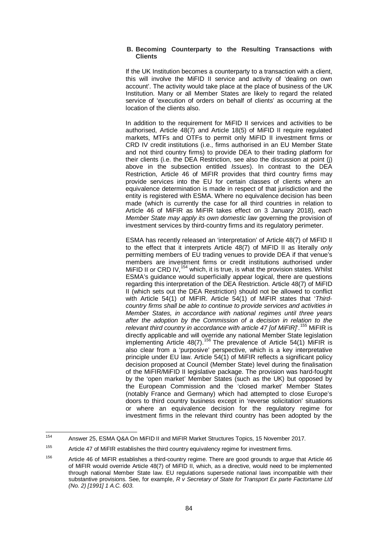#### **B. Becoming Counterparty to the Resulting Transactions with Clients**

If the UK Institution becomes a counterparty to a transaction with a client, this will involve the MiFID II service and activity of 'dealing on own account'. The activity would take place at the place of business of the UK Institution. Many or all Member States are likely to regard the related service of 'execution of orders on behalf of clients' as occurring at the location of the clients also.

In addition to the requirement for MiFID II services and activities to be authorised, Article 48(7) and Article 18(5) of MiFID II require regulated markets, MTFs and OTFs to permit only MiFID II investment firms or CRD IV credit institutions (i.e., firms authorised in an EU Member State and not third country firms) to provide DEA to their trading platform for their clients (i.e. the DEA Restriction, see also the discussion at point (j) above in the subsection entitled *Issues*). In contrast to the DEA Restriction, Article 46 of MiFIR provides that third country firms may provide services into the EU for certain classes of clients where an equivalence determination is made in respect of that jurisdiction and the entity is registered with ESMA. Where no equivalence decision has been made (which is currently the case for all third countries in relation to Article 46 of MiFIR as MiFIR takes effect on 3 January 2018), *each Member State may apply its own domestic law* governing the provision of investment services by third-country firms and its regulatory perimeter.

ESMA has recently released an 'interpretation' of Article 48(7) of MiFID II to the effect that it interprets Article 48(7) of MiFID II as literally *only* permitting members of EU trading venues to provide DEA if that venue's members are investment firms or credit institutions authorised under MiFID II or CRD IV,  $154$  which, it is true, is what the provision states. Whilst ESMA's guidance would superficially appear logical, there are questions regarding this interpretation of the DEA Restriction. Article 48(7) of MiFID II (which sets out the DEA Restriction) should not be allowed to conflict with Article 54(1) of MiFIR. Article 54(1) of MiFIR states that '*Thirdcountry firms shall be able to continue to provide services and activities in Member States, in accordance with national regimes until three years after the adoption by the Commission of a decision in relation to the relevant third country in accordance with article 47 [of MiFIR]*'.[155](#page-90-1) MiFIR is directly applicable and will override any national Member State legislation implementing Article 48(7).[156](#page-90-2) The prevalence of Article 54(1) MiFIR is also clear from a 'purposive' perspective, which is a key interpretative principle under EU law. Article 54(1) of MiFIR reflects a significant policy decision proposed at Council (Member State) level during the finalisation of the MiFIR/MiFID II legislative package. The provision was hard-fought by the 'open market' Member States (such as the UK) but opposed by the European Commission and the 'closed market' Member States (notably France and Germany) which had attempted to close Europe's doors to third country business except in 'reverse solicitation' situations or where an equivalence decision for the regulatory regime for investment firms in the relevant third country has been adopted by the

<span id="page-90-0"></span><sup>154</sup> Answer 25, ESMA Q&A On MiFID II and MiFIR Market Structures Topics, 15 November 2017.

<span id="page-90-1"></span><sup>&</sup>lt;sup>155</sup> Article 47 of MiFIR establishes the third country equivalency regime for investment firms.

<span id="page-90-2"></span><sup>&</sup>lt;sup>156</sup> Article 46 of MiFIR establishes a third-country regime. There are good grounds to argue that Article 46 of MiFIR would override Article 48(7) of MiFID II, which, as a directive, would need to be implemented through national Member State law. EU regulations supersede national laws incompatible with their substantive provisions. See, for example, *R v Secretary of State for Transport Ex parte Factortame Ltd (No. 2) [1991] 1 A.C. 603*.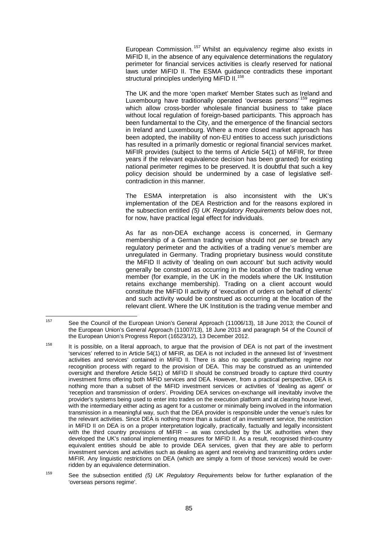European Commission.<sup>[157](#page-91-0)</sup> Whilst an equivalency regime also exists in MiFID II, in the absence of any equivalence determinations the regulatory perimeter for financial services activities is clearly reserved for national laws under MiFID II. The ESMA guidance contradicts these important structural principles underlying MiFID II.<sup>[158](#page-91-1)</sup>

The UK and the more 'open market' Member States such as Ireland and Luxembourg have traditionally operated 'overseas persons'<sup>[159](#page-91-2)</sup> regimes which allow cross-border wholesale financial business to take place without local regulation of foreign-based participants. This approach has been fundamental to the City, and the emergence of the financial sectors in Ireland and Luxembourg. Where a more closed market approach has been adopted, the inability of non-EU entities to access such jurisdictions has resulted in a primarily domestic or regional financial services market. MiFIR provides (subject to the terms of Article 54(1) of MiFIR, for three years if the relevant equivalence decision has been granted) for existing national perimeter regimes to be preserved. It is doubtful that such a key policy decision should be undermined by a case of legislative selfcontradiction in this manner.

The ESMA interpretation is also inconsistent with the UK's implementation of the DEA Restriction and for the reasons explored in the subsection entitled *(5) UK Regulatory Requirements* below does not, for now, have practical legal effect for individuals.

As far as non-DEA exchange access is concerned, in Germany membership of a German trading venue should not *per se* breach any regulatory perimeter and the activities of a trading venue's member are unregulated in Germany. Trading proprietary business would constitute the MiFID II activity of 'dealing on own account' but such activity would generally be construed as occurring in the location of the trading venue member (for example, in the UK in the models where the UK Institution retains exchange membership). Trading on a client account would constitute the MiFID II activity of 'execution of orders on behalf of clients' and such activity would be construed as occurring at the location of the relevant client. Where the UK Institution is the trading venue member and

<span id="page-91-0"></span><sup>157</sup> See the Council of the European Union's General Approach (11006/13), 18 June 2013; the Council of the European Union's General Approach (11007/13), 18 June 2013 and paragraph 54 of the Council of the European Union's Progress Report (16523/12), 13 December 2012.

<span id="page-91-1"></span><sup>&</sup>lt;sup>158</sup> It is possible, on a literal approach, to argue that the provision of DEA is not part of the investment 'services' referred to in Article 54(1) of MiFIR, as DEA is not included in the annexed list of 'investment activities and services' contained in MiFID II. There is also no specific grandfathering regime nor recognition process with regard to the provision of DEA. This may be construed as an unintended oversight and therefore Article 54(1) of MiFID II should be construed broadly to capture third country investment firms offering both MiFID services and DEA. However, from a practical perspective, DEA is nothing more than a subset of the MiFID investment services or activities of 'dealing as agent' or 'reception and transmission of orders'. Providing DEA services on-exchange will inevitably involve the provider's systems being used to enter into trades on the execution platform and at clearing house level, with the intermediary either acting as agent for a customer or minimally being involved in the information transmission in a meaningful way, such that the DEA provider is responsible under the venue's rules for the relevant activities. Since DEA is nothing more than a subset of an investment service, the restriction in MiFID II on DEA is on a proper interpretation logically, practically, factually and legally inconsistent with the third country provisions of MiFIR – as was concluded by the UK authorities when they developed the UK's national implementing measures for MiFID II. As a result, recognised third-country equivalent entities should be able to provide DEA services, given that they are able to perform investment services and activities such as dealing as agent and receiving and transmitting orders under MiFIR. Any linguistic restrictions on DEA (which are simply a form of those services) would be overridden by an equivalence determination.

<span id="page-91-2"></span><sup>159</sup> See the subsection entitled *(5) UK Regulatory Requirements* below for further explanation of the 'overseas persons regime'.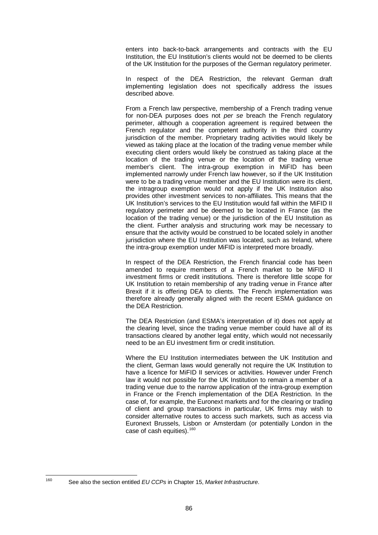enters into back-to-back arrangements and contracts with the EU Institution, the EU Institution's clients would not be deemed to be clients of the UK Institution for the purposes of the German regulatory perimeter.

In respect of the DEA Restriction, the relevant German draft implementing legislation does not specifically address the issues described above.

From a French law perspective, membership of a French trading venue for non-DEA purposes does not *per se* breach the French regulatory perimeter, although a cooperation agreement is required between the French regulator and the competent authority in the third country jurisdiction of the member. Proprietary trading activities would likely be viewed as taking place at the location of the trading venue member while executing client orders would likely be construed as taking place at the location of the trading venue or the location of the trading venue member's client. The intra-group exemption in MiFID has been implemented narrowly under French law however, so if the UK Institution were to be a trading venue member and the EU Institution were its client, the intragroup exemption would not apply if the UK Institution also provides other investment services to non-affiliates. This means that the UK Institution's services to the EU Institution would fall within the MiFID II regulatory perimeter and be deemed to be located in France (as the location of the trading venue) or the jurisdiction of the EU Institution as the client. Further analysis and structuring work may be necessary to ensure that the activity would be construed to be located solely in another jurisdiction where the EU Institution was located, such as Ireland, where the intra-group exemption under MiFID is interpreted more broadly.

In respect of the DEA Restriction, the French financial code has been amended to require members of a French market to be MiFID II investment firms or credit institutions. There is therefore little scope for UK Institution to retain membership of any trading venue in France after Brexit if it is offering DEA to clients. The French implementation was therefore already generally aligned with the recent ESMA guidance on the DEA Restriction.

The DEA Restriction (and ESMA's interpretation of it) does not apply at the clearing level, since the trading venue member could have all of its transactions cleared by another legal entity, which would not necessarily need to be an EU investment firm or credit institution.

Where the EU Institution intermediates between the UK Institution and the client, German laws would generally not require the UK Institution to have a licence for MiFID II services or activities. However under French law it would not possible for the UK Institution to remain a member of a trading venue due to the narrow application of the intra-group exemption in France or the French implementation of the DEA Restriction. In the case of, for example, the Euronext markets and for the clearing or trading of client and group transactions in particular, UK firms may wish to consider alternative routes to access such markets, such as access via Euronext Brussels, Lisbon or Amsterdam (or potentially London in the case of cash equities).<sup>[160](#page-92-0)</sup>

<span id="page-92-0"></span>

<sup>160</sup> See also the section entitled *EU CCPs* in Chapter [15,](#page-107-0) *Market Infrastructure*.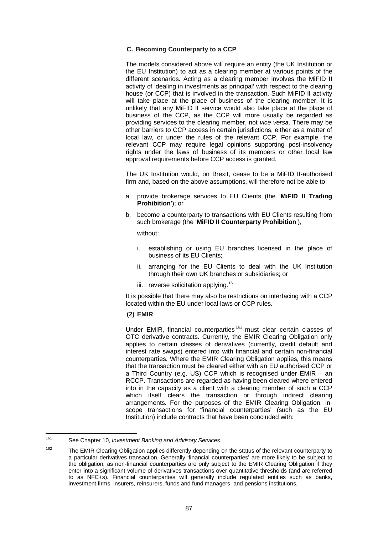#### **C. Becoming Counterparty to a CCP**

The models considered above will require an entity (the UK Institution or the EU Institution) to act as a clearing member at various points of the different scenarios. Acting as a clearing member involves the MiFID II activity of 'dealing in investments as principal' with respect to the clearing house (or CCP) that is involved in the transaction. Such MiFID II activity will take place at the place of business of the clearing member. It is unlikely that any MiFID II service would also take place at the place of business of the CCP, as the CCP will more usually be regarded as providing services to the clearing member, not *vice versa*. There may be other barriers to CCP access in certain jurisdictions, either as a matter of local law, or under the rules of the relevant CCP. For example, the relevant CCP may require legal opinions supporting post-insolvency rights under the laws of business of its members or other local law approval requirements before CCP access is granted.

The UK Institution would, on Brexit, cease to be a MiFID II-authorised firm and, based on the above assumptions, will therefore not be able to:

- a. provide brokerage services to EU Clients (the '**MiFID II Trading Prohibition**'); or
- b. become a counterparty to transactions with EU Clients resulting from such brokerage (the '**MiFID II Counterparty Prohibition**'),

without:

- i. establishing or using EU branches licensed in the place of business of its EU Clients;
- ii. arranging for the EU Clients to deal with the UK Institution through their own UK branches or subsidiaries; or
- iii. reverse solicitation applying.<sup>[161](#page-93-1)</sup>

It is possible that there may also be restrictions on interfacing with a CCP located within the EU under local laws or CCP rules.

#### <span id="page-93-0"></span>**(2) EMIR**

Under EMIR, financial counterparties<sup>[162](#page-93-2)</sup> must clear certain classes of OTC derivative contracts. Currently, the EMIR Clearing Obligation only applies to certain classes of derivatives (currently, credit default and interest rate swaps) entered into with financial and certain non-financial counterparties. Where the EMIR Clearing Obligation applies, this means that the transaction must be cleared either with an EU authorised CCP or a Third Country (e.g. US) CCP which is recognised under EMIR – an RCCP. Transactions are regarded as having been cleared where entered into in the capacity as a client with a clearing member of such a CCP which itself clears the transaction or through indirect clearing arrangements. For the purposes of the EMIR Clearing Obligation, inscope transactions for 'financial counterparties' (such as the EU Institution) include contracts that have been concluded with:

<span id="page-93-1"></span><sup>161</sup> See Chapter [10,](#page-56-0) *Investment Banking and Advisory Services*.

<span id="page-93-2"></span><sup>&</sup>lt;sup>162</sup> The EMIR Clearing Obligation applies differently depending on the status of the relevant counterparty to a particular derivatives transaction. Generally 'financial counterparties' are more likely to be subject to the obligation, as non-financial counterparties are only subject to the EMIR Clearing Obligation if they enter into a significant volume of derivatives transactions over quantitative thresholds (and are referred to as NFC+s). Financial counterparties will generally include regulated entities such as banks, investment firms, insurers, reinsurers, funds and fund managers, and pensions institutions.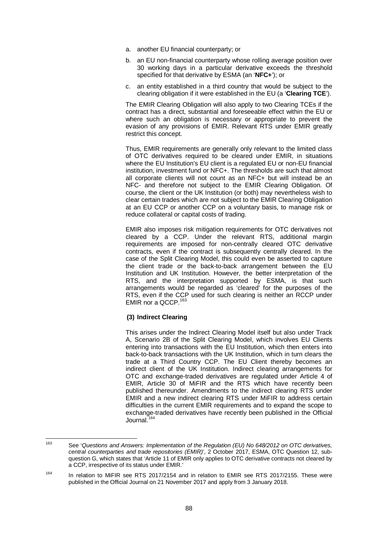- a. another EU financial counterparty; or
- b. an EU non-financial counterparty whose rolling average position over 30 working days in a particular derivative exceeds the threshold specified for that derivative by ESMA (an '**NFC+**'); or
- c. an entity established in a third country that would be subject to the clearing obligation if it were established in the EU (a '**Clearing TCE**').

The EMIR Clearing Obligation will also apply to two Clearing TCEs if the contract has a direct, substantial and foreseeable effect within the EU or where such an obligation is necessary or appropriate to prevent the evasion of any provisions of EMIR. Relevant RTS under EMIR greatly restrict this concept.

Thus, EMIR requirements are generally only relevant to the limited class of OTC derivatives required to be cleared under EMIR, in situations where the EU Institution's EU client is a regulated EU or non-EU financial institution, investment fund or NFC+. The thresholds are such that almost all corporate clients will not count as an NFC+ but will instead be an NFC- and therefore not subject to the EMIR Clearing Obligation. Of course, the client or the UK Institution (or both) may nevertheless wish to clear certain trades which are not subject to the EMIR Clearing Obligation at an EU CCP or another CCP on a voluntary basis, to manage risk or reduce collateral or capital costs of trading.

EMIR also imposes risk mitigation requirements for OTC derivatives not cleared by a CCP. Under the relevant RTS, additional margin requirements are imposed for non-centrally cleared OTC derivative contracts, even if the contract is subsequently centrally cleared. In the case of the Split Clearing Model, this could even be asserted to capture the client trade or the back-to-back arrangement between the EU Institution and UK Institution. However, the better interpretation of the RTS, and the interpretation supported by ESMA, is that such arrangements would be regarded as 'cleared' for the purposes of the RTS, even if the CCP used for such clearing is neither an RCCP under EMIR nor a QCCP.<sup>[163](#page-94-0)</sup>

## **(3) Indirect Clearing**

This arises under the Indirect Clearing Model itself but also under Track A, Scenario 2B of the Split Clearing Model, which involves EU Clients entering into transactions with the EU Institution, which then enters into back-to-back transactions with the UK Institution, which in turn clears the trade at a Third Country CCP. The EU Client thereby becomes an indirect client of the UK Institution. Indirect clearing arrangements for OTC and exchange-traded derivatives are regulated under Article 4 of EMIR, Article 30 of MiFIR and the RTS which have recently been published thereunder. Amendments to the indirect clearing RTS under EMIR and a new indirect clearing RTS under MiFIR to address certain difficulties in the current EMIR requirements and to expand the scope to exchange-traded derivatives have recently been published in the Official Journal. [164](#page-94-1)

<span id="page-94-0"></span><sup>163</sup> See '*Questions and Answers: Implementation of the Regulation (EU) No 648/2012 on OTC derivatives, central counterparties and trade repositories (EMIR)*', 2 October 2017, ESMA, OTC Question 12, subquestion G, which states that 'Article 11 of EMIR only applies to OTC derivative contracts not cleared by a CCP, irrespective of its status under EMIR.'

<span id="page-94-1"></span><sup>&</sup>lt;sup>164</sup> In relation to MiFIR see RTS 2017/2154 and in relation to EMIR see RTS 2017/2155. These were published in the Official Journal on 21 November 2017 and apply from 3 January 2018.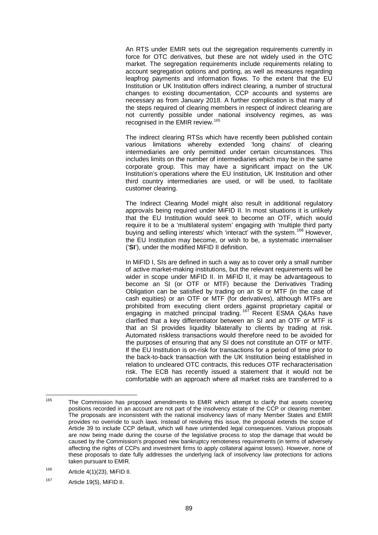An RTS under EMIR sets out the segregation requirements currently in force for OTC derivatives, but these are not widely used in the OTC market. The segregation requirements include requirements relating to account segregation options and porting, as well as measures regarding leapfrog payments and information flows. To the extent that the EU Institution or UK Institution offers indirect clearing, a number of structural changes to existing documentation, CCP accounts and systems are necessary as from January 2018. A further complication is that many of the steps required of clearing members in respect of indirect clearing are not currently possible under national insolvency regimes, as was recognised in the EMIR review. [165](#page-95-0)

The indirect clearing RTSs which have recently been published contain various limitations whereby extended 'long chains' of clearing intermediaries are only permitted under certain circumstances. This includes limits on the number of intermediaries which may be in the same corporate group. This may have a significant impact on the UK Institution's operations where the EU Institution, UK Institution and other third country intermediaries are used, or will be used, to facilitate customer clearing.

The Indirect Clearing Model might also result in additional regulatory approvals being required under MiFID II. In most situations it is unlikely that the EU Institution would seek to become an OTF, which would require it to be a 'multilateral system' engaging with 'multiple third party buying and selling interests' which 'interact' with the system.<sup>[166](#page-95-1)</sup> However, the EU Institution may become, or wish to be, a systematic internaliser ('**SI**'), under the modified MiFID II definition.

In MiFID I, SIs are defined in such a way as to cover only a small number of active market-making institutions, but the relevant requirements will be wider in scope under MiFID II. In MiFID II, it may be advantageous to become an SI (or OTF or MTF) because the Derivatives Trading Obligation can be satisfied by trading on an SI or MTF (in the case of cash equities) or an OTF or MTF (for derivatives), although MTFs are prohibited from executing client orders against proprietary capital or engaging in matched principal trading.<sup>[167](#page-95-2)</sup> Recent ESMA Q&As have clarified that a key differentiator between an SI and an OTF or MTF is that an SI provides liquidity bilaterally to clients by trading at risk. Automated riskless transactions would therefore need to be avoided for the purposes of ensuring that any SI does not constitute an OTF or MTF. If the EU Institution is on-risk for transactions for a period of time prior to the back-to-back transaction with the UK Institution being established in relation to uncleared OTC contracts, this reduces OTF recharacterisation risk. The ECB has recently issued a statement that it would not be comfortable with an approach where all market risks are transferred to a

<span id="page-95-0"></span><sup>&</sup>lt;sup>165</sup> The Commission has proposed amendments to EMIR which attempt to clarify that assets covering positions recorded in an account are not part of the insolvency estate of the CCP or clearing member. The proposals are inconsistent with the national insolvency laws of many Member States and EMIR provides no override to such laws. Instead of resolving this issue, the proposal extends the scope of Article 39 to include CCP default, which will have unintended legal consequences. Various proposals are now being made during the course of the legislative process to stop the damage that would be caused by the Commission's proposed new bankruptcy remoteness requirements (in terms of adversely affecting the rights of CCPs and investment firms to apply collateral against losses). However, none of these proposals to date fully addresses the underlying lack of insolvency law protections for actions taken pursuant to EMIR.

<span id="page-95-1"></span><sup>166</sup> Article 4(1)(23), MiFID II.

<span id="page-95-2"></span><sup>167</sup> Article 19(5), MiFID II.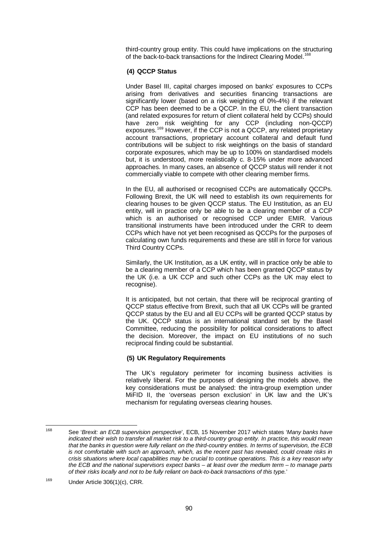third-country group entity. This could have implications on the structuring of the back-to-back transactions for the Indirect Clearing Model.<sup>[168](#page-96-0)</sup>

## **(4) QCCP Status**

Under Basel III, capital charges imposed on banks' exposures to CCPs arising from derivatives and securities financing transactions are significantly lower (based on a risk weighting of 0%-4%) if the relevant CCP has been deemed to be a QCCP. In the EU, the client transaction (and related exposures for return of client collateral held by CCPs) should have zero risk weighting for any CCP (including non-QCCP) exposures. [169](#page-96-1) However, if the CCP is not a QCCP, any related proprietary account transactions, proprietary account collateral and default fund contributions will be subject to risk weightings on the basis of standard corporate exposures, which may be up to 100% on standardised models but, it is understood, more realistically c. 8-15% under more advanced approaches. In many cases, an absence of QCCP status will render it not commercially viable to compete with other clearing member firms.

In the EU, all authorised or recognised CCPs are automatically QCCPs. Following Brexit, the UK will need to establish its own requirements for clearing houses to be given QCCP status. The EU Institution, as an EU entity, will in practice only be able to be a clearing member of a CCP which is an authorised or recognised CCP under EMIR. Various transitional instruments have been introduced under the CRR to deem CCPs which have not yet been recognised as QCCPs for the purposes of calculating own funds requirements and these are still in force for various Third Country CCPs.

Similarly, the UK Institution, as a UK entity, will in practice only be able to be a clearing member of a CCP which has been granted QCCP status by the UK (i.e. a UK CCP and such other CCPs as the UK may elect to recognise).

It is anticipated, but not certain, that there will be reciprocal granting of QCCP status effective from Brexit, such that all UK CCPs will be granted QCCP status by the EU and all EU CCPs will be granted QCCP status by the UK. QCCP status is an international standard set by the Basel Committee, reducing the possibility for political considerations to affect the decision. Moreover, the impact on EU institutions of no such reciprocal finding could be substantial.

## **(5) UK Regulatory Requirements**

The UK's regulatory perimeter for incoming business activities is relatively liberal. For the purposes of designing the models above, the key considerations must be analysed: the intra-group exemption under MiFID II, the 'overseas person exclusion' in UK law and the UK's mechanism for regulating overseas clearing houses.

<span id="page-96-0"></span><sup>168</sup> See '*Brexit: an ECB supervision perspective*', ECB, 15 November 2017 which states '*Many banks have indicated their wish to transfer all market risk to a third-country group entity. In practice, this would mean that the banks in question were fully reliant on the third-country entities. In terms of supervision, the ECB is not comfortable with such an approach, which, as the recent past has revealed, could create risks in crisis situations where local capabilities may be crucial to continue operations. This is a key reason why the ECB and the national supervisors expect banks – at least over the medium term – to manage parts of their risks locally and not to be fully reliant on back-to-back transactions of this type.*'

<span id="page-96-1"></span><sup>169</sup> Under Article 306(1)(c), CRR.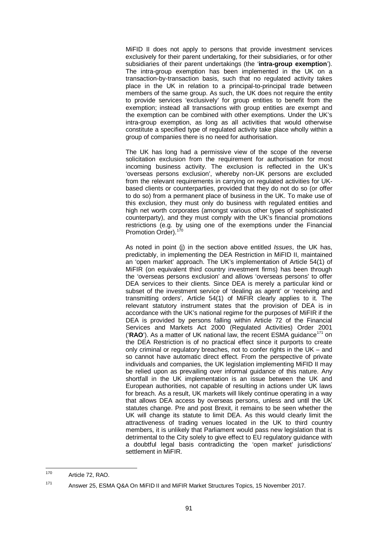MiFID II does not apply to persons that provide investment services exclusively for their parent undertaking, for their subsidiaries, or for other subsidiaries of their parent undertakings (the '**intra-group exemption**'). The intra-group exemption has been implemented in the UK on a transaction-by-transaction basis, such that no regulated activity takes place in the UK in relation to a principal-to-principal trade between members of the same group. As such, the UK does not require the entity to provide services 'exclusively' for group entities to benefit from the exemption; instead all transactions with group entities are exempt and the exemption can be combined with other exemptions. Under the UK's intra-group exemption, as long as all activities that would otherwise constitute a specified type of regulated activity take place wholly within a group of companies there is no need for authorisation.

The UK has long had a permissive view of the scope of the reverse solicitation exclusion from the requirement for authorisation for most incoming business activity. The exclusion is reflected in the UK's 'overseas persons exclusion', whereby non-UK persons are excluded from the relevant requirements in carrying on regulated activities for UKbased clients or counterparties, provided that they do not do so (or offer to do so) from a permanent place of business in the UK. To make use of this exclusion, they must only do business with regulated entities and high net worth corporates (amongst various other types of sophisticated counterparty), and they must comply with the UK's financial promotions restrictions (e.g. by using one of the exemptions under the Financial Promotion Order).<sup>1</sup>

As noted in point (j) in the section above entitled *Issues*, the UK has, predictably, in implementing the DEA Restriction in MiFID II, maintained an 'open market' approach. The UK's implementation of Article 54(1) of MiFIR (on equivalent third country investment firms) has been through the 'overseas persons exclusion' and allows 'overseas persons' to offer DEA services to their clients. Since DEA is merely a particular kind or subset of the investment service of 'dealing as agent' or 'receiving and transmitting orders', Article 54(1) of MiFIR clearly applies to it. The relevant statutory instrument states that the provision of DEA is in accordance with the UK's national regime for the purposes of MiFIR if the DEA is provided by persons falling within Article 72 of the Financial Services and Markets Act 2000 (Regulated Activities) Order 2001 ('RAO'). As a matter of UK national law, the recent ESMA quidance<sup>[171](#page-97-1)</sup> on the DEA Restriction is of no practical effect since it purports to create only criminal or regulatory breaches, not to confer rights in the UK – and so cannot have automatic direct effect. From the perspective of private individuals and companies, the UK legislation implementing MiFID II may be relied upon as prevailing over informal guidance of this nature. Any shortfall in the UK implementation is an issue between the UK and European authorities, not capable of resulting in actions under UK laws for breach. As a result, UK markets will likely continue operating in a way that allows DEA access by overseas persons, unless and until the UK statutes change. Pre and post Brexit, it remains to be seen whether the UK will change its statute to limit DEA. As this would clearly limit the attractiveness of trading venues located in the UK to third country members, it is unlikely that Parliament would pass new legislation that is detrimental to the City solely to give effect to EU regulatory guidance with a doubtful legal basis contradicting the 'open market' jurisdictions' settlement in MiFIR.

<span id="page-97-0"></span><sup>170</sup> Article 72, RAO.

<span id="page-97-1"></span><sup>171</sup> Answer 25, ESMA Q&A On MiFID II and MiFIR Market Structures Topics, 15 November 2017.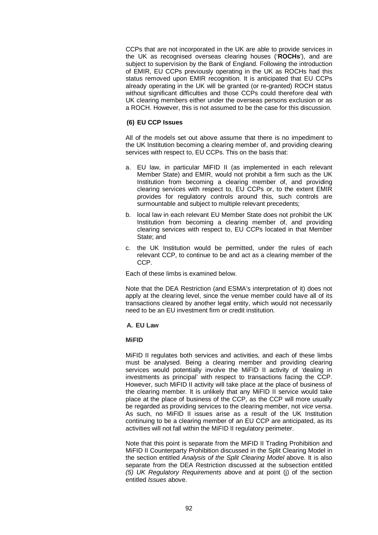CCPs that are not incorporated in the UK are able to provide services in the UK as recognised overseas clearing houses ('**ROCHs**'), and are subject to supervision by the Bank of England. Following the introduction of EMIR, EU CCPs previously operating in the UK as ROCHs had this status removed upon EMIR recognition. It is anticipated that EU CCPs already operating in the UK will be granted (or re-granted) ROCH status without significant difficulties and those CCPs could therefore deal with UK clearing members either under the overseas persons exclusion or as a ROCH. However, this is not assumed to be the case for this discussion.

#### **(6) EU CCP Issues**

All of the models set out above assume that there is no impediment to the UK Institution becoming a clearing member of, and providing clearing services with respect to, EU CCPs. This on the basis that:

- a. EU law, in particular MiFID II (as implemented in each relevant Member State) and EMIR, would not prohibit a firm such as the UK Institution from becoming a clearing member of, and providing clearing services with respect to, EU CCPs or, to the extent EMIR provides for regulatory controls around this, such controls are surmountable and subject to multiple relevant precedents;
- b. local law in each relevant EU Member State does not prohibit the UK Institution from becoming a clearing member of, and providing clearing services with respect to, EU CCPs located in that Member State; and
- c. the UK Institution would be permitted, under the rules of each relevant CCP, to continue to be and act as a clearing member of the CCP.

Each of these limbs is examined below.

Note that the DEA Restriction (and ESMA's interpretation of it) does not apply at the clearing level, since the venue member could have all of its transactions cleared by another legal entity, which would not necessarily need to be an EU investment firm or credit institution.

#### **A. EU Law**

#### **MiFID**

MiFID II regulates both services and activities, and each of these limbs must be analysed. Being a clearing member and providing clearing services would potentially involve the MiFID II activity of 'dealing in investments as principal' with respect to transactions facing the CCP. However, such MiFID II activity will take place at the place of business of the clearing member. It is unlikely that any MiFID II service would take place at the place of business of the CCP, as the CCP will more usually be regarded as providing services to the clearing member, not *vice versa*. As such, no MiFID II issues arise as a result of the UK Institution continuing to be a clearing member of an EU CCP are anticipated, as its activities will not fall within the MiFID II regulatory perimeter.

Note that this point is separate from the MiFID II Trading Prohibition and MiFID II Counterparty Prohibition discussed in the Split Clearing Model in the section entitled *Analysis of the Split Clearing Model* above. It is also separate from the DEA Restriction discussed at the subsection entitled *(5) UK Regulatory Requirements* above and at point (j) of the section entitled *Issues* above.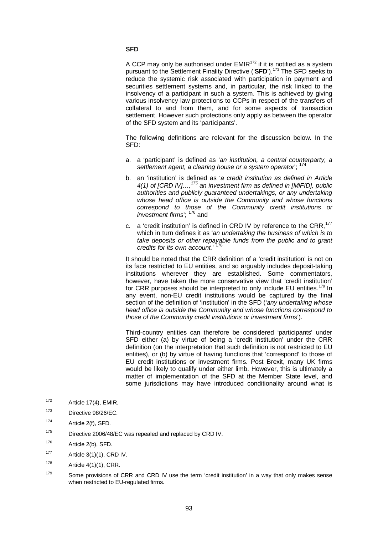#### **SFD**

A CCP may only be authorised under  $EMIR^{172}$  $EMIR^{172}$  $EMIR^{172}$  if it is notified as a system pursuant to the Settlement Finality Directive ('SFD').<sup>[173](#page-99-1)</sup> The SFD seeks to reduce the systemic risk associated with participation in payment and securities settlement systems and, in particular, the risk linked to the insolvency of a participant in such a system. This is achieved by giving various insolvency law protections to CCPs in respect of the transfers of collateral to and from them, and for some aspects of transaction settlement. However such protections only apply as between the operator of the SFD system and its 'participants'.

The following definitions are relevant for the discussion below. In the SFD:

- a. a 'participant' is defined as '*an institution, a central counterparty, a settlement agent, a clearing house or a system operator*'; [174](#page-99-2)
- b. an 'institution' is defined as '*a credit institution as defined in Article 4(1) of [CRD IV]…,[175](#page-99-3) an investment firm as defined in [MiFID], public authorities and publicly guaranteed undertakings, or any undertaking whose head office is outside the Community and whose functions correspond to those of the Community credit institutions or investment firms*'; [176](#page-99-4) and
- c. a 'credit institution' is defined in CRD IV by reference to the CRR,<sup>[177](#page-99-5)</sup> which in turn defines it as '*an undertaking the business of which is to take deposits or other repayable funds from the public and to grant credits for its own account.*' [178](#page-99-6)

It should be noted that the CRR definition of a 'credit institution' is not on its face restricted to EU entities, and so arguably includes deposit-taking institutions wherever they are established. Some commentators, however, have taken the more conservative view that 'credit institution' for CRR purposes should be interpreted to only include EU entities.<sup>[179](#page-99-7)</sup> In any event, non-EU credit institutions would be captured by the final section of the definition of 'institution' in the SFD ('*any undertaking whose head office is outside the Community and whose functions correspond to those of the Community credit institutions or investment firms*').

Third-country entities can therefore be considered 'participants' under SFD either (a) by virtue of being a 'credit institution' under the CRR definition (on the interpretation that such definition is not restricted to EU entities), or (b) by virtue of having functions that 'correspond' to those of EU credit institutions or investment firms. Post Brexit, many UK firms would be likely to qualify under either limb. However, this is ultimately a matter of implementation of the SFD at the Member State level, and some jurisdictions may have introduced conditionality around what is

- <span id="page-99-3"></span><sup>175</sup> Directive 2006/48/EC was repealed and replaced by CRD IV.
- <span id="page-99-4"></span> $176$  Article 2(b), SFD.
- <span id="page-99-5"></span> $177$  Article 3(1)(1), CRD IV.
- <span id="page-99-6"></span> $178$  Article 4(1)(1), CRR.
- <span id="page-99-7"></span> $179$  Some provisions of CRR and CRD IV use the term 'credit institution' in a way that only makes sense when restricted to EU-regulated firms.

<span id="page-99-0"></span> $172$  Article 17(4), EMIR.

<span id="page-99-1"></span><sup>173</sup> Directive 98/26/EC.

<span id="page-99-2"></span><sup>174</sup> Article 2(f), SFD.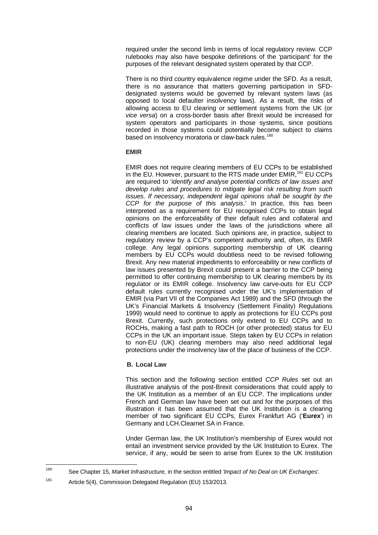required under the second limb in terms of local regulatory review. CCP rulebooks may also have bespoke definitions of the 'participant' for the purposes of the relevant designated system operated by that CCP.

There is no third country equivalence regime under the SFD. As a result, there is no assurance that matters governing participation in SFDdesignated systems would be governed by relevant system laws (as opposed to local defaulter insolvency laws). As a result, the risks of allowing access to EU clearing or settlement systems from the UK (or *vice versa*) on a cross-border basis after Brexit would be increased for system operators and participants in those systems, since positions recorded in those systems could potentially become subject to claims based on insolvency moratoria or claw-back rules.<sup>[180](#page-100-0)</sup>

#### **EMIR**

EMIR does not require clearing members of EU CCPs to be established in the EU. However, pursuant to the RTS made under EMIR,<sup>[181](#page-100-1)</sup> EU CCPs are required to '*identify and analyse potential conflicts of law issues and develop rules and procedures to mitigate legal risk resulting from such issues. If necessary, independent legal opinions shall be sought by the CCP for the purpose of this analysis*.' In practice, this has been interpreted as a requirement for EU recognised CCPs to obtain legal opinions on the enforceability of their default rules and collateral and conflicts of law issues under the laws of the jurisdictions where all clearing members are located. Such opinions are, in practice, subject to regulatory review by a CCP's competent authority and, often, its EMIR college. Any legal opinions supporting membership of UK clearing members by EU CCPs would doubtless need to be revised following Brexit. Any new material impediments to enforceability or new conflicts of law issues presented by Brexit could present a barrier to the CCP being permitted to offer continuing membership to UK clearing members by its regulator or its EMIR college. Insolvency law carve-outs for EU CCP default rules currently recognised under the UK's implementation of EMIR (via Part VII of the Companies Act 1989) and the SFD (through the UK's Financial Markets & Insolvency (Settlement Finality) Regulations 1999) would need to continue to apply as protections for EU CCPs post Brexit. Currently, such protections only extend to EU CCPs and to ROCHs, making a fast path to ROCH (or other protected) status for EU CCPs in the UK an important issue. Steps taken by EU CCPs in relation to non-EU (UK) clearing members may also need additional legal protections under the insolvency law of the place of business of the CCP.

## **B. Local Law**

This section and the following section entitled *CCP Rules* set out an illustrative analysis of the post-Brexit considerations that could apply to the UK Institution as a member of an EU CCP. The implications under French and German law have been set out and for the purposes of this illustration it has been assumed that the UK Institution is a clearing member of two significant EU CCPs, Eurex Frankfurt AG ('**Eurex**') in Germany and LCH.Clearnet SA in France.

Under German law, the UK Institution's membership of Eurex would not entail an investment service provided by the UK Institution to Eurex. The service, if any, would be seen to arise from Eurex to the UK Institution

<span id="page-100-0"></span><sup>180</sup> See Chapter [15,](#page-107-0) *Market Infrastructure,* in the section entitled *'Impact of No Deal on UK Exchanges'.*

<span id="page-100-1"></span><sup>181</sup> Article 5(4), Commission Delegated Regulation (EU) 153/2013.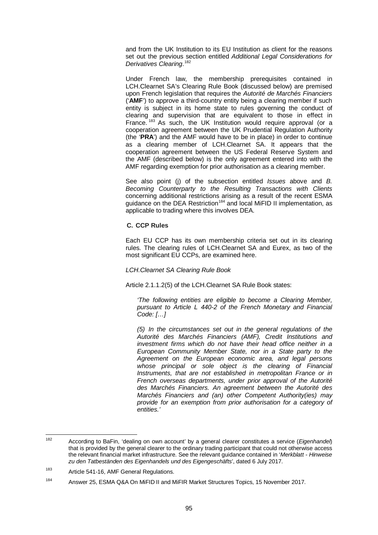and from the UK Institution to its EU Institution as client for the reasons set out the previous section entitled *Additional Legal Considerations for Derivatives Clearing*. [182](#page-101-0)

Under French law, the membership prerequisites contained in LCH.Clearnet SA's Clearing Rule Book (discussed below) are premised upon French legislation that requires the *Autorité de Marchés Financiers* ('**AMF**') to approve a third-country entity being a clearing member if such entity is subject in its home state to rules governing the conduct of clearing and supervision that are equivalent to those in effect in France.<sup>[183](#page-101-1)</sup> As such, the UK Institution would require approval (or a cooperation agreement between the UK Prudential Regulation Authority (the '**PRA**') and the AMF would have to be in place) in order to continue as a clearing member of LCH.Clearnet SA. It appears that the cooperation agreement between the US Federal Reserve System and the AMF (described below) is the only agreement entered into with the AMF regarding exemption for prior authorisation as a clearing member.

See also point (j) of the subsection entitled *Issues* above and *B. Becoming Counterparty to the Resulting Transactions with Clients* concerning additional restrictions arising as a result of the recent ESMA guidance on the DEA Restriction<sup>[184](#page-101-2)</sup> and local MiFID II implementation, as applicable to trading where this involves DEA.

#### **C. CCP Rules**

Each EU CCP has its own membership criteria set out in its clearing rules. The clearing rules of LCH.Clearnet SA and Eurex, as two of the most significant EU CCPs, are examined here.

*LCH.Clearnet SA Clearing Rule Book*

Article 2.1.1.2(5) of the LCH.Clearnet SA Rule Book states:

*'The following entities are eligible to become a Clearing Member, pursuant to Article L 440-2 of the French Monetary and Financial Code: […]*

*(5) In the circumstances set out in the general regulations of the Autorité des Marchés Financiers (AMF), Credit Institutions and investment firms which do not have their head office neither in a European Community Member State, nor in a State party to the Agreement on the European economic area, and legal persons whose principal or sole object is the clearing of Financial Instruments, that are not established in metropolitan France or in French overseas departments, under prior approval of the Autorité des Marchés Financiers. An agreement between the Autorité des Marchés Financiers and (an) other Competent Authority(ies) may provide for an exemption from prior authorisation for a category of entities.'*

<span id="page-101-0"></span><sup>182</sup> According to BaFin, 'dealing on own account' by a general clearer constitutes a service (*Eigenhandel*) that is provided by the general clearer to the ordinary trading participant that could not otherwise access the relevant financial market infrastructure. See the relevant guidance contained in '*Merkblatt - Hinweise zu den Tatbeständen des Eigenhandels und des Eigengeschäfts*', dated 6 July 2017.

<span id="page-101-1"></span><sup>183</sup> Article 541-16, AMF General Regulations.

<span id="page-101-2"></span><sup>&</sup>lt;sup>184</sup> Answer 25, ESMA Q&A On MiFID II and MiFIR Market Structures Topics, 15 November 2017.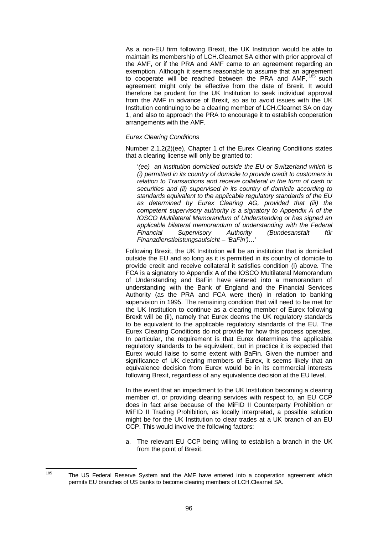As a non-EU firm following Brexit, the UK Institution would be able to maintain its membership of LCH.Clearnet SA either with prior approval of the AMF, or if the PRA and AMF came to an agreement regarding an exemption. Although it seems reasonable to assume that an agreement to cooperate will be reached between the PRA and AMF, [185](#page-102-0) such agreement might only be effective from the date of Brexit. It would therefore be prudent for the UK Institution to seek individual approval from the AMF in advance of Brexit, so as to avoid issues with the UK Institution continuing to be a clearing member of LCH.Clearnet SA on day 1, and also to approach the PRA to encourage it to establish cooperation arrangements with the AMF.

#### *Eurex Clearing Conditions*

Number 2.1.2(2)(ee), Chapter 1 of the Eurex Clearing Conditions states that a clearing license will only be granted to:

'*(ee) an institution domiciled outside the EU or Switzerland which is (i) permitted in its country of domicile to provide credit to customers in relation to Transactions and receive collateral in the form of cash or securities and (ii) supervised in its country of domicile according to standards equivalent to the applicable regulatory standards of the EU as determined by Eurex Clearing AG, provided that (iii) the competent supervisory authority is a signatory to Appendix A of the IOSCO Multilateral Memorandum of Understanding or has signed an applicable bilateral memorandum of understanding with the Federal Financial Supervisory Authority (Bundesanstalt für Finanzdienstleistungsaufsicht – 'BaFin')…*'

Following Brexit, the UK Institution will be an institution that is domiciled outside the EU and so long as it is permitted in its country of domicile to provide credit and receive collateral it satisfies condition (i) above. The FCA is a signatory to Appendix A of the IOSCO Multilateral Memorandum of Understanding and BaFin have entered into a memorandum of understanding with the Bank of England and the Financial Services Authority (as the PRA and FCA were then) in relation to banking supervision in 1995. The remaining condition that will need to be met for the UK Institution to continue as a clearing member of Eurex following Brexit will be (ii), namely that Eurex deems the UK regulatory standards to be equivalent to the applicable regulatory standards of the EU. The Eurex Clearing Conditions do not provide for how this process operates. In particular, the requirement is that Eurex determines the applicable regulatory standards to be equivalent, but in practice it is expected that Eurex would liaise to some extent with BaFin. Given the number and significance of UK clearing members of Eurex, it seems likely that an equivalence decision from Eurex would be in its commercial interests following Brexit, regardless of any equivalence decision at the EU level.

In the event that an impediment to the UK Institution becoming a clearing member of, or providing clearing services with respect to, an EU CCP does in fact arise because of the MiFID II Counterparty Prohibition or MiFID II Trading Prohibition, as locally interpreted, a possible solution might be for the UK Institution to clear trades at a UK branch of an EU CCP. This would involve the following factors:

a. The relevant EU CCP being willing to establish a branch in the UK from the point of Brexit.

<span id="page-102-0"></span> $185$  The US Federal Reserve System and the AMF have entered into a cooperation agreement which permits EU branches of US banks to become clearing members of LCH.Clearnet SA.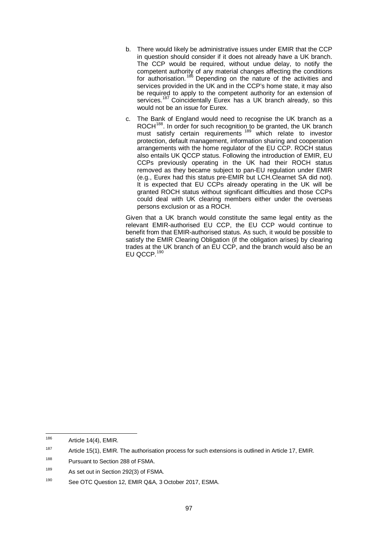- b. There would likely be administrative issues under EMIR that the CCP in question should consider if it does not already have a UK branch. The CCP would be required, without undue delay, to notify the competent authority of any material changes affecting the conditions for authorisation.<sup>[186](#page-103-0)</sup> Depending on the nature of the activities and services provided in the UK and in the CCP's home state, it may also be required to apply to the competent authority for an extension of services.<sup>[187](#page-103-1)</sup> Coincidentally Eurex has a UK branch already, so this would not be an issue for Eurex.
- c. The Bank of England would need to recognise the UK branch as a ROCH<sup>188</sup>. In order for such recognition to be granted, the UK branch must satisfy certain requirements <sup>[189](#page-103-3)</sup> which relate to investor protection, default management, information sharing and cooperation arrangements with the home regulator of the EU CCP. ROCH status also entails UK QCCP status. Following the introduction of EMIR, EU CCPs previously operating in the UK had their ROCH status removed as they became subject to pan-EU regulation under EMIR (e.g., Eurex had this status pre-EMIR but LCH.Clearnet SA did not). It is expected that EU CCPs already operating in the UK will be granted ROCH status without significant difficulties and those CCPs could deal with UK clearing members either under the overseas persons exclusion or as a ROCH.

Given that a UK branch would constitute the same legal entity as the relevant EMIR-authorised EU CCP, the EU CCP would continue to benefit from that EMIR-authorised status. As such, it would be possible to satisfy the EMIR Clearing Obligation (if the obligation arises) by clearing trades at the UK branch of an EU CCP, and the branch would also be an EU QCCP.<sup>[190](#page-103-4)</sup>

<span id="page-103-0"></span> $186$  Article 14(4), EMIR.

<span id="page-103-1"></span><sup>&</sup>lt;sup>187</sup> Article 15(1), EMIR. The authorisation process for such extensions is outlined in Article 17, EMIR.

<span id="page-103-2"></span><sup>188</sup> Pursuant to Section 288 of FSMA.

<span id="page-103-3"></span><sup>&</sup>lt;sup>189</sup> As set out in Section 292(3) of FSMA.

<span id="page-103-4"></span><sup>190</sup> See OTC Question 12, EMIR Q&A, 3 October 2017, ESMA.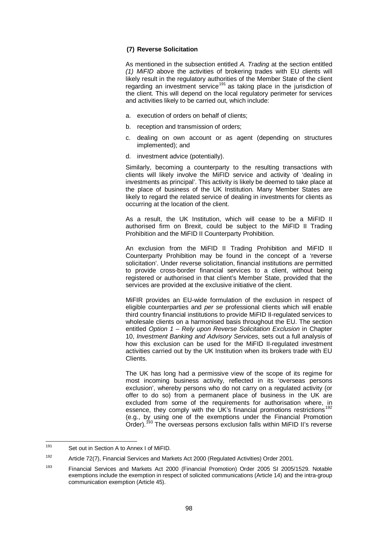#### **(7) Reverse Solicitation**

As mentioned in the subsection entitled *A. Trading* at the section entitled *[\(1\)](#page-89-0) MiFID* above the activities of brokering trades with EU clients will likely result in the regulatory authorities of the Member State of the client regarding an investment service<sup>[191](#page-104-0)</sup> as taking place in the jurisdiction of the client. This will depend on the local regulatory perimeter for services and activities likely to be carried out, which include:

- a. execution of orders on behalf of clients;
- b. reception and transmission of orders;
- c. dealing on own account or as agent (depending on structures implemented); and
- d. investment advice (potentially).

Similarly, becoming a counterparty to the resulting transactions with clients will likely involve the MiFID service and activity of 'dealing in investments as principal'. This activity is likely be deemed to take place at the place of business of the UK Institution. Many Member States are likely to regard the related service of dealing in investments for clients as occurring at the location of the client.

As a result, the UK Institution, which will cease to be a MiFID II authorised firm on Brexit, could be subject to the MiFID II Trading Prohibition and the MiFID II Counterparty Prohibition.

An exclusion from the MiFID II Trading Prohibition and MiFID II Counterparty Prohibition may be found in the concept of a 'reverse solicitation'. Under reverse solicitation, financial institutions are permitted to provide cross-border financial services to a client, without being registered or authorised in that client's Member State, provided that the services are provided at the exclusive initiative of the client.

MiFIR provides an EU-wide formulation of the exclusion in respect of eligible counterparties and *per se* professional clients which will enable third country financial institutions to provide MiFID II-regulated services to wholesale clients on a harmonised basis throughout the EU. The section entitled *Option 1 – Rely upon Reverse Solicitation Exclusion* in Chapter [10,](#page-56-0) *Investment Banking and Advisory Services*, sets out a full analysis of how this exclusion can be used for the MiFID II-regulated investment activities carried out by the UK Institution when its brokers trade with EU Clients.

The UK has long had a permissive view of the scope of its regime for most incoming business activity, reflected in its 'overseas persons exclusion', whereby persons who do not carry on a regulated activity (or offer to do so) from a permanent place of business in the UK are excluded from some of the requirements for authorisation where, in essence, they comply with the UK's financial promotions restrictions<sup>[192](#page-104-1)</sup> (e.g., by using one of the exemptions under the Financial Promotion Order).<sup>193</sup> The overseas persons exclusion falls within MiFID II's reverse  $\frac{793}{100}$  The overseas persons exclusion falls within MiFID II's reverse

<span id="page-104-0"></span><sup>191</sup> Set out in Section A to Annex I of MiFID.

<span id="page-104-1"></span><sup>192</sup> Article 72(7), Financial Services and Markets Act 2000 (Regulated Activities) Order 2001.

<span id="page-104-2"></span><sup>193</sup> Financial Services and Markets Act 2000 (Financial Promotion) Order 2005 SI 2005/1529. Notable exemptions include the exemption in respect of solicited communications (Article 14) and the intra-group communication exemption (Article 45).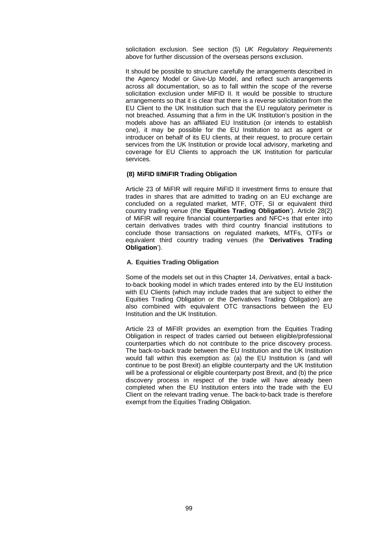solicitation exclusion. See section (5) *UK Regulatory Requirements* above for further discussion of the overseas persons exclusion.

It should be possible to structure carefully the arrangements described in the Agency Model or Give-Up Model, and reflect such arrangements across all documentation, so as to fall within the scope of the reverse solicitation exclusion under MiFID II. It would be possible to structure arrangements so that it is clear that there is a reverse solicitation from the EU Client to the UK Institution such that the EU regulatory perimeter is not breached. Assuming that a firm in the UK Institution's position in the models above has an affiliated EU Institution (or intends to establish one), it may be possible for the EU Institution to act as agent or introducer on behalf of its EU clients, at their request, to procure certain services from the UK Institution or provide local advisory, marketing and coverage for EU Clients to approach the UK Institution for particular services.

#### **(8) MiFID II/MiFIR Trading Obligation**

Article 23 of MiFIR will require MiFID II investment firms to ensure that trades in shares that are admitted to trading on an EU exchange are concluded on a regulated market, MTF, OTF, SI or equivalent third country trading venue (the '**Equities Trading Obligation**'). Article 28(2) of MiFIR will require financial counterparties and NFC+s that enter into certain derivatives trades with third country financial institutions to conclude those transactions on regulated markets, MTFs, OTFs or equivalent third country trading venues (the '**Derivatives Trading Obligation**').

#### **A. Equities Trading Obligation**

Some of the models set out in this Chapter [14,](#page-74-1) *Derivatives*, entail a backto-back booking model in which trades entered into by the EU Institution with EU Clients (which may include trades that are subject to either the Equities Trading Obligation or the Derivatives Trading Obligation) are also combined with equivalent OTC transactions between the EU Institution and the UK Institution.

Article 23 of MiFIR provides an exemption from the Equities Trading Obligation in respect of trades carried out between eligible/professional counterparties which do not contribute to the price discovery process. The back-to-back trade between the EU Institution and the UK Institution would fall within this exemption as: (a) the EU Institution is (and will continue to be post Brexit) an eligible counterparty and the UK Institution will be a professional or eligible counterparty post Brexit, and (b) the price discovery process in respect of the trade will have already been completed when the EU Institution enters into the trade with the EU Client on the relevant trading venue. The back-to-back trade is therefore exempt from the Equities Trading Obligation.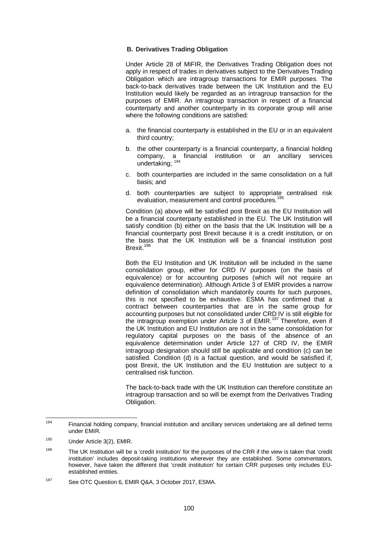#### **B. Derivatives Trading Obligation**

Under Article 28 of MiFIR, the Derivatives Trading Obligation does not apply in respect of trades in derivatives subject to the Derivatives Trading Obligation which are intragroup transactions for EMIR purposes. The back-to-back derivatives trade between the UK Institution and the EU Institution would likely be regarded as an intragroup transaction for the purposes of EMIR. An intragroup transaction in respect of a financial counterparty and another counterparty in its corporate group will arise where the following conditions are satisfied:

- a. the financial counterparty is established in the EU or in an equivalent third country;
- b. the other counterparty is a financial counterparty, a financial holding company, a financial institution or an ancillary services undertaking; [194](#page-106-0)
- c. both counterparties are included in the same consolidation on a full basis; and
- d. both counterparties are subject to appropriate centralised risk [195](#page-106-1) evaluation, measurement and control procedures.

Condition (a) above will be satisfied post Brexit as the EU Institution will be a financial counterparty established in the EU. The UK Institution will satisfy condition (b) either on the basis that the UK Institution will be a financial counterparty post Brexit because it is a credit institution, or on the basis that the UK Institution will be a financial institution post Brexit. [196](#page-106-2)

Both the EU Institution and UK Institution will be included in the same consolidation group, either for CRD IV purposes (on the basis of equivalence) or for accounting purposes (which will not require an equivalence determination). Although Article 3 of EMIR provides a narrow definition of consolidation which mandatorily counts for such purposes, this is not specified to be exhaustive. ESMA has confirmed that a contract between counterparties that are in the same group for accounting purposes but not consolidated under CRD IV is still eligible for the intragroup exemption under Article 3 of EMIR.<sup>[197](#page-106-3)</sup> Therefore, even if the UK Institution and EU Institution are not in the same consolidation for regulatory capital purposes on the basis of the absence of an equivalence determination under Article 127 of CRD IV, the EMIR intragroup designation should still be applicable and condition (c) can be satisfied. Condition (d) is a factual question, and would be satisfied if, post Brexit, the UK Institution and the EU Institution are subject to a centralised risk function.

The back-to-back trade with the UK Institution can therefore constitute an intragroup transaction and so will be exempt from the Derivatives Trading Obligation.

<span id="page-106-0"></span><sup>194</sup> Financial holding company, financial institution and ancillary services undertaking are all defined terms under EMIR.

<span id="page-106-1"></span><sup>195</sup> Under Article 3(2), EMIR.

<span id="page-106-2"></span><sup>&</sup>lt;sup>196</sup> The UK Institution will be a 'credit institution' for the purposes of the CRR if the view is taken that 'credit institution' includes deposit-taking institutions wherever they are established. Some commentators, however, have taken the different that 'credit institution' for certain CRR purposes only includes EUestablished entities.

<span id="page-106-3"></span><sup>197</sup> See OTC Question 6, EMIR Q&A, 3 October 2017, ESMA.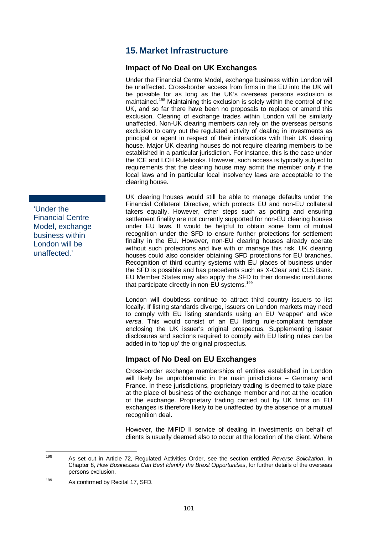# <span id="page-107-0"></span>**15. Market Infrastructure**

## **Impact of No Deal on UK Exchanges**

Under the Financial Centre Model, exchange business within London will be unaffected. Cross-border access from firms in the EU into the UK will be possible for as long as the UK's overseas persons exclusion is maintained.<sup>[198](#page-107-1)</sup> Maintaining this exclusion is solely within the control of the UK, and so far there have been no proposals to replace or amend this exclusion. Clearing of exchange trades within London will be similarly unaffected. Non-UK clearing members can rely on the overseas persons exclusion to carry out the regulated activity of dealing in investments as principal or agent in respect of their interactions with their UK clearing house. Major UK clearing houses do not require clearing members to be established in a particular jurisdiction. For instance, this is the case under the ICE and LCH Rulebooks. However, such access is typically subject to requirements that the clearing house may admit the member only if the local laws and in particular local insolvency laws are acceptable to the clearing house.

UK clearing houses would still be able to manage defaults under the Financial Collateral Directive, which protects EU and non-EU collateral takers equally. However, other steps such as porting and ensuring settlement finality are not currently supported for non-EU clearing houses under EU laws. It would be helpful to obtain some form of mutual recognition under the SFD to ensure further protections for settlement finality in the EU. However, non-EU clearing houses already operate without such protections and live with or manage this risk. UK clearing houses could also consider obtaining SFD protections for EU branches. Recognition of third country systems with EU places of business under the SFD is possible and has precedents such as X-Clear and CLS Bank. EU Member States may also apply the SFD to their domestic institutions that participate directly in non-EU systems. [199](#page-107-2)

London will doubtless continue to attract third country issuers to list locally. If listing standards diverge, issuers on London markets may need to comply with EU listing standards using an EU 'wrapper' and *vice versa*. This would consist of an EU listing rule-compliant template enclosing the UK issuer's original prospectus. Supplementing issuer disclosures and sections required to comply with EU listing rules can be added in to 'top up' the original prospectus.

## **Impact of No Deal on EU Exchanges**

Cross-border exchange memberships of entities established in London will likely be unproblematic in the main jurisdictions - Germany and France. In these jurisdictions, proprietary trading is deemed to take place at the place of business of the exchange member and not at the location of the exchange. Proprietary trading carried out by UK firms on EU exchanges is therefore likely to be unaffected by the absence of a mutual recognition deal.

However, the MiFID II service of dealing in investments on behalf of clients is usually deemed also to occur at the location of the client. Where

'Under the Financial Centre Model, exchange business within London will be unaffected.'

<span id="page-107-1"></span><sup>198</sup> As set out in Article 72, Regulated Activities Order, see the section entitled *Reverse Solicitation*, in Chapte[r 8,](#page-48-0) *How Businesses Can Best Identify the Brexit Opportunities*, for further details of the overseas persons exclusion.

<span id="page-107-2"></span><sup>199</sup> As confirmed by Recital 17, SFD.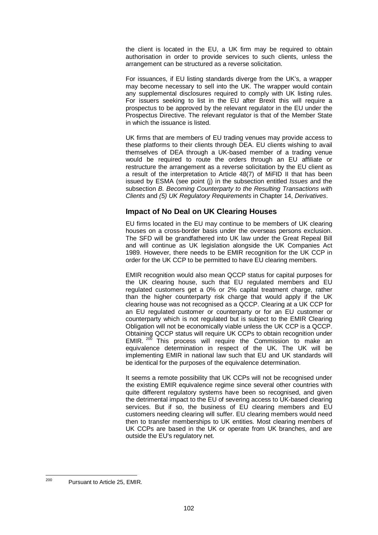the client is located in the EU, a UK firm may be required to obtain authorisation in order to provide services to such clients, unless the arrangement can be structured as a reverse solicitation.

For issuances, if EU listing standards diverge from the UK's, a wrapper may become necessary to sell into the UK. The wrapper would contain any supplemental disclosures required to comply with UK listing rules. For issuers seeking to list in the EU after Brexit this will require a prospectus to be approved by the relevant regulator in the EU under the Prospectus Directive. The relevant regulator is that of the Member State in which the issuance is listed.

UK firms that are members of EU trading venues may provide access to these platforms to their clients through DEA. EU clients wishing to avail themselves of DEA through a UK-based member of a trading venue would be required to route the orders through an EU affiliate or restructure the arrangement as a reverse solicitation by the EU client as a result of the interpretation to Article 48(7) of MiFID II that has been issued by ESMA (see point (j) in the subsection entitled *Issues* and the subsection *B. Becoming Counterparty to the Resulting Transactions with Clients* and *(5) UK Regulatory Requirements* in Chapter 14, *Derivatives*.

#### **Impact of No Deal on UK Clearing Houses**

EU firms located in the EU may continue to be members of UK clearing houses on a cross-border basis under the overseas persons exclusion. The SFD will be grandfathered into UK law under the Great Repeal Bill and will continue as UK legislation alongside the UK Companies Act 1989. However, there needs to be EMIR recognition for the UK CCP in order for the UK CCP to be permitted to have EU clearing members.

EMIR recognition would also mean QCCP status for capital purposes for the UK clearing house, such that EU regulated members and EU regulated customers get a 0% or 2% capital treatment charge, rather than the higher counterparty risk charge that would apply if the UK clearing house was not recognised as a QCCP. Clearing at a UK CCP for an EU regulated customer or counterparty or for an EU customer or counterparty which is not regulated but is subject to the EMIR Clearing Obligation will not be economically viable unless the UK CCP is a QCCP. Obtaining QCCP status will require UK CCPs to obtain recognition under EMIR.  $200$  This process will require the Commission to make an equivalence determination in respect of the UK. The UK will be implementing EMIR in national law such that EU and UK standards will be identical for the purposes of the equivalence determination.

It seems a remote possibility that UK CCPs will not be recognised under the existing EMIR equivalence regime since several other countries with quite different regulatory systems have been so recognised, and given the detrimental impact to the EU of severing access to UK-based clearing services. But if so, the business of EU clearing members and EU customers needing clearing will suffer. EU clearing members would need then to transfer memberships to UK entities. Most clearing members of UK CCPs are based in the UK or operate from UK branches, and are outside the EU's regulatory net.

<span id="page-108-0"></span><sup>200</sup> Pursuant to Article 25, EMIR.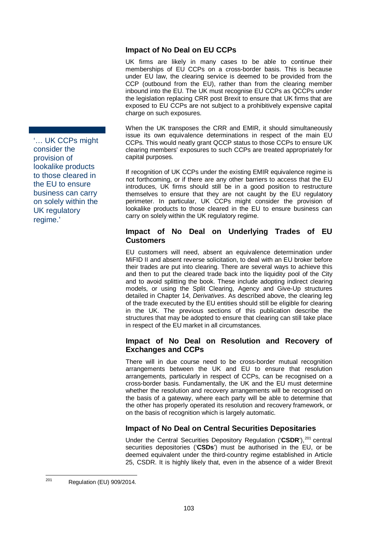#### **Impact of No Deal on EU CCPs**

UK firms are likely in many cases to be able to continue their memberships of EU CCPs on a cross-border basis. This is because under EU law, the clearing service is deemed to be provided from the CCP (outbound from the EU), rather than from the clearing member inbound into the EU. The UK must recognise EU CCPs as QCCPs under the legislation replacing CRR post Brexit to ensure that UK firms that are exposed to EU CCPs are not subject to a prohibitively expensive capital charge on such exposures.

When the UK transposes the CRR and EMIR, it should simultaneously issue its own equivalence determinations in respect of the main EU CCPs. This would neatly grant QCCP status to those CCPs to ensure UK clearing members' exposures to such CCPs are treated appropriately for capital purposes.

If recognition of UK CCPs under the existing EMIR equivalence regime is not forthcoming, or if there are any other barriers to access that the EU introduces, UK firms should still be in a good position to restructure themselves to ensure that they are not caught by the EU regulatory perimeter. In particular, UK CCPs might consider the provision of lookalike products to those cleared in the EU to ensure business can carry on solely within the UK regulatory regime.

#### **Impact of No Deal on Underlying Trades of EU Customers**

EU customers will need, absent an equivalence determination under MiFID II and absent reverse solicitation, to deal with an EU broker before their trades are put into clearing. There are several ways to achieve this and then to put the cleared trade back into the liquidity pool of the City and to avoid splitting the book. These include adopting indirect clearing models, or using the Split Clearing, Agency and Give-Up structures detailed in Chapter [14,](#page-74-0) *Derivatives*. As described above, the clearing leg of the trade executed by the EU entities should still be eligible for clearing in the UK. The previous sections of this publication describe the structures that may be adopted to ensure that clearing can still take place in respect of the EU market in all circumstances.

#### **Impact of No Deal on Resolution and Recovery of Exchanges and CCPs**

There will in due course need to be cross-border mutual recognition arrangements between the UK and EU to ensure that resolution arrangements, particularly in respect of CCPs, can be recognised on a cross-border basis. Fundamentally, the UK and the EU must determine whether the resolution and recovery arrangements will be recognised on the basis of a gateway, where each party will be able to determine that the other has properly operated its resolution and recovery framework, or on the basis of recognition which is largely automatic.

### **Impact of No Deal on Central Securities Depositaries**

Under the Central Securities Depository Regulation ('CSDR'),<sup>[201](#page-109-0)</sup> central securities depositories ('**CSDs**') must be authorised in the EU, or be deemed equivalent under the third-country regime established in Article 25, CSDR. It is highly likely that, even in the absence of a wider Brexit

'… UK CCPs might consider the provision of lookalike products to those cleared in the EU to ensure business can carry on solely within the UK regulatory regime.'

<span id="page-109-0"></span><sup>201</sup> Regulation (EU) 909/2014.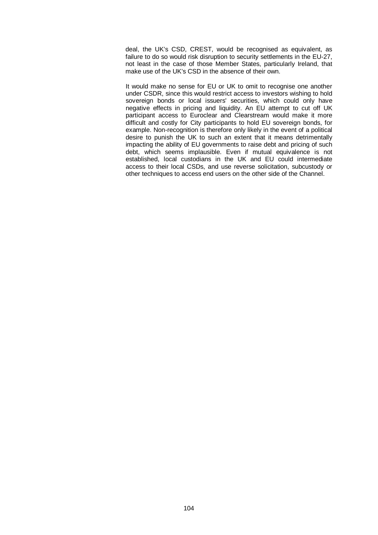deal, the UK's CSD, CREST, would be recognised as equivalent, as failure to do so would risk disruption to security settlements in the EU-27, not least in the case of those Member States, particularly Ireland, that make use of the UK's CSD in the absence of their own.

It would make no sense for EU or UK to omit to recognise one another under CSDR, since this would restrict access to investors wishing to hold sovereign bonds or local issuers' securities, which could only have negative effects in pricing and liquidity. An EU attempt to cut off UK participant access to Euroclear and Clearstream would make it more difficult and costly for City participants to hold EU sovereign bonds, for example. Non-recognition is therefore only likely in the event of a political desire to punish the UK to such an extent that it means detrimentally impacting the ability of EU governments to raise debt and pricing of such debt, which seems implausible. Even if mutual equivalence is not established, local custodians in the UK and EU could intermediate access to their local CSDs, and use reverse solicitation, subcustody or other techniques to access end users on the other side of the Channel.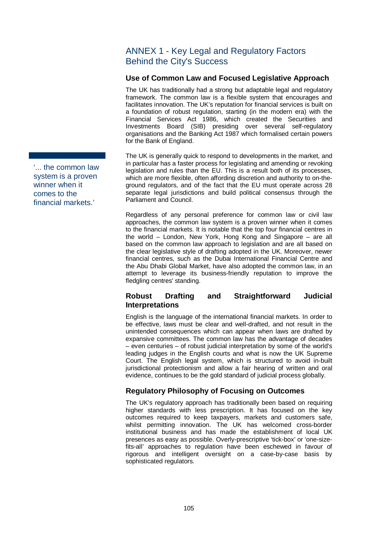## ANNEX 1 - Key Legal and Regulatory Factors Behind the City's Success

### **Use of Common Law and Focused Legislative Approach**

The UK has traditionally had a strong but adaptable legal and regulatory framework. The common law is a flexible system that encourages and facilitates innovation. The UK's reputation for financial services is built on a foundation of robust regulation, starting (in the modern era) with the Financial Services Act 1986, which created the Securities and Investments Board (SIB) presiding over several self-regulatory organisations and the Banking Act 1987 which formalised certain powers for the Bank of England.

The UK is generally quick to respond to developments in the market, and in particular has a faster process for legislating and amending or revoking legislation and rules than the EU. This is a result both of its processes, which are more flexible, often affording discretion and authority to on-theground regulators, and of the fact that the EU must operate across 28 separate legal jurisdictions and build political consensus through the Parliament and Council.

Regardless of any personal preference for common law or civil law approaches, the common law system is a proven winner when it comes to the financial markets. It is notable that the top four financial centres in the world – London, New York, Hong Kong and Singapore – are all based on the common law approach to legislation and are all based on the clear legislative style of drafting adopted in the UK. Moreover, newer financial centres, such as the Dubai International Financial Centre and the Abu Dhabi Global Market, have also adopted the common law, in an attempt to leverage its business-friendly reputation to improve the fledgling centres' standing.

## **Robust Drafting and Straightforward Judicial Interpretations**

English is the language of the international financial markets. In order to be effective, laws must be clear and well-drafted, and not result in the unintended consequences which can appear when laws are drafted by expansive committees. The common law has the advantage of decades – even centuries – of robust judicial interpretation by some of the world's leading judges in the English courts and what is now the UK Supreme Court. The English legal system, which is structured to avoid in-built jurisdictional protectionism and allow a fair hearing of written and oral evidence, continues to be the gold standard of judicial process globally.

## **Regulatory Philosophy of Focusing on Outcomes**

The UK's regulatory approach has traditionally been based on requiring higher standards with less prescription. It has focused on the key outcomes required to keep taxpayers, markets and customers safe, whilst permitting innovation. The UK has welcomed cross-border institutional business and has made the establishment of local UK presences as easy as possible. Overly-prescriptive 'tick-box' or 'one-sizefits-all' approaches to regulation have been eschewed in favour of rigorous and intelligent oversight on a case-by-case basis by sophisticated regulators.

'... the common law system is a proven winner when it comes to the financial markets.'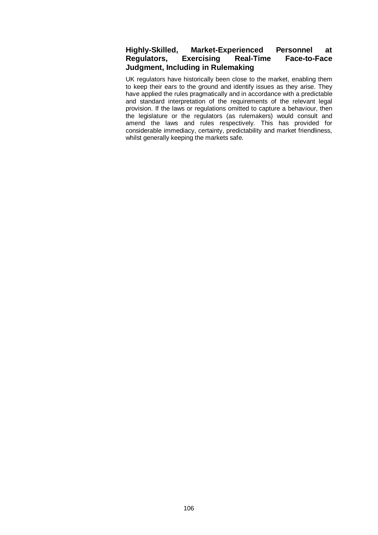### **Highly-Skilled, Market-Experienced Personnel at Regulators, Exercising Real-Time Face-to-Face Judgment, Including in Rulemaking**

UK regulators have historically been close to the market, enabling them to keep their ears to the ground and identify issues as they arise. They have applied the rules pragmatically and in accordance with a predictable and standard interpretation of the requirements of the relevant legal provision. If the laws or regulations omitted to capture a behaviour, then the legislature or the regulators (as rulemakers) would consult and amend the laws and rules respectively. This has provided for considerable immediacy, certainty, predictability and market friendliness, whilst generally keeping the markets safe.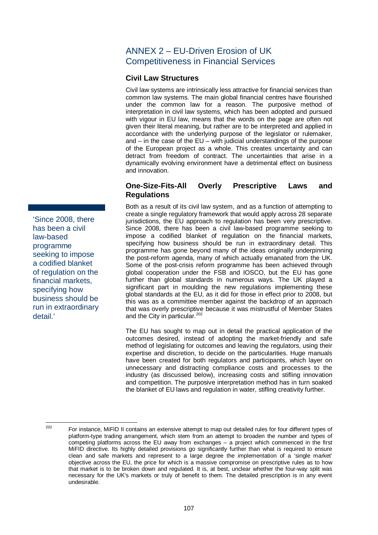## ANNEX 2 – EU-Driven Erosion of UK Competitiveness in Financial Services

#### **Civil Law Structures**

Civil law systems are intrinsically less attractive for financial services than common law systems. The main global financial centres have flourished under the common law for a reason. The purposive method of interpretation in civil law systems, which has been adopted and pursued with vigour in EU law, means that the words on the page are often not given their literal meaning, but rather are to be interpreted and applied in accordance with the underlying purpose of the legislator or rulemaker, and – in the case of the EU – with judicial understandings of the purpose of the European project as a whole. This creates uncertainty and can detract from freedom of contract. The uncertainties that arise in a dynamically evolving environment have a detrimental effect on business and innovation.

#### **One-Size-Fits-All Overly Prescriptive Laws and Regulations**

Both as a result of its civil law system, and as a function of attempting to create a single regulatory framework that would apply across 28 separate jurisdictions, the EU approach to regulation has been very prescriptive. Since 2008, there has been a civil law-based programme seeking to impose a codified blanket of regulation on the financial markets, specifying how business should be run in extraordinary detail. This programme has gone beyond many of the ideas originally underpinning the post-reform agenda, many of which actually emanated from the UK. Some of the post-crisis reform programme has been achieved through global cooperation under the FSB and IOSCO, but the EU has gone further than global standards in numerous ways. The UK played a significant part in moulding the new regulations implementing these global standards at the EU, as it did for those in effect prior to 2008, but this was as a committee member against the backdrop of an approach that was overly prescriptive because it was mistrustful of Member States and the City in particular.<sup>[202](#page-113-0)</sup>

The EU has sought to map out in detail the practical application of the outcomes desired, instead of adopting the market-friendly and safe method of legislating for outcomes and leaving the regulators, using their expertise and discretion, to decide on the particularities. Huge manuals have been created for both regulators and participants, which layer on unnecessary and distracting compliance costs and processes to the industry (as discussed below), increasing costs and stifling innovation and competition. The purposive interpretation method has in turn soaked the blanket of EU laws and regulation in water, stifling creativity further.

'Since 2008, there has been a civil law-based programme seeking to impose a codified blanket of regulation on the financial markets, specifying how business should be run in extraordinary detail.'

<span id="page-113-0"></span>

<sup>&</sup>lt;sup>202</sup> For instance, MiFID II contains an extensive attempt to map out detailed rules for four different types of platform-type trading arrangement, which stem from an attempt to broaden the number and types of competing platforms across the EU away from exchanges – a project which commenced in the first MiFID directive. Its highly detailed provisions go significantly further than what is required to ensure clean and safe markets and represent to a large degree the implementation of a 'single market' objective across the EU, the price for which is a massive compromise on prescriptive rules as to how that market is to be broken down and regulated. It is, at best, unclear whether the four-way split was necessary for the UK's markets or truly of benefit to them. The detailed prescription is in any event undesirable.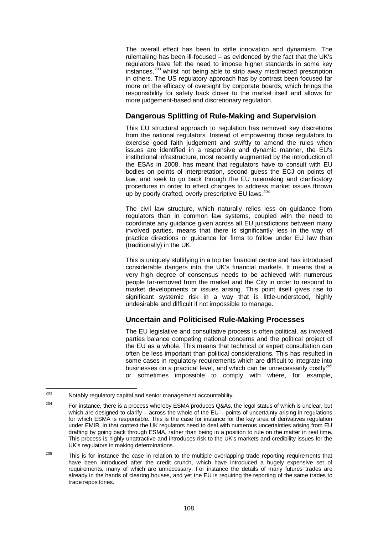The overall effect has been to stifle innovation and dynamism. The rulemaking has been ill-focused – as evidenced by the fact that the UK's regulators have felt the need to impose higher standards in some key instances,<sup>[203](#page-114-0)</sup> whilst not being able to strip away misdirected prescription in others. The US regulatory approach has by contrast been focused far more on the efficacy of oversight by corporate boards, which brings the responsibility for safety back closer to the market itself and allows for more judgement-based and discretionary regulation.

#### **Dangerous Splitting of Rule-Making and Supervision**

This EU structural approach to regulation has removed key discretions from the national regulators. Instead of empowering those regulators to exercise good faith judgement and swiftly to amend the rules when issues are identified in a responsive and dynamic manner, the EU's institutional infrastructure, most recently augmented by the introduction of the ESAs in 2008, has meant that regulators have to consult with EU bodies on points of interpretation, second guess the ECJ on points of law, and seek to go back through the EU rulemaking and clarificatory procedures in order to effect changes to address market issues thrown up by poorly drafted, overly prescriptive EU laws.<sup>[204](#page-114-1)</sup>

The civil law structure, which naturally relies less on guidance from regulators than in common law systems, coupled with the need to coordinate any guidance given across all EU jurisdictions between many involved parties, means that there is significantly less in the way of practice directions or guidance for firms to follow under EU law than (traditionally) in the UK.

This is uniquely stultifying in a top tier financial centre and has introduced considerable dangers into the UK's financial markets. It means that a very high degree of consensus needs to be achieved with numerous people far-removed from the market and the City in order to respond to market developments or issues arising. This point itself gives rise to significant systemic risk in a way that is little-understood, highly undesirable and difficult if not impossible to manage.

### **Uncertain and Politicised Rule-Making Processes**

The EU legislative and consultative process is often political, as involved parties balance competing national concerns and the political project of the EU as a whole. This means that technical or expert consultation can often be less important than political considerations. This has resulted in some cases in regulatory requirements which are difficult to integrate into businesses on a practical level, and which can be unnecessarily costly[205](#page-114-2) or sometimes impossible to comply with where, for example,

<span id="page-114-0"></span> $203$  Notably regulatory capital and senior management accountability.

<span id="page-114-1"></span><sup>&</sup>lt;sup>204</sup> For instance, there is a process whereby ESMA produces Q&As, the legal status of which is unclear, but which are designed to clarify – across the whole of the EU – points of uncertainty arising in regulations for which ESMA is responsible. This is the case for instance for the key area of derivatives regulation under EMIR. In that context the UK regulators need to deal with numerous uncertainties arising from EU drafting by going back through ESMA, rather than being in a position to rule on the matter in real time. This process is highly unattractive and introduces risk to the UK's markets and credibility issues for the UK's regulators in making determinations.

<span id="page-114-2"></span> $205$  This is for instance the case in relation to the multiple overlapping trade reporting requirements that have been introduced after the credit crunch, which have introduced a hugely expensive set of requirements, many of which are unnecessary. For instance the details of many futures trades are already in the hands of clearing houses, and yet the EU is requiring the reporting of the same trades to trade repositories.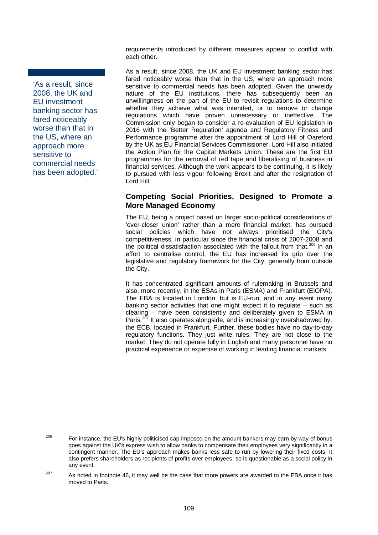'As a result, since 2008, the UK and EU investment banking sector has fared noticeably worse than that in the US, where an approach more sensitive to commercial needs has been adopted.'

requirements introduced by different measures appear to conflict with each other.

As a result, since 2008, the UK and EU investment banking sector has fared noticeably worse than that in the US, where an approach more sensitive to commercial needs has been adopted. Given the unwieldy nature of the EU institutions, there has subsequently been an unwillingness on the part of the EU to revisit regulations to determine whether they achieve what was intended, or to remove or change regulations which have proven unnecessary or ineffective. The Commission only began to consider a re-evaluation of EU legislation in 2016 with the 'Better Regulation' agenda and Regulatory Fitness and Performance programme after the appointment of Lord Hill of Oareford by the UK as EU Financial Services Commissioner. Lord Hill also initiated the Action Plan for the Capital Markets Union. These are the first EU programmes for the removal of red tape and liberalising of business in financial services. Although the work appears to be continuing, it is likely to pursued with less vigour following Brexit and after the resignation of Lord Hill.

### **Competing Social Priorities, Designed to Promote a More Managed Economy**

The EU, being a project based on larger socio-political considerations of 'ever-closer union' rather than a mere financial market, has pursued social policies which have not always prioritised the City's competitiveness, in particular since the financial crisis of 2007-2008 and the political dissatisfaction associated with the fallout from that.<sup>[206](#page-115-0)</sup> In an effort to centralise control, the EU has increased its grip over the legislative and regulatory framework for the City, generally from outside the City.

It has concentrated significant amounts of rulemaking in Brussels and also, more recently, in the ESAs in Paris (ESMA) and Frankfurt (EIOPA). The EBA is located in London, but is EU-run, and in any event many banking sector activities that one might expect it to regulate – such as clearing – have been consistently and deliberately given to ESMA in Paris.<sup>[207](#page-115-1)</sup> It also operates alongside, and is increasingly overshadowed by, the ECB, located in Frankfurt. Further, these bodies have no day-to-day regulatory functions. They just write rules. They are not close to the market. They do not operate fully in English and many personnel have no practical experience or expertise of working in leading financial markets.

<span id="page-115-0"></span><sup>&</sup>lt;sup>206</sup> For instance, the EU's highly politicised cap imposed on the amount bankers may earn by way of bonus goes against the UK's express wish to allow banks to compensate their employees very significantly in a contingent manner. The EU's approach makes banks less safe to run by lowering their fixed costs. It also prefers shareholders as recipients of profits over employees, so is questionable as a social policy in any event.

<span id="page-115-1"></span> $207$  As noted in footnote [46,](#page-37-0) it may well be the case that more powers are awarded to the EBA once it has moved to Paris.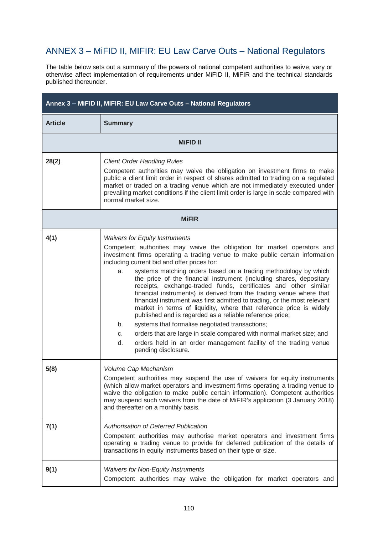## ANNEX 3 – MiFID II, MIFIR: EU Law Carve Outs – National Regulators

The table below sets out a summary of the powers of national competent authorities to waive, vary or otherwise affect implementation of requirements under MiFID II, MiFIR and the technical standards published thereunder.

| Annex 3 - MiFID II, MIFIR: EU Law Carve Outs - National Regulators |                                                                                                                                                                                                                                                                                                                                                                                                                                                                                                                                                                                                                                                                                                                                                                                                                                                                                                                                                                                                  |  |
|--------------------------------------------------------------------|--------------------------------------------------------------------------------------------------------------------------------------------------------------------------------------------------------------------------------------------------------------------------------------------------------------------------------------------------------------------------------------------------------------------------------------------------------------------------------------------------------------------------------------------------------------------------------------------------------------------------------------------------------------------------------------------------------------------------------------------------------------------------------------------------------------------------------------------------------------------------------------------------------------------------------------------------------------------------------------------------|--|
| <b>Article</b>                                                     | <b>Summary</b>                                                                                                                                                                                                                                                                                                                                                                                                                                                                                                                                                                                                                                                                                                                                                                                                                                                                                                                                                                                   |  |
|                                                                    | <b>MiFID II</b>                                                                                                                                                                                                                                                                                                                                                                                                                                                                                                                                                                                                                                                                                                                                                                                                                                                                                                                                                                                  |  |
| 28(2)                                                              | <b>Client Order Handling Rules</b><br>Competent authorities may waive the obligation on investment firms to make<br>public a client limit order in respect of shares admitted to trading on a regulated<br>market or traded on a trading venue which are not immediately executed under<br>prevailing market conditions if the client limit order is large in scale compared with<br>normal market size.                                                                                                                                                                                                                                                                                                                                                                                                                                                                                                                                                                                         |  |
|                                                                    | <b>MiFIR</b>                                                                                                                                                                                                                                                                                                                                                                                                                                                                                                                                                                                                                                                                                                                                                                                                                                                                                                                                                                                     |  |
| 4(1)                                                               | <b>Waivers for Equity Instruments</b><br>Competent authorities may waive the obligation for market operators and<br>investment firms operating a trading venue to make public certain information<br>including current bid and offer prices for:<br>systems matching orders based on a trading methodology by which<br>a.<br>the price of the financial instrument (including shares, depositary<br>receipts, exchange-traded funds, certificates and other similar<br>financial instruments) is derived from the trading venue where that<br>financial instrument was first admitted to trading, or the most relevant<br>market in terms of liquidity, where that reference price is widely<br>published and is regarded as a reliable reference price;<br>systems that formalise negotiated transactions;<br>b.<br>orders that are large in scale compared with normal market size; and<br>C.<br>d.<br>orders held in an order management facility of the trading venue<br>pending disclosure. |  |
| 5(8)                                                               | Volume Cap Mechanism<br>Competent authorities may suspend the use of waivers for equity instruments<br>(which allow market operators and investment firms operating a trading venue to<br>waive the obligation to make public certain information). Competent authorities<br>may suspend such waivers from the date of MiFIR's application (3 January 2018)<br>and thereafter on a monthly basis.                                                                                                                                                                                                                                                                                                                                                                                                                                                                                                                                                                                                |  |
| 7(1)                                                               | <b>Authorisation of Deferred Publication</b><br>Competent authorities may authorise market operators and investment firms<br>operating a trading venue to provide for deferred publication of the details of<br>transactions in equity instruments based on their type or size.                                                                                                                                                                                                                                                                                                                                                                                                                                                                                                                                                                                                                                                                                                                  |  |
| 9(1)                                                               | <b>Waivers for Non-Equity Instruments</b><br>Competent authorities may waive the obligation for market operators and                                                                                                                                                                                                                                                                                                                                                                                                                                                                                                                                                                                                                                                                                                                                                                                                                                                                             |  |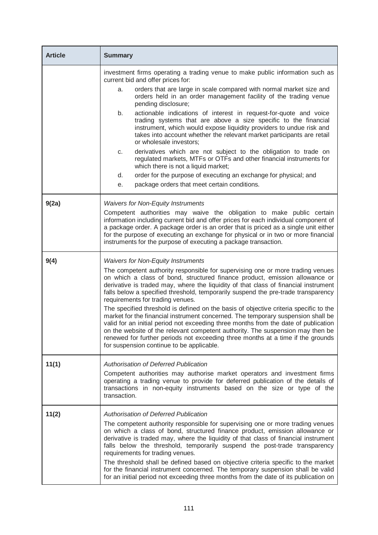| <b>Article</b> | <b>Summary</b>                                                                                                                                                                                                                                                                                                                                                                                                                                                                                                                                                                                                                                                                                                                                                                                                                                                      |
|----------------|---------------------------------------------------------------------------------------------------------------------------------------------------------------------------------------------------------------------------------------------------------------------------------------------------------------------------------------------------------------------------------------------------------------------------------------------------------------------------------------------------------------------------------------------------------------------------------------------------------------------------------------------------------------------------------------------------------------------------------------------------------------------------------------------------------------------------------------------------------------------|
|                | investment firms operating a trading venue to make public information such as<br>current bid and offer prices for:                                                                                                                                                                                                                                                                                                                                                                                                                                                                                                                                                                                                                                                                                                                                                  |
|                | orders that are large in scale compared with normal market size and<br>a.<br>orders held in an order management facility of the trading venue<br>pending disclosure;                                                                                                                                                                                                                                                                                                                                                                                                                                                                                                                                                                                                                                                                                                |
|                | actionable indications of interest in request-for-quote and voice<br>b.<br>trading systems that are above a size specific to the financial<br>instrument, which would expose liquidity providers to undue risk and<br>takes into account whether the relevant market participants are retail<br>or wholesale investors;                                                                                                                                                                                                                                                                                                                                                                                                                                                                                                                                             |
|                | derivatives which are not subject to the obligation to trade on<br>C.<br>regulated markets, MTFs or OTFs and other financial instruments for<br>which there is not a liquid market;                                                                                                                                                                                                                                                                                                                                                                                                                                                                                                                                                                                                                                                                                 |
|                | order for the purpose of executing an exchange for physical; and<br>d.                                                                                                                                                                                                                                                                                                                                                                                                                                                                                                                                                                                                                                                                                                                                                                                              |
|                | package orders that meet certain conditions.<br>е.                                                                                                                                                                                                                                                                                                                                                                                                                                                                                                                                                                                                                                                                                                                                                                                                                  |
| 9(2a)          | <b>Waivers for Non-Equity Instruments</b>                                                                                                                                                                                                                                                                                                                                                                                                                                                                                                                                                                                                                                                                                                                                                                                                                           |
|                | Competent authorities may waive the obligation to make public certain<br>information including current bid and offer prices for each individual component of<br>a package order. A package order is an order that is priced as a single unit either<br>for the purpose of executing an exchange for physical or in two or more financial<br>instruments for the purpose of executing a package transaction.                                                                                                                                                                                                                                                                                                                                                                                                                                                         |
| 9(4)           | <b>Waivers for Non-Equity Instruments</b>                                                                                                                                                                                                                                                                                                                                                                                                                                                                                                                                                                                                                                                                                                                                                                                                                           |
|                | The competent authority responsible for supervising one or more trading venues<br>on which a class of bond, structured finance product, emission allowance or<br>derivative is traded may, where the liquidity of that class of financial instrument<br>falls below a specified threshold, temporarily suspend the pre-trade transparency<br>requirements for trading venues.<br>The specified threshold is defined on the basis of objective criteria specific to the<br>market for the financial instrument concerned. The temporary suspension shall be<br>valid for an initial period not exceeding three months from the date of publication<br>on the website of the relevant competent authority. The suspension may then be<br>renewed for further periods not exceeding three months at a time if the grounds<br>for suspension continue to be applicable. |
| 11(1)          | <b>Authorisation of Deferred Publication</b><br>Competent authorities may authorise market operators and investment firms<br>operating a trading venue to provide for deferred publication of the details of<br>transactions in non-equity instruments based on the size or type of the<br>transaction.                                                                                                                                                                                                                                                                                                                                                                                                                                                                                                                                                             |
| 11(2)          | <b>Authorisation of Deferred Publication</b><br>The competent authority responsible for supervising one or more trading venues<br>on which a class of bond, structured finance product, emission allowance or<br>derivative is traded may, where the liquidity of that class of financial instrument<br>falls below the threshold, temporarily suspend the post-trade transparency<br>requirements for trading venues.<br>The threshold shall be defined based on objective criteria specific to the market<br>for the financial instrument concerned. The temporary suspension shall be valid<br>for an initial period not exceeding three months from the date of its publication on                                                                                                                                                                              |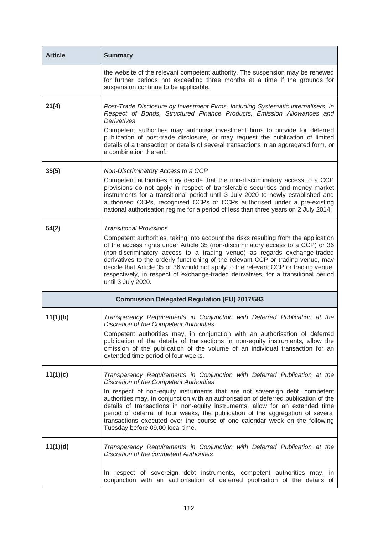| <b>Article</b> | <b>Summary</b>                                                                                                                                                                                                                                                                                                                                                                                                                                                                                                                                                                            |
|----------------|-------------------------------------------------------------------------------------------------------------------------------------------------------------------------------------------------------------------------------------------------------------------------------------------------------------------------------------------------------------------------------------------------------------------------------------------------------------------------------------------------------------------------------------------------------------------------------------------|
|                | the website of the relevant competent authority. The suspension may be renewed<br>for further periods not exceeding three months at a time if the grounds for<br>suspension continue to be applicable.                                                                                                                                                                                                                                                                                                                                                                                    |
| 21(4)          | Post-Trade Disclosure by Investment Firms, Including Systematic Internalisers, in<br>Respect of Bonds, Structured Finance Products, Emission Allowances and<br><b>Derivatives</b><br>Competent authorities may authorise investment firms to provide for deferred<br>publication of post-trade disclosure, or may request the publication of limited<br>details of a transaction or details of several transactions in an aggregated form, or<br>a combination thereof.                                                                                                                   |
| 35(5)          | Non-Discriminatory Access to a CCP<br>Competent authorities may decide that the non-discriminatory access to a CCP<br>provisions do not apply in respect of transferable securities and money market<br>instruments for a transitional period until 3 July 2020 to newly established and<br>authorised CCPs, recognised CCPs or CCPs authorised under a pre-existing<br>national authorisation regime for a period of less than three years on 2 July 2014.                                                                                                                               |
| 54(2)          | <b>Transitional Provisions</b><br>Competent authorities, taking into account the risks resulting from the application<br>of the access rights under Article 35 (non-discriminatory access to a CCP) or 36<br>(non-discriminatory access to a trading venue) as regards exchange-traded<br>derivatives to the orderly functioning of the relevant CCP or trading venue, may<br>decide that Article 35 or 36 would not apply to the relevant CCP or trading venue,<br>respectively, in respect of exchange-traded derivatives, for a transitional period<br>until 3 July 2020.              |
|                | <b>Commission Delegated Regulation (EU) 2017/583</b>                                                                                                                                                                                                                                                                                                                                                                                                                                                                                                                                      |
| 11(1)(b)       | Transparency Requirements in Conjunction with Deferred Publication at the<br><b>Discretion of the Competent Authorities</b><br>Competent authorities may, in conjunction with an authorisation of deferred<br>publication of the details of transactions in non-equity instruments, allow the<br>omission of the publication of the volume of an individual transaction for an<br>extended time period of four weeks.                                                                                                                                                                     |
| 11(1)(c)       | Transparency Requirements in Conjunction with Deferred Publication at the<br><b>Discretion of the Competent Authorities</b><br>In respect of non-equity instruments that are not sovereign debt, competent<br>authorities may, in conjunction with an authorisation of deferred publication of the<br>details of transactions in non-equity instruments, allow for an extended time<br>period of deferral of four weeks, the publication of the aggregation of several<br>transactions executed over the course of one calendar week on the following<br>Tuesday before 09.00 local time. |
| 11(1)(d)       | Transparency Requirements in Conjunction with Deferred Publication at the<br><b>Discretion of the competent Authorities</b><br>In respect of sovereign debt instruments, competent authorities may, in<br>conjunction with an authorisation of deferred publication of the details of                                                                                                                                                                                                                                                                                                     |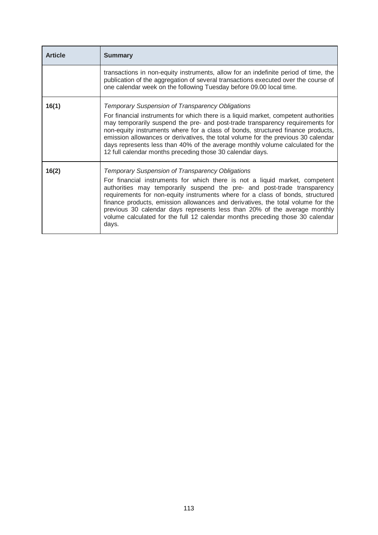| <b>Article</b> | <b>Summary</b>                                                                                                                                                                                                                                                                                                                                                                                                                                                                                                                                                 |
|----------------|----------------------------------------------------------------------------------------------------------------------------------------------------------------------------------------------------------------------------------------------------------------------------------------------------------------------------------------------------------------------------------------------------------------------------------------------------------------------------------------------------------------------------------------------------------------|
|                | transactions in non-equity instruments, allow for an indefinite period of time, the<br>publication of the aggregation of several transactions executed over the course of<br>one calendar week on the following Tuesday before 09.00 local time.                                                                                                                                                                                                                                                                                                               |
| 16(1)          | <b>Temporary Suspension of Transparency Obligations</b><br>For financial instruments for which there is a liquid market, competent authorities<br>may temporarily suspend the pre- and post-trade transparency requirements for<br>non-equity instruments where for a class of bonds, structured finance products,<br>emission allowances or derivatives, the total volume for the previous 30 calendar<br>days represents less than 40% of the average monthly volume calculated for the<br>12 full calendar months preceding those 30 calendar days.         |
| 16(2)          | <b>Temporary Suspension of Transparency Obligations</b><br>For financial instruments for which there is not a liquid market, competent<br>authorities may temporarily suspend the pre- and post-trade transparency<br>requirements for non-equity instruments where for a class of bonds, structured<br>finance products, emission allowances and derivatives, the total volume for the<br>previous 30 calendar days represents less than 20% of the average monthly<br>volume calculated for the full 12 calendar months preceding those 30 calendar<br>days. |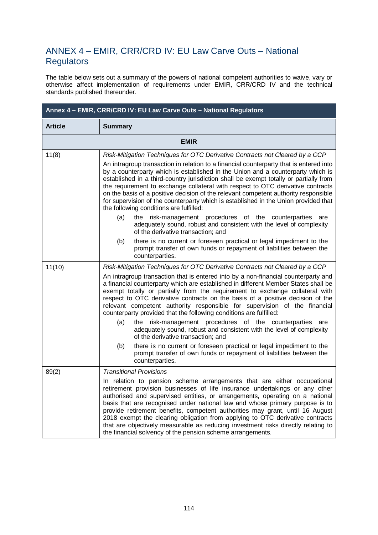## ANNEX 4 – EMIR, CRR/CRD IV: EU Law Carve Outs – National **Regulators**

The table below sets out a summary of the powers of national competent authorities to waive, vary or otherwise affect implementation of requirements under EMIR, CRR/CRD IV and the technical standards published thereunder.

| Annex 4 - EMIR, CRR/CRD IV: EU Law Carve Outs - National Regulators |                                                                                                                                                                                                                                                                                                                                                                                                                                                                                                                                                                                                                                                                                                                                                                                                                                                                                                                                             |  |
|---------------------------------------------------------------------|---------------------------------------------------------------------------------------------------------------------------------------------------------------------------------------------------------------------------------------------------------------------------------------------------------------------------------------------------------------------------------------------------------------------------------------------------------------------------------------------------------------------------------------------------------------------------------------------------------------------------------------------------------------------------------------------------------------------------------------------------------------------------------------------------------------------------------------------------------------------------------------------------------------------------------------------|--|
| <b>Article</b>                                                      | <b>Summary</b>                                                                                                                                                                                                                                                                                                                                                                                                                                                                                                                                                                                                                                                                                                                                                                                                                                                                                                                              |  |
|                                                                     | <b>EMIR</b>                                                                                                                                                                                                                                                                                                                                                                                                                                                                                                                                                                                                                                                                                                                                                                                                                                                                                                                                 |  |
| 11(8)                                                               | Risk-Mitigation Techniques for OTC Derivative Contracts not Cleared by a CCP<br>An intragroup transaction in relation to a financial counterparty that is entered into<br>by a counterparty which is established in the Union and a counterparty which is<br>established in a third-country jurisdiction shall be exempt totally or partially from<br>the requirement to exchange collateral with respect to OTC derivative contracts<br>on the basis of a positive decision of the relevant competent authority responsible<br>for supervision of the counterparty which is established in the Union provided that<br>the following conditions are fulfilled:                                                                                                                                                                                                                                                                              |  |
|                                                                     | the risk-management procedures of the counterparties<br>(a)<br>are<br>adequately sound, robust and consistent with the level of complexity<br>of the derivative transaction; and<br>there is no current or foreseen practical or legal impediment to the<br>(b)<br>prompt transfer of own funds or repayment of liabilities between the<br>counterparties.                                                                                                                                                                                                                                                                                                                                                                                                                                                                                                                                                                                  |  |
| 11(10)                                                              | Risk-Mitigation Techniques for OTC Derivative Contracts not Cleared by a CCP<br>An intragroup transaction that is entered into by a non-financial counterparty and<br>a financial counterparty which are established in different Member States shall be<br>exempt totally or partially from the requirement to exchange collateral with<br>respect to OTC derivative contracts on the basis of a positive decision of the<br>relevant competent authority responsible for supervision of the financial<br>counterparty provided that the following conditions are fulfilled:<br>the risk-management procedures of the counterparties<br>(a)<br>are<br>adequately sound, robust and consistent with the level of complexity<br>of the derivative transaction; and<br>there is no current or foreseen practical or legal impediment to the<br>(b)<br>prompt transfer of own funds or repayment of liabilities between the<br>counterparties. |  |
| 89(2)                                                               | <b>Transitional Provisions</b><br>In relation to pension scheme arrangements that are either occupational<br>retirement provision businesses of life insurance undertakings or any other<br>authorised and supervised entities, or arrangements, operating on a national<br>basis that are recognised under national law and whose primary purpose is to<br>provide retirement benefits, competent authorities may grant, until 16 August<br>2018 exempt the clearing obligation from applying to OTC derivative contracts<br>that are objectively measurable as reducing investment risks directly relating to<br>the financial solvency of the pension scheme arrangements.                                                                                                                                                                                                                                                               |  |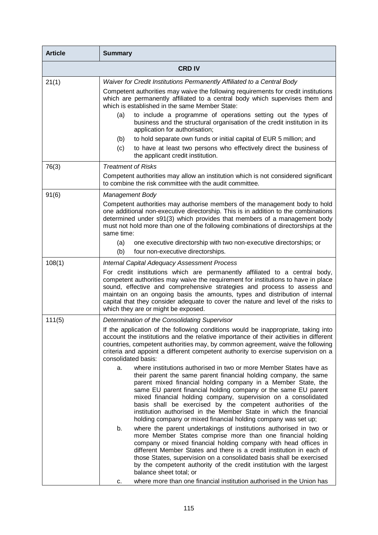| <b>Article</b> | <b>Summary</b>                                                                                                                                                                                                                                                                                                                                                                                                                                                                                                                                           |
|----------------|----------------------------------------------------------------------------------------------------------------------------------------------------------------------------------------------------------------------------------------------------------------------------------------------------------------------------------------------------------------------------------------------------------------------------------------------------------------------------------------------------------------------------------------------------------|
|                | <b>CRD IV</b>                                                                                                                                                                                                                                                                                                                                                                                                                                                                                                                                            |
| 21(1)          | Waiver for Credit Institutions Permanently Affiliated to a Central Body                                                                                                                                                                                                                                                                                                                                                                                                                                                                                  |
|                | Competent authorities may waive the following requirements for credit institutions<br>which are permanently affiliated to a central body which supervises them and<br>which is established in the same Member State:                                                                                                                                                                                                                                                                                                                                     |
|                | to include a programme of operations setting out the types of<br>(a)<br>business and the structural organisation of the credit institution in its<br>application for authorisation;                                                                                                                                                                                                                                                                                                                                                                      |
|                | to hold separate own funds or initial capital of EUR 5 million; and<br>(b)                                                                                                                                                                                                                                                                                                                                                                                                                                                                               |
|                | to have at least two persons who effectively direct the business of<br>(c)<br>the applicant credit institution.                                                                                                                                                                                                                                                                                                                                                                                                                                          |
| 76(3)          | <b>Treatment of Risks</b>                                                                                                                                                                                                                                                                                                                                                                                                                                                                                                                                |
|                | Competent authorities may allow an institution which is not considered significant<br>to combine the risk committee with the audit committee.                                                                                                                                                                                                                                                                                                                                                                                                            |
| 91(6)          | <b>Management Body</b>                                                                                                                                                                                                                                                                                                                                                                                                                                                                                                                                   |
|                | Competent authorities may authorise members of the management body to hold<br>one additional non-executive directorship. This is in addition to the combinations<br>determined under s91(3) which provides that members of a management body<br>must not hold more than one of the following combinations of directorships at the<br>same time:                                                                                                                                                                                                          |
|                | one executive directorship with two non-executive directorships; or<br>(a)                                                                                                                                                                                                                                                                                                                                                                                                                                                                               |
|                | (b)<br>four non-executive directorships.                                                                                                                                                                                                                                                                                                                                                                                                                                                                                                                 |
| 108(1)         | <b>Internal Capital Adequacy Assessment Process</b>                                                                                                                                                                                                                                                                                                                                                                                                                                                                                                      |
|                | For credit institutions which are permanently affiliated to a central body,<br>competent authorities may waive the requirement for institutions to have in place<br>sound, effective and comprehensive strategies and process to assess and<br>maintain on an ongoing basis the amounts, types and distribution of internal<br>capital that they consider adequate to cover the nature and level of the risks to<br>which they are or might be exposed.                                                                                                  |
| 111(5)         | Determination of the Consolidating Supervisor                                                                                                                                                                                                                                                                                                                                                                                                                                                                                                            |
|                | If the application of the following conditions would be inappropriate, taking into<br>account the institutions and the relative importance of their activities in different<br>countries, competent authorities may, by common agreement, waive the following<br>criteria and appoint a different competent authority to exercise supervision on a<br>consolidated basis:                                                                                                                                                                                |
|                | where institutions authorised in two or more Member States have as<br>a.<br>their parent the same parent financial holding company, the same<br>parent mixed financial holding company in a Member State, the<br>same EU parent financial holding company or the same EU parent<br>mixed financial holding company, supervision on a consolidated<br>basis shall be exercised by the competent authorities of the<br>institution authorised in the Member State in which the financial<br>holding company or mixed financial holding company was set up; |
|                | where the parent undertakings of institutions authorised in two or<br>b.<br>more Member States comprise more than one financial holding<br>company or mixed financial holding company with head offices in<br>different Member States and there is a credit institution in each of<br>those States, supervision on a consolidated basis shall be exercised<br>by the competent authority of the credit institution with the largest<br>balance sheet total; or<br>where more than one financial institution authorised in the Union has<br>c.            |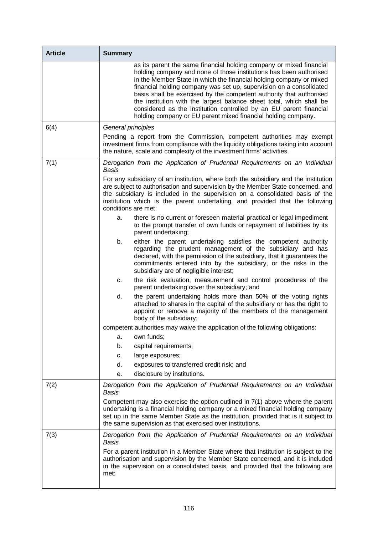| <b>Article</b> | <b>Summary</b>                                                                                                                                                                                                                                                                                                                                                                                                                                                                                                                                                                |
|----------------|-------------------------------------------------------------------------------------------------------------------------------------------------------------------------------------------------------------------------------------------------------------------------------------------------------------------------------------------------------------------------------------------------------------------------------------------------------------------------------------------------------------------------------------------------------------------------------|
|                | as its parent the same financial holding company or mixed financial<br>holding company and none of those institutions has been authorised<br>in the Member State in which the financial holding company or mixed<br>financial holding company was set up, supervision on a consolidated<br>basis shall be exercised by the competent authority that authorised<br>the institution with the largest balance sheet total, which shall be<br>considered as the institution controlled by an EU parent financial<br>holding company or EU parent mixed financial holding company. |
| 6(4)           | General principles                                                                                                                                                                                                                                                                                                                                                                                                                                                                                                                                                            |
|                | Pending a report from the Commission, competent authorities may exempt<br>investment firms from compliance with the liquidity obligations taking into account<br>the nature, scale and complexity of the investment firms' activities.                                                                                                                                                                                                                                                                                                                                        |
| 7(1)           | Derogation from the Application of Prudential Requirements on an Individual<br>Basis                                                                                                                                                                                                                                                                                                                                                                                                                                                                                          |
|                | For any subsidiary of an institution, where both the subsidiary and the institution<br>are subject to authorisation and supervision by the Member State concerned, and<br>the subsidiary is included in the supervision on a consolidated basis of the<br>institution which is the parent undertaking, and provided that the following<br>conditions are met:                                                                                                                                                                                                                 |
|                | there is no current or foreseen material practical or legal impediment<br>a.<br>to the prompt transfer of own funds or repayment of liabilities by its<br>parent undertaking;                                                                                                                                                                                                                                                                                                                                                                                                 |
|                | b.<br>either the parent undertaking satisfies the competent authority<br>regarding the prudent management of the subsidiary and has<br>declared, with the permission of the subsidiary, that it guarantees the<br>commitments entered into by the subsidiary, or the risks in the<br>subsidiary are of negligible interest;                                                                                                                                                                                                                                                   |
|                | the risk evaluation, measurement and control procedures of the<br>c.<br>parent undertaking cover the subsidiary; and                                                                                                                                                                                                                                                                                                                                                                                                                                                          |
|                | the parent undertaking holds more than 50% of the voting rights<br>d.<br>attached to shares in the capital of the subsidiary or has the right to<br>appoint or remove a majority of the members of the management<br>body of the subsidiary;                                                                                                                                                                                                                                                                                                                                  |
|                | competent authorities may waive the application of the following obligations:                                                                                                                                                                                                                                                                                                                                                                                                                                                                                                 |
|                | own funds;<br>а.                                                                                                                                                                                                                                                                                                                                                                                                                                                                                                                                                              |
|                | capital requirements;<br>b.                                                                                                                                                                                                                                                                                                                                                                                                                                                                                                                                                   |
|                | large exposures;<br>c.                                                                                                                                                                                                                                                                                                                                                                                                                                                                                                                                                        |
|                | d.<br>exposures to transferred credit risk; and                                                                                                                                                                                                                                                                                                                                                                                                                                                                                                                               |
|                | disclosure by institutions.<br>е.                                                                                                                                                                                                                                                                                                                                                                                                                                                                                                                                             |
| 7(2)           | Derogation from the Application of Prudential Requirements on an Individual<br>Basis                                                                                                                                                                                                                                                                                                                                                                                                                                                                                          |
|                | Competent may also exercise the option outlined in 7(1) above where the parent<br>undertaking is a financial holding company or a mixed financial holding company<br>set up in the same Member State as the institution, provided that is it subject to<br>the same supervision as that exercised over institutions.                                                                                                                                                                                                                                                          |
| 7(3)           | Derogation from the Application of Prudential Requirements on an Individual<br><b>Basis</b>                                                                                                                                                                                                                                                                                                                                                                                                                                                                                   |
|                | For a parent institution in a Member State where that institution is subject to the<br>authorisation and supervision by the Member State concerned, and it is included<br>in the supervision on a consolidated basis, and provided that the following are<br>met:                                                                                                                                                                                                                                                                                                             |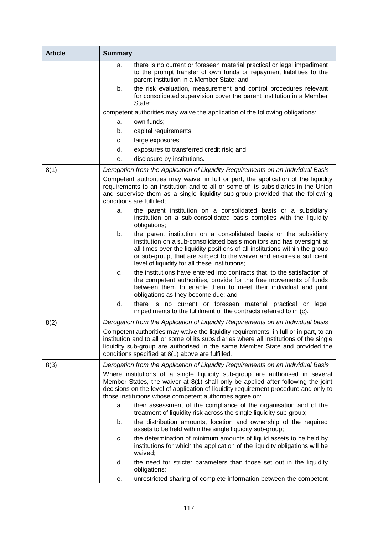| <b>Article</b> | <b>Summary</b>                                                                                                                                                                                                                                                                                                                                            |
|----------------|-----------------------------------------------------------------------------------------------------------------------------------------------------------------------------------------------------------------------------------------------------------------------------------------------------------------------------------------------------------|
|                | there is no current or foreseen material practical or legal impediment<br>a.<br>to the prompt transfer of own funds or repayment liabilities to the<br>parent institution in a Member State; and                                                                                                                                                          |
|                | the risk evaluation, measurement and control procedures relevant<br>b.<br>for consolidated supervision cover the parent institution in a Member<br>State;                                                                                                                                                                                                 |
|                | competent authorities may waive the application of the following obligations:                                                                                                                                                                                                                                                                             |
|                | own funds;<br>a.                                                                                                                                                                                                                                                                                                                                          |
|                | capital requirements;<br>b.                                                                                                                                                                                                                                                                                                                               |
|                | large exposures;<br>c.                                                                                                                                                                                                                                                                                                                                    |
|                | d.<br>exposures to transferred credit risk; and                                                                                                                                                                                                                                                                                                           |
|                | disclosure by institutions.<br>е.                                                                                                                                                                                                                                                                                                                         |
| 8(1)           | Derogation from the Application of Liquidity Requirements on an Individual Basis                                                                                                                                                                                                                                                                          |
|                | Competent authorities may waive, in full or part, the application of the liquidity<br>requirements to an institution and to all or some of its subsidiaries in the Union<br>and supervise them as a single liquidity sub-group provided that the following<br>conditions are fulfilled;                                                                   |
|                | the parent institution on a consolidated basis or a subsidiary<br>a.<br>institution on a sub-consolidated basis complies with the liquidity<br>obligations;                                                                                                                                                                                               |
|                | b.<br>the parent institution on a consolidated basis or the subsidiary<br>institution on a sub-consolidated basis monitors and has oversight at<br>all times over the liquidity positions of all institutions within the group<br>or sub-group, that are subject to the waiver and ensures a sufficient<br>level of liquidity for all these institutions; |
|                | the institutions have entered into contracts that, to the satisfaction of<br>c.<br>the competent authorities, provide for the free movements of funds<br>between them to enable them to meet their individual and joint<br>obligations as they become due; and                                                                                            |
|                | d.<br>there is no current or foreseen material practical or<br>legal<br>impediments to the fulfilment of the contracts referred to in (c).                                                                                                                                                                                                                |
| 8(2)           | Derogation from the Application of Liquidity Requirements on an Individual basis                                                                                                                                                                                                                                                                          |
|                | Competent authorities may waive the liquidity requirements, in full or in part, to an<br>institution and to all or some of its subsidiaries where all institutions of the single<br>liquidity sub-group are authorised in the same Member State and provided the<br>conditions specified at 8(1) above are fulfilled.                                     |
| 8(3)           | Derogation from the Application of Liquidity Requirements on an Individual Basis                                                                                                                                                                                                                                                                          |
|                | Where institutions of a single liquidity sub-group are authorised in several<br>Member States, the waiver at 8(1) shall only be applied after following the joint<br>decisions on the level of application of liquidity requirement procedure and only to<br>those institutions whose competent authorities agree on:                                     |
|                | their assessment of the compliance of the organisation and of the<br>a.<br>treatment of liquidity risk across the single liquidity sub-group;                                                                                                                                                                                                             |
|                | the distribution amounts, location and ownership of the required<br>b.<br>assets to be held within the single liquidity sub-group;                                                                                                                                                                                                                        |
|                | the determination of minimum amounts of liquid assets to be held by<br>c.<br>institutions for which the application of the liquidity obligations will be<br>waived;                                                                                                                                                                                       |
|                | the need for stricter parameters than those set out in the liquidity<br>d.<br>obligations;                                                                                                                                                                                                                                                                |
|                | unrestricted sharing of complete information between the competent<br>е.                                                                                                                                                                                                                                                                                  |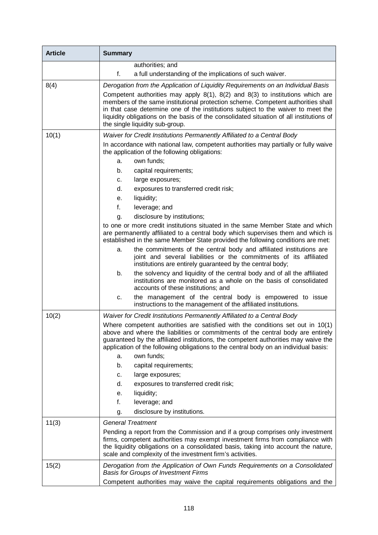| <b>Article</b> | <b>Summary</b>                                                                                                                                                                                                                                                                                                                                                                                                                                                                 |
|----------------|--------------------------------------------------------------------------------------------------------------------------------------------------------------------------------------------------------------------------------------------------------------------------------------------------------------------------------------------------------------------------------------------------------------------------------------------------------------------------------|
|                | authorities; and                                                                                                                                                                                                                                                                                                                                                                                                                                                               |
|                | f.<br>a full understanding of the implications of such waiver.                                                                                                                                                                                                                                                                                                                                                                                                                 |
| 8(4)           | Derogation from the Application of Liquidity Requirements on an Individual Basis<br>Competent authorities may apply $8(1)$ , $8(2)$ and $8(3)$ to institutions which are<br>members of the same institutional protection scheme. Competent authorities shall<br>in that case determine one of the institutions subject to the waiver to meet the<br>liquidity obligations on the basis of the consolidated situation of all institutions of<br>the single liquidity sub-group. |
| 10(1)          | Waiver for Credit Institutions Permanently Affiliated to a Central Body                                                                                                                                                                                                                                                                                                                                                                                                        |
|                | In accordance with national law, competent authorities may partially or fully waive<br>the application of the following obligations:<br>own funds;<br>a.<br>b.<br>capital requirements;                                                                                                                                                                                                                                                                                        |
|                | large exposures;<br>c.                                                                                                                                                                                                                                                                                                                                                                                                                                                         |
|                | d.<br>exposures to transferred credit risk;                                                                                                                                                                                                                                                                                                                                                                                                                                    |
|                | liquidity;<br>е.                                                                                                                                                                                                                                                                                                                                                                                                                                                               |
|                | f.<br>leverage; and                                                                                                                                                                                                                                                                                                                                                                                                                                                            |
|                | disclosure by institutions;<br>g.                                                                                                                                                                                                                                                                                                                                                                                                                                              |
|                | to one or more credit institutions situated in the same Member State and which<br>are permanently affiliated to a central body which supervises them and which is<br>established in the same Member State provided the following conditions are met:                                                                                                                                                                                                                           |
|                | the commitments of the central body and affiliated institutions are<br>a.<br>joint and several liabilities or the commitments of its affiliated<br>institutions are entirely guaranteed by the central body;                                                                                                                                                                                                                                                                   |
|                | the solvency and liquidity of the central body and of all the affiliated<br>b.<br>institutions are monitored as a whole on the basis of consolidated<br>accounts of these institutions; and                                                                                                                                                                                                                                                                                    |
|                | the management of the central body is empowered to issue<br>c.<br>instructions to the management of the affiliated institutions.                                                                                                                                                                                                                                                                                                                                               |
| 10(2)          | Waiver for Credit Institutions Permanently Affiliated to a Central Body                                                                                                                                                                                                                                                                                                                                                                                                        |
|                | Where competent authorities are satisfied with the conditions set out in 10(1)<br>above and where the liabilities or commitments of the central body are entirely<br>guaranteed by the affiliated institutions, the competent authorities may waive the<br>application of the following obligations to the central body on an individual basis:                                                                                                                                |
|                | own funds;<br>a.                                                                                                                                                                                                                                                                                                                                                                                                                                                               |
|                | b.<br>capital requirements;                                                                                                                                                                                                                                                                                                                                                                                                                                                    |
|                | large exposures;<br>c.                                                                                                                                                                                                                                                                                                                                                                                                                                                         |
|                | d.<br>exposures to transferred credit risk;                                                                                                                                                                                                                                                                                                                                                                                                                                    |
|                | liquidity;<br>е.                                                                                                                                                                                                                                                                                                                                                                                                                                                               |
|                | f.<br>leverage; and                                                                                                                                                                                                                                                                                                                                                                                                                                                            |
|                | disclosure by institutions.<br>g.                                                                                                                                                                                                                                                                                                                                                                                                                                              |
| 11(3)          | <b>General Treatment</b><br>Pending a report from the Commission and if a group comprises only investment<br>firms, competent authorities may exempt investment firms from compliance with<br>the liquidity obligations on a consolidated basis, taking into account the nature,<br>scale and complexity of the investment firm's activities.                                                                                                                                  |
| 15(2)          | Derogation from the Application of Own Funds Requirements on a Consolidated<br><b>Basis for Groups of Investment Firms</b><br>Competent authorities may waive the capital requirements obligations and the                                                                                                                                                                                                                                                                     |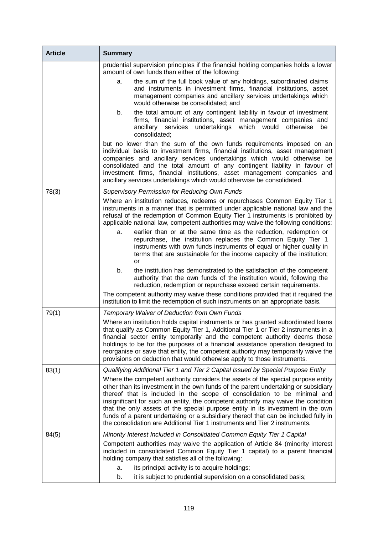| <b>Article</b> | <b>Summary</b>                                                                                                                                                                                                                                                                                                                                                                                                                                                                                                                                                                                   |
|----------------|--------------------------------------------------------------------------------------------------------------------------------------------------------------------------------------------------------------------------------------------------------------------------------------------------------------------------------------------------------------------------------------------------------------------------------------------------------------------------------------------------------------------------------------------------------------------------------------------------|
|                | prudential supervision principles if the financial holding companies holds a lower<br>amount of own funds than either of the following:                                                                                                                                                                                                                                                                                                                                                                                                                                                          |
|                | the sum of the full book value of any holdings, subordinated claims<br>а.<br>and instruments in investment firms, financial institutions, asset<br>management companies and ancillary services undertakings which<br>would otherwise be consolidated; and                                                                                                                                                                                                                                                                                                                                        |
|                | the total amount of any contingent liability in favour of investment<br>b.<br>firms, financial institutions, asset management companies and<br>ancillary services undertakings<br>which would<br>otherwise<br>be<br>consolidated;                                                                                                                                                                                                                                                                                                                                                                |
|                | but no lower than the sum of the own funds requirements imposed on an<br>individual basis to investment firms, financial institutions, asset management<br>companies and ancillary services undertakings which would otherwise be<br>consolidated and the total amount of any contingent liability in favour of<br>investment firms, financial institutions, asset management companies and<br>ancillary services undertakings which would otherwise be consolidated.                                                                                                                            |
| 78(3)          | <b>Supervisory Permission for Reducing Own Funds</b>                                                                                                                                                                                                                                                                                                                                                                                                                                                                                                                                             |
|                | Where an institution reduces, redeems or repurchases Common Equity Tier 1<br>instruments in a manner that is permitted under applicable national law and the<br>refusal of the redemption of Common Equity Tier 1 instruments is prohibited by<br>applicable national law, competent authorities may waive the following conditions:                                                                                                                                                                                                                                                             |
|                | earlier than or at the same time as the reduction, redemption or<br>a.<br>repurchase, the institution replaces the Common Equity Tier 1<br>instruments with own funds instruments of equal or higher quality in<br>terms that are sustainable for the income capacity of the institution;<br>or                                                                                                                                                                                                                                                                                                  |
|                | b.<br>the institution has demonstrated to the satisfaction of the competent<br>authority that the own funds of the institution would, following the<br>reduction, redemption or repurchase exceed certain requirements.                                                                                                                                                                                                                                                                                                                                                                          |
|                | The competent authority may waive these conditions provided that it required the<br>institution to limit the redemption of such instruments on an appropriate basis.                                                                                                                                                                                                                                                                                                                                                                                                                             |
| 79(1)          | Temporary Waiver of Deduction from Own Funds                                                                                                                                                                                                                                                                                                                                                                                                                                                                                                                                                     |
|                | Where an institution holds capital instruments or has granted subordinated loans<br>that qualify as Common Equity Tier 1, Additional Tier 1 or Tier 2 instruments in a<br>financial sector entity temporarily and the competent authority deems those<br>holdings to be for the purposes of a financial assistance operation designed to<br>reorganise or save that entity, the competent authority may temporarily waive the<br>provisions on deduction that would otherwise apply to those instruments.                                                                                        |
| 83(1)          | Qualifying Additional Tier 1 and Tier 2 Capital Issued by Special Purpose Entity                                                                                                                                                                                                                                                                                                                                                                                                                                                                                                                 |
|                | Where the competent authority considers the assets of the special purpose entity<br>other than its investment in the own funds of the parent undertaking or subsidiary<br>thereof that is included in the scope of consolidation to be minimal and<br>insignificant for such an entity, the competent authority may waive the condition<br>that the only assets of the special purpose entity in its investment in the own<br>funds of a parent undertaking or a subsidiary thereof that can be included fully in<br>the consolidation are Additional Tier 1 instruments and Tier 2 instruments. |
| 84(5)          | Minority Interest Included in Consolidated Common Equity Tier 1 Capital                                                                                                                                                                                                                                                                                                                                                                                                                                                                                                                          |
|                | Competent authorities may waive the application of Article 84 (minority interest<br>included in consolidated Common Equity Tier 1 capital) to a parent financial<br>holding company that satisfies all of the following:                                                                                                                                                                                                                                                                                                                                                                         |
|                | its principal activity is to acquire holdings;<br>a.                                                                                                                                                                                                                                                                                                                                                                                                                                                                                                                                             |
|                | it is subject to prudential supervision on a consolidated basis;<br>b.                                                                                                                                                                                                                                                                                                                                                                                                                                                                                                                           |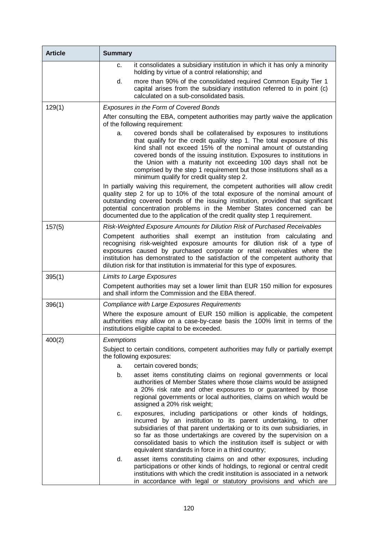| <b>Article</b> | <b>Summary</b>                                                                                                                                                                                                                                                                                                                                                                                                                                                                         |
|----------------|----------------------------------------------------------------------------------------------------------------------------------------------------------------------------------------------------------------------------------------------------------------------------------------------------------------------------------------------------------------------------------------------------------------------------------------------------------------------------------------|
|                | it consolidates a subsidiary institution in which it has only a minority<br>c.<br>holding by virtue of a control relationship; and                                                                                                                                                                                                                                                                                                                                                     |
|                | d.<br>more than 90% of the consolidated required Common Equity Tier 1<br>capital arises from the subsidiary institution referred to in point (c)<br>calculated on a sub-consolidated basis.                                                                                                                                                                                                                                                                                            |
| 129(1)         | Exposures in the Form of Covered Bonds                                                                                                                                                                                                                                                                                                                                                                                                                                                 |
|                | After consulting the EBA, competent authorities may partly waive the application<br>of the following requirement:                                                                                                                                                                                                                                                                                                                                                                      |
|                | covered bonds shall be collateralised by exposures to institutions<br>a.<br>that qualify for the credit quality step 1. The total exposure of this<br>kind shall not exceed 15% of the nominal amount of outstanding<br>covered bonds of the issuing institution. Exposures to institutions in<br>the Union with a maturity not exceeding 100 days shall not be<br>comprised by the step 1 requirement but those institutions shall as a<br>minimum qualify for credit quality step 2. |
|                | In partially waiving this requirement, the competent authorities will allow credit<br>quality step 2 for up to 10% of the total exposure of the nominal amount of<br>outstanding covered bonds of the issuing institution, provided that significant<br>potential concentration problems in the Member States concerned can be<br>documented due to the application of the credit quality step 1 requirement.                                                                          |
| 157(5)         | Risk-Weighted Exposure Amounts for Dilution Risk of Purchased Receivables                                                                                                                                                                                                                                                                                                                                                                                                              |
|                | Competent authorities shall exempt an institution from calculating and<br>recognising risk-weighted exposure amounts for dilution risk of a type of<br>exposures caused by purchased corporate or retail receivables where the<br>institution has demonstrated to the satisfaction of the competent authority that<br>dilution risk for that institution is immaterial for this type of exposures.                                                                                     |
| 395(1)         | <b>Limits to Large Exposures</b>                                                                                                                                                                                                                                                                                                                                                                                                                                                       |
|                | Competent authorities may set a lower limit than EUR 150 million for exposures<br>and shall inform the Commission and the EBA thereof.                                                                                                                                                                                                                                                                                                                                                 |
| 396(1)         | <b>Compliance with Large Exposures Requirements</b>                                                                                                                                                                                                                                                                                                                                                                                                                                    |
|                | Where the exposure amount of EUR 150 million is applicable, the competent<br>authorities may allow on a case-by-case basis the 100% limit in terms of the<br>institutions eligible capital to be exceeded.                                                                                                                                                                                                                                                                             |
| 400(2)         | Exemptions                                                                                                                                                                                                                                                                                                                                                                                                                                                                             |
|                | Subject to certain conditions, competent authorities may fully or partially exempt<br>the following exposures:                                                                                                                                                                                                                                                                                                                                                                         |
|                | certain covered bonds;<br>a.                                                                                                                                                                                                                                                                                                                                                                                                                                                           |
|                | b.<br>asset items constituting claims on regional governments or local<br>authorities of Member States where those claims would be assigned<br>a 20% risk rate and other exposures to or guaranteed by those<br>regional governments or local authorities, claims on which would be<br>assigned a 20% risk weight;                                                                                                                                                                     |
|                | exposures, including participations or other kinds of holdings,<br>C.<br>incurred by an institution to its parent undertaking, to other<br>subsidiaries of that parent undertaking or to its own subsidiaries, in<br>so far as those undertakings are covered by the supervision on a<br>consolidated basis to which the institution itself is subject or with<br>equivalent standards in force in a third country;                                                                    |
|                | d.<br>asset items constituting claims on and other exposures, including<br>participations or other kinds of holdings, to regional or central credit<br>institutions with which the credit institution is associated in a network<br>in accordance with legal or statutory provisions and which are                                                                                                                                                                                     |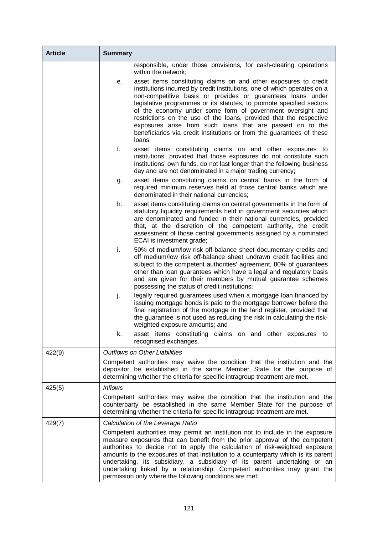| <b>Article</b> | <b>Summary</b>                                                                                                                                                                                                                                                                                                                                                                                                                                                                                                                                                                |
|----------------|-------------------------------------------------------------------------------------------------------------------------------------------------------------------------------------------------------------------------------------------------------------------------------------------------------------------------------------------------------------------------------------------------------------------------------------------------------------------------------------------------------------------------------------------------------------------------------|
|                | responsible, under those provisions, for cash-clearing operations<br>within the network;                                                                                                                                                                                                                                                                                                                                                                                                                                                                                      |
|                | asset items constituting claims on and other exposures to credit<br>е.<br>institutions incurred by credit institutions, one of which operates on a<br>non-competitive basis or provides or guarantees loans under<br>legislative programmes or its statutes, to promote specified sectors<br>of the economy under some form of government oversight and<br>restrictions on the use of the loans, provided that the respective<br>exposures arise from such loans that are passed on to the<br>beneficiaries via credit institutions or from the guarantees of these<br>loans; |
|                | f.<br>asset items constituting claims on and other exposures to<br>institutions, provided that those exposures do not constitute such<br>institutions' own funds, do not last longer than the following business<br>day and are not denominated in a major trading currency;                                                                                                                                                                                                                                                                                                  |
|                | asset items constituting claims on central banks in the form of<br>g.<br>required minimum reserves held at those central banks which are<br>denominated in their national currencies;                                                                                                                                                                                                                                                                                                                                                                                         |
|                | asset items constituting claims on central governments in the form of<br>h.<br>statutory liquidity requirements held in government securities which<br>are denominated and funded in their national currencies, provided<br>that, at the discretion of the competent authority, the credit<br>assessment of those central governments assigned by a nominated<br>ECAI is investment grade;                                                                                                                                                                                    |
|                | i.<br>50% of medium/low risk off-balance sheet documentary credits and<br>off medium/low risk off-balance sheet undrawn credit facilities and<br>subject to the competent authorities' agreement, 80% of guarantees<br>other than loan guarantees which have a legal and regulatory basis<br>and are given for their members by mutual guarantee schemes<br>possessing the status of credit institutions;                                                                                                                                                                     |
|                | legally required guarantees used when a mortgage loan financed by<br>j.<br>issuing mortgage bonds is paid to the mortgage borrower before the<br>final registration of the mortgage in the land register, provided that<br>the guarantee is not used as reducing the risk in calculating the risk-<br>weighted exposure amounts; and                                                                                                                                                                                                                                          |
|                | k.<br>asset items constituting claims on and other exposures to<br>recognised exchanges.                                                                                                                                                                                                                                                                                                                                                                                                                                                                                      |
| 422(9)         | <b>Outflows on Other Liabilities</b>                                                                                                                                                                                                                                                                                                                                                                                                                                                                                                                                          |
|                | Competent authorities may waive the condition that the institution and the<br>depositor be established in the same Member State for the purpose of<br>determining whether the criteria for specific intragroup treatment are met.                                                                                                                                                                                                                                                                                                                                             |
| 425(5)         | <b>Inflows</b>                                                                                                                                                                                                                                                                                                                                                                                                                                                                                                                                                                |
|                | Competent authorities may waive the condition that the institution and the<br>counterparty be established in the same Member State for the purpose of<br>determining whether the criteria for specific intragroup treatment are met.                                                                                                                                                                                                                                                                                                                                          |
| 429(7)         | Calculation of the Leverage Ratio                                                                                                                                                                                                                                                                                                                                                                                                                                                                                                                                             |
|                | Competent authorities may permit an institution not to include in the exposure<br>measure exposures that can benefit from the prior approval of the competent<br>authorities to decide not to apply the calculation of risk-weighted exposure<br>amounts to the exposures of that institution to a counterparty which is its parent<br>undertaking, its subsidiary, a subsidiary of its parent undertaking or an<br>undertaking linked by a relationship. Competent authorities may grant the<br>permission only where the following conditions are met:                      |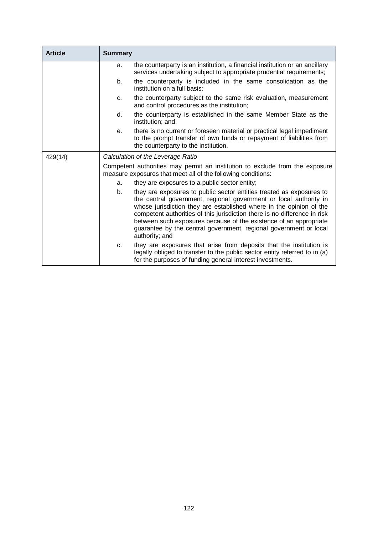| <b>Article</b> | <b>Summary</b>                                                                                                                               |                                                                                                                                                                                                                                                                                                                                                                                                                                                           |
|----------------|----------------------------------------------------------------------------------------------------------------------------------------------|-----------------------------------------------------------------------------------------------------------------------------------------------------------------------------------------------------------------------------------------------------------------------------------------------------------------------------------------------------------------------------------------------------------------------------------------------------------|
|                | a.                                                                                                                                           | the counterparty is an institution, a financial institution or an ancillary<br>services undertaking subject to appropriate prudential requirements;                                                                                                                                                                                                                                                                                                       |
|                | b.                                                                                                                                           | the counterparty is included in the same consolidation as the<br>institution on a full basis;                                                                                                                                                                                                                                                                                                                                                             |
|                | C.                                                                                                                                           | the counterparty subject to the same risk evaluation, measurement<br>and control procedures as the institution;                                                                                                                                                                                                                                                                                                                                           |
|                | d.                                                                                                                                           | the counterparty is established in the same Member State as the<br>institution; and                                                                                                                                                                                                                                                                                                                                                                       |
|                | е.                                                                                                                                           | there is no current or foreseen material or practical legal impediment<br>to the prompt transfer of own funds or repayment of liabilities from<br>the counterparty to the institution.                                                                                                                                                                                                                                                                    |
| 429(14)        | Calculation of the Leverage Ratio                                                                                                            |                                                                                                                                                                                                                                                                                                                                                                                                                                                           |
|                | Competent authorities may permit an institution to exclude from the exposure<br>measure exposures that meet all of the following conditions: |                                                                                                                                                                                                                                                                                                                                                                                                                                                           |
|                | a.                                                                                                                                           | they are exposures to a public sector entity;                                                                                                                                                                                                                                                                                                                                                                                                             |
|                | b.                                                                                                                                           | they are exposures to public sector entities treated as exposures to<br>the central government, regional government or local authority in<br>whose jurisdiction they are established where in the opinion of the<br>competent authorities of this jurisdiction there is no difference in risk<br>between such exposures because of the existence of an appropriate<br>guarantee by the central government, regional government or local<br>authority; and |
|                | C.                                                                                                                                           | they are exposures that arise from deposits that the institution is<br>legally obliged to transfer to the public sector entity referred to in (a)<br>for the purposes of funding general interest investments.                                                                                                                                                                                                                                            |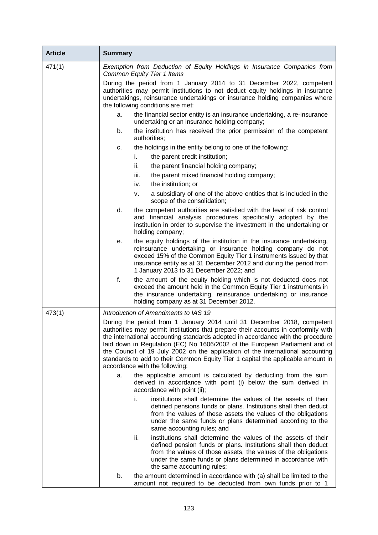| <b>Article</b> | <b>Summary</b>                                                                                                                                                                                                                                                                                                                                                                                                                                                                                                                         |  |
|----------------|----------------------------------------------------------------------------------------------------------------------------------------------------------------------------------------------------------------------------------------------------------------------------------------------------------------------------------------------------------------------------------------------------------------------------------------------------------------------------------------------------------------------------------------|--|
| 471(1)         | Exemption from Deduction of Equity Holdings in Insurance Companies from<br><b>Common Equity Tier 1 Items</b>                                                                                                                                                                                                                                                                                                                                                                                                                           |  |
|                | During the period from 1 January 2014 to 31 December 2022, competent<br>authorities may permit institutions to not deduct equity holdings in insurance<br>undertakings, reinsurance undertakings or insurance holding companies where<br>the following conditions are met:                                                                                                                                                                                                                                                             |  |
|                | the financial sector entity is an insurance undertaking, a re-insurance<br>a.<br>undertaking or an insurance holding company;                                                                                                                                                                                                                                                                                                                                                                                                          |  |
|                | the institution has received the prior permission of the competent<br>b.<br>authorities;                                                                                                                                                                                                                                                                                                                                                                                                                                               |  |
|                | the holdings in the entity belong to one of the following:<br>c.                                                                                                                                                                                                                                                                                                                                                                                                                                                                       |  |
|                | i.<br>the parent credit institution;                                                                                                                                                                                                                                                                                                                                                                                                                                                                                                   |  |
|                | ii.<br>the parent financial holding company;                                                                                                                                                                                                                                                                                                                                                                                                                                                                                           |  |
|                | iii.<br>the parent mixed financial holding company;                                                                                                                                                                                                                                                                                                                                                                                                                                                                                    |  |
|                | the institution; or<br>iv.                                                                                                                                                                                                                                                                                                                                                                                                                                                                                                             |  |
|                | a subsidiary of one of the above entities that is included in the<br>v.<br>scope of the consolidation;                                                                                                                                                                                                                                                                                                                                                                                                                                 |  |
|                | d.<br>the competent authorities are satisfied with the level of risk control<br>and financial analysis procedures specifically adopted by the<br>institution in order to supervise the investment in the undertaking or<br>holding company;                                                                                                                                                                                                                                                                                            |  |
|                | the equity holdings of the institution in the insurance undertaking,<br>е.<br>reinsurance undertaking or insurance holding company do not<br>exceed 15% of the Common Equity Tier 1 instruments issued by that<br>insurance entity as at 31 December 2012 and during the period from<br>1 January 2013 to 31 December 2022; and                                                                                                                                                                                                        |  |
|                | f.<br>the amount of the equity holding which is not deducted does not<br>exceed the amount held in the Common Equity Tier 1 instruments in<br>the insurance undertaking, reinsurance undertaking or insurance<br>holding company as at 31 December 2012.                                                                                                                                                                                                                                                                               |  |
| 473(1)         | Introduction of Amendments to IAS 19                                                                                                                                                                                                                                                                                                                                                                                                                                                                                                   |  |
|                | During the period from 1 January 2014 until 31 December 2018, competent<br>authorities may permit institutions that prepare their accounts in conformity with<br>the international accounting standards adopted in accordance with the procedure<br>laid down in Regulation (EC) No 1606/2002 of the European Parliament and of<br>the Council of 19 July 2002 on the application of the international accounting<br>standards to add to their Common Equity Tier 1 capital the applicable amount in<br>accordance with the following: |  |
|                | the applicable amount is calculated by deducting from the sum<br>a.<br>derived in accordance with point (i) below the sum derived in<br>accordance with point (ii);                                                                                                                                                                                                                                                                                                                                                                    |  |
|                | institutions shall determine the values of the assets of their<br>i.<br>defined pensions funds or plans. Institutions shall then deduct<br>from the values of these assets the values of the obligations<br>under the same funds or plans determined according to the<br>same accounting rules; and                                                                                                                                                                                                                                    |  |
|                | institutions shall determine the values of the assets of their<br>ii.<br>defined pension funds or plans. Institutions shall then deduct<br>from the values of those assets, the values of the obligations<br>under the same funds or plans determined in accordance with<br>the same accounting rules;                                                                                                                                                                                                                                 |  |
|                | b.<br>the amount determined in accordance with (a) shall be limited to the<br>amount not required to be deducted from own funds prior to 1                                                                                                                                                                                                                                                                                                                                                                                             |  |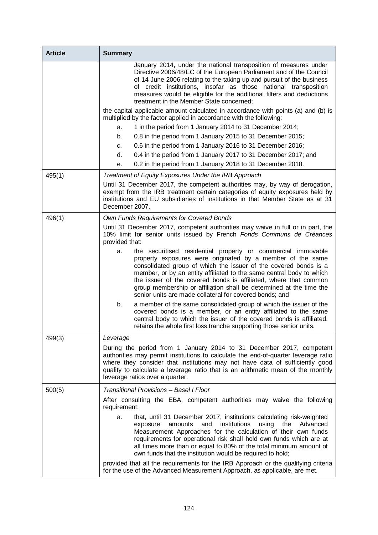| <b>Article</b> | <b>Summary</b>                                                                                                                                                                                                                                                                                                                                                                                                                                                                     |
|----------------|------------------------------------------------------------------------------------------------------------------------------------------------------------------------------------------------------------------------------------------------------------------------------------------------------------------------------------------------------------------------------------------------------------------------------------------------------------------------------------|
|                | January 2014, under the national transposition of measures under<br>Directive 2006/48/EC of the European Parliament and of the Council<br>of 14 June 2006 relating to the taking up and pursuit of the business<br>of credit institutions, insofar as those national transposition<br>measures would be eligible for the additional filters and deductions<br>treatment in the Member State concerned;                                                                             |
|                | the capital applicable amount calculated in accordance with points (a) and (b) is<br>multiplied by the factor applied in accordance with the following:                                                                                                                                                                                                                                                                                                                            |
|                | 1 in the period from 1 January 2014 to 31 December 2014;<br>a.                                                                                                                                                                                                                                                                                                                                                                                                                     |
|                | 0.8 in the period from 1 January 2015 to 31 December 2015;<br>b.                                                                                                                                                                                                                                                                                                                                                                                                                   |
|                | 0.6 in the period from 1 January 2016 to 31 December 2016;<br>c.                                                                                                                                                                                                                                                                                                                                                                                                                   |
|                | d.<br>0.4 in the period from 1 January 2017 to 31 December 2017; and                                                                                                                                                                                                                                                                                                                                                                                                               |
|                | 0.2 in the period from 1 January 2018 to 31 December 2018.<br>е.                                                                                                                                                                                                                                                                                                                                                                                                                   |
| 495(1)         | Treatment of Equity Exposures Under the IRB Approach                                                                                                                                                                                                                                                                                                                                                                                                                               |
|                | Until 31 December 2017, the competent authorities may, by way of derogation,<br>exempt from the IRB treatment certain categories of equity exposures held by<br>institutions and EU subsidiaries of institutions in that Member State as at 31<br>December 2007.                                                                                                                                                                                                                   |
| 496(1)         | Own Funds Requirements for Covered Bonds                                                                                                                                                                                                                                                                                                                                                                                                                                           |
|                | Until 31 December 2017, competent authorities may waive in full or in part, the<br>10% limit for senior units issued by French Fonds Communs de Créances<br>provided that:                                                                                                                                                                                                                                                                                                         |
|                | the securitised residential property or commercial immovable<br>a.<br>property exposures were originated by a member of the same<br>consolidated group of which the issuer of the covered bonds is a<br>member, or by an entity affiliated to the same central body to which<br>the issuer of the covered bonds is affiliated, where that common<br>group membership or affiliation shall be determined at the time the<br>senior units are made collateral for covered bonds; and |
|                | a member of the same consolidated group of which the issuer of the<br>b.<br>covered bonds is a member, or an entity affiliated to the same<br>central body to which the issuer of the covered bonds is affiliated,<br>retains the whole first loss tranche supporting those senior units.                                                                                                                                                                                          |
| 499(3)         | Leverage                                                                                                                                                                                                                                                                                                                                                                                                                                                                           |
|                | During the period from 1 January 2014 to 31 December 2017, competent<br>authorities may permit institutions to calculate the end-of-quarter leverage ratio<br>where they consider that institutions may not have data of sufficiently good<br>quality to calculate a leverage ratio that is an arithmetic mean of the monthly<br>leverage ratios over a quarter.                                                                                                                   |
| 500(5)         | Transitional Provisions - Basel I Floor                                                                                                                                                                                                                                                                                                                                                                                                                                            |
|                | After consulting the EBA, competent authorities may waive the following<br>requirement:                                                                                                                                                                                                                                                                                                                                                                                            |
|                | that, until 31 December 2017, institutions calculating risk-weighted<br>a.<br>institutions<br>using<br>amounts<br>and<br>the<br>Advanced<br>exposure<br>Measurement Approaches for the calculation of their own funds<br>requirements for operational risk shall hold own funds which are at<br>all times more than or equal to 80% of the total minimum amount of<br>own funds that the institution would be required to hold;                                                    |
|                | provided that all the requirements for the IRB Approach or the qualifying criteria<br>for the use of the Advanced Measurement Approach, as applicable, are met.                                                                                                                                                                                                                                                                                                                    |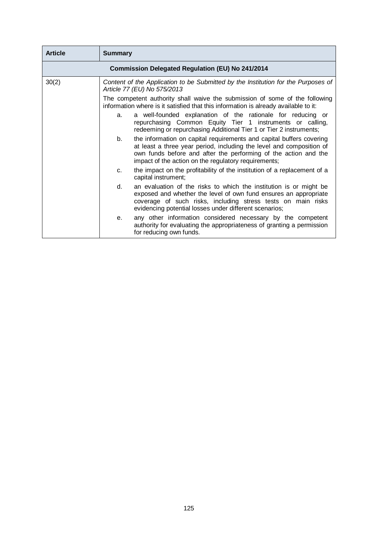| <b>Article</b> | <b>Summary</b> |                                                                                                                                                                                                                                                                         |
|----------------|----------------|-------------------------------------------------------------------------------------------------------------------------------------------------------------------------------------------------------------------------------------------------------------------------|
|                |                | <b>Commission Delegated Regulation (EU) No 241/2014</b>                                                                                                                                                                                                                 |
| 30(2)          |                | Content of the Application to be Submitted by the Institution for the Purposes of<br>Article 77 (EU) No 575/2013                                                                                                                                                        |
|                |                | The competent authority shall waive the submission of some of the following<br>information where is it satisfied that this information is already available to it:                                                                                                      |
|                | a.             | a well-founded explanation of the rationale for reducing or<br>repurchasing Common Equity Tier 1 instruments or calling,<br>redeeming or repurchasing Additional Tier 1 or Tier 2 instruments;                                                                          |
|                | b.             | the information on capital requirements and capital buffers covering<br>at least a three year period, including the level and composition of<br>own funds before and after the performing of the action and the<br>impact of the action on the regulatory requirements; |
|                | C <sub>1</sub> | the impact on the profitability of the institution of a replacement of a<br>capital instrument;                                                                                                                                                                         |
|                | d.             | an evaluation of the risks to which the institution is or might be<br>exposed and whether the level of own fund ensures an appropriate<br>coverage of such risks, including stress tests on main risks<br>evidencing potential losses under different scenarios;        |
|                | е.             | any other information considered necessary by the competent<br>authority for evaluating the appropriateness of granting a permission<br>for reducing own funds.                                                                                                         |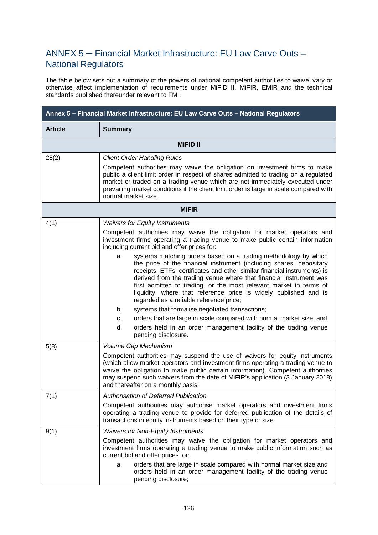# ANNEX 5 – Financial Market Infrastructure: EU Law Carve Outs – National Regulators

The table below sets out a summary of the powers of national competent authorities to waive, vary or otherwise affect implementation of requirements under MiFID II, MiFIR, EMIR and the technical standards published thereunder relevant to FMI.

| Annex 5 - Financial Market Infrastructure: EU Law Carve Outs - National Regulators |                                                                                                                                                                                                                                                                                                                                                                                                                                                                                     |  |
|------------------------------------------------------------------------------------|-------------------------------------------------------------------------------------------------------------------------------------------------------------------------------------------------------------------------------------------------------------------------------------------------------------------------------------------------------------------------------------------------------------------------------------------------------------------------------------|--|
| <b>Article</b>                                                                     | <b>Summary</b>                                                                                                                                                                                                                                                                                                                                                                                                                                                                      |  |
|                                                                                    | <b>MiFID II</b>                                                                                                                                                                                                                                                                                                                                                                                                                                                                     |  |
| 28(2)                                                                              | <b>Client Order Handling Rules</b><br>Competent authorities may waive the obligation on investment firms to make<br>public a client limit order in respect of shares admitted to trading on a regulated<br>market or traded on a trading venue which are not immediately executed under<br>prevailing market conditions if the client limit order is large in scale compared with<br>normal market size.                                                                            |  |
| <b>MiFIR</b>                                                                       |                                                                                                                                                                                                                                                                                                                                                                                                                                                                                     |  |
| 4(1)                                                                               | <b>Waivers for Equity Instruments</b><br>Competent authorities may waive the obligation for market operators and<br>investment firms operating a trading venue to make public certain information<br>including current bid and offer prices for:                                                                                                                                                                                                                                    |  |
|                                                                                    | systems matching orders based on a trading methodology by which<br>a.<br>the price of the financial instrument (including shares, depositary<br>receipts, ETFs, certificates and other similar financial instruments) is<br>derived from the trading venue where that financial instrument was<br>first admitted to trading, or the most relevant market in terms of<br>liquidity, where that reference price is widely published and is<br>regarded as a reliable reference price; |  |
|                                                                                    | systems that formalise negotiated transactions;<br>b.                                                                                                                                                                                                                                                                                                                                                                                                                               |  |
|                                                                                    | orders that are large in scale compared with normal market size; and<br>c.<br>d.<br>orders held in an order management facility of the trading venue<br>pending disclosure.                                                                                                                                                                                                                                                                                                         |  |
| 5(8)                                                                               | Volume Cap Mechanism                                                                                                                                                                                                                                                                                                                                                                                                                                                                |  |
|                                                                                    | Competent authorities may suspend the use of waivers for equity instruments<br>(which allow market operators and investment firms operating a trading venue to<br>waive the obligation to make public certain information). Competent authorities<br>may suspend such waivers from the date of MiFIR's application (3 January 2018)<br>and thereafter on a monthly basis.                                                                                                           |  |
| 7(1)                                                                               | <b>Authorisation of Deferred Publication</b>                                                                                                                                                                                                                                                                                                                                                                                                                                        |  |
|                                                                                    | Competent authorities may authorise market operators and investment firms<br>operating a trading venue to provide for deferred publication of the details of<br>transactions in equity instruments based on their type or size.                                                                                                                                                                                                                                                     |  |
| 9(1)                                                                               | <b>Waivers for Non-Equity Instruments</b>                                                                                                                                                                                                                                                                                                                                                                                                                                           |  |
|                                                                                    | Competent authorities may waive the obligation for market operators and<br>investment firms operating a trading venue to make public information such as<br>current bid and offer prices for:                                                                                                                                                                                                                                                                                       |  |
|                                                                                    | orders that are large in scale compared with normal market size and<br>a.<br>orders held in an order management facility of the trading venue<br>pending disclosure;                                                                                                                                                                                                                                                                                                                |  |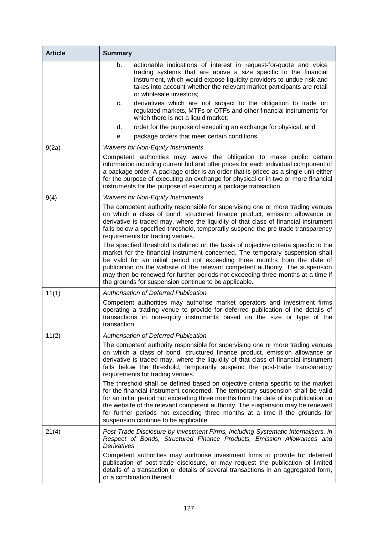| <b>Article</b> | <b>Summary</b>                                                                                                                                                                                                                                                                                                                                                                                                                                                                     |
|----------------|------------------------------------------------------------------------------------------------------------------------------------------------------------------------------------------------------------------------------------------------------------------------------------------------------------------------------------------------------------------------------------------------------------------------------------------------------------------------------------|
|                | b.<br>actionable indications of interest in request-for-quote and voice<br>trading systems that are above a size specific to the financial<br>instrument, which would expose liquidity providers to undue risk and<br>takes into account whether the relevant market participants are retail<br>or wholesale investors;                                                                                                                                                            |
|                | derivatives which are not subject to the obligation to trade on<br>c.<br>regulated markets, MTFs or OTFs and other financial instruments for<br>which there is not a liquid market;                                                                                                                                                                                                                                                                                                |
|                | order for the purpose of executing an exchange for physical; and<br>d.                                                                                                                                                                                                                                                                                                                                                                                                             |
|                | package orders that meet certain conditions.<br>е.                                                                                                                                                                                                                                                                                                                                                                                                                                 |
| 9(2a)          | <b>Waivers for Non-Equity Instruments</b>                                                                                                                                                                                                                                                                                                                                                                                                                                          |
|                | Competent authorities may waive the obligation to make public certain<br>information including current bid and offer prices for each individual component of<br>a package order. A package order is an order that is priced as a single unit either<br>for the purpose of executing an exchange for physical or in two or more financial<br>instruments for the purpose of executing a package transaction.                                                                        |
| 9(4)           | <b>Waivers for Non-Equity Instruments</b>                                                                                                                                                                                                                                                                                                                                                                                                                                          |
|                | The competent authority responsible for supervising one or more trading venues<br>on which a class of bond, structured finance product, emission allowance or<br>derivative is traded may, where the liquidity of that class of financial instrument<br>falls below a specified threshold, temporarily suspend the pre-trade transparency<br>requirements for trading venues.                                                                                                      |
|                | The specified threshold is defined on the basis of objective criteria specific to the<br>market for the financial instrument concerned. The temporary suspension shall<br>be valid for an initial period not exceeding three months from the date of<br>publication on the website of the relevant competent authority. The suspension<br>may then be renewed for further periods not exceeding three months at a time if<br>the grounds for suspension continue to be applicable. |
| 11(1)          | <b>Authorisation of Deferred Publication</b>                                                                                                                                                                                                                                                                                                                                                                                                                                       |
|                | Competent authorities may authorise market operators and investment firms<br>operating a trading venue to provide for deferred publication of the details of<br>transactions in non-equity instruments based on the size or type of the<br>transaction.                                                                                                                                                                                                                            |
| 11(2)          | <b>Authorisation of Deferred Publication</b>                                                                                                                                                                                                                                                                                                                                                                                                                                       |
|                | The competent authority responsible for supervising one or more trading venues<br>on which a class of bond, structured finance product, emission allowance or<br>derivative is traded may, where the liquidity of that class of financial instrument<br>falls below the threshold, temporarily suspend the post-trade transparency<br>requirements for trading venues.                                                                                                             |
|                | The threshold shall be defined based on objective criteria specific to the market<br>for the financial instrument concerned. The temporary suspension shall be valid<br>for an initial period not exceeding three months from the date of its publication on<br>the website of the relevant competent authority. The suspension may be renewed<br>for further periods not exceeding three months at a time if the grounds for<br>suspension continue to be applicable.             |
| 21(4)          | Post-Trade Disclosure by Investment Firms, Including Systematic Internalisers, in<br>Respect of Bonds, Structured Finance Products, Emission Allowances and<br>Derivatives                                                                                                                                                                                                                                                                                                         |
|                | Competent authorities may authorise investment firms to provide for deferred<br>publication of post-trade disclosure, or may request the publication of limited<br>details of a transaction or details of several transactions in an aggregated form,<br>or a combination thereof.                                                                                                                                                                                                 |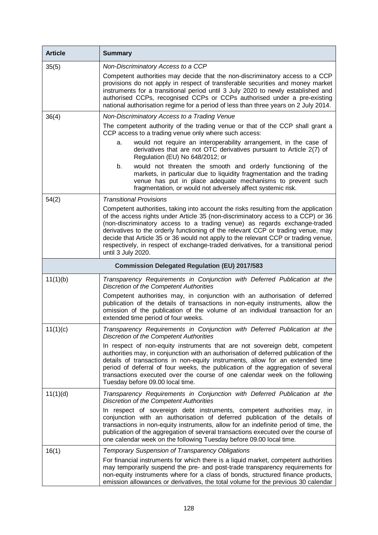| <b>Article</b> | <b>Summary</b>                                                                                                                                                                                                                                                                                                                                                                                                                                                                                                                             |
|----------------|--------------------------------------------------------------------------------------------------------------------------------------------------------------------------------------------------------------------------------------------------------------------------------------------------------------------------------------------------------------------------------------------------------------------------------------------------------------------------------------------------------------------------------------------|
| 35(5)          | Non-Discriminatory Access to a CCP<br>Competent authorities may decide that the non-discriminatory access to a CCP<br>provisions do not apply in respect of transferable securities and money market<br>instruments for a transitional period until 3 July 2020 to newly established and<br>authorised CCPs, recognised CCPs or CCPs authorised under a pre-existing<br>national authorisation regime for a period of less than three years on 2 July 2014.                                                                                |
| 36(4)          | Non-Discriminatory Access to a Trading Venue<br>The competent authority of the trading venue or that of the CCP shall grant a                                                                                                                                                                                                                                                                                                                                                                                                              |
|                | CCP access to a trading venue only where such access:<br>would not require an interoperability arrangement, in the case of<br>a.<br>derivatives that are not OTC derivatives pursuant to Article 2(7) of<br>Regulation (EU) No 648/2012; or                                                                                                                                                                                                                                                                                                |
|                | b.<br>would not threaten the smooth and orderly functioning of the<br>markets, in particular due to liquidity fragmentation and the trading<br>venue has put in place adequate mechanisms to prevent such<br>fragmentation, or would not adversely affect systemic risk.                                                                                                                                                                                                                                                                   |
| 54(2)          | <b>Transitional Provisions</b>                                                                                                                                                                                                                                                                                                                                                                                                                                                                                                             |
|                | Competent authorities, taking into account the risks resulting from the application<br>of the access rights under Article 35 (non-discriminatory access to a CCP) or 36<br>(non-discriminatory access to a trading venue) as regards exchange-traded<br>derivatives to the orderly functioning of the relevant CCP or trading venue, may<br>decide that Article 35 or 36 would not apply to the relevant CCP or trading venue,<br>respectively, in respect of exchange-traded derivatives, for a transitional period<br>until 3 July 2020. |
|                | <b>Commission Delegated Regulation (EU) 2017/583</b>                                                                                                                                                                                                                                                                                                                                                                                                                                                                                       |
| 11(1)(b)       | Transparency Requirements in Conjunction with Deferred Publication at the<br><b>Discretion of the Competent Authorities</b>                                                                                                                                                                                                                                                                                                                                                                                                                |
|                | Competent authorities may, in conjunction with an authorisation of deferred<br>publication of the details of transactions in non-equity instruments, allow the<br>omission of the publication of the volume of an individual transaction for an<br>extended time period of four weeks.                                                                                                                                                                                                                                                     |
| 11(1)(c)       | Transparency Requirements in Conjunction with Deferred Publication at the<br>Discretion of the Competent Authorities                                                                                                                                                                                                                                                                                                                                                                                                                       |
|                | In respect of non-equity instruments that are not sovereign debt, competent<br>authorities may, in conjunction with an authorisation of deferred publication of the<br>details of transactions in non-equity instruments, allow for an extended time<br>period of deferral of four weeks, the publication of the aggregation of several<br>transactions executed over the course of one calendar week on the following<br>Tuesday before 09.00 local time.                                                                                 |
| 11(1)(d)       | Transparency Requirements in Conjunction with Deferred Publication at the<br><b>Discretion of the Competent Authorities</b>                                                                                                                                                                                                                                                                                                                                                                                                                |
|                | In respect of sovereign debt instruments, competent authorities may, in<br>conjunction with an authorisation of deferred publication of the details of<br>transactions in non-equity instruments, allow for an indefinite period of time, the<br>publication of the aggregation of several transactions executed over the course of<br>one calendar week on the following Tuesday before 09.00 local time.                                                                                                                                 |
| 16(1)          | <b>Temporary Suspension of Transparency Obligations</b>                                                                                                                                                                                                                                                                                                                                                                                                                                                                                    |
|                | For financial instruments for which there is a liquid market, competent authorities<br>may temporarily suspend the pre- and post-trade transparency requirements for<br>non-equity instruments where for a class of bonds, structured finance products,<br>emission allowances or derivatives, the total volume for the previous 30 calendar                                                                                                                                                                                               |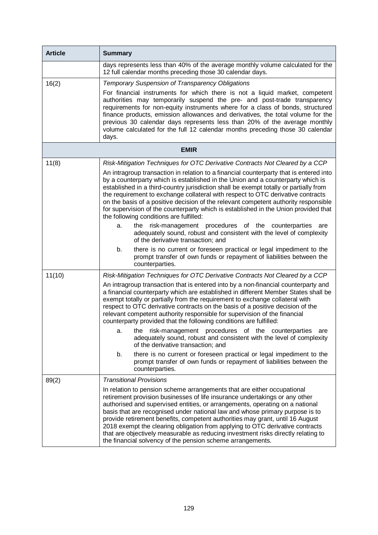| <b>Article</b> | <b>Summary</b>                                                                                                                                                                                                                                                                                                                                                                                                                                                                                                                                                                                                                              |
|----------------|---------------------------------------------------------------------------------------------------------------------------------------------------------------------------------------------------------------------------------------------------------------------------------------------------------------------------------------------------------------------------------------------------------------------------------------------------------------------------------------------------------------------------------------------------------------------------------------------------------------------------------------------|
|                | days represents less than 40% of the average monthly volume calculated for the<br>12 full calendar months preceding those 30 calendar days.                                                                                                                                                                                                                                                                                                                                                                                                                                                                                                 |
| 16(2)          | <b>Temporary Suspension of Transparency Obligations</b>                                                                                                                                                                                                                                                                                                                                                                                                                                                                                                                                                                                     |
|                | For financial instruments for which there is not a liquid market, competent<br>authorities may temporarily suspend the pre- and post-trade transparency<br>requirements for non-equity instruments where for a class of bonds, structured<br>finance products, emission allowances and derivatives, the total volume for the<br>previous 30 calendar days represents less than 20% of the average monthly<br>volume calculated for the full 12 calendar months preceding those 30 calendar<br>days.                                                                                                                                         |
|                | <b>EMIR</b>                                                                                                                                                                                                                                                                                                                                                                                                                                                                                                                                                                                                                                 |
| 11(8)          | Risk-Mitigation Techniques for OTC Derivative Contracts Not Cleared by a CCP                                                                                                                                                                                                                                                                                                                                                                                                                                                                                                                                                                |
|                | An intragroup transaction in relation to a financial counterparty that is entered into<br>by a counterparty which is established in the Union and a counterparty which is<br>established in a third-country jurisdiction shall be exempt totally or partially from<br>the requirement to exchange collateral with respect to OTC derivative contracts<br>on the basis of a positive decision of the relevant competent authority responsible<br>for supervision of the counterparty which is established in the Union provided that<br>the following conditions are fulfilled:                                                              |
|                | the risk-management procedures of the counterparties are<br>a.<br>adequately sound, robust and consistent with the level of complexity<br>of the derivative transaction; and                                                                                                                                                                                                                                                                                                                                                                                                                                                                |
|                | there is no current or foreseen practical or legal impediment to the<br>b.<br>prompt transfer of own funds or repayment of liabilities between the<br>counterparties.                                                                                                                                                                                                                                                                                                                                                                                                                                                                       |
| 11(10)         | Risk-Mitigation Techniques for OTC Derivative Contracts Not Cleared by a CCP                                                                                                                                                                                                                                                                                                                                                                                                                                                                                                                                                                |
|                | An intragroup transaction that is entered into by a non-financial counterparty and<br>a financial counterparty which are established in different Member States shall be<br>exempt totally or partially from the requirement to exchange collateral with<br>respect to OTC derivative contracts on the basis of a positive decision of the<br>relevant competent authority responsible for supervision of the financial<br>counterparty provided that the following conditions are fulfilled:                                                                                                                                               |
|                | a. the risk-management procedures of the counterparties are<br>adequately sound, robust and consistent with the level of complexity<br>of the derivative transaction; and                                                                                                                                                                                                                                                                                                                                                                                                                                                                   |
|                | there is no current or foreseen practical or legal impediment to the<br>b.<br>prompt transfer of own funds or repayment of liabilities between the<br>counterparties.                                                                                                                                                                                                                                                                                                                                                                                                                                                                       |
| 89(2)          | <b>Transitional Provisions</b>                                                                                                                                                                                                                                                                                                                                                                                                                                                                                                                                                                                                              |
|                | In relation to pension scheme arrangements that are either occupational<br>retirement provision businesses of life insurance undertakings or any other<br>authorised and supervised entities, or arrangements, operating on a national<br>basis that are recognised under national law and whose primary purpose is to<br>provide retirement benefits, competent authorities may grant, until 16 August<br>2018 exempt the clearing obligation from applying to OTC derivative contracts<br>that are objectively measurable as reducing investment risks directly relating to<br>the financial solvency of the pension scheme arrangements. |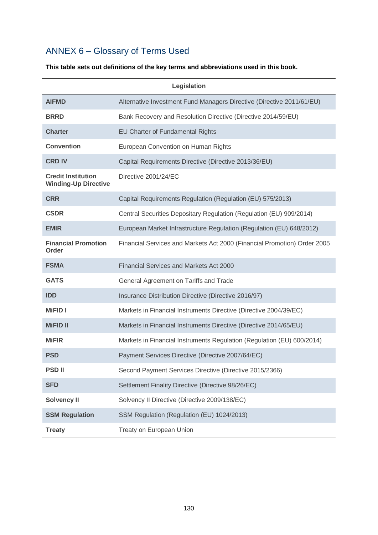# ANNEX 6 – Glossary of Terms Used

#### **This table sets out definitions of the key terms and abbreviations used in this book.**

| Legislation                                              |                                                                          |  |
|----------------------------------------------------------|--------------------------------------------------------------------------|--|
| <b>AIFMD</b>                                             | Alternative Investment Fund Managers Directive (Directive 2011/61/EU)    |  |
| <b>BRRD</b>                                              | Bank Recovery and Resolution Directive (Directive 2014/59/EU)            |  |
| <b>Charter</b>                                           | EU Charter of Fundamental Rights                                         |  |
| <b>Convention</b>                                        | European Convention on Human Rights                                      |  |
| <b>CRD IV</b>                                            | Capital Requirements Directive (Directive 2013/36/EU)                    |  |
| <b>Credit Institution</b><br><b>Winding-Up Directive</b> | Directive 2001/24/EC                                                     |  |
| <b>CRR</b>                                               | Capital Requirements Regulation (Regulation (EU) 575/2013)               |  |
| <b>CSDR</b>                                              | Central Securities Depositary Regulation (Regulation (EU) 909/2014)      |  |
| <b>EMIR</b>                                              | European Market Infrastructure Regulation (Regulation (EU) 648/2012)     |  |
| <b>Financial Promotion</b><br>Order                      | Financial Services and Markets Act 2000 (Financial Promotion) Order 2005 |  |
| <b>FSMA</b>                                              | <b>Financial Services and Markets Act 2000</b>                           |  |
| GATS                                                     | General Agreement on Tariffs and Trade                                   |  |
| <b>IDD</b>                                               | Insurance Distribution Directive (Directive 2016/97)                     |  |
| <b>MiFID I</b>                                           | Markets in Financial Instruments Directive (Directive 2004/39/EC)        |  |
| <b>MiFID II</b>                                          | Markets in Financial Instruments Directive (Directive 2014/65/EU)        |  |
| <b>MiFIR</b>                                             | Markets in Financial Instruments Regulation (Regulation (EU) 600/2014)   |  |
| <b>PSD</b>                                               | Payment Services Directive (Directive 2007/64/EC)                        |  |
| <b>PSD II</b>                                            | Second Payment Services Directive (Directive 2015/2366)                  |  |
| <b>SFD</b>                                               | Settlement Finality Directive (Directive 98/26/EC)                       |  |
| Solvency II                                              | Solvency II Directive (Directive 2009/138/EC)                            |  |
| <b>SSM Regulation</b>                                    | SSM Regulation (Regulation (EU) 1024/2013)                               |  |
| <b>Treaty</b>                                            | Treaty on European Union                                                 |  |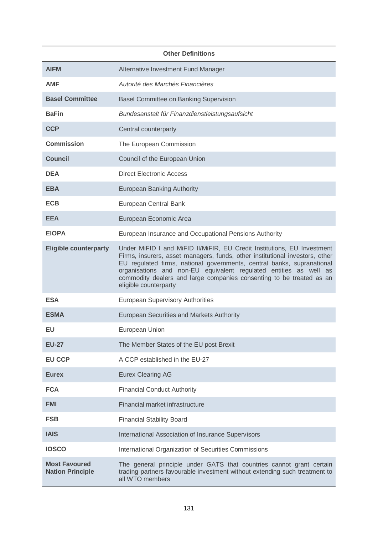| <b>Other Definitions</b>                        |                                                                                                                                                                                                                                                                                                                                                                                                         |  |
|-------------------------------------------------|---------------------------------------------------------------------------------------------------------------------------------------------------------------------------------------------------------------------------------------------------------------------------------------------------------------------------------------------------------------------------------------------------------|--|
| <b>AIFM</b>                                     | Alternative Investment Fund Manager                                                                                                                                                                                                                                                                                                                                                                     |  |
| <b>AMF</b>                                      | Autorité des Marchés Financières                                                                                                                                                                                                                                                                                                                                                                        |  |
| <b>Basel Committee</b>                          | <b>Basel Committee on Banking Supervision</b>                                                                                                                                                                                                                                                                                                                                                           |  |
| <b>BaFin</b>                                    | Bundesanstalt für Finanzdienstleistungsaufsicht                                                                                                                                                                                                                                                                                                                                                         |  |
| <b>CCP</b>                                      | Central counterparty                                                                                                                                                                                                                                                                                                                                                                                    |  |
| <b>Commission</b>                               | The European Commission                                                                                                                                                                                                                                                                                                                                                                                 |  |
| <b>Council</b>                                  | Council of the European Union                                                                                                                                                                                                                                                                                                                                                                           |  |
| <b>DEA</b>                                      | <b>Direct Electronic Access</b>                                                                                                                                                                                                                                                                                                                                                                         |  |
| <b>EBA</b>                                      | <b>European Banking Authority</b>                                                                                                                                                                                                                                                                                                                                                                       |  |
| <b>ECB</b>                                      | European Central Bank                                                                                                                                                                                                                                                                                                                                                                                   |  |
| <b>EEA</b>                                      | European Economic Area                                                                                                                                                                                                                                                                                                                                                                                  |  |
| <b>EIOPA</b>                                    | European Insurance and Occupational Pensions Authority                                                                                                                                                                                                                                                                                                                                                  |  |
| <b>Eligible counterparty</b>                    | Under MiFID I and MiFID II/MiFIR, EU Credit Institutions, EU Investment<br>Firms, insurers, asset managers, funds, other institutional investors, other<br>EU regulated firms, national governments, central banks, supranational<br>organisations and non-EU equivalent regulated entities as well as<br>commodity dealers and large companies consenting to be treated as an<br>eligible counterparty |  |
| <b>ESA</b>                                      | <b>European Supervisory Authorities</b>                                                                                                                                                                                                                                                                                                                                                                 |  |
| <b>ESMA</b>                                     | European Securities and Markets Authority                                                                                                                                                                                                                                                                                                                                                               |  |
| EU.                                             | European Union                                                                                                                                                                                                                                                                                                                                                                                          |  |
| <b>EU-27</b>                                    | The Member States of the EU post Brexit                                                                                                                                                                                                                                                                                                                                                                 |  |
| <b>EU CCP</b>                                   | A CCP established in the EU-27                                                                                                                                                                                                                                                                                                                                                                          |  |
| <b>Eurex</b>                                    | <b>Eurex Clearing AG</b>                                                                                                                                                                                                                                                                                                                                                                                |  |
| <b>FCA</b>                                      | <b>Financial Conduct Authority</b>                                                                                                                                                                                                                                                                                                                                                                      |  |
| <b>FMI</b>                                      | Financial market infrastructure                                                                                                                                                                                                                                                                                                                                                                         |  |
| <b>FSB</b>                                      | <b>Financial Stability Board</b>                                                                                                                                                                                                                                                                                                                                                                        |  |
| <b>IAIS</b>                                     | International Association of Insurance Supervisors                                                                                                                                                                                                                                                                                                                                                      |  |
| <b>IOSCO</b>                                    | International Organization of Securities Commissions                                                                                                                                                                                                                                                                                                                                                    |  |
| <b>Most Favoured</b><br><b>Nation Principle</b> | The general principle under GATS that countries cannot grant certain<br>trading partners favourable investment without extending such treatment to<br>all WTO members                                                                                                                                                                                                                                   |  |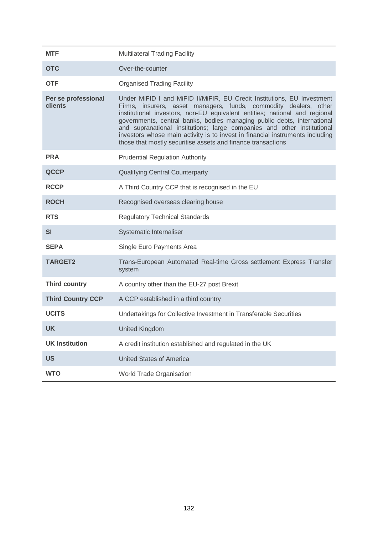| <b>MTF</b>                     | <b>Multilateral Trading Facility</b>                                                                                                                                                                                                                                                                                                                                                                                                                                                                                             |
|--------------------------------|----------------------------------------------------------------------------------------------------------------------------------------------------------------------------------------------------------------------------------------------------------------------------------------------------------------------------------------------------------------------------------------------------------------------------------------------------------------------------------------------------------------------------------|
| <b>OTC</b>                     | Over-the-counter                                                                                                                                                                                                                                                                                                                                                                                                                                                                                                                 |
| <b>OTF</b>                     | <b>Organised Trading Facility</b>                                                                                                                                                                                                                                                                                                                                                                                                                                                                                                |
| Per se professional<br>clients | Under MiFID I and MiFID II/MiFIR, EU Credit Institutions, EU Investment<br>Firms, insurers, asset managers, funds, commodity dealers, other<br>institutional investors, non-EU equivalent entities; national and regional<br>governments, central banks, bodies managing public debts, international<br>and supranational institutions; large companies and other institutional<br>investors whose main activity is to invest in financial instruments including<br>those that mostly securitise assets and finance transactions |
| <b>PRA</b>                     | <b>Prudential Regulation Authority</b>                                                                                                                                                                                                                                                                                                                                                                                                                                                                                           |
| <b>QCCP</b>                    | <b>Qualifying Central Counterparty</b>                                                                                                                                                                                                                                                                                                                                                                                                                                                                                           |
| <b>RCCP</b>                    | A Third Country CCP that is recognised in the EU                                                                                                                                                                                                                                                                                                                                                                                                                                                                                 |
| <b>ROCH</b>                    | Recognised overseas clearing house                                                                                                                                                                                                                                                                                                                                                                                                                                                                                               |
| <b>RTS</b>                     | <b>Regulatory Technical Standards</b>                                                                                                                                                                                                                                                                                                                                                                                                                                                                                            |
| <b>SI</b>                      | Systematic Internaliser                                                                                                                                                                                                                                                                                                                                                                                                                                                                                                          |
| <b>SEPA</b>                    | Single Euro Payments Area                                                                                                                                                                                                                                                                                                                                                                                                                                                                                                        |
| <b>TARGET2</b>                 | Trans-European Automated Real-time Gross settlement Express Transfer<br>system                                                                                                                                                                                                                                                                                                                                                                                                                                                   |
| <b>Third country</b>           | A country other than the EU-27 post Brexit                                                                                                                                                                                                                                                                                                                                                                                                                                                                                       |
| <b>Third Country CCP</b>       | A CCP established in a third country                                                                                                                                                                                                                                                                                                                                                                                                                                                                                             |
| <b>UCITS</b>                   | Undertakings for Collective Investment in Transferable Securities                                                                                                                                                                                                                                                                                                                                                                                                                                                                |
| <b>UK</b>                      | <b>United Kingdom</b>                                                                                                                                                                                                                                                                                                                                                                                                                                                                                                            |
| <b>UK Institution</b>          | A credit institution established and regulated in the UK                                                                                                                                                                                                                                                                                                                                                                                                                                                                         |
| <b>US</b>                      | <b>United States of America</b>                                                                                                                                                                                                                                                                                                                                                                                                                                                                                                  |
| <b>WTO</b>                     | World Trade Organisation                                                                                                                                                                                                                                                                                                                                                                                                                                                                                                         |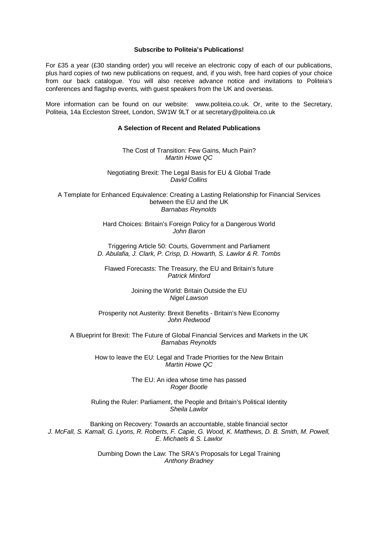#### **Subscribe to Politeia's Publications!**

For £35 a year (£30 standing order) you will receive an electronic copy of each of our publications, plus hard copies of two new publications on request, and, if you wish, free hard copies of your choice from our back catalogue. You will also receive advance notice and invitations to Politeia's conferences and flagship events, with guest speakers from the UK and overseas.

More information can be found on our website: www.politeia.co.uk. Or, write to the Secretary, Politeia, 14a Eccleston Street, London, SW1W 9LT or at secretary@politeia.co.uk

#### **A Selection of Recent and Related Publications**

The Cost of Transition: Few Gains, Much Pain? *Martin Howe QC*

Negotiating Brexit: The Legal Basis for EU & Global Trade *David Collins*

A Template for Enhanced Equivalence: Creating a Lasting Relationship for Financial Services between the EU and the UK *Barnabas Reynolds*

> Hard Choices: Britain's Foreign Policy for a Dangerous World *John Baron*

Triggering Article 50: Courts, Government and Parliament *D. Abulafia, J. Clark, P. Crisp, D. Howarth, S. Lawlor & R. Tombs*

Flawed Forecasts: The Treasury, the EU and Britain's future *Patrick Minford*

> Joining the World: Britain Outside the EU *Nigel Lawson*

Prosperity not Austerity: Brexit Benefits - Britain's New Economy *John Redwood*

A Blueprint for Brexit: The Future of Global Financial Services and Markets in the UK *Barnabas Reynolds*

How to leave the EU: Legal and Trade Priorities for the New Britain *Martin Howe QC*

> The EU: An idea whose time has passed *Roger Bootle*

Ruling the Ruler: Parliament, the People and Britain's Political Identity *Sheila Lawlor*

Banking on Recovery: Towards an accountable, stable financial sector *J. McFall, S. Kamall, G. Lyons, R. Roberts, F. Capie, G. Wood, K. Matthews, D. B. Smith, M. Powell, E. Michaels & S. Lawlor*

> Dumbing Down the Law: The SRA's Proposals for Legal Training *Anthony Bradney*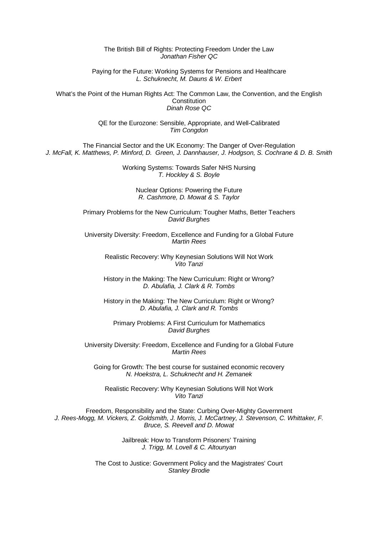#### The British Bill of Rights: Protecting Freedom Under the Law *Jonathan Fisher QC*

Paying for the Future: Working Systems for Pensions and Healthcare *L. Schuknecht, M. Dauns & W. Erbert*

What's the Point of the Human Rights Act: The Common Law, the Convention, and the English **Constitution** *Dinah Rose QC*

> QE for the Eurozone: Sensible, Appropriate, and Well-Calibrated *Tim Congdon*

The Financial Sector and the UK Economy: The Danger of Over-Regulation *J. McFall, K. Matthews, P. Minford, D. Green, J. Dannhauser, J. Hodgson, S. Cochrane & D. B. Smith*

> Working Systems: Towards Safer NHS Nursing *T. Hockley & S. Boyle*

> > Nuclear Options: Powering the Future *R. Cashmore, D. Mowat & S. Taylor*

Primary Problems for the New Curriculum: Tougher Maths, Better Teachers *David Burghes*

University Diversity: Freedom, Excellence and Funding for a Global Future *Martin Rees*

Realistic Recovery: Why Keynesian Solutions Will Not Work *Vito Tanzi*

History in the Making: The New Curriculum: Right or Wrong? *D. Abulafia, J. Clark & R. Tombs*

History in the Making: The New Curriculum: Right or Wrong? *D. Abulafia, J. Clark and R. Tombs*

Primary Problems: A First Curriculum for Mathematics *David Burghes*

University Diversity: Freedom, Excellence and Funding for a Global Future *Martin Rees*

Going for Growth: The best course for sustained economic recovery *N. Hoekstra, L. Schuknecht and H. Zemanek*

Realistic Recovery: Why Keynesian Solutions Will Not Work *Vito Tanzi*

Freedom, Responsibility and the State: Curbing Over-Mighty Government *J. Rees-Mogg, M. Vickers, Z. Goldsmith, J. Morris, J. McCartney, J. Stevenson, C. Whittaker, F. Bruce, S. Reevell and D. Mowat*

> Jailbreak: How to Transform Prisoners' Training *J. Trigg, M. Lovell & C. Altounyan*

The Cost to Justice: Government Policy and the Magistrates' Court *Stanley Brodie*